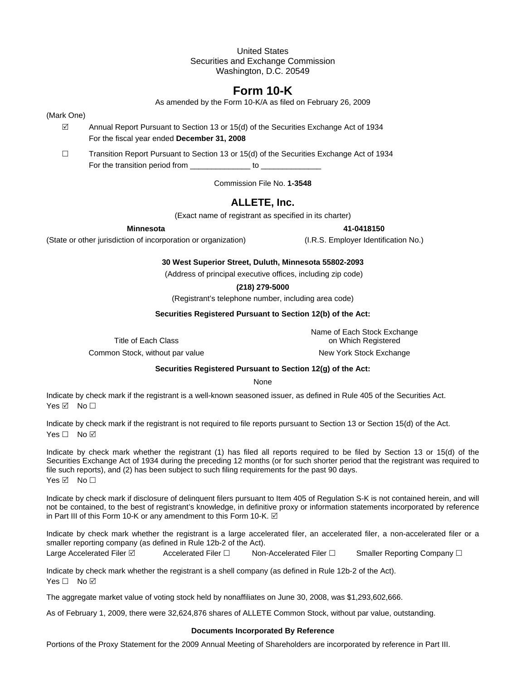United States Securities and Exchange Commission Washington, D.C. 20549

# **Form 10-K**

As amended by the Form 10-K/A as filed on February 26, 2009

(Mark One)

- $\boxtimes$  Annual Report Pursuant to Section 13 or 15(d) of the Securities Exchange Act of 1934 For the fiscal year ended **December 31, 2008**
- $\Box$  Transition Report Pursuant to Section 13 or 15(d) of the Securities Exchange Act of 1934 For the transition period from \_\_\_\_\_\_\_\_\_\_\_\_\_\_\_\_ to

Commission File No. **1-3548**

## **ALLETE, Inc.**

(Exact name of registrant as specified in its charter)

**Minnesota 41-0418150** 

(State or other jurisdiction of incorporation or organization) (I.R.S. Employer Identification No.)

**30 West Superior Street, Duluth, Minnesota 55802-2093** 

(Address of principal executive offices, including zip code)

**(218) 279-5000** 

(Registrant's telephone number, including area code)

## **Securities Registered Pursuant to Section 12(b) of the Act:**

Title of Each Class

 Name of Each Stock Exchange on Which Registered

Common Stock, without par value New York Stock Exchange

## **Securities Registered Pursuant to Section 12(g) of the Act:**

None

Indicate by check mark if the registrant is a well-known seasoned issuer, as defined in Rule 405 of the Securities Act.  $Yes \boxtimes No \Box$ 

Indicate by check mark if the registrant is not required to file reports pursuant to Section 13 or Section 15(d) of the Act. Yes  $\Box$  No  $\Box$ 

Indicate by check mark whether the registrant (1) has filed all reports required to be filed by Section 13 or 15(d) of the Securities Exchange Act of 1934 during the preceding 12 months (or for such shorter period that the registrant was required to file such reports), and (2) has been subject to such filing requirements for the past 90 days.  $Yes \nabla$  No  $\square$ 

Indicate by check mark if disclosure of delinquent filers pursuant to Item 405 of Regulation S-K is not contained herein, and will not be contained, to the best of registrant's knowledge, in definitive proxy or information statements incorporated by reference in Part III of this Form 10-K or any amendment to this Form 10-K.  $\boxtimes$ 

Indicate by check mark whether the registrant is a large accelerated filer, an accelerated filer, a non-accelerated filer or a smaller reporting company (as defined in Rule 12b-2 of the Act). Large Accelerated Filer  $\boxdot$  Accelerated Filer  $\Box$  Non-Accelerated Filer  $\Box$  Smaller Reporting Company  $\Box$ 

Indicate by check mark whether the registrant is a shell company (as defined in Rule 12b-2 of the Act).  $Yes \Box No \nabla$ 

The aggregate market value of voting stock held by nonaffiliates on June 30, 2008, was \$1,293,602,666.

As of February 1, 2009, there were 32,624,876 shares of ALLETE Common Stock, without par value, outstanding.

#### **Documents Incorporated By Reference**

Portions of the Proxy Statement for the 2009 Annual Meeting of Shareholders are incorporated by reference in Part III.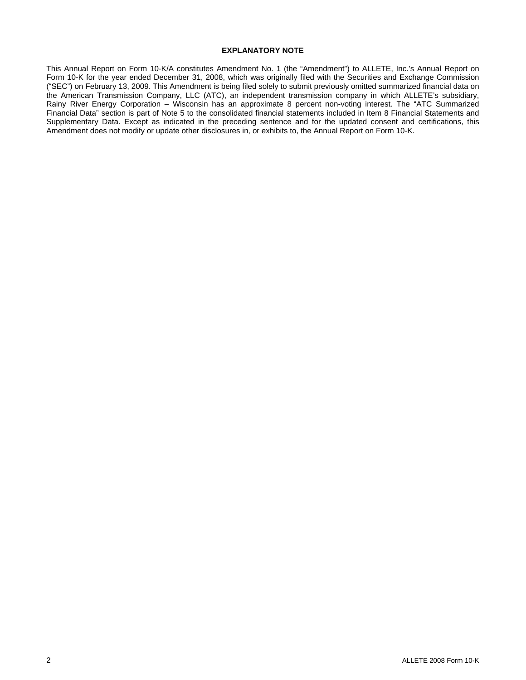#### **EXPLANATORY NOTE**

This Annual Report on Form 10-K/A constitutes Amendment No. 1 (the "Amendment") to ALLETE, Inc.'s Annual Report on Form 10-K for the year ended December 31, 2008, which was originally filed with the Securities and Exchange Commission ("SEC") on February 13, 2009. This Amendment is being filed solely to submit previously omitted summarized financial data on the American Transmission Company, LLC (ATC), an independent transmission company in which ALLETE's subsidiary, Rainy River Energy Corporation – Wisconsin has an approximate 8 percent non-voting interest. The "ATC Summarized Financial Data" section is part of Note 5 to the consolidated financial statements included in Item 8 Financial Statements and Supplementary Data. Except as indicated in the preceding sentence and for the updated consent and certifications, this Amendment does not modify or update other disclosures in, or exhibits to, the Annual Report on Form 10-K.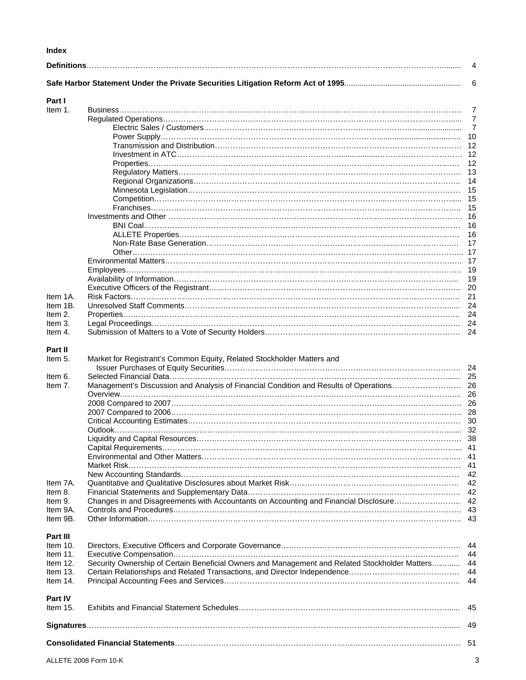## **Index**

|                    |                                                                                                | 4              |
|--------------------|------------------------------------------------------------------------------------------------|----------------|
|                    |                                                                                                | 6              |
| Part I             |                                                                                                |                |
| Item 1.            |                                                                                                | 7              |
|                    |                                                                                                | $\overline{7}$ |
|                    |                                                                                                | 7              |
|                    |                                                                                                | 10             |
|                    |                                                                                                |                |
|                    |                                                                                                |                |
|                    |                                                                                                |                |
|                    |                                                                                                | 12             |
|                    |                                                                                                | 13             |
|                    |                                                                                                | 14             |
|                    |                                                                                                | 15             |
|                    |                                                                                                |                |
|                    |                                                                                                |                |
|                    |                                                                                                |                |
|                    |                                                                                                | 16             |
|                    |                                                                                                | 16             |
|                    |                                                                                                | 17             |
|                    |                                                                                                |                |
|                    |                                                                                                | 17             |
|                    |                                                                                                |                |
|                    |                                                                                                | 19             |
|                    |                                                                                                | 20             |
| Item 1A.           |                                                                                                |                |
|                    |                                                                                                | 21             |
| Item 1B.           |                                                                                                | 24             |
| Item 2.            |                                                                                                |                |
| Item 3.            |                                                                                                |                |
| Item 4.            |                                                                                                |                |
| Part II<br>Item 5. | Market for Registrant's Common Equity, Related Stockholder Matters and                         |                |
| Item 6.            |                                                                                                |                |
| Item 7.            | Management's Discussion and Analysis of Financial Condition and Results of Operations 26       |                |
|                    |                                                                                                |                |
|                    |                                                                                                |                |
|                    |                                                                                                |                |
|                    |                                                                                                | 30             |
|                    |                                                                                                |                |
|                    |                                                                                                |                |
|                    |                                                                                                |                |
|                    |                                                                                                | 41             |
|                    |                                                                                                |                |
|                    |                                                                                                | 42             |
| Item 7A.           |                                                                                                | 42             |
| Item 8.            |                                                                                                | 42             |
| Item 9.            | Changes in and Disagreements with Accountants on Accounting and Financial Disclosure 42        |                |
| Item 9A.           |                                                                                                |                |
|                    |                                                                                                |                |
| Item 9B.           |                                                                                                |                |
|                    |                                                                                                |                |
| Part III           |                                                                                                |                |
| Item $10.$         |                                                                                                | 44             |
| Item $11.$         |                                                                                                | 44             |
| Item 12.           | Security Ownership of Certain Beneficial Owners and Management and Related Stockholder Matters | 44             |
| Item 13.           |                                                                                                | 44             |
| Item 14.           |                                                                                                | 44             |
| Part IV            |                                                                                                |                |
| Item 15.           |                                                                                                | - 45           |
|                    |                                                                                                |                |
|                    |                                                                                                |                |
|                    |                                                                                                |                |
|                    |                                                                                                |                |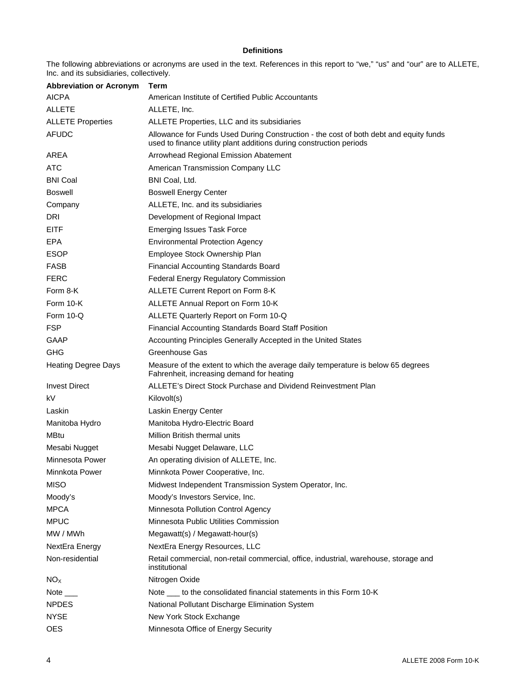## **Definitions**

The following abbreviations or acronyms are used in the text. References in this report to "we," "us" and "our" are to ALLETE, Inc. and its subsidiaries, collectively.

| <b>Abbreviation or Acronym</b> | Term                                                                                                                                                         |
|--------------------------------|--------------------------------------------------------------------------------------------------------------------------------------------------------------|
| <b>AICPA</b>                   | American Institute of Certified Public Accountants                                                                                                           |
| <b>ALLETE</b>                  | ALLETE, Inc.                                                                                                                                                 |
| <b>ALLETE Properties</b>       | ALLETE Properties, LLC and its subsidiaries                                                                                                                  |
| <b>AFUDC</b>                   | Allowance for Funds Used During Construction - the cost of both debt and equity funds<br>used to finance utility plant additions during construction periods |
| AREA                           | Arrowhead Regional Emission Abatement                                                                                                                        |
| <b>ATC</b>                     | American Transmission Company LLC                                                                                                                            |
| <b>BNI Coal</b>                | BNI Coal, Ltd.                                                                                                                                               |
| <b>Boswell</b>                 | <b>Boswell Energy Center</b>                                                                                                                                 |
| Company                        | ALLETE, Inc. and its subsidiaries                                                                                                                            |
| DRI                            | Development of Regional Impact                                                                                                                               |
| EITF                           | <b>Emerging Issues Task Force</b>                                                                                                                            |
| EPA                            | <b>Environmental Protection Agency</b>                                                                                                                       |
| <b>ESOP</b>                    | Employee Stock Ownership Plan                                                                                                                                |
| FASB                           | Financial Accounting Standards Board                                                                                                                         |
| <b>FERC</b>                    | Federal Energy Regulatory Commission                                                                                                                         |
| Form 8-K                       | ALLETE Current Report on Form 8-K                                                                                                                            |
| Form 10-K                      | ALLETE Annual Report on Form 10-K                                                                                                                            |
| Form $10 - Q$                  | ALLETE Quarterly Report on Form 10-Q                                                                                                                         |
| <b>FSP</b>                     | Financial Accounting Standards Board Staff Position                                                                                                          |
| GAAP                           | Accounting Principles Generally Accepted in the United States                                                                                                |
| <b>GHG</b>                     | Greenhouse Gas                                                                                                                                               |
| <b>Heating Degree Days</b>     | Measure of the extent to which the average daily temperature is below 65 degrees<br>Fahrenheit, increasing demand for heating                                |
| <b>Invest Direct</b>           | ALLETE's Direct Stock Purchase and Dividend Reinvestment Plan                                                                                                |
| kV                             | Kilovolt(s)                                                                                                                                                  |
| Laskin                         | Laskin Energy Center                                                                                                                                         |
| Manitoba Hydro                 | Manitoba Hydro-Electric Board                                                                                                                                |
| MBtu                           | Million British thermal units                                                                                                                                |
| Mesabi Nugget                  | Mesabi Nugget Delaware, LLC                                                                                                                                  |
| Minnesota Power                | An operating division of ALLETE, Inc.                                                                                                                        |
| Minnkota Power                 | Minnkota Power Cooperative, Inc.                                                                                                                             |
| <b>MISO</b>                    | Midwest Independent Transmission System Operator, Inc.                                                                                                       |
| Moody's                        | Moody's Investors Service, Inc.                                                                                                                              |
| <b>MPCA</b>                    | Minnesota Pollution Control Agency                                                                                                                           |
| <b>MPUC</b>                    | Minnesota Public Utilities Commission                                                                                                                        |
| MW / MWh                       | Megawatt(s) / Megawatt-hour(s)                                                                                                                               |
| NextEra Energy                 | NextEra Energy Resources, LLC                                                                                                                                |
| Non-residential                | Retail commercial, non-retail commercial, office, industrial, warehouse, storage and<br>institutional                                                        |
| NO <sub>X</sub>                | Nitrogen Oxide                                                                                                                                               |
| Note $\_\_$                    | Note ___ to the consolidated financial statements in this Form 10-K                                                                                          |
| <b>NPDES</b>                   | National Pollutant Discharge Elimination System                                                                                                              |
| <b>NYSE</b>                    | New York Stock Exchange                                                                                                                                      |
| <b>OES</b>                     | Minnesota Office of Energy Security                                                                                                                          |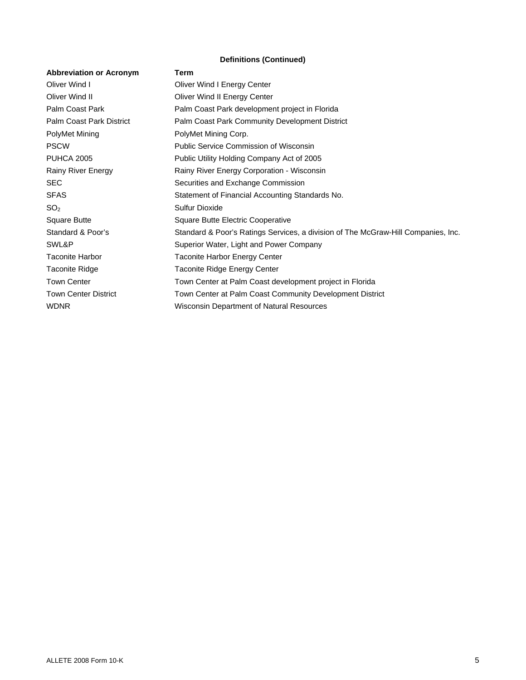## **Definitions (Continued)**

| <b>Abbreviation or Acronym</b> | Term                                                                              |
|--------------------------------|-----------------------------------------------------------------------------------|
| Oliver Wind I                  | Oliver Wind I Energy Center                                                       |
| Oliver Wind II                 | Oliver Wind II Energy Center                                                      |
| Palm Coast Park                | Palm Coast Park development project in Florida                                    |
| Palm Coast Park District       | Palm Coast Park Community Development District                                    |
| PolyMet Mining                 | PolyMet Mining Corp.                                                              |
| <b>PSCW</b>                    | Public Service Commission of Wisconsin                                            |
| <b>PUHCA 2005</b>              | Public Utility Holding Company Act of 2005                                        |
| Rainy River Energy             | Rainy River Energy Corporation - Wisconsin                                        |
| <b>SEC</b>                     | Securities and Exchange Commission                                                |
| <b>SFAS</b>                    | Statement of Financial Accounting Standards No.                                   |
| SO <sub>2</sub>                | Sulfur Dioxide                                                                    |
| Square Butte                   | <b>Square Butte Electric Cooperative</b>                                          |
| Standard & Poor's              | Standard & Poor's Ratings Services, a division of The McGraw-Hill Companies, Inc. |
| SWL&P                          | Superior Water, Light and Power Company                                           |
| <b>Taconite Harbor</b>         | <b>Taconite Harbor Energy Center</b>                                              |
| Taconite Ridge                 | Taconite Ridge Energy Center                                                      |
| <b>Town Center</b>             | Town Center at Palm Coast development project in Florida                          |
| <b>Town Center District</b>    | Town Center at Palm Coast Community Development District                          |
| <b>WDNR</b>                    | Wisconsin Department of Natural Resources                                         |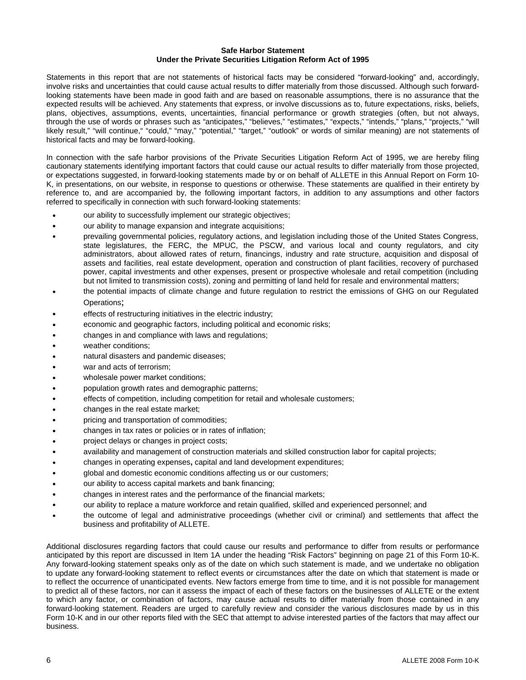#### **Safe Harbor Statement Under the Private Securities Litigation Reform Act of 1995**

Statements in this report that are not statements of historical facts may be considered "forward-looking" and, accordingly, involve risks and uncertainties that could cause actual results to differ materially from those discussed. Although such forwardlooking statements have been made in good faith and are based on reasonable assumptions, there is no assurance that the expected results will be achieved. Any statements that express, or involve discussions as to, future expectations, risks, beliefs, plans, objectives, assumptions, events, uncertainties, financial performance or growth strategies (often, but not always, through the use of words or phrases such as "anticipates," "believes," "estimates," "expects," "intends," "plans," "projects," "will likely result," "will continue," "could," "may," "potential," "target," "outlook" or words of similar meaning) are not statements of historical facts and may be forward-looking.

In connection with the safe harbor provisions of the Private Securities Litigation Reform Act of 1995, we are hereby filing cautionary statements identifying important factors that could cause our actual results to differ materially from those projected, or expectations suggested, in forward-looking statements made by or on behalf of ALLETE in this Annual Report on Form 10- K, in presentations, on our website, in response to questions or otherwise. These statements are qualified in their entirety by reference to, and are accompanied by, the following important factors, in addition to any assumptions and other factors referred to specifically in connection with such forward-looking statements:

- our ability to successfully implement our strategic objectives;
- our ability to manage expansion and integrate acquisitions;
- prevailing governmental policies, regulatory actions, and legislation including those of the United States Congress, state legislatures, the FERC, the MPUC, the PSCW, and various local and county regulators, and city administrators, about allowed rates of return, financings, industry and rate structure, acquisition and disposal of assets and facilities, real estate development, operation and construction of plant facilities, recovery of purchased power, capital investments and other expenses, present or prospective wholesale and retail competition (including but not limited to transmission costs), zoning and permitting of land held for resale and environmental matters;
- the potential impacts of climate change and future regulation to restrict the emissions of GHG on our Regulated Operations;
- effects of restructuring initiatives in the electric industry;
- economic and geographic factors, including political and economic risks;
- changes in and compliance with laws and regulations;
- weather conditions;
- natural disasters and pandemic diseases;
- war and acts of terrorism;
- wholesale power market conditions;
- population growth rates and demographic patterns;
- effects of competition, including competition for retail and wholesale customers;
- changes in the real estate market;
- pricing and transportation of commodities;
- changes in tax rates or policies or in rates of inflation;
- project delays or changes in project costs;
- availability and management of construction materials and skilled construction labor for capital projects;
- changes in operating expenses**,** capital and land development expenditures;
- global and domestic economic conditions affecting us or our customers;
- our ability to access capital markets and bank financing;
- changes in interest rates and the performance of the financial markets;
- our ability to replace a mature workforce and retain qualified, skilled and experienced personnel; and
- the outcome of legal and administrative proceedings (whether civil or criminal) and settlements that affect the business and profitability of ALLETE.

Additional disclosures regarding factors that could cause our results and performance to differ from results or performance anticipated by this report are discussed in Item 1A under the heading "Risk Factors" beginning on page 21 of this Form 10-K. Any forward-looking statement speaks only as of the date on which such statement is made, and we undertake no obligation to update any forward-looking statement to reflect events or circumstances after the date on which that statement is made or to reflect the occurrence of unanticipated events. New factors emerge from time to time, and it is not possible for management to predict all of these factors, nor can it assess the impact of each of these factors on the businesses of ALLETE or the extent to which any factor, or combination of factors, may cause actual results to differ materially from those contained in any forward-looking statement. Readers are urged to carefully review and consider the various disclosures made by us in this Form 10-K and in our other reports filed with the SEC that attempt to advise interested parties of the factors that may affect our business.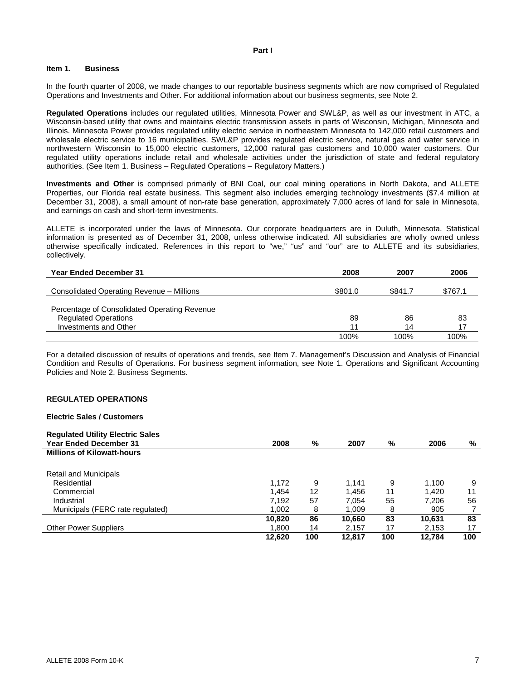#### **Part I**

## **Item 1. Business**

In the fourth quarter of 2008, we made changes to our reportable business segments which are now comprised of Regulated Operations and Investments and Other. For additional information about our business segments, see Note 2.

**Regulated Operations** includes our regulated utilities, Minnesota Power and SWL&P, as well as our investment in ATC, a Wisconsin-based utility that owns and maintains electric transmission assets in parts of Wisconsin, Michigan, Minnesota and Illinois. Minnesota Power provides regulated utility electric service in northeastern Minnesota to 142,000 retail customers and wholesale electric service to 16 municipalities. SWL&P provides regulated electric service, natural gas and water service in northwestern Wisconsin to 15,000 electric customers, 12,000 natural gas customers and 10,000 water customers. Our regulated utility operations include retail and wholesale activities under the jurisdiction of state and federal regulatory authorities. (See Item 1. Business – Regulated Operations – Regulatory Matters.)

**Investments and Other** is comprised primarily of BNI Coal, our coal mining operations in North Dakota, and ALLETE Properties, our Florida real estate business. This segment also includes emerging technology investments (\$7.4 million at December 31, 2008), a small amount of non-rate base generation, approximately 7,000 acres of land for sale in Minnesota, and earnings on cash and short-term investments.

ALLETE is incorporated under the laws of Minnesota. Our corporate headquarters are in Duluth, Minnesota. Statistical information is presented as of December 31, 2008, unless otherwise indicated. All subsidiaries are wholly owned unless otherwise specifically indicated. References in this report to "we," "us" and "our" are to ALLETE and its subsidiaries, collectively.

| <b>Year Ended December 31</b>                | 2008    | 2007    | 2006    |
|----------------------------------------------|---------|---------|---------|
| Consolidated Operating Revenue – Millions    | \$801.0 | \$841.7 | \$767.1 |
| Percentage of Consolidated Operating Revenue |         |         |         |
| <b>Regulated Operations</b>                  | 89      | 86      | 83      |
| Investments and Other                        |         | 14      | 17      |
|                                              | 100%    | 100%    | 100%    |

For a detailed discussion of results of operations and trends, see Item 7. Management's Discussion and Analysis of Financial Condition and Results of Operations. For business segment information, see Note 1. Operations and Significant Accounting Policies and Note 2. Business Segments.

#### **REGULATED OPERATIONS**

#### **Electric Sales / Customers**

| <b>Requlated Utility Electric Sales</b> |        |     |        |     |        |     |
|-----------------------------------------|--------|-----|--------|-----|--------|-----|
| <b>Year Ended December 31</b>           | 2008   | %   | 2007   | %   | 2006   | %   |
| <b>Millions of Kilowatt-hours</b>       |        |     |        |     |        |     |
|                                         |        |     |        |     |        |     |
| <b>Retail and Municipals</b>            |        |     |        |     |        |     |
| Residential                             | 1.172  | 9   | 1.141  | 9   | 1.100  | 9   |
| Commercial                              | 1.454  | 12  | 1.456  | 11  | 1.420  | 11  |
| Industrial                              | 7.192  | 57  | 7.054  | 55  | 7,206  | 56  |
| Municipals (FERC rate regulated)        | 1.002  | 8   | 1.009  | 8   | 905    |     |
|                                         | 10.820 | 86  | 10.660 | 83  | 10.631 | 83  |
| <b>Other Power Suppliers</b>            | 1,800  | 14  | 2,157  | 17  | 2,153  | 17  |
|                                         | 12.620 | 100 | 12.817 | 100 | 12.784 | 100 |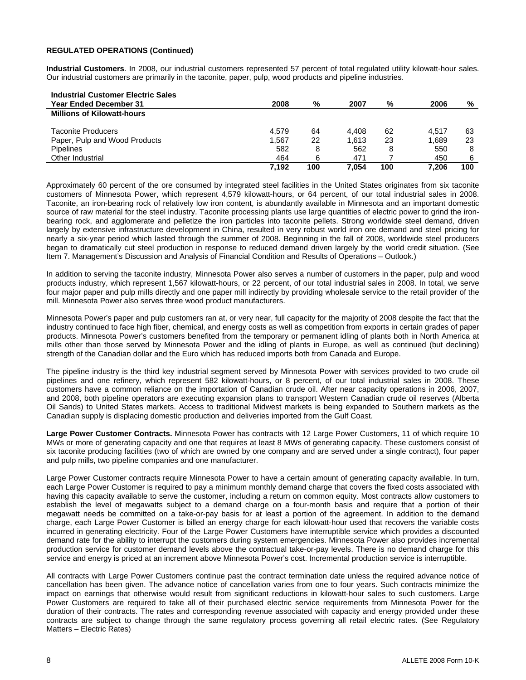#### **REGULATED OPERATIONS (Continued)**

**Industrial Customers**. In 2008, our industrial customers represented 57 percent of total regulated utility kilowatt-hour sales. Our industrial customers are primarily in the taconite, paper, pulp, wood products and pipeline industries.

| <b>Industrial Customer Electric Sales</b> |       |     |       |     |       |     |
|-------------------------------------------|-------|-----|-------|-----|-------|-----|
| <b>Year Ended December 31</b>             | 2008  | %   | 2007  | %   | 2006  | %   |
| <b>Millions of Kilowatt-hours</b>         |       |     |       |     |       |     |
|                                           |       |     |       |     |       |     |
| Taconite Producers                        | 4.579 | 64  | 4.408 | 62  | 4.517 | 63  |
| Paper, Pulp and Wood Products             | 1.567 | 22  | 1.613 | 23  | 1.689 | 23  |
| <b>Pipelines</b>                          | 582   | 8   | 562   | 8   | 550   | 8   |
| Other Industrial                          | 464   | 6   | 471   |     | 450   | 6   |
|                                           | 7.192 | 100 | 7.054 | 100 | 7.206 | 100 |

Approximately 60 percent of the ore consumed by integrated steel facilities in the United States originates from six taconite customers of Minnesota Power, which represent 4,579 kilowatt-hours, or 64 percent, of our total industrial sales in 2008. Taconite, an iron-bearing rock of relatively low iron content, is abundantly available in Minnesota and an important domestic source of raw material for the steel industry. Taconite processing plants use large quantities of electric power to grind the ironbearing rock, and agglomerate and pelletize the iron particles into taconite pellets. Strong worldwide steel demand, driven largely by extensive infrastructure development in China, resulted in very robust world iron ore demand and steel pricing for nearly a six-year period which lasted through the summer of 2008. Beginning in the fall of 2008, worldwide steel producers began to dramatically cut steel production in response to reduced demand driven largely by the world credit situation. (See Item 7. Management's Discussion and Analysis of Financial Condition and Results of Operations – Outlook.)

In addition to serving the taconite industry, Minnesota Power also serves a number of customers in the paper, pulp and wood products industry, which represent 1,567 kilowatt-hours, or 22 percent, of our total industrial sales in 2008. In total, we serve four major paper and pulp mills directly and one paper mill indirectly by providing wholesale service to the retail provider of the mill. Minnesota Power also serves three wood product manufacturers.

Minnesota Power's paper and pulp customers ran at, or very near, full capacity for the majority of 2008 despite the fact that the industry continued to face high fiber, chemical, and energy costs as well as competition from exports in certain grades of paper products. Minnesota Power's customers benefited from the temporary or permanent idling of plants both in North America at mills other than those served by Minnesota Power and the idling of plants in Europe, as well as continued (but declining) strength of the Canadian dollar and the Euro which has reduced imports both from Canada and Europe.

The pipeline industry is the third key industrial segment served by Minnesota Power with services provided to two crude oil pipelines and one refinery, which represent 582 kilowatt-hours, or 8 percent, of our total industrial sales in 2008. These customers have a common reliance on the importation of Canadian crude oil. After near capacity operations in 2006, 2007, and 2008, both pipeline operators are executing expansion plans to transport Western Canadian crude oil reserves (Alberta Oil Sands) to United States markets. Access to traditional Midwest markets is being expanded to Southern markets as the Canadian supply is displacing domestic production and deliveries imported from the Gulf Coast.

**Large Power Customer Contracts.** Minnesota Power has contracts with 12 Large Power Customers, 11 of which require 10 MWs or more of generating capacity and one that requires at least 8 MWs of generating capacity. These customers consist of six taconite producing facilities (two of which are owned by one company and are served under a single contract), four paper and pulp mills, two pipeline companies and one manufacturer.

Large Power Customer contracts require Minnesota Power to have a certain amount of generating capacity available. In turn, each Large Power Customer is required to pay a minimum monthly demand charge that covers the fixed costs associated with having this capacity available to serve the customer, including a return on common equity. Most contracts allow customers to establish the level of megawatts subject to a demand charge on a four-month basis and require that a portion of their megawatt needs be committed on a take-or-pay basis for at least a portion of the agreement. In addition to the demand charge, each Large Power Customer is billed an energy charge for each kilowatt-hour used that recovers the variable costs incurred in generating electricity. Four of the Large Power Customers have interruptible service which provides a discounted demand rate for the ability to interrupt the customers during system emergencies. Minnesota Power also provides incremental production service for customer demand levels above the contractual take-or-pay levels. There is no demand charge for this service and energy is priced at an increment above Minnesota Power's cost. Incremental production service is interruptible.

All contracts with Large Power Customers continue past the contract termination date unless the required advance notice of cancellation has been given. The advance notice of cancellation varies from one to four years. Such contracts minimize the impact on earnings that otherwise would result from significant reductions in kilowatt-hour sales to such customers. Large Power Customers are required to take all of their purchased electric service requirements from Minnesota Power for the duration of their contracts. The rates and corresponding revenue associated with capacity and energy provided under these contracts are subject to change through the same regulatory process governing all retail electric rates. (See Regulatory Matters – Electric Rates)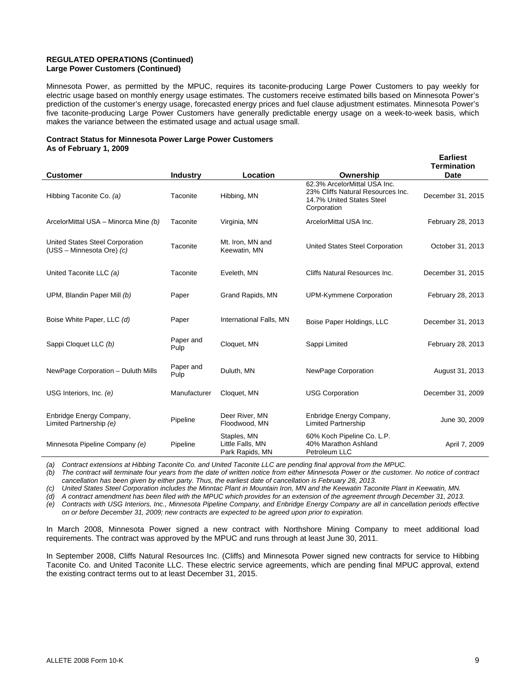#### **REGULATED OPERATIONS (Continued) Large Power Customers (Continued)**

Minnesota Power, as permitted by the MPUC, requires its taconite-producing Large Power Customers to pay weekly for electric usage based on monthly energy usage estimates. The customers receive estimated bills based on Minnesota Power's prediction of the customer's energy usage, forecasted energy prices and fuel clause adjustment estimates. Minnesota Power's five taconite-producing Large Power Customers have generally predictable energy usage on a week-to-week basis, which makes the variance between the estimated usage and actual usage small.

#### **Contract Status for Minnesota Power Large Power Customers As of February 1, 2009**

| <b>Customer</b>                                              | <b>Industry</b>   | Location                                           | Ownership                                                                                                     | Lamest<br><b>Termination</b><br><b>Date</b> |
|--------------------------------------------------------------|-------------------|----------------------------------------------------|---------------------------------------------------------------------------------------------------------------|---------------------------------------------|
| Hibbing Taconite Co. (a)                                     | Taconite          | Hibbing, MN                                        | 62.3% ArcelorMittal USA Inc.<br>23% Cliffs Natural Resources Inc.<br>14.7% United States Steel<br>Corporation | December 31, 2015                           |
| ArcelorMittal USA - Minorca Mine (b)                         | Taconite          | Virginia, MN                                       | ArcelorMittal USA Inc.                                                                                        | February 28, 2013                           |
| United States Steel Corporation<br>(USS - Minnesota Ore) (c) | Taconite          | Mt. Iron, MN and<br>Keewatin, MN                   | United States Steel Corporation                                                                               | October 31, 2013                            |
| United Taconite LLC (a)                                      | Taconite          | Eveleth, MN                                        | Cliffs Natural Resources Inc.                                                                                 | December 31, 2015                           |
| UPM, Blandin Paper Mill (b)                                  | Paper             | Grand Rapids, MN                                   | UPM-Kymmene Corporation                                                                                       | February 28, 2013                           |
| Boise White Paper, LLC (d)                                   | Paper             | International Falls, MN                            | Boise Paper Holdings, LLC                                                                                     | December 31, 2013                           |
| Sappi Cloquet LLC (b)                                        | Paper and<br>Pulp | Cloquet, MN                                        | Sappi Limited                                                                                                 | February 28, 2013                           |
| NewPage Corporation - Duluth Mills                           | Paper and<br>Pulp | Duluth, MN                                         | NewPage Corporation                                                                                           | August 31, 2013                             |
| USG Interiors, Inc. $(e)$                                    | Manufacturer      | Cloquet, MN                                        | <b>USG Corporation</b>                                                                                        | December 31, 2009                           |
| Enbridge Energy Company,<br>Limited Partnership (e)          | Pipeline          | Deer River, MN<br>Floodwood, MN                    | Enbridge Energy Company,<br><b>Limited Partnership</b>                                                        | June 30, 2009                               |
| Minnesota Pipeline Company (e)                               | Pipeline          | Staples, MN<br>Little Falls, MN<br>Park Rapids, MN | 60% Koch Pipeline Co. L.P.<br>40% Marathon Ashland<br>Petroleum LLC                                           | April 7, 2009                               |

*(a) Contract extensions at Hibbing Taconite Co. and United Taconite LLC are pending final approval from the MPUC.* 

*(b) The contract will terminate four years from the date of written notice from either Minnesota Power or the customer. No notice of contract cancellation has been given by either party. Thus, the earliest date of cancellation is February 28, 2013.* 

*(c) United States Steel Corporation includes the Minntac Plant in Mountain Iron, MN and the Keewatin Taconite Plant in Keewatin, MN.* 

*(d) A contract amendment has been filed with the MPUC which provides for an extension of the agreement through December 31, 2013.* 

*(e) Contracts with USG Interiors, Inc., Minnesota Pipeline Company, and Enbridge Energy Company are all in cancellation periods effective on or before December 31, 2009; new contracts are expected to be agreed upon prior to expiration.* 

In March 2008, Minnesota Power signed a new contract with Northshore Mining Company to meet additional load requirements. The contract was approved by the MPUC and runs through at least June 30, 2011.

In September 2008, Cliffs Natural Resources Inc. (Cliffs) and Minnesota Power signed new contracts for service to Hibbing Taconite Co. and United Taconite LLC. These electric service agreements, which are pending final MPUC approval, extend the existing contract terms out to at least December 31, 2015.

**Earliest**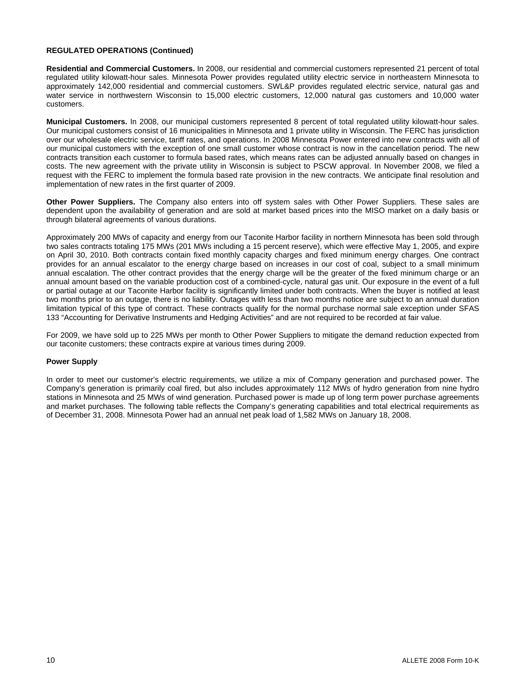#### **REGULATED OPERATIONS (Continued)**

**Residential and Commercial Customers.** In 2008, our residential and commercial customers represented 21 percent of total regulated utility kilowatt-hour sales. Minnesota Power provides regulated utility electric service in northeastern Minnesota to approximately 142,000 residential and commercial customers. SWL&P provides regulated electric service, natural gas and water service in northwestern Wisconsin to 15,000 electric customers, 12,000 natural gas customers and 10,000 water customers.

**Municipal Customers.** In 2008, our municipal customers represented 8 percent of total regulated utility kilowatt-hour sales. Our municipal customers consist of 16 municipalities in Minnesota and 1 private utility in Wisconsin. The FERC has jurisdiction over our wholesale electric service, tariff rates, and operations. In 2008 Minnesota Power entered into new contracts with all of our municipal customers with the exception of one small customer whose contract is now in the cancellation period. The new contracts transition each customer to formula based rates, which means rates can be adjusted annually based on changes in costs. The new agreement with the private utility in Wisconsin is subject to PSCW approval. In November 2008, we filed a request with the FERC to implement the formula based rate provision in the new contracts. We anticipate final resolution and implementation of new rates in the first quarter of 2009.

**Other Power Suppliers.** The Company also enters into off system sales with Other Power Suppliers. These sales are dependent upon the availability of generation and are sold at market based prices into the MISO market on a daily basis or through bilateral agreements of various durations.

Approximately 200 MWs of capacity and energy from our Taconite Harbor facility in northern Minnesota has been sold through two sales contracts totaling 175 MWs (201 MWs including a 15 percent reserve), which were effective May 1, 2005, and expire on April 30, 2010. Both contracts contain fixed monthly capacity charges and fixed minimum energy charges. One contract provides for an annual escalator to the energy charge based on increases in our cost of coal, subject to a small minimum annual escalation. The other contract provides that the energy charge will be the greater of the fixed minimum charge or an annual amount based on the variable production cost of a combined-cycle, natural gas unit. Our exposure in the event of a full or partial outage at our Taconite Harbor facility is significantly limited under both contracts. When the buyer is notified at least two months prior to an outage, there is no liability. Outages with less than two months notice are subject to an annual duration limitation typical of this type of contract. These contracts qualify for the normal purchase normal sale exception under SFAS 133 "Accounting for Derivative Instruments and Hedging Activities" and are not required to be recorded at fair value.

For 2009, we have sold up to 225 MWs per month to Other Power Suppliers to mitigate the demand reduction expected from our taconite customers; these contracts expire at various times during 2009.

#### **Power Supply**

In order to meet our customer's electric requirements, we utilize a mix of Company generation and purchased power. The Company's generation is primarily coal fired, but also includes approximately 112 MWs of hydro generation from nine hydro stations in Minnesota and 25 MWs of wind generation. Purchased power is made up of long term power purchase agreements and market purchases. The following table reflects the Company's generating capabilities and total electrical requirements as of December 31, 2008. Minnesota Power had an annual net peak load of 1,582 MWs on January 18, 2008.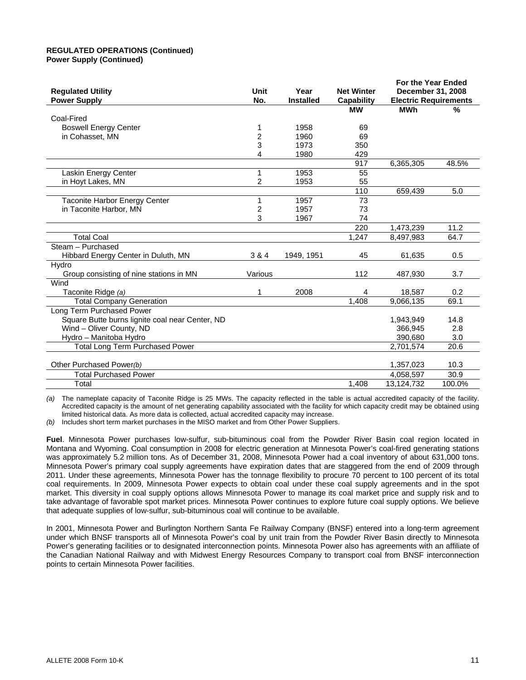## **REGULATED OPERATIONS (Continued) Power Supply (Continued)**

| <b>Regulated Utility</b>                        | Unit    | Year             | <b>Net Winter</b> | For the Year Ended<br>December 31, 2008 |        |  |
|-------------------------------------------------|---------|------------------|-------------------|-----------------------------------------|--------|--|
| <b>Power Supply</b>                             | No.     | <b>Installed</b> | <b>Capability</b> | <b>Electric Requirements</b>            |        |  |
|                                                 |         |                  | <b>MW</b>         | <b>MWh</b>                              | %      |  |
| Coal-Fired                                      |         |                  |                   |                                         |        |  |
| <b>Boswell Energy Center</b>                    | 1       | 1958             | 69                |                                         |        |  |
| in Cohasset, MN                                 | 2       | 1960             | 69                |                                         |        |  |
|                                                 | 3       | 1973             | 350               |                                         |        |  |
|                                                 | 4       | 1980             | 429               |                                         |        |  |
|                                                 |         |                  | 917               | 6,365,305                               | 48.5%  |  |
| Laskin Energy Center                            | 1       | 1953             | 55                |                                         |        |  |
| in Hoyt Lakes, MN                               | 2       | 1953             | 55                |                                         |        |  |
|                                                 |         |                  | 110               | 659,439                                 | 5.0    |  |
| <b>Taconite Harbor Energy Center</b>            | 1       | 1957             | 73                |                                         |        |  |
| in Taconite Harbor, MN                          | 2       | 1957             | 73                |                                         |        |  |
|                                                 | 3       | 1967             | 74                |                                         |        |  |
|                                                 |         |                  | 220               | 1,473,239                               | 11.2   |  |
| <b>Total Coal</b>                               |         |                  | 1.247             | 8,497,983                               | 64.7   |  |
| Steam - Purchased                               |         |                  |                   |                                         |        |  |
| Hibbard Energy Center in Duluth, MN             | 3 & 4   | 1949, 1951       | 45                | 61,635                                  | 0.5    |  |
| Hydro                                           |         |                  |                   |                                         |        |  |
| Group consisting of nine stations in MN         | Various |                  | 112               | 487,930                                 | 3.7    |  |
| Wind                                            |         |                  |                   |                                         |        |  |
| Taconite Ridge (a)                              | 1       | 2008             | 4                 | 18,587                                  | 0.2    |  |
| <b>Total Company Generation</b>                 |         |                  | 1,408             | 9,066,135                               | 69.1   |  |
| Long Term Purchased Power                       |         |                  |                   |                                         |        |  |
| Square Butte burns lignite coal near Center, ND |         |                  |                   | 1,943,949                               | 14.8   |  |
| Wind - Oliver County, ND                        |         |                  |                   | 366,945                                 | 2.8    |  |
| Hydro - Manitoba Hydro                          |         |                  |                   | 390,680                                 | 3.0    |  |
| <b>Total Long Term Purchased Power</b>          |         |                  |                   | 2,701,574                               | 20.6   |  |
| Other Purchased Power(b)                        |         |                  |                   | 1,357,023                               | 10.3   |  |
| <b>Total Purchased Power</b>                    |         |                  |                   |                                         |        |  |
|                                                 |         |                  |                   | 4,058,597                               | 30.9   |  |
| Total                                           |         |                  | 1.408             | 13.124.732                              | 100.0% |  |

*(a)* The nameplate capacity of Taconite Ridge is 25 MWs. The capacity reflected in the table is actual accredited capacity of the facility. Accredited capacity is the amount of net generating capability associated with the facility for which capacity credit may be obtained using limited historical data. As more data is collected, actual accredited capacity may increase.

*(b)* Includes short term market purchases in the MISO market and from Other Power Suppliers.

**Fuel**. Minnesota Power purchases low-sulfur, sub-bituminous coal from the Powder River Basin coal region located in Montana and Wyoming. Coal consumption in 2008 for electric generation at Minnesota Power's coal-fired generating stations was approximately 5.2 million tons. As of December 31, 2008, Minnesota Power had a coal inventory of about 631,000 tons. Minnesota Power's primary coal supply agreements have expiration dates that are staggered from the end of 2009 through 2011. Under these agreements, Minnesota Power has the tonnage flexibility to procure 70 percent to 100 percent of its total coal requirements. In 2009, Minnesota Power expects to obtain coal under these coal supply agreements and in the spot market. This diversity in coal supply options allows Minnesota Power to manage its coal market price and supply risk and to take advantage of favorable spot market prices. Minnesota Power continues to explore future coal supply options. We believe that adequate supplies of low-sulfur, sub-bituminous coal will continue to be available.

In 2001, Minnesota Power and Burlington Northern Santa Fe Railway Company (BNSF) entered into a long-term agreement under which BNSF transports all of Minnesota Power's coal by unit train from the Powder River Basin directly to Minnesota Power's generating facilities or to designated interconnection points. Minnesota Power also has agreements with an affiliate of the Canadian National Railway and with Midwest Energy Resources Company to transport coal from BNSF interconnection points to certain Minnesota Power facilities.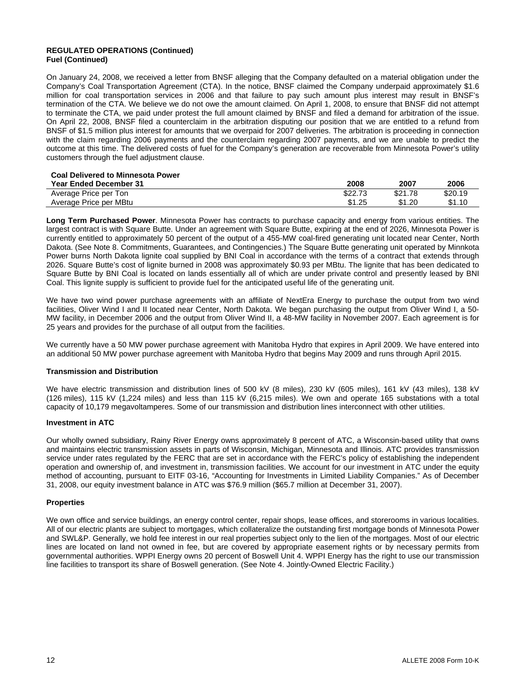#### **REGULATED OPERATIONS (Continued) Fuel (Continued)**

On January 24, 2008, we received a letter from BNSF alleging that the Company defaulted on a material obligation under the Company's Coal Transportation Agreement (CTA). In the notice, BNSF claimed the Company underpaid approximately \$1.6 million for coal transportation services in 2006 and that failure to pay such amount plus interest may result in BNSF's termination of the CTA. We believe we do not owe the amount claimed. On April 1, 2008, to ensure that BNSF did not attempt to terminate the CTA, we paid under protest the full amount claimed by BNSF and filed a demand for arbitration of the issue. On April 22, 2008, BNSF filed a counterclaim in the arbitration disputing our position that we are entitled to a refund from BNSF of \$1.5 million plus interest for amounts that we overpaid for 2007 deliveries. The arbitration is proceeding in connection with the claim regarding 2006 payments and the counterclaim regarding 2007 payments, and we are unable to predict the outcome at this time. The delivered costs of fuel for the Company's generation are recoverable from Minnesota Power's utility customers through the fuel adjustment clause.

#### **Coal Delivered to Minnesota Power**

| <b>Year Ended December 31</b> | 2008    | 200 <sup>-</sup> | 2006    |
|-------------------------------|---------|------------------|---------|
| Average Price per Ton         | \$22.73 | \$21.78          | \$20.19 |
| Average Price per MBtu        | \$1.25  | \$1.20           | \$1.10  |

**Long Term Purchased Power**. Minnesota Power has contracts to purchase capacity and energy from various entities. The largest contract is with Square Butte. Under an agreement with Square Butte, expiring at the end of 2026, Minnesota Power is currently entitled to approximately 50 percent of the output of a 455-MW coal-fired generating unit located near Center, North Dakota. (See Note 8, Commitments, Guarantees, and Contingencies.) The Square Butte generating unit operated by Minnkota Power burns North Dakota lignite coal supplied by BNI Coal in accordance with the terms of a contract that extends through 2026. Square Butte's cost of lignite burned in 2008 was approximately \$0.93 per MBtu. The lignite that has been dedicated to Square Butte by BNI Coal is located on lands essentially all of which are under private control and presently leased by BNI Coal. This lignite supply is sufficient to provide fuel for the anticipated useful life of the generating unit.

We have two wind power purchase agreements with an affiliate of NextEra Energy to purchase the output from two wind facilities, Oliver Wind I and II located near Center, North Dakota. We began purchasing the output from Oliver Wind I, a 50- MW facility, in December 2006 and the output from Oliver Wind II, a 48-MW facility in November 2007. Each agreement is for 25 years and provides for the purchase of all output from the facilities.

We currently have a 50 MW power purchase agreement with Manitoba Hydro that expires in April 2009. We have entered into an additional 50 MW power purchase agreement with Manitoba Hydro that begins May 2009 and runs through April 2015.

#### **Transmission and Distribution**

We have electric transmission and distribution lines of 500 kV (8 miles), 230 kV (605 miles), 161 kV (43 miles), 138 kV (126 miles), 115 kV (1,224 miles) and less than 115 kV (6,215 miles). We own and operate 165 substations with a total capacity of 10,179 megavoltamperes. Some of our transmission and distribution lines interconnect with other utilities.

#### **Investment in ATC**

Our wholly owned subsidiary, Rainy River Energy owns approximately 8 percent of ATC, a Wisconsin-based utility that owns and maintains electric transmission assets in parts of Wisconsin, Michigan, Minnesota and Illinois. ATC provides transmission service under rates regulated by the FERC that are set in accordance with the FERC's policy of establishing the independent operation and ownership of, and investment in, transmission facilities. We account for our investment in ATC under the equity method of accounting, pursuant to EITF 03-16, "Accounting for Investments in Limited Liability Companies." As of December 31, 2008, our equity investment balance in ATC was \$76.9 million (\$65.7 million at December 31, 2007).

#### **Properties**

We own office and service buildings, an energy control center, repair shops, lease offices, and storerooms in various localities. All of our electric plants are subject to mortgages, which collateralize the outstanding first mortgage bonds of Minnesota Power and SWL&P. Generally, we hold fee interest in our real properties subject only to the lien of the mortgages. Most of our electric lines are located on land not owned in fee, but are covered by appropriate easement rights or by necessary permits from governmental authorities. WPPI Energy owns 20 percent of Boswell Unit 4. WPPI Energy has the right to use our transmission line facilities to transport its share of Boswell generation. (See Note 4. Jointly-Owned Electric Facility.)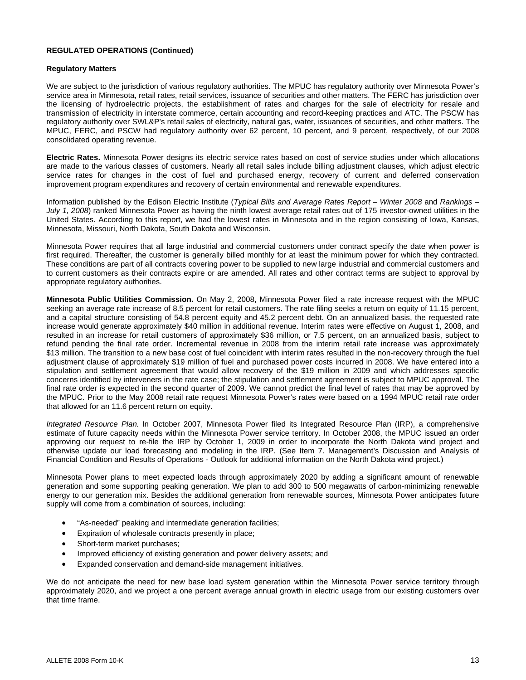### **REGULATED OPERATIONS (Continued)**

#### **Regulatory Matters**

We are subject to the jurisdiction of various regulatory authorities. The MPUC has regulatory authority over Minnesota Power's service area in Minnesota, retail rates, retail services, issuance of securities and other matters. The FERC has jurisdiction over the licensing of hydroelectric projects, the establishment of rates and charges for the sale of electricity for resale and transmission of electricity in interstate commerce, certain accounting and record-keeping practices and ATC. The PSCW has regulatory authority over SWL&P's retail sales of electricity, natural gas, water, issuances of securities, and other matters. The MPUC, FERC, and PSCW had regulatory authority over 62 percent, 10 percent, and 9 percent, respectively, of our 2008 consolidated operating revenue.

**Electric Rates.** Minnesota Power designs its electric service rates based on cost of service studies under which allocations are made to the various classes of customers. Nearly all retail sales include billing adjustment clauses, which adjust electric service rates for changes in the cost of fuel and purchased energy, recovery of current and deferred conservation improvement program expenditures and recovery of certain environmental and renewable expenditures.

Information published by the Edison Electric Institute (*Typical Bills and Average Rates Report – Winter 2008* and *Rankings – July 1, 2008*) ranked Minnesota Power as having the ninth lowest average retail rates out of 175 investor-owned utilities in the United States. According to this report, we had the lowest rates in Minnesota and in the region consisting of Iowa, Kansas, Minnesota, Missouri, North Dakota, South Dakota and Wisconsin.

Minnesota Power requires that all large industrial and commercial customers under contract specify the date when power is first required. Thereafter, the customer is generally billed monthly for at least the minimum power for which they contracted. These conditions are part of all contracts covering power to be supplied to new large industrial and commercial customers and to current customers as their contracts expire or are amended. All rates and other contract terms are subject to approval by appropriate regulatory authorities.

**Minnesota Public Utilities Commission.** On May 2, 2008, Minnesota Power filed a rate increase request with the MPUC seeking an average rate increase of 8.5 percent for retail customers. The rate filing seeks a return on equity of 11.15 percent, and a capital structure consisting of 54.8 percent equity and 45.2 percent debt. On an annualized basis, the requested rate increase would generate approximately \$40 million in additional revenue. Interim rates were effective on August 1, 2008, and resulted in an increase for retail customers of approximately \$36 million, or 7.5 percent, on an annualized basis, subject to refund pending the final rate order. Incremental revenue in 2008 from the interim retail rate increase was approximately \$13 million. The transition to a new base cost of fuel coincident with interim rates resulted in the non-recovery through the fuel adjustment clause of approximately \$19 million of fuel and purchased power costs incurred in 2008. We have entered into a stipulation and settlement agreement that would allow recovery of the \$19 million in 2009 and which addresses specific concerns identified by interveners in the rate case; the stipulation and settlement agreement is subject to MPUC approval. The final rate order is expected in the second quarter of 2009. We cannot predict the final level of rates that may be approved by the MPUC. Prior to the May 2008 retail rate request Minnesota Power's rates were based on a 1994 MPUC retail rate order that allowed for an 11.6 percent return on equity.

*Integrated Resource Plan.* In October 2007, Minnesota Power filed its Integrated Resource Plan (IRP), a comprehensive estimate of future capacity needs within the Minnesota Power service territory. In October 2008, the MPUC issued an order approving our request to re-file the IRP by October 1, 2009 in order to incorporate the North Dakota wind project and otherwise update our load forecasting and modeling in the IRP. (See Item 7. Management's Discussion and Analysis of Financial Condition and Results of Operations - Outlook for additional information on the North Dakota wind project.)

Minnesota Power plans to meet expected loads through approximately 2020 by adding a significant amount of renewable generation and some supporting peaking generation. We plan to add 300 to 500 megawatts of carbon-minimizing renewable energy to our generation mix. Besides the additional generation from renewable sources, Minnesota Power anticipates future supply will come from a combination of sources, including:

- "As-needed" peaking and intermediate generation facilities;
- Expiration of wholesale contracts presently in place;
- Short-term market purchases;
- Improved efficiency of existing generation and power delivery assets; and
- Expanded conservation and demand-side management initiatives.

We do not anticipate the need for new base load system generation within the Minnesota Power service territory through approximately 2020, and we project a one percent average annual growth in electric usage from our existing customers over that time frame.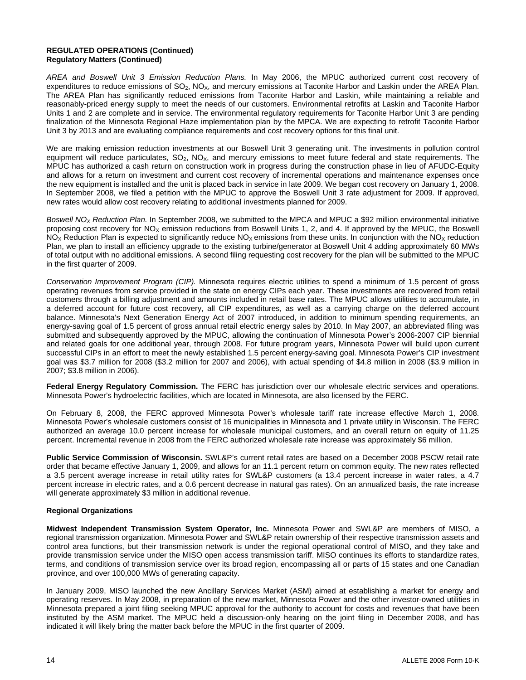#### **REGULATED OPERATIONS (Continued) Regulatory Matters (Continued)**

*AREA and Boswell Unit 3 Emission Reduction Plans.* In May 2006, the MPUC authorized current cost recovery of expenditures to reduce emissions of  $SO_2$ ,  $NO_X$ , and mercury emissions at Taconite Harbor and Laskin under the AREA Plan. The AREA Plan has significantly reduced emissions from Taconite Harbor and Laskin, while maintaining a reliable and reasonably-priced energy supply to meet the needs of our customers. Environmental retrofits at Laskin and Taconite Harbor Units 1 and 2 are complete and in service. The environmental regulatory requirements for Taconite Harbor Unit 3 are pending finalization of the Minnesota Regional Haze implementation plan by the MPCA. We are expecting to retrofit Taconite Harbor Unit 3 by 2013 and are evaluating compliance requirements and cost recovery options for this final unit.

We are making emission reduction investments at our Boswell Unit 3 generating unit. The investments in pollution control equipment will reduce particulates,  $SO_2$ ,  $NO_X$ , and mercury emissions to meet future federal and state requirements. The MPUC has authorized a cash return on construction work in progress during the construction phase in lieu of AFUDC-Equity and allows for a return on investment and current cost recovery of incremental operations and maintenance expenses once the new equipment is installed and the unit is placed back in service in late 2009. We began cost recovery on January 1, 2008. In September 2008, we filed a petition with the MPUC to approve the Boswell Unit 3 rate adjustment for 2009. If approved, new rates would allow cost recovery relating to additional investments planned for 2009.

*Boswell NOX Reduction Plan.* In September 2008, we submitted to the MPCA and MPUC a \$92 million environmental initiative proposing cost recovery for  $NO<sub>X</sub>$  emission reductions from Boswell Units 1, 2, and 4. If approved by the MPUC, the Boswell  $N_{\text{O}_X}$  Reduction Plan is expected to significantly reduce  $N_{\text{O}_X}$  emissions from these units. In conjunction with the  $N_{\text{O}_X}$  reduction Plan, we plan to install an efficiency upgrade to the existing turbine/generator at Boswell Unit 4 adding approximately 60 MWs of total output with no additional emissions. A second filing requesting cost recovery for the plan will be submitted to the MPUC in the first quarter of 2009.

*Conservation Improvement Program (CIP).* Minnesota requires electric utilities to spend a minimum of 1.5 percent of gross operating revenues from service provided in the state on energy CIPs each year. These investments are recovered from retail customers through a billing adjustment and amounts included in retail base rates. The MPUC allows utilities to accumulate, in a deferred account for future cost recovery, all CIP expenditures, as well as a carrying charge on the deferred account balance. Minnesota's Next Generation Energy Act of 2007 introduced, in addition to minimum spending requirements, an energy-saving goal of 1.5 percent of gross annual retail electric energy sales by 2010. In May 2007, an abbreviated filing was submitted and subsequently approved by the MPUC, allowing the continuation of Minnesota Power's 2006-2007 CIP biennial and related goals for one additional year, through 2008. For future program years, Minnesota Power will build upon current successful CIPs in an effort to meet the newly established 1.5 percent energy-saving goal. Minnesota Power's CIP investment goal was \$3.7 million for 2008 (\$3.2 million for 2007 and 2006), with actual spending of \$4.8 million in 2008 (\$3.9 million in 2007; \$3.8 million in 2006).

**Federal Energy Regulatory Commission.** The FERC has jurisdiction over our wholesale electric services and operations. Minnesota Power's hydroelectric facilities, which are located in Minnesota, are also licensed by the FERC.

On February 8, 2008, the FERC approved Minnesota Power's wholesale tariff rate increase effective March 1, 2008. Minnesota Power's wholesale customers consist of 16 municipalities in Minnesota and 1 private utility in Wisconsin. The FERC authorized an average 10.0 percent increase for wholesale municipal customers, and an overall return on equity of 11.25 percent. Incremental revenue in 2008 from the FERC authorized wholesale rate increase was approximately \$6 million.

**Public Service Commission of Wisconsin.** SWL&P's current retail rates are based on a December 2008 PSCW retail rate order that became effective January 1, 2009, and allows for an 11.1 percent return on common equity. The new rates reflected a 3.5 percent average increase in retail utility rates for SWL&P customers (a 13.4 percent increase in water rates, a 4.7 percent increase in electric rates, and a 0.6 percent decrease in natural gas rates). On an annualized basis, the rate increase will generate approximately \$3 million in additional revenue.

#### **Regional Organizations**

**Midwest Independent Transmission System Operator, Inc.** Minnesota Power and SWL&P are members of MISO, a regional transmission organization. Minnesota Power and SWL&P retain ownership of their respective transmission assets and control area functions, but their transmission network is under the regional operational control of MISO, and they take and provide transmission service under the MISO open access transmission tariff. MISO continues its efforts to standardize rates, terms, and conditions of transmission service over its broad region, encompassing all or parts of 15 states and one Canadian province, and over 100,000 MWs of generating capacity.

In January 2009, MISO launched the new Ancillary Services Market (ASM) aimed at establishing a market for energy and operating reserves. In May 2008, in preparation of the new market, Minnesota Power and the other investor-owned utilities in Minnesota prepared a joint filing seeking MPUC approval for the authority to account for costs and revenues that have been instituted by the ASM market. The MPUC held a discussion-only hearing on the joint filing in December 2008, and has indicated it will likely bring the matter back before the MPUC in the first quarter of 2009.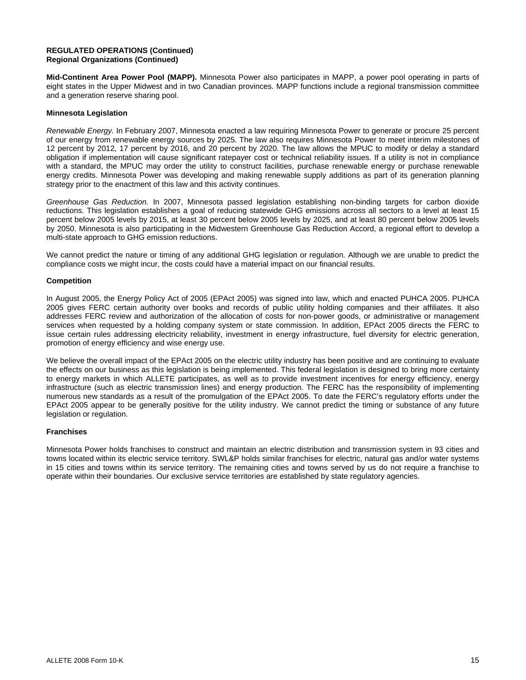#### **REGULATED OPERATIONS (Continued) Regional Organizations (Continued)**

**Mid-Continent Area Power Pool (MAPP).** Minnesota Power also participates in MAPP, a power pool operating in parts of eight states in the Upper Midwest and in two Canadian provinces. MAPP functions include a regional transmission committee and a generation reserve sharing pool.

### **Minnesota Legislation**

*Renewable Energy.* In February 2007, Minnesota enacted a law requiring Minnesota Power to generate or procure 25 percent of our energy from renewable energy sources by 2025. The law also requires Minnesota Power to meet interim milestones of 12 percent by 2012, 17 percent by 2016, and 20 percent by 2020. The law allows the MPUC to modify or delay a standard obligation if implementation will cause significant ratepayer cost or technical reliability issues. If a utility is not in compliance with a standard, the MPUC may order the utility to construct facilities, purchase renewable energy or purchase renewable energy credits. Minnesota Power was developing and making renewable supply additions as part of its generation planning strategy prior to the enactment of this law and this activity continues.

*Greenhouse Gas Reduction.* In 2007, Minnesota passed legislation establishing non-binding targets for carbon dioxide reductions. This legislation establishes a goal of reducing statewide GHG emissions across all sectors to a level at least 15 percent below 2005 levels by 2015, at least 30 percent below 2005 levels by 2025, and at least 80 percent below 2005 levels by 2050. Minnesota is also participating in the Midwestern Greenhouse Gas Reduction Accord, a regional effort to develop a multi-state approach to GHG emission reductions.

We cannot predict the nature or timing of any additional GHG legislation or regulation. Although we are unable to predict the compliance costs we might incur, the costs could have a material impact on our financial results.

#### **Competition**

In August 2005, the Energy Policy Act of 2005 (EPAct 2005) was signed into law, which and enacted PUHCA 2005. PUHCA 2005 gives FERC certain authority over books and records of public utility holding companies and their affiliates. It also addresses FERC review and authorization of the allocation of costs for non-power goods, or administrative or management services when requested by a holding company system or state commission. In addition, EPAct 2005 directs the FERC to issue certain rules addressing electricity reliability, investment in energy infrastructure, fuel diversity for electric generation, promotion of energy efficiency and wise energy use.

We believe the overall impact of the EPAct 2005 on the electric utility industry has been positive and are continuing to evaluate the effects on our business as this legislation is being implemented. This federal legislation is designed to bring more certainty to energy markets in which ALLETE participates, as well as to provide investment incentives for energy efficiency, energy infrastructure (such as electric transmission lines) and energy production. The FERC has the responsibility of implementing numerous new standards as a result of the promulgation of the EPAct 2005. To date the FERC's regulatory efforts under the EPAct 2005 appear to be generally positive for the utility industry. We cannot predict the timing or substance of any future legislation or regulation.

#### **Franchises**

Minnesota Power holds franchises to construct and maintain an electric distribution and transmission system in 93 cities and towns located within its electric service territory. SWL&P holds similar franchises for electric, natural gas and/or water systems in 15 cities and towns within its service territory. The remaining cities and towns served by us do not require a franchise to operate within their boundaries. Our exclusive service territories are established by state regulatory agencies.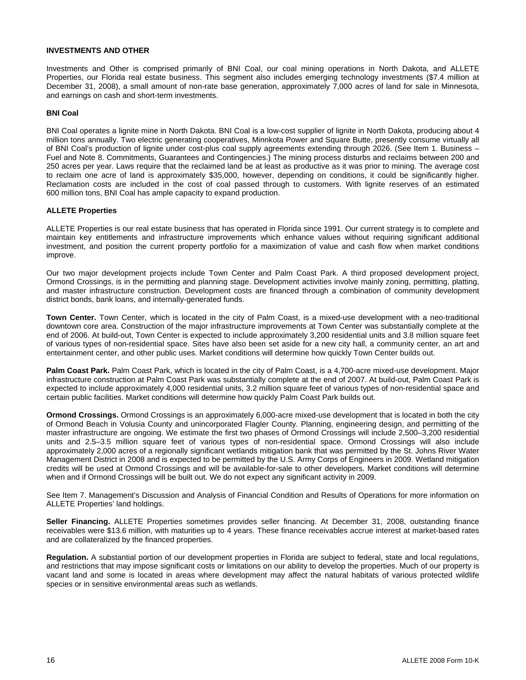#### **INVESTMENTS AND OTHER**

Investments and Other is comprised primarily of BNI Coal, our coal mining operations in North Dakota, and ALLETE Properties, our Florida real estate business. This segment also includes emerging technology investments (\$7.4 million at December 31, 2008), a small amount of non-rate base generation, approximately 7,000 acres of land for sale in Minnesota, and earnings on cash and short-term investments.

#### **BNI Coal**

BNI Coal operates a lignite mine in North Dakota. BNI Coal is a low-cost supplier of lignite in North Dakota, producing about 4 million tons annually. Two electric generating cooperatives, Minnkota Power and Square Butte, presently consume virtually all of BNI Coal's production of lignite under cost-plus coal supply agreements extending through 2026. (See Item 1. Business – Fuel and Note 8. Commitments, Guarantees and Contingencies.) The mining process disturbs and reclaims between 200 and 250 acres per year. Laws require that the reclaimed land be at least as productive as it was prior to mining. The average cost to reclaim one acre of land is approximately \$35,000, however, depending on conditions, it could be significantly higher. Reclamation costs are included in the cost of coal passed through to customers. With lignite reserves of an estimated 600 million tons, BNI Coal has ample capacity to expand production.

#### **ALLETE Properties**

ALLETE Properties is our real estate business that has operated in Florida since 1991. Our current strategy is to complete and maintain key entitlements and infrastructure improvements which enhance values without requiring significant additional investment, and position the current property portfolio for a maximization of value and cash flow when market conditions improve.

Our two major development projects include Town Center and Palm Coast Park. A third proposed development project, Ormond Crossings, is in the permitting and planning stage. Development activities involve mainly zoning, permitting, platting, and master infrastructure construction. Development costs are financed through a combination of community development district bonds, bank loans, and internally-generated funds.

**Town Center.** Town Center, which is located in the city of Palm Coast, is a mixed-use development with a neo-traditional downtown core area. Construction of the major infrastructure improvements at Town Center was substantially complete at the end of 2006. At build-out, Town Center is expected to include approximately 3,200 residential units and 3.8 million square feet of various types of non-residential space. Sites have also been set aside for a new city hall, a community center, an art and entertainment center, and other public uses. Market conditions will determine how quickly Town Center builds out.

**Palm Coast Park.** Palm Coast Park, which is located in the city of Palm Coast, is a 4,700-acre mixed-use development. Major infrastructure construction at Palm Coast Park was substantially complete at the end of 2007. At build-out, Palm Coast Park is expected to include approximately 4,000 residential units, 3.2 million square feet of various types of non-residential space and certain public facilities. Market conditions will determine how quickly Palm Coast Park builds out.

**Ormond Crossings.** Ormond Crossings is an approximately 6,000-acre mixed-use development that is located in both the city of Ormond Beach in Volusia County and unincorporated Flagler County. Planning, engineering design, and permitting of the master infrastructure are ongoing. We estimate the first two phases of Ormond Crossings will include 2,500–3,200 residential units and 2.5–3.5 million square feet of various types of non-residential space. Ormond Crossings will also include approximately 2,000 acres of a regionally significant wetlands mitigation bank that was permitted by the St. Johns River Water Management District in 2008 and is expected to be permitted by the U.S. Army Corps of Engineers in 2009. Wetland mitigation credits will be used at Ormond Crossings and will be available-for-sale to other developers. Market conditions will determine when and if Ormond Crossings will be built out. We do not expect any significant activity in 2009.

See Item 7. Management's Discussion and Analysis of Financial Condition and Results of Operations for more information on ALLETE Properties' land holdings.

**Seller Financing.** ALLETE Properties sometimes provides seller financing. At December 31, 2008, outstanding finance receivables were \$13.6 million, with maturities up to 4 years. These finance receivables accrue interest at market-based rates and are collateralized by the financed properties.

**Regulation.** A substantial portion of our development properties in Florida are subject to federal, state and local regulations, and restrictions that may impose significant costs or limitations on our ability to develop the properties. Much of our property is vacant land and some is located in areas where development may affect the natural habitats of various protected wildlife species or in sensitive environmental areas such as wetlands.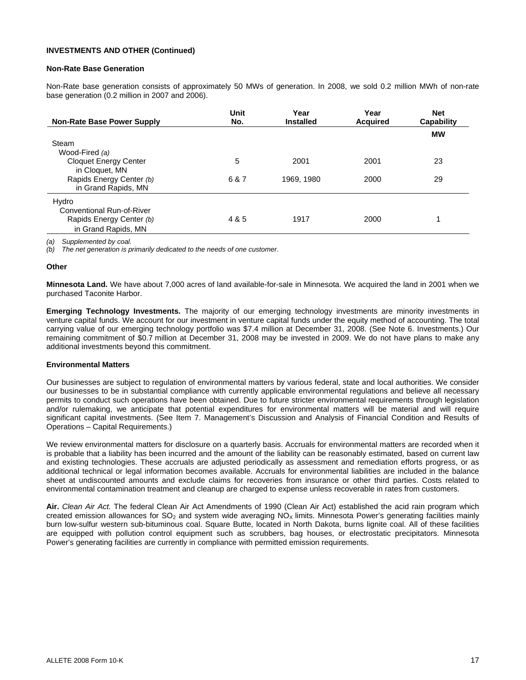#### **INVESTMENTS AND OTHER (Continued)**

#### **Non-Rate Base Generation**

Non-Rate base generation consists of approximately 50 MWs of generation. In 2008, we sold 0.2 million MWh of non-rate base generation (0.2 million in 2007 and 2006).

| <b>Non-Rate Base Power Supply</b> | Unit<br>No. | Year<br><b>Installed</b> | Year<br><b>Acquired</b> | <b>Net</b><br>Capability |
|-----------------------------------|-------------|--------------------------|-------------------------|--------------------------|
|                                   |             |                          |                         | <b>MW</b>                |
| Steam                             |             |                          |                         |                          |
| Wood-Fired (a)                    |             |                          |                         |                          |
| <b>Cloquet Energy Center</b>      | 5           | 2001                     | 2001                    | 23                       |
| in Cloquet, MN                    |             |                          |                         |                          |
| Rapids Energy Center (b)          | 6 & 7       | 1969, 1980               | 2000                    | 29                       |
| in Grand Rapids, MN               |             |                          |                         |                          |
| Hydro                             |             |                          |                         |                          |
| <b>Conventional Run-of-River</b>  |             |                          |                         |                          |
| Rapids Energy Center (b)          | 4 & 5       | 1917                     | 2000                    | 1                        |
| in Grand Rapids, MN               |             |                          |                         |                          |

*(a) Supplemented by coal.* 

*(b) The net generation is primarily dedicated to the needs of one customer.* 

#### **Other**

**Minnesota Land.** We have about 7,000 acres of land available-for-sale in Minnesota. We acquired the land in 2001 when we purchased Taconite Harbor.

**Emerging Technology Investments.** The majority of our emerging technology investments are minority investments in venture capital funds. We account for our investment in venture capital funds under the equity method of accounting. The total carrying value of our emerging technology portfolio was \$7.4 million at December 31, 2008. (See Note 6. Investments.) Our remaining commitment of \$0.7 million at December 31, 2008 may be invested in 2009. We do not have plans to make any additional investments beyond this commitment.

#### **Environmental Matters**

Our businesses are subject to regulation of environmental matters by various federal, state and local authorities. We consider our businesses to be in substantial compliance with currently applicable environmental regulations and believe all necessary permits to conduct such operations have been obtained. Due to future stricter environmental requirements through legislation and/or rulemaking, we anticipate that potential expenditures for environmental matters will be material and will require significant capital investments. (See Item 7. Management's Discussion and Analysis of Financial Condition and Results of Operations – Capital Requirements.)

We review environmental matters for disclosure on a quarterly basis. Accruals for environmental matters are recorded when it is probable that a liability has been incurred and the amount of the liability can be reasonably estimated, based on current law and existing technologies. These accruals are adjusted periodically as assessment and remediation efforts progress, or as additional technical or legal information becomes available. Accruals for environmental liabilities are included in the balance sheet at undiscounted amounts and exclude claims for recoveries from insurance or other third parties. Costs related to environmental contamination treatment and cleanup are charged to expense unless recoverable in rates from customers.

**Air.** *Clean Air Act.* The federal Clean Air Act Amendments of 1990 (Clean Air Act) established the acid rain program which created emission allowances for  $SO_2$  and system wide averaging  $NO<sub>X</sub>$  limits. Minnesota Power's generating facilities mainly burn low-sulfur western sub-bituminous coal. Square Butte, located in North Dakota, burns lignite coal. All of these facilities are equipped with pollution control equipment such as scrubbers, bag houses, or electrostatic precipitators. Minnesota Power's generating facilities are currently in compliance with permitted emission requirements.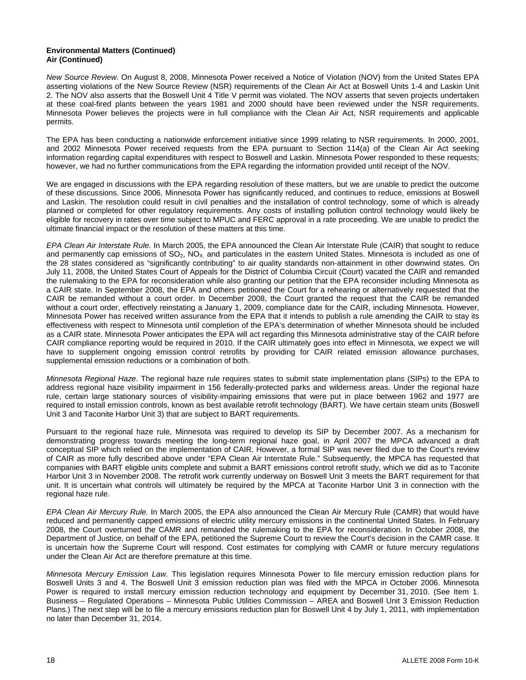#### **Environmental Matters (Continued) Air (Continued)**

*New Source Review.* On August 8, 2008, Minnesota Power received a Notice of Violation (NOV) from the United States EPA asserting violations of the New Source Review (NSR) requirements of the Clean Air Act at Boswell Units 1-4 and Laskin Unit 2. The NOV also asserts that the Boswell Unit 4 Title V permit was violated. The NOV asserts that seven projects undertaken at these coal-fired plants between the years 1981 and 2000 should have been reviewed under the NSR requirements. Minnesota Power believes the projects were in full compliance with the Clean Air Act, NSR requirements and applicable permits.

The EPA has been conducting a nationwide enforcement initiative since 1999 relating to NSR requirements. In 2000, 2001, and 2002 Minnesota Power received requests from the EPA pursuant to Section 114(a) of the Clean Air Act seeking information regarding capital expenditures with respect to Boswell and Laskin. Minnesota Power responded to these requests; however, we had no further communications from the EPA regarding the information provided until receipt of the NOV.

We are engaged in discussions with the EPA regarding resolution of these matters, but we are unable to predict the outcome of these discussions. Since 2006, Minnesota Power has significantly reduced, and continues to reduce, emissions at Boswell and Laskin. The resolution could result in civil penalties and the installation of control technology, some of which is already planned or completed for other regulatory requirements. Any costs of installing pollution control technology would likely be eligible for recovery in rates over time subject to MPUC and FERC approval in a rate proceeding. We are unable to predict the ultimate financial impact or the resolution of these matters at this time.

*EPA Clean Air Interstate Rule.* In March 2005, the EPA announced the Clean Air Interstate Rule (CAIR) that sought to reduce and permanently cap emissions of  $SO_2$ ,  $NO<sub>X</sub>$  and particulates in the eastern United States. Minnesota is included as one of the 28 states considered as "significantly contributing" to air quality standards non-attainment in other downwind states. On July 11, 2008, the United States Court of Appeals for the District of Columbia Circuit (Court) vacated the CAIR and remanded the rulemaking to the EPA for reconsideration while also granting our petition that the EPA reconsider including Minnesota as a CAIR state. In September 2008, the EPA and others petitioned the Court for a rehearing or alternatively requested that the CAIR be remanded without a court order. In December 2008, the Court granted the request that the CAIR be remanded without a court order, effectively reinstating a January 1, 2009, compliance date for the CAIR, including Minnesota. However, Minnesota Power has received written assurance from the EPA that it intends to publish a rule amending the CAIR to stay its effectiveness with respect to Minnesota until completion of the EPA's determination of whether Minnesota should be included as a CAIR state. Minnesota Power anticipates the EPA will act regarding this Minnesota administrative stay of the CAIR before CAIR compliance reporting would be required in 2010. If the CAIR ultimately goes into effect in Minnesota, we expect we will have to supplement ongoing emission control retrofits by providing for CAIR related emission allowance purchases, supplemental emission reductions or a combination of both.

*Minnesota Regional Haze*. The regional haze rule requires states to submit state implementation plans (SIPs) to the EPA to address regional haze visibility impairment in 156 federally-protected parks and wilderness areas. Under the regional haze rule, certain large stationary sources of visibility-impairing emissions that were put in place between 1962 and 1977 are required to install emission controls, known as best available retrofit technology (BART). We have certain steam units (Boswell Unit 3 and Taconite Harbor Unit 3) that are subject to BART requirements.

Pursuant to the regional haze rule, Minnesota was required to develop its SIP by December 2007. As a mechanism for demonstrating progress towards meeting the long-term regional haze goal, in April 2007 the MPCA advanced a draft conceptual SIP which relied on the implementation of CAIR. However, a formal SIP was never filed due to the Court's review of CAIR as more fully described above under "EPA Clean Air Interstate Rule." Subsequently, the MPCA has requested that companies with BART eligible units complete and submit a BART emissions control retrofit study, which we did as to Taconite Harbor Unit 3 in November 2008. The retrofit work currently underway on Boswell Unit 3 meets the BART requirement for that unit. It is uncertain what controls will ultimately be required by the MPCA at Taconite Harbor Unit 3 in connection with the regional haze rule.

*EPA Clean Air Mercury Rule.* In March 2005, the EPA also announced the Clean Air Mercury Rule (CAMR) that would have reduced and permanently capped emissions of electric utility mercury emissions in the continental United States. In February 2008, the Court overturned the CAMR and remanded the rulemaking to the EPA for reconsideration. In October 2008, the Department of Justice, on behalf of the EPA, petitioned the Supreme Court to review the Court's decision in the CAMR case. It is uncertain how the Supreme Court will respond. Cost estimates for complying with CAMR or future mercury regulations under the Clean Air Act are therefore premature at this time.

*Minnesota Mercury Emission Law.* This legislation requires Minnesota Power to file mercury emission reduction plans for Boswell Units 3 and 4. The Boswell Unit 3 emission reduction plan was filed with the MPCA in October 2006. Minnesota Power is required to install mercury emission reduction technology and equipment by December 31, 2010. (See Item 1. Business – Regulated Operations – Minnesota Public Utilities Commission – AREA and Boswell Unit 3 Emission Reduction Plans.) The next step will be to file a mercury emissions reduction plan for Boswell Unit 4 by July 1, 2011, with implementation no later than December 31, 2014.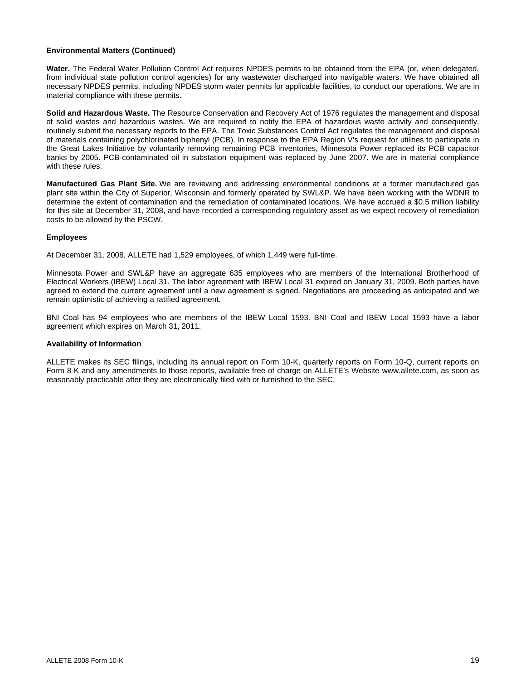#### **Environmental Matters (Continued)**

**Water.** The Federal Water Pollution Control Act requires NPDES permits to be obtained from the EPA (or, when delegated, from individual state pollution control agencies) for any wastewater discharged into navigable waters. We have obtained all necessary NPDES permits, including NPDES storm water permits for applicable facilities, to conduct our operations. We are in material compliance with these permits.

**Solid and Hazardous Waste.** The Resource Conservation and Recovery Act of 1976 regulates the management and disposal of solid wastes and hazardous wastes. We are required to notify the EPA of hazardous waste activity and consequently, routinely submit the necessary reports to the EPA. The Toxic Substances Control Act regulates the management and disposal of materials containing polychlorinated biphenyl (PCB). In response to the EPA Region V's request for utilities to participate in the Great Lakes Initiative by voluntarily removing remaining PCB inventories, Minnesota Power replaced its PCB capacitor banks by 2005. PCB-contaminated oil in substation equipment was replaced by June 2007. We are in material compliance with these rules.

**Manufactured Gas Plant Site.** We are reviewing and addressing environmental conditions at a former manufactured gas plant site within the City of Superior, Wisconsin and formerly operated by SWL&P. We have been working with the WDNR to determine the extent of contamination and the remediation of contaminated locations. We have accrued a \$0.5 million liability for this site at December 31, 2008, and have recorded a corresponding regulatory asset as we expect recovery of remediation costs to be allowed by the PSCW.

#### **Employees**

At December 31, 2008, ALLETE had 1,529 employees, of which 1,449 were full-time.

Minnesota Power and SWL&P have an aggregate 635 employees who are members of the International Brotherhood of Electrical Workers (IBEW) Local 31. The labor agreement with IBEW Local 31 expired on January 31, 2009. Both parties have agreed to extend the current agreement until a new agreement is signed. Negotiations are proceeding as anticipated and we remain optimistic of achieving a ratified agreement.

BNI Coal has 94 employees who are members of the IBEW Local 1593. BNI Coal and IBEW Local 1593 have a labor agreement which expires on March 31, 2011.

#### **Availability of Information**

ALLETE makes its SEC filings, including its annual report on Form 10-K, quarterly reports on Form 10-Q, current reports on Form 8-K and any amendments to those reports, available free of charge on ALLETE's Website www.allete.com, as soon as reasonably practicable after they are electronically filed with or furnished to the SEC.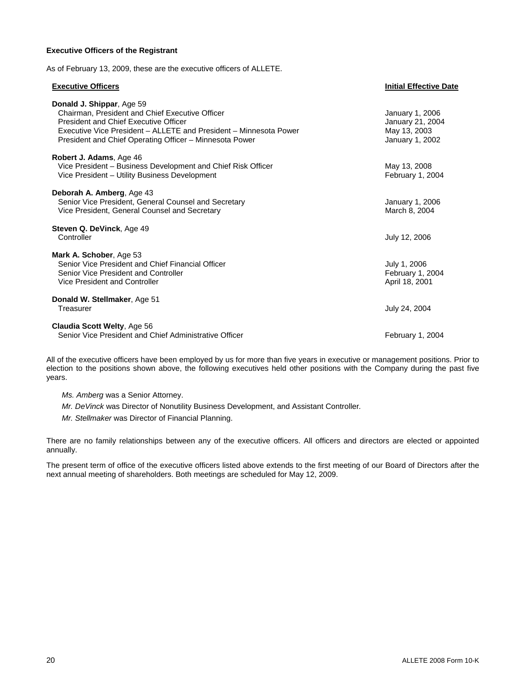#### **Executive Officers of the Registrant**

As of February 13, 2009, these are the executive officers of ALLETE.

#### **Executive Officers Initial Effective Date**

| Donald J. Shippar, Age 59<br>Chairman, President and Chief Executive Officer<br><b>President and Chief Executive Officer</b><br>Executive Vice President – ALLETE and President – Minnesota Power<br>President and Chief Operating Officer – Minnesota Power | January 1, 2006<br>January 21, 2004<br>May 13, 2003<br>January 1, 2002 |
|--------------------------------------------------------------------------------------------------------------------------------------------------------------------------------------------------------------------------------------------------------------|------------------------------------------------------------------------|
| Robert J. Adams, Age 46<br>Vice President - Business Development and Chief Risk Officer<br>Vice President - Utility Business Development                                                                                                                     | May 13, 2008<br>February 1, 2004                                       |
| Deborah A. Amberg, Age 43<br>Senior Vice President, General Counsel and Secretary<br>Vice President, General Counsel and Secretary                                                                                                                           | January 1, 2006<br>March 8, 2004                                       |
| Steven Q. DeVinck, Age 49<br>Controller                                                                                                                                                                                                                      | July 12, 2006                                                          |
| Mark A. Schober, Age 53<br>Senior Vice President and Chief Financial Officer<br>Senior Vice President and Controller<br>Vice President and Controller                                                                                                        | July 1, 2006<br>February 1, 2004<br>April 18, 2001                     |
| Donald W. Stellmaker, Age 51<br>Treasurer                                                                                                                                                                                                                    | July 24, 2004                                                          |
| Claudia Scott Welty, Age 56<br>Senior Vice President and Chief Administrative Officer                                                                                                                                                                        | February 1, 2004                                                       |

All of the executive officers have been employed by us for more than five years in executive or management positions. Prior to election to the positions shown above, the following executives held other positions with the Company during the past five years.

*Ms. Amberg* was a Senior Attorney.

*Mr. DeVinck* was Director of Nonutility Business Development, and Assistant Controller*.*

*Mr. Stellmaker* was Director of Financial Planning.

There are no family relationships between any of the executive officers. All officers and directors are elected or appointed annually.

The present term of office of the executive officers listed above extends to the first meeting of our Board of Directors after the next annual meeting of shareholders. Both meetings are scheduled for May 12, 2009.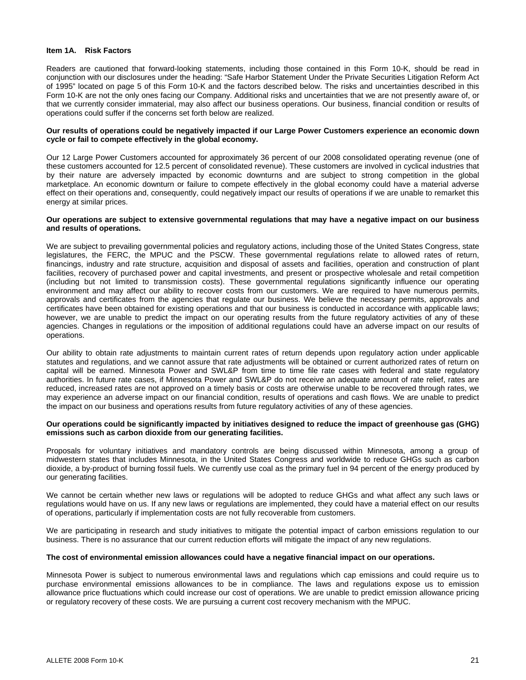#### **Item 1A. Risk Factors**

Readers are cautioned that forward-looking statements, including those contained in this Form 10-K, should be read in conjunction with our disclosures under the heading: "Safe Harbor Statement Under the Private Securities Litigation Reform Act of 1995" located on page 5 of this Form 10-K and the factors described below. The risks and uncertainties described in this Form 10-K are not the only ones facing our Company. Additional risks and uncertainties that we are not presently aware of, or that we currently consider immaterial, may also affect our business operations. Our business, financial condition or results of operations could suffer if the concerns set forth below are realized.

#### **Our results of operations could be negatively impacted if our Large Power Customers experience an economic down cycle or fail to compete effectively in the global economy.**

Our 12 Large Power Customers accounted for approximately 36 percent of our 2008 consolidated operating revenue (one of these customers accounted for 12.5 percent of consolidated revenue). These customers are involved in cyclical industries that by their nature are adversely impacted by economic downturns and are subject to strong competition in the global marketplace. An economic downturn or failure to compete effectively in the global economy could have a material adverse effect on their operations and, consequently, could negatively impact our results of operations if we are unable to remarket this energy at similar prices.

#### **Our operations are subject to extensive governmental regulations that may have a negative impact on our business and results of operations.**

We are subject to prevailing governmental policies and regulatory actions, including those of the United States Congress, state legislatures, the FERC, the MPUC and the PSCW. These governmental regulations relate to allowed rates of return, financings, industry and rate structure, acquisition and disposal of assets and facilities, operation and construction of plant facilities, recovery of purchased power and capital investments, and present or prospective wholesale and retail competition (including but not limited to transmission costs). These governmental regulations significantly influence our operating environment and may affect our ability to recover costs from our customers. We are required to have numerous permits, approvals and certificates from the agencies that regulate our business. We believe the necessary permits, approvals and certificates have been obtained for existing operations and that our business is conducted in accordance with applicable laws; however, we are unable to predict the impact on our operating results from the future regulatory activities of any of these agencies. Changes in regulations or the imposition of additional regulations could have an adverse impact on our results of operations.

Our ability to obtain rate adjustments to maintain current rates of return depends upon regulatory action under applicable statutes and regulations, and we cannot assure that rate adjustments will be obtained or current authorized rates of return on capital will be earned. Minnesota Power and SWL&P from time to time file rate cases with federal and state regulatory authorities. In future rate cases, if Minnesota Power and SWL&P do not receive an adequate amount of rate relief, rates are reduced, increased rates are not approved on a timely basis or costs are otherwise unable to be recovered through rates, we may experience an adverse impact on our financial condition, results of operations and cash flows. We are unable to predict the impact on our business and operations results from future regulatory activities of any of these agencies.

#### **Our operations could be significantly impacted by initiatives designed to reduce the impact of greenhouse gas (GHG) emissions such as carbon dioxide from our generating facilities.**

Proposals for voluntary initiatives and mandatory controls are being discussed within Minnesota, among a group of midwestern states that includes Minnesota, in the United States Congress and worldwide to reduce GHGs such as carbon dioxide, a by-product of burning fossil fuels. We currently use coal as the primary fuel in 94 percent of the energy produced by our generating facilities.

We cannot be certain whether new laws or regulations will be adopted to reduce GHGs and what affect any such laws or regulations would have on us. If any new laws or regulations are implemented, they could have a material effect on our results of operations, particularly if implementation costs are not fully recoverable from customers.

We are participating in research and study initiatives to mitigate the potential impact of carbon emissions regulation to our business. There is no assurance that our current reduction efforts will mitigate the impact of any new regulations.

#### **The cost of environmental emission allowances could have a negative financial impact on our operations.**

Minnesota Power is subject to numerous environmental laws and regulations which cap emissions and could require us to purchase environmental emissions allowances to be in compliance. The laws and regulations expose us to emission allowance price fluctuations which could increase our cost of operations. We are unable to predict emission allowance pricing or regulatory recovery of these costs. We are pursuing a current cost recovery mechanism with the MPUC.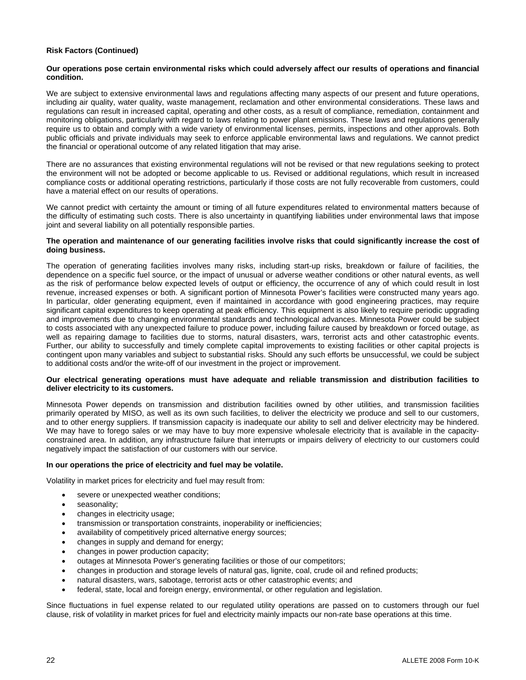#### **Risk Factors (Continued)**

#### **Our operations pose certain environmental risks which could adversely affect our results of operations and financial condition.**

We are subject to extensive environmental laws and regulations affecting many aspects of our present and future operations, including air quality, water quality, waste management, reclamation and other environmental considerations. These laws and regulations can result in increased capital, operating and other costs, as a result of compliance, remediation, containment and monitoring obligations, particularly with regard to laws relating to power plant emissions. These laws and regulations generally require us to obtain and comply with a wide variety of environmental licenses, permits, inspections and other approvals. Both public officials and private individuals may seek to enforce applicable environmental laws and regulations. We cannot predict the financial or operational outcome of any related litigation that may arise.

There are no assurances that existing environmental regulations will not be revised or that new regulations seeking to protect the environment will not be adopted or become applicable to us. Revised or additional regulations, which result in increased compliance costs or additional operating restrictions, particularly if those costs are not fully recoverable from customers, could have a material effect on our results of operations.

We cannot predict with certainty the amount or timing of all future expenditures related to environmental matters because of the difficulty of estimating such costs. There is also uncertainty in quantifying liabilities under environmental laws that impose joint and several liability on all potentially responsible parties.

#### **The operation and maintenance of our generating facilities involve risks that could significantly increase the cost of doing business.**

The operation of generating facilities involves many risks, including start-up risks, breakdown or failure of facilities, the dependence on a specific fuel source, or the impact of unusual or adverse weather conditions or other natural events, as well as the risk of performance below expected levels of output or efficiency, the occurrence of any of which could result in lost revenue, increased expenses or both. A significant portion of Minnesota Power's facilities were constructed many years ago. In particular, older generating equipment, even if maintained in accordance with good engineering practices, may require significant capital expenditures to keep operating at peak efficiency. This equipment is also likely to require periodic upgrading and improvements due to changing environmental standards and technological advances. Minnesota Power could be subject to costs associated with any unexpected failure to produce power, including failure caused by breakdown or forced outage, as well as repairing damage to facilities due to storms, natural disasters, wars, terrorist acts and other catastrophic events. Further, our ability to successfully and timely complete capital improvements to existing facilities or other capital projects is contingent upon many variables and subject to substantial risks. Should any such efforts be unsuccessful, we could be subject to additional costs and/or the write-off of our investment in the project or improvement.

#### **Our electrical generating operations must have adequate and reliable transmission and distribution facilities to deliver electricity to its customers.**

Minnesota Power depends on transmission and distribution facilities owned by other utilities, and transmission facilities primarily operated by MISO, as well as its own such facilities, to deliver the electricity we produce and sell to our customers, and to other energy suppliers. If transmission capacity is inadequate our ability to sell and deliver electricity may be hindered. We may have to forego sales or we may have to buy more expensive wholesale electricity that is available in the capacityconstrained area. In addition, any infrastructure failure that interrupts or impairs delivery of electricity to our customers could negatively impact the satisfaction of our customers with our service.

#### **In our operations the price of electricity and fuel may be volatile.**

Volatility in market prices for electricity and fuel may result from:

- severe or unexpected weather conditions;
- seasonality;
- changes in electricity usage;
- transmission or transportation constraints, inoperability or inefficiencies;
- availability of competitively priced alternative energy sources;
- changes in supply and demand for energy;
- changes in power production capacity;
- outages at Minnesota Power's generating facilities or those of our competitors;
- changes in production and storage levels of natural gas, lignite, coal, crude oil and refined products;
- natural disasters, wars, sabotage, terrorist acts or other catastrophic events; and
- federal, state, local and foreign energy, environmental, or other regulation and legislation.

Since fluctuations in fuel expense related to our regulated utility operations are passed on to customers through our fuel clause, risk of volatility in market prices for fuel and electricity mainly impacts our non-rate base operations at this time.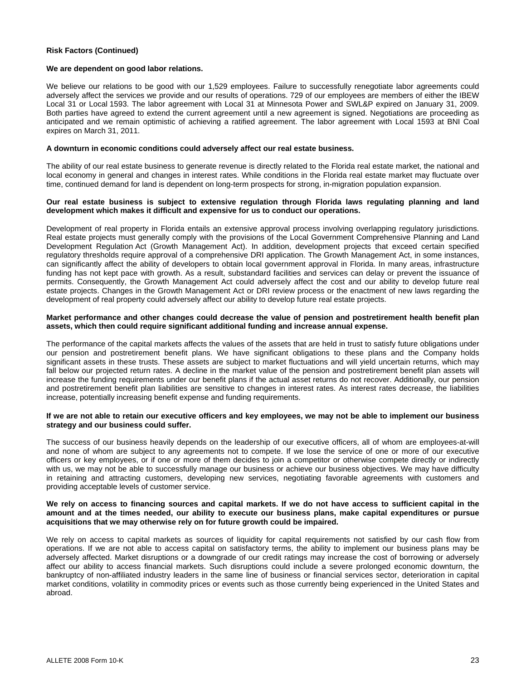#### **Risk Factors (Continued)**

#### **We are dependent on good labor relations.**

We believe our relations to be good with our 1,529 employees. Failure to successfully renegotiate labor agreements could adversely affect the services we provide and our results of operations. 729 of our employees are members of either the IBEW Local 31 or Local 1593. The labor agreement with Local 31 at Minnesota Power and SWL&P expired on January 31, 2009. Both parties have agreed to extend the current agreement until a new agreement is signed. Negotiations are proceeding as anticipated and we remain optimistic of achieving a ratified agreement. The labor agreement with Local 1593 at BNI Coal expires on March 31, 2011.

#### **A downturn in economic conditions could adversely affect our real estate business.**

The ability of our real estate business to generate revenue is directly related to the Florida real estate market, the national and local economy in general and changes in interest rates. While conditions in the Florida real estate market may fluctuate over time, continued demand for land is dependent on long-term prospects for strong, in-migration population expansion.

#### **Our real estate business is subject to extensive regulation through Florida laws regulating planning and land development which makes it difficult and expensive for us to conduct our operations.**

Development of real property in Florida entails an extensive approval process involving overlapping regulatory jurisdictions. Real estate projects must generally comply with the provisions of the Local Government Comprehensive Planning and Land Development Regulation Act (Growth Management Act). In addition, development projects that exceed certain specified regulatory thresholds require approval of a comprehensive DRI application. The Growth Management Act, in some instances, can significantly affect the ability of developers to obtain local government approval in Florida. In many areas, infrastructure funding has not kept pace with growth. As a result, substandard facilities and services can delay or prevent the issuance of permits. Consequently, the Growth Management Act could adversely affect the cost and our ability to develop future real estate projects. Changes in the Growth Management Act or DRI review process or the enactment of new laws regarding the development of real property could adversely affect our ability to develop future real estate projects.

#### **Market performance and other changes could decrease the value of pension and postretirement health benefit plan assets, which then could require significant additional funding and increase annual expense.**

The performance of the capital markets affects the values of the assets that are held in trust to satisfy future obligations under our pension and postretirement benefit plans. We have significant obligations to these plans and the Company holds significant assets in these trusts. These assets are subject to market fluctuations and will yield uncertain returns, which may fall below our projected return rates. A decline in the market value of the pension and postretirement benefit plan assets will increase the funding requirements under our benefit plans if the actual asset returns do not recover. Additionally, our pension and postretirement benefit plan liabilities are sensitive to changes in interest rates. As interest rates decrease, the liabilities increase, potentially increasing benefit expense and funding requirements.

#### **If we are not able to retain our executive officers and key employees, we may not be able to implement our business strategy and our business could suffer.**

The success of our business heavily depends on the leadership of our executive officers, all of whom are employees-at-will and none of whom are subject to any agreements not to compete. If we lose the service of one or more of our executive officers or key employees, or if one or more of them decides to join a competitor or otherwise compete directly or indirectly with us, we may not be able to successfully manage our business or achieve our business objectives. We may have difficulty in retaining and attracting customers, developing new services, negotiating favorable agreements with customers and providing acceptable levels of customer service.

#### **We rely on access to financing sources and capital markets. If we do not have access to sufficient capital in the amount and at the times needed, our ability to execute our business plans, make capital expenditures or pursue acquisitions that we may otherwise rely on for future growth could be impaired.**

We rely on access to capital markets as sources of liquidity for capital requirements not satisfied by our cash flow from operations. If we are not able to access capital on satisfactory terms, the ability to implement our business plans may be adversely affected. Market disruptions or a downgrade of our credit ratings may increase the cost of borrowing or adversely affect our ability to access financial markets. Such disruptions could include a severe prolonged economic downturn, the bankruptcy of non-affiliated industry leaders in the same line of business or financial services sector, deterioration in capital market conditions, volatility in commodity prices or events such as those currently being experienced in the United States and abroad.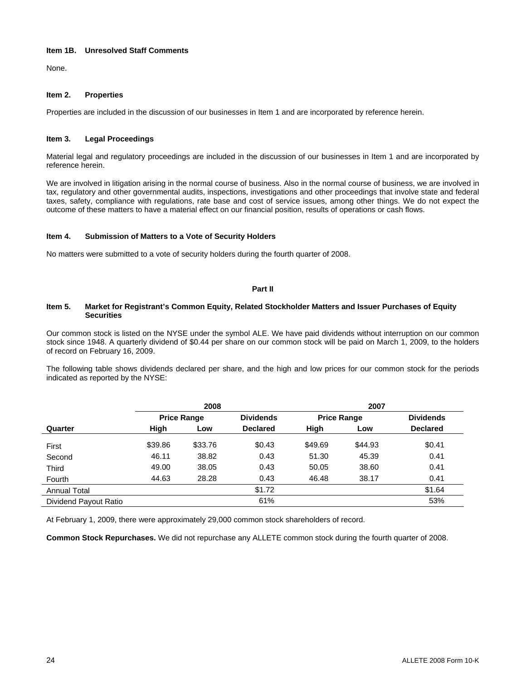#### **Item 1B. Unresolved Staff Comments**

None.

#### **Item 2. Properties**

Properties are included in the discussion of our businesses in Item 1 and are incorporated by reference herein.

#### **Item 3. Legal Proceedings**

Material legal and regulatory proceedings are included in the discussion of our businesses in Item 1 and are incorporated by reference herein.

We are involved in litigation arising in the normal course of business. Also in the normal course of business, we are involved in tax, regulatory and other governmental audits, inspections, investigations and other proceedings that involve state and federal taxes, safety, compliance with regulations, rate base and cost of service issues, among other things. We do not expect the outcome of these matters to have a material effect on our financial position, results of operations or cash flows.

#### **Item 4. Submission of Matters to a Vote of Security Holders**

No matters were submitted to a vote of security holders during the fourth quarter of 2008.

#### **Part II**

#### **Item 5. Market for Registrant's Common Equity, Related Stockholder Matters and Issuer Purchases of Equity Securities**

Our common stock is listed on the NYSE under the symbol ALE. We have paid dividends without interruption on our common stock since 1948. A quarterly dividend of \$0.44 per share on our common stock will be paid on March 1, 2009, to the holders of record on February 16, 2009.

The following table shows dividends declared per share, and the high and low prices for our common stock for the periods indicated as reported by the NYSE:

|                       |         | 2008               |                  | 2007               |         |                  |  |
|-----------------------|---------|--------------------|------------------|--------------------|---------|------------------|--|
|                       |         | <b>Price Range</b> | <b>Dividends</b> | <b>Price Range</b> |         | <b>Dividends</b> |  |
| Quarter               | High    | Low                | <b>Declared</b>  | High               | Low     | <b>Declared</b>  |  |
| First                 | \$39.86 | \$33.76            | \$0.43           | \$49.69            | \$44.93 | \$0.41           |  |
| Second                | 46.11   | 38.82              | 0.43             | 51.30              | 45.39   | 0.41             |  |
| Third                 | 49.00   | 38.05              | 0.43             | 50.05              | 38.60   | 0.41             |  |
| Fourth                | 44.63   | 28.28              | 0.43             | 46.48              | 38.17   | 0.41             |  |
| <b>Annual Total</b>   |         |                    | \$1.72           |                    |         | \$1.64           |  |
| Dividend Payout Ratio |         |                    | 61%              |                    |         | 53%              |  |

At February 1, 2009, there were approximately 29,000 common stock shareholders of record.

**Common Stock Repurchases.** We did not repurchase any ALLETE common stock during the fourth quarter of 2008.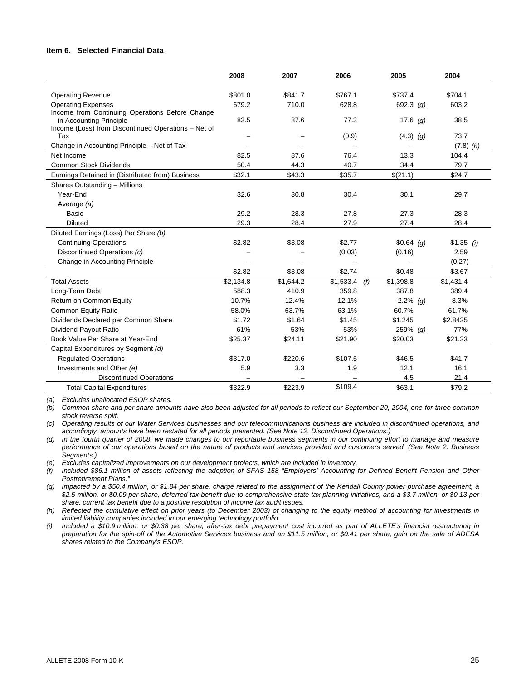#### **Item 6. Selected Financial Data**

|                                                                                | 2008      | 2007      | 2006           | 2005                     | 2004          |
|--------------------------------------------------------------------------------|-----------|-----------|----------------|--------------------------|---------------|
|                                                                                |           |           |                |                          |               |
| <b>Operating Revenue</b>                                                       | \$801.0   | \$841.7   | \$767.1        | \$737.4                  | \$704.1       |
| <b>Operating Expenses</b>                                                      | 679.2     | 710.0     | 628.8          | 692.3 (g)                | 603.2         |
| Income from Continuing Operations Before Change                                |           |           |                |                          |               |
| in Accounting Principle<br>Income (Loss) from Discontinued Operations - Net of | 82.5      | 87.6      | 77.3           | 17.6<br>(g)              | 38.5          |
| Tax                                                                            |           |           | (0.9)          | $(4.3)$ $(g)$            | 73.7          |
| Change in Accounting Principle - Net of Tax                                    |           |           |                |                          | $(7.8)$ $(h)$ |
| Net Income                                                                     | 82.5      | 87.6      | 76.4           | 13.3                     | 104.4         |
| <b>Common Stock Dividends</b>                                                  | 50.4      | 44.3      | 40.7           | 34.4                     | 79.7          |
| Earnings Retained in (Distributed from) Business                               | \$32.1    | \$43.3    | \$35.7         | \$(21.1)                 | \$24.7        |
| Shares Outstanding - Millions                                                  |           |           |                |                          |               |
| Year-End                                                                       | 32.6      | 30.8      | 30.4           | 30.1                     | 29.7          |
| Average (a)                                                                    |           |           |                |                          |               |
| Basic                                                                          | 29.2      | 28.3      | 27.8           | 27.3                     | 28.3          |
| <b>Diluted</b>                                                                 | 29.3      | 28.4      | 27.9           | 27.4                     | 28.4          |
| Diluted Earnings (Loss) Per Share (b)                                          |           |           |                |                          |               |
| <b>Continuing Operations</b>                                                   | \$2.82    | \$3.08    | \$2.77         | $$0.64$ (g)              | $$1.35$ (i)   |
| Discontinued Operations (c)                                                    |           |           | (0.03)         | (0.16)                   | 2.59          |
| Change in Accounting Principle                                                 |           |           |                | $\overline{\phantom{0}}$ | (0.27)        |
|                                                                                | \$2.82    | \$3.08    | \$2.74         | \$0.48                   | \$3.67        |
| <b>Total Assets</b>                                                            | \$2,134.8 | \$1,644.2 | $$1,533.4$ (f) | \$1,398.8                | \$1,431.4     |
| Long-Term Debt                                                                 | 588.3     | 410.9     | 359.8          | 387.8                    | 389.4         |
| Return on Common Equity                                                        | 10.7%     | 12.4%     | 12.1%          | $2.2\%$ (g)              | 8.3%          |
| Common Equity Ratio                                                            | 58.0%     | 63.7%     | 63.1%          | 60.7%                    | 61.7%         |
| Dividends Declared per Common Share                                            | \$1.72    | \$1.64    | \$1.45         | \$1.245                  | \$2.8425      |
| Dividend Payout Ratio                                                          | 61%       | 53%       | 53%            | 259% (g)                 | 77%           |
| Book Value Per Share at Year-End                                               | \$25.37   | \$24.11   | \$21.90        | \$20.03                  | \$21.23       |
| Capital Expenditures by Segment (d)                                            |           |           |                |                          |               |
| <b>Regulated Operations</b>                                                    | \$317.0   | \$220.6   | \$107.5        | \$46.5                   | \$41.7        |
| Investments and Other (e)                                                      | 5.9       | 3.3       | 1.9            | 12.1                     | 16.1          |
| <b>Discontinued Operations</b>                                                 |           |           |                | 4.5                      | 21.4          |
| <b>Total Capital Expenditures</b>                                              | \$322.9   | \$223.9   | \$109.4        | \$63.1                   | \$79.2        |

*(a) Excludes unallocated ESOP shares.* 

*(b) Common share and per share amounts have also been adjusted for all periods to reflect our September 20, 2004, one-for-three common stock reverse split.* 

*(c) Operating results of our Water Services businesses and our telecommunications business are included in discontinued operations, and accordingly, amounts have been restated for all periods presented. (See Note 12. Discontinued Operations.)* 

*(d) In the fourth quarter of 2008, we made changes to our reportable business segments in our continuing effort to manage and measure performance of our operations based on the nature of products and services provided and customers served. (See Note 2. Business Segments.)*

*(e) Excludes capitalized improvements on our development projects, which are included in inventory.* 

*(f) Included \$86.1 million of assets reflecting the adoption of SFAS 158 "Employers' Accounting for Defined Benefit Pension and Other Postretirement Plans."* 

*(g) Impacted by a \$50.4 million, or \$1.84 per share, charge related to the assignment of the Kendall County power purchase agreement, a \$2.5 million, or \$0.09 per share, deferred tax benefit due to comprehensive state tax planning initiatives, and a \$3.7 million, or \$0.13 per share, current tax benefit due to a positive resolution of income tax audit issues.* 

*(h) Reflected the cumulative effect on prior years (to December 2003) of changing to the equity method of accounting for investments in limited liability companies included in our emerging technology portfolio.* 

*(i) Included a \$10.9 million, or \$0.38 per share, after-tax debt prepayment cost incurred as part of ALLETE's financial restructuring in preparation for the spin-off of the Automotive Services business and an \$11.5 million, or \$0.41 per share, gain on the sale of ADESA shares related to the Company's ESOP.*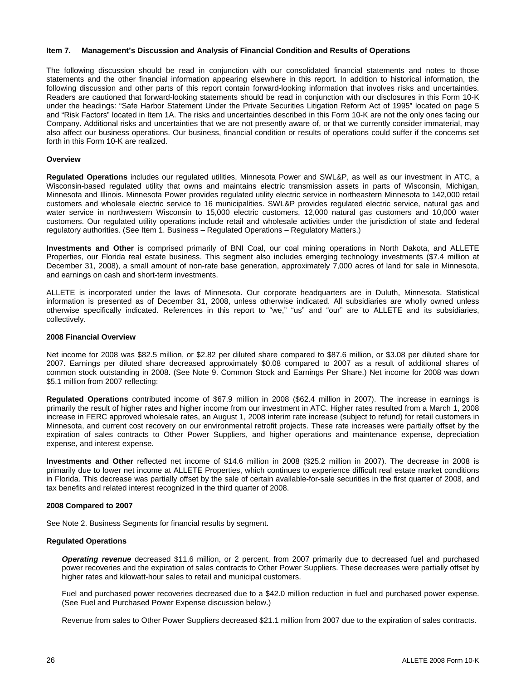#### **Item 7. Management's Discussion and Analysis of Financial Condition and Results of Operations**

The following discussion should be read in conjunction with our consolidated financial statements and notes to those statements and the other financial information appearing elsewhere in this report. In addition to historical information, the following discussion and other parts of this report contain forward-looking information that involves risks and uncertainties. Readers are cautioned that forward-looking statements should be read in conjunction with our disclosures in this Form 10-K under the headings: "Safe Harbor Statement Under the Private Securities Litigation Reform Act of 1995" located on page 5 and "Risk Factors" located in Item 1A. The risks and uncertainties described in this Form 10-K are not the only ones facing our Company. Additional risks and uncertainties that we are not presently aware of, or that we currently consider immaterial, may also affect our business operations. Our business, financial condition or results of operations could suffer if the concerns set forth in this Form 10-K are realized.

#### **Overview**

**Regulated Operations** includes our regulated utilities, Minnesota Power and SWL&P, as well as our investment in ATC, a Wisconsin-based regulated utility that owns and maintains electric transmission assets in parts of Wisconsin, Michigan, Minnesota and Illinois. Minnesota Power provides regulated utility electric service in northeastern Minnesota to 142,000 retail customers and wholesale electric service to 16 municipalities. SWL&P provides regulated electric service, natural gas and water service in northwestern Wisconsin to 15,000 electric customers, 12,000 natural gas customers and 10,000 water customers. Our regulated utility operations include retail and wholesale activities under the jurisdiction of state and federal regulatory authorities. (See Item 1. Business – Regulated Operations – Regulatory Matters.)

**Investments and Other** is comprised primarily of BNI Coal, our coal mining operations in North Dakota, and ALLETE Properties, our Florida real estate business. This segment also includes emerging technology investments (\$7.4 million at December 31, 2008), a small amount of non-rate base generation, approximately 7,000 acres of land for sale in Minnesota, and earnings on cash and short-term investments.

ALLETE is incorporated under the laws of Minnesota. Our corporate headquarters are in Duluth, Minnesota. Statistical information is presented as of December 31, 2008, unless otherwise indicated. All subsidiaries are wholly owned unless otherwise specifically indicated. References in this report to "we," "us" and "our" are to ALLETE and its subsidiaries, collectively.

#### **2008 Financial Overview**

Net income for 2008 was \$82.5 million, or \$2.82 per diluted share compared to \$87.6 million, or \$3.08 per diluted share for 2007. Earnings per diluted share decreased approximately \$0.08 compared to 2007 as a result of additional shares of common stock outstanding in 2008. (See Note 9. Common Stock and Earnings Per Share.) Net income for 2008 was down \$5.1 million from 2007 reflecting:

**Regulated Operations** contributed income of \$67.9 million in 2008 (\$62.4 million in 2007). The increase in earnings is primarily the result of higher rates and higher income from our investment in ATC. Higher rates resulted from a March 1, 2008 increase in FERC approved wholesale rates, an August 1, 2008 interim rate increase (subject to refund) for retail customers in Minnesota, and current cost recovery on our environmental retrofit projects. These rate increases were partially offset by the expiration of sales contracts to Other Power Suppliers, and higher operations and maintenance expense, depreciation expense, and interest expense.

**Investments and Other** reflected net income of \$14.6 million in 2008 (\$25.2 million in 2007). The decrease in 2008 is primarily due to lower net income at ALLETE Properties, which continues to experience difficult real estate market conditions in Florida. This decrease was partially offset by the sale of certain available-for-sale securities in the first quarter of 2008, and tax benefits and related interest recognized in the third quarter of 2008.

#### **2008 Compared to 2007**

See Note 2. Business Segments for financial results by segment.

#### **Regulated Operations**

*Operating revenue* decreased \$11.6 million, or 2 percent, from 2007 primarily due to decreased fuel and purchased power recoveries and the expiration of sales contracts to Other Power Suppliers. These decreases were partially offset by higher rates and kilowatt-hour sales to retail and municipal customers.

Fuel and purchased power recoveries decreased due to a \$42.0 million reduction in fuel and purchased power expense. (See Fuel and Purchased Power Expense discussion below.)

Revenue from sales to Other Power Suppliers decreased \$21.1 million from 2007 due to the expiration of sales contracts.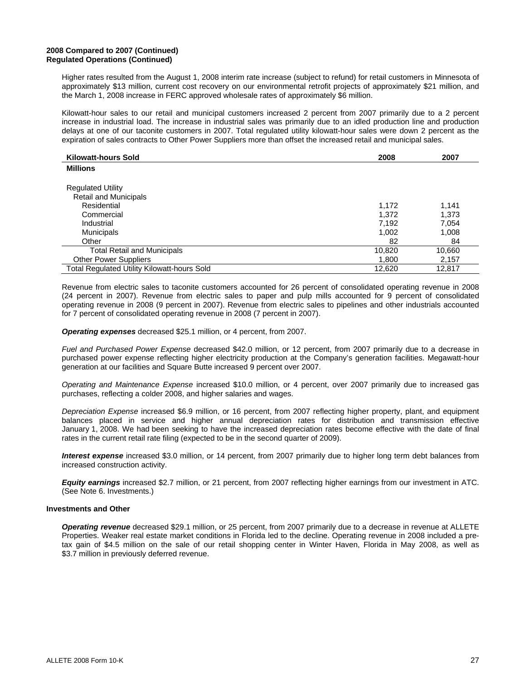#### **2008 Compared to 2007 (Continued) Regulated Operations (Continued)**

Higher rates resulted from the August 1, 2008 interim rate increase (subject to refund) for retail customers in Minnesota of approximately \$13 million, current cost recovery on our environmental retrofit projects of approximately \$21 million, and the March 1, 2008 increase in FERC approved wholesale rates of approximately \$6 million.

Kilowatt-hour sales to our retail and municipal customers increased 2 percent from 2007 primarily due to a 2 percent increase in industrial load. The increase in industrial sales was primarily due to an idled production line and production delays at one of our taconite customers in 2007. Total regulated utility kilowatt-hour sales were down 2 percent as the expiration of sales contracts to Other Power Suppliers more than offset the increased retail and municipal sales.

| <b>Kilowatt-hours Sold</b>                         | 2008   | 2007   |
|----------------------------------------------------|--------|--------|
| <b>Millions</b>                                    |        |        |
| <b>Regulated Utility</b>                           |        |        |
| <b>Retail and Municipals</b>                       |        |        |
| Residential                                        | 1,172  | 1,141  |
| Commercial                                         | 1,372  | 1,373  |
| Industrial                                         | 7.192  | 7,054  |
| <b>Municipals</b>                                  | 1,002  | 1,008  |
| Other                                              | 82     | 84     |
| <b>Total Retail and Municipals</b>                 | 10,820 | 10,660 |
| <b>Other Power Suppliers</b>                       | 1,800  | 2,157  |
| <b>Total Regulated Utility Kilowatt-hours Sold</b> | 12.620 | 12,817 |

Revenue from electric sales to taconite customers accounted for 26 percent of consolidated operating revenue in 2008 (24 percent in 2007). Revenue from electric sales to paper and pulp mills accounted for 9 percent of consolidated operating revenue in 2008 (9 percent in 2007). Revenue from electric sales to pipelines and other industrials accounted for 7 percent of consolidated operating revenue in 2008 (7 percent in 2007).

*Operating expenses* decreased \$25.1 million, or 4 percent, from 2007.

*Fuel and Purchased Power Expense* decreased \$42.0 million, or 12 percent, from 2007 primarily due to a decrease in purchased power expense reflecting higher electricity production at the Company's generation facilities. Megawatt-hour generation at our facilities and Square Butte increased 9 percent over 2007.

*Operating and Maintenance Expense* increased \$10.0 million, or 4 percent, over 2007 primarily due to increased gas purchases, reflecting a colder 2008, and higher salaries and wages.

*Depreciation Expense* increased \$6.9 million, or 16 percent, from 2007 reflecting higher property, plant, and equipment balances placed in service and higher annual depreciation rates for distribution and transmission effective January 1, 2008. We had been seeking to have the increased depreciation rates become effective with the date of final rates in the current retail rate filing (expected to be in the second quarter of 2009).

*Interest expense* increased \$3.0 million, or 14 percent, from 2007 primarily due to higher long term debt balances from increased construction activity.

*Equity earnings* increased \$2.7 million, or 21 percent, from 2007 reflecting higher earnings from our investment in ATC. (See Note 6. Investments.)

#### **Investments and Other**

*Operating revenue* decreased \$29.1 million, or 25 percent, from 2007 primarily due to a decrease in revenue at ALLETE Properties. Weaker real estate market conditions in Florida led to the decline. Operating revenue in 2008 included a pretax gain of \$4.5 million on the sale of our retail shopping center in Winter Haven, Florida in May 2008, as well as \$3.7 million in previously deferred revenue.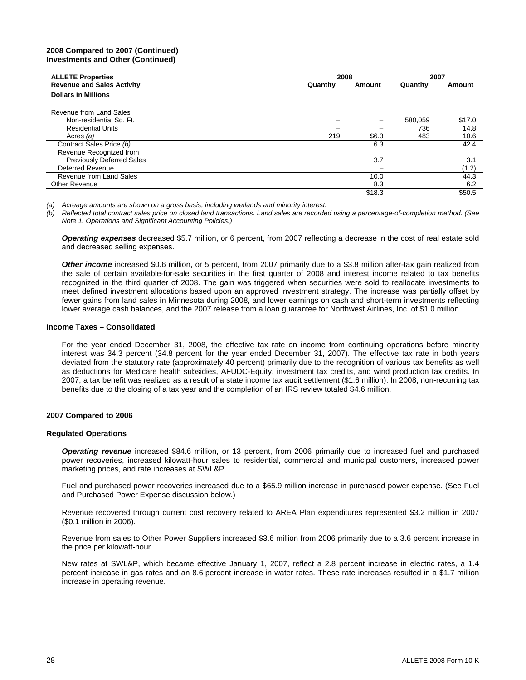#### **2008 Compared to 2007 (Continued) Investments and Other (Continued)**

| <b>ALLETE Properties</b>          |          | 2008   |          | 2007   |  |
|-----------------------------------|----------|--------|----------|--------|--|
| <b>Revenue and Sales Activity</b> | Quantity | Amount | Quantity | Amount |  |
| <b>Dollars in Millions</b>        |          |        |          |        |  |
| Revenue from Land Sales           |          |        |          |        |  |
| Non-residential Sq. Ft.           |          |        | 580,059  | \$17.0 |  |
| <b>Residential Units</b>          |          |        | 736      | 14.8   |  |
| Acres (a)                         | 219      | \$6.3  | 483      | 10.6   |  |
| Contract Sales Price (b)          |          | 6.3    |          | 42.4   |  |
| Revenue Recognized from           |          |        |          |        |  |
| <b>Previously Deferred Sales</b>  |          | 3.7    |          | 3.1    |  |
| Deferred Revenue                  |          |        |          | (1.2)  |  |
| Revenue from Land Sales           |          | 10.0   |          | 44.3   |  |
| <b>Other Revenue</b>              |          | 8.3    |          | 6.2    |  |
|                                   |          | \$18.3 |          | \$50.5 |  |

*(a) Acreage amounts are shown on a gross basis, including wetlands and minority interest.* 

*(b) Reflected total contract sales price on closed land transactions. Land sales are recorded using a percentage-of-completion method. (See Note 1. Operations and Significant Accounting Policies.)* 

*Operating expenses* decreased \$5.7 million, or 6 percent, from 2007 reflecting a decrease in the cost of real estate sold and decreased selling expenses.

*Other income* increased \$0.6 million, or 5 percent, from 2007 primarily due to a \$3.8 million after-tax gain realized from the sale of certain available-for-sale securities in the first quarter of 2008 and interest income related to tax benefits recognized in the third quarter of 2008. The gain was triggered when securities were sold to reallocate investments to meet defined investment allocations based upon an approved investment strategy. The increase was partially offset by fewer gains from land sales in Minnesota during 2008, and lower earnings on cash and short-term investments reflecting lower average cash balances, and the 2007 release from a loan guarantee for Northwest Airlines, Inc. of \$1.0 million.

#### **Income Taxes – Consolidated**

For the year ended December 31, 2008, the effective tax rate on income from continuing operations before minority interest was 34.3 percent (34.8 percent for the year ended December 31, 2007). The effective tax rate in both years deviated from the statutory rate (approximately 40 percent) primarily due to the recognition of various tax benefits as well as deductions for Medicare health subsidies, AFUDC-Equity, investment tax credits, and wind production tax credits. In 2007, a tax benefit was realized as a result of a state income tax audit settlement (\$1.6 million). In 2008, non-recurring tax benefits due to the closing of a tax year and the completion of an IRS review totaled \$4.6 million.

#### **2007 Compared to 2006**

#### **Regulated Operations**

*Operating revenue* increased \$84.6 million, or 13 percent, from 2006 primarily due to increased fuel and purchased power recoveries, increased kilowatt-hour sales to residential, commercial and municipal customers, increased power marketing prices, and rate increases at SWL&P.

Fuel and purchased power recoveries increased due to a \$65.9 million increase in purchased power expense. (See Fuel and Purchased Power Expense discussion below.)

Revenue recovered through current cost recovery related to AREA Plan expenditures represented \$3.2 million in 2007 (\$0.1 million in 2006).

Revenue from sales to Other Power Suppliers increased \$3.6 million from 2006 primarily due to a 3.6 percent increase in the price per kilowatt-hour.

New rates at SWL&P, which became effective January 1, 2007, reflect a 2.8 percent increase in electric rates, a 1.4 percent increase in gas rates and an 8.6 percent increase in water rates. These rate increases resulted in a \$1.7 million increase in operating revenue.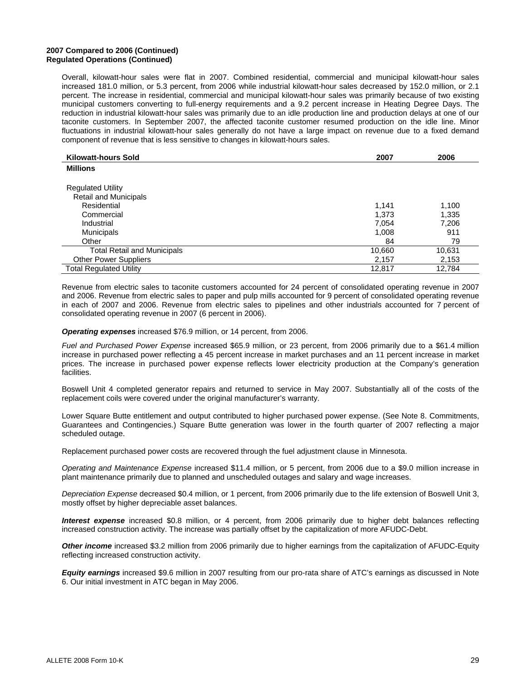#### **2007 Compared to 2006 (Continued) Regulated Operations (Continued)**

Overall, kilowatt-hour sales were flat in 2007. Combined residential, commercial and municipal kilowatt-hour sales increased 181.0 million, or 5.3 percent, from 2006 while industrial kilowatt-hour sales decreased by 152.0 million, or 2.1 percent. The increase in residential, commercial and municipal kilowatt-hour sales was primarily because of two existing municipal customers converting to full-energy requirements and a 9.2 percent increase in Heating Degree Days. The reduction in industrial kilowatt-hour sales was primarily due to an idle production line and production delays at one of our taconite customers. In September 2007, the affected taconite customer resumed production on the idle line. Minor fluctuations in industrial kilowatt-hour sales generally do not have a large impact on revenue due to a fixed demand component of revenue that is less sensitive to changes in kilowatt-hours sales.

| <b>Kilowatt-hours Sold</b>         | 2007   | 2006   |
|------------------------------------|--------|--------|
| <b>Millions</b>                    |        |        |
| <b>Regulated Utility</b>           |        |        |
| <b>Retail and Municipals</b>       |        |        |
| Residential                        | 1,141  | 1,100  |
| Commercial                         | 1,373  | 1,335  |
| Industrial                         | 7,054  | 7,206  |
| <b>Municipals</b>                  | 1,008  | 911    |
| Other                              | 84     | 79     |
| <b>Total Retail and Municipals</b> | 10,660 | 10,631 |
| <b>Other Power Suppliers</b>       | 2,157  | 2,153  |
| <b>Total Regulated Utility</b>     | 12,817 | 12.784 |

Revenue from electric sales to taconite customers accounted for 24 percent of consolidated operating revenue in 2007 and 2006. Revenue from electric sales to paper and pulp mills accounted for 9 percent of consolidated operating revenue in each of 2007 and 2006. Revenue from electric sales to pipelines and other industrials accounted for 7 percent of consolidated operating revenue in 2007 (6 percent in 2006).

*Operating expenses* increased \$76.9 million, or 14 percent, from 2006.

*Fuel and Purchased Power Expense* increased \$65.9 million, or 23 percent, from 2006 primarily due to a \$61.4 million increase in purchased power reflecting a 45 percent increase in market purchases and an 11 percent increase in market prices. The increase in purchased power expense reflects lower electricity production at the Company's generation facilities.

Boswell Unit 4 completed generator repairs and returned to service in May 2007. Substantially all of the costs of the replacement coils were covered under the original manufacturer's warranty.

Lower Square Butte entitlement and output contributed to higher purchased power expense. (See Note 8. Commitments, Guarantees and Contingencies.) Square Butte generation was lower in the fourth quarter of 2007 reflecting a major scheduled outage.

Replacement purchased power costs are recovered through the fuel adjustment clause in Minnesota.

*Operating and Maintenance Expense* increased \$11.4 million, or 5 percent, from 2006 due to a \$9.0 million increase in plant maintenance primarily due to planned and unscheduled outages and salary and wage increases.

*Depreciation Expense* decreased \$0.4 million, or 1 percent, from 2006 primarily due to the life extension of Boswell Unit 3, mostly offset by higher depreciable asset balances.

*Interest expense* increased \$0.8 million, or 4 percent, from 2006 primarily due to higher debt balances reflecting increased construction activity. The increase was partially offset by the capitalization of more AFUDC-Debt.

*Other income* increased \$3.2 million from 2006 primarily due to higher earnings from the capitalization of AFUDC-Equity reflecting increased construction activity.

*Equity earnings* increased \$9.6 million in 2007 resulting from our pro-rata share of ATC's earnings as discussed in Note 6. Our initial investment in ATC began in May 2006.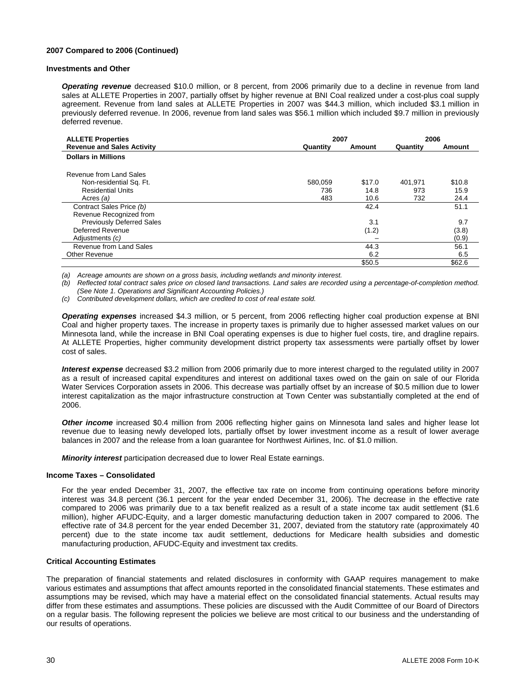#### **2007 Compared to 2006 (Continued)**

#### **Investments and Other**

*Operating revenue* decreased \$10.0 million, or 8 percent, from 2006 primarily due to a decline in revenue from land sales at ALLETE Properties in 2007, partially offset by higher revenue at BNI Coal realized under a cost-plus coal supply agreement. Revenue from land sales at ALLETE Properties in 2007 was \$44.3 million, which included \$3.1 million in previously deferred revenue. In 2006, revenue from land sales was \$56.1 million which included \$9.7 million in previously deferred revenue.

| <b>ALLETE Properties</b>          |          | 2007   |          |        |
|-----------------------------------|----------|--------|----------|--------|
| <b>Revenue and Sales Activity</b> | Quantity | Amount | Quantity | Amount |
| <b>Dollars in Millions</b>        |          |        |          |        |
| Revenue from Land Sales           |          |        |          |        |
| Non-residential Sq. Ft.           | 580,059  | \$17.0 | 401,971  | \$10.8 |
| <b>Residential Units</b>          | 736      | 14.8   | 973      | 15.9   |
| Acres (a)                         | 483      | 10.6   | 732      | 24.4   |
| Contract Sales Price (b)          |          | 42.4   |          | 51.1   |
| Revenue Recognized from           |          |        |          |        |
| <b>Previously Deferred Sales</b>  |          | 3.1    |          | 9.7    |
| Deferred Revenue                  |          | (1.2)  |          | (3.8)  |
| Adjustments (c)                   |          |        |          | (0.9)  |
| Revenue from Land Sales           |          | 44.3   |          | 56.1   |
| <b>Other Revenue</b>              |          | 6.2    |          | 6.5    |
|                                   |          | \$50.5 |          | \$62.6 |

*(a) Acreage amounts are shown on a gross basis, including wetlands and minority interest.* 

*(b) Reflected total contract sales price on closed land transactions. Land sales are recorded using a percentage-of-completion method. (See Note 1. Operations and Significant Accounting Policies.)* 

*(c) Contributed development dollars, which are credited to cost of real estate sold.* 

*Operating expenses* increased \$4.3 million, or 5 percent, from 2006 reflecting higher coal production expense at BNI Coal and higher property taxes. The increase in property taxes is primarily due to higher assessed market values on our Minnesota land, while the increase in BNI Coal operating expenses is due to higher fuel costs, tire, and dragline repairs. At ALLETE Properties, higher community development district property tax assessments were partially offset by lower cost of sales.

*Interest expense* decreased \$3.2 million from 2006 primarily due to more interest charged to the regulated utility in 2007 as a result of increased capital expenditures and interest on additional taxes owed on the gain on sale of our Florida Water Services Corporation assets in 2006. This decrease was partially offset by an increase of \$0.5 million due to lower interest capitalization as the major infrastructure construction at Town Center was substantially completed at the end of 2006.

*Other income* increased \$0.4 million from 2006 reflecting higher gains on Minnesota land sales and higher lease lot revenue due to leasing newly developed lots, partially offset by lower investment income as a result of lower average balances in 2007 and the release from a loan guarantee for Northwest Airlines, Inc. of \$1.0 million.

*Minority interest* participation decreased due to lower Real Estate earnings.

#### **Income Taxes – Consolidated**

For the year ended December 31, 2007, the effective tax rate on income from continuing operations before minority interest was 34.8 percent (36.1 percent for the year ended December 31, 2006). The decrease in the effective rate compared to 2006 was primarily due to a tax benefit realized as a result of a state income tax audit settlement (\$1.6 million), higher AFUDC-Equity, and a larger domestic manufacturing deduction taken in 2007 compared to 2006. The effective rate of 34.8 percent for the year ended December 31, 2007, deviated from the statutory rate (approximately 40 percent) due to the state income tax audit settlement, deductions for Medicare health subsidies and domestic manufacturing production, AFUDC-Equity and investment tax credits.

#### **Critical Accounting Estimates**

The preparation of financial statements and related disclosures in conformity with GAAP requires management to make various estimates and assumptions that affect amounts reported in the consolidated financial statements. These estimates and assumptions may be revised, which may have a material effect on the consolidated financial statements. Actual results may differ from these estimates and assumptions. These policies are discussed with the Audit Committee of our Board of Directors on a regular basis. The following represent the policies we believe are most critical to our business and the understanding of our results of operations.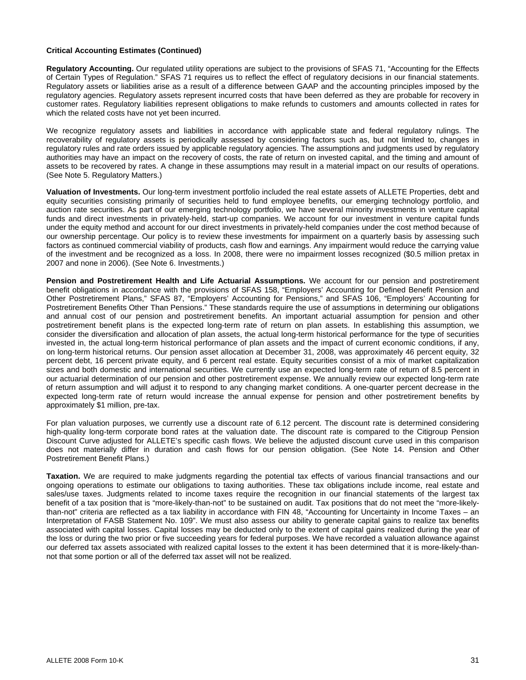#### **Critical Accounting Estimates (Continued)**

**Regulatory Accounting.** Our regulated utility operations are subject to the provisions of SFAS 71, "Accounting for the Effects of Certain Types of Regulation." SFAS 71 requires us to reflect the effect of regulatory decisions in our financial statements. Regulatory assets or liabilities arise as a result of a difference between GAAP and the accounting principles imposed by the regulatory agencies. Regulatory assets represent incurred costs that have been deferred as they are probable for recovery in customer rates. Regulatory liabilities represent obligations to make refunds to customers and amounts collected in rates for which the related costs have not yet been incurred.

We recognize regulatory assets and liabilities in accordance with applicable state and federal regulatory rulings. The recoverability of regulatory assets is periodically assessed by considering factors such as, but not limited to, changes in regulatory rules and rate orders issued by applicable regulatory agencies. The assumptions and judgments used by regulatory authorities may have an impact on the recovery of costs, the rate of return on invested capital, and the timing and amount of assets to be recovered by rates. A change in these assumptions may result in a material impact on our results of operations. (See Note 5. Regulatory Matters.)

**Valuation of Investments.** Our long-term investment portfolio included the real estate assets of ALLETE Properties, debt and equity securities consisting primarily of securities held to fund employee benefits, our emerging technology portfolio, and auction rate securities. As part of our emerging technology portfolio, we have several minority investments in venture capital funds and direct investments in privately-held, start-up companies. We account for our investment in venture capital funds under the equity method and account for our direct investments in privately-held companies under the cost method because of our ownership percentage. Our policy is to review these investments for impairment on a quarterly basis by assessing such factors as continued commercial viability of products, cash flow and earnings. Any impairment would reduce the carrying value of the investment and be recognized as a loss. In 2008, there were no impairment losses recognized (\$0.5 million pretax in 2007 and none in 2006). (See Note 6. Investments.)

**Pension and Postretirement Health and Life Actuarial Assumptions.** We account for our pension and postretirement benefit obligations in accordance with the provisions of SFAS 158, "Employers' Accounting for Defined Benefit Pension and Other Postretirement Plans," SFAS 87, "Employers' Accounting for Pensions," and SFAS 106, "Employers' Accounting for Postretirement Benefits Other Than Pensions." These standards require the use of assumptions in determining our obligations and annual cost of our pension and postretirement benefits. An important actuarial assumption for pension and other postretirement benefit plans is the expected long-term rate of return on plan assets. In establishing this assumption, we consider the diversification and allocation of plan assets, the actual long-term historical performance for the type of securities invested in, the actual long-term historical performance of plan assets and the impact of current economic conditions, if any, on long-term historical returns. Our pension asset allocation at December 31, 2008, was approximately 46 percent equity, 32 percent debt, 16 percent private equity, and 6 percent real estate. Equity securities consist of a mix of market capitalization sizes and both domestic and international securities. We currently use an expected long-term rate of return of 8.5 percent in our actuarial determination of our pension and other postretirement expense. We annually review our expected long-term rate of return assumption and will adjust it to respond to any changing market conditions. A one-quarter percent decrease in the expected long-term rate of return would increase the annual expense for pension and other postretirement benefits by approximately \$1 million, pre-tax.

For plan valuation purposes, we currently use a discount rate of 6.12 percent. The discount rate is determined considering high-quality long-term corporate bond rates at the valuation date. The discount rate is compared to the Citigroup Pension Discount Curve adjusted for ALLETE's specific cash flows. We believe the adjusted discount curve used in this comparison does not materially differ in duration and cash flows for our pension obligation. (See Note 14. Pension and Other Postretirement Benefit Plans.)

**Taxation.** We are required to make judgments regarding the potential tax effects of various financial transactions and our ongoing operations to estimate our obligations to taxing authorities. These tax obligations include income, real estate and sales/use taxes. Judgments related to income taxes require the recognition in our financial statements of the largest tax benefit of a tax position that is "more-likely-than-not" to be sustained on audit. Tax positions that do not meet the "more-likelythan-not" criteria are reflected as a tax liability in accordance with FIN 48, "Accounting for Uncertainty in Income Taxes – an Interpretation of FASB Statement No. 109". We must also assess our ability to generate capital gains to realize tax benefits associated with capital losses. Capital losses may be deducted only to the extent of capital gains realized during the year of the loss or during the two prior or five succeeding years for federal purposes. We have recorded a valuation allowance against our deferred tax assets associated with realized capital losses to the extent it has been determined that it is more-likely-thannot that some portion or all of the deferred tax asset will not be realized.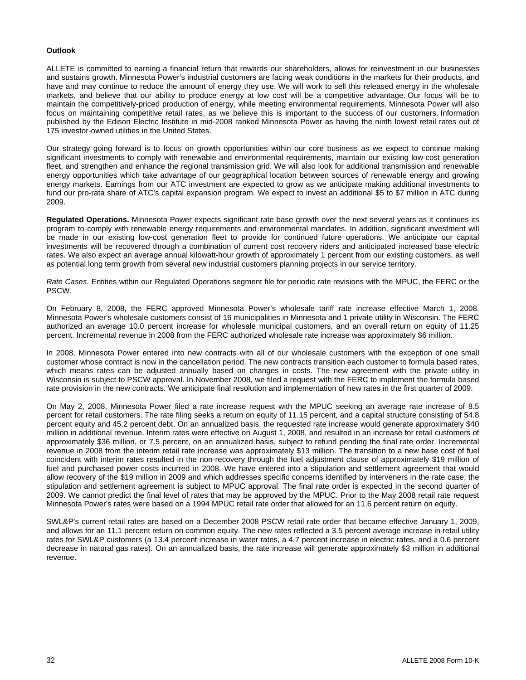#### **Outlook**

ALLETE is committed to earning a financial return that rewards our shareholders, allows for reinvestment in our businesses and sustains growth. Minnesota Power's industrial customers are facing weak conditions in the markets for their products, and have and may continue to reduce the amount of energy they use. We will work to sell this released energy in the wholesale markets, and believe that our ability to produce energy at low cost will be a competitive advantage. Our focus will be to maintain the competitively-priced production of energy, while meeting environmental requirements. Minnesota Power will also focus on maintaining competitive retail rates, as we believe this is important to the success of our customers. Information published by the Edison Electric Institute in mid-2008 ranked Minnesota Power as having the ninth lowest retail rates out of 175 investor-owned utilities in the United States.

Our strategy going forward is to focus on growth opportunities within our core business as we expect to continue making significant investments to comply with renewable and environmental requirements, maintain our existing low-cost generation fleet, and strengthen and enhance the regional transmission grid. We will also look for additional transmission and renewable energy opportunities which take advantage of our geographical location between sources of renewable energy and growing energy markets. Earnings from our ATC investment are expected to grow as we anticipate making additional investments to fund our pro-rata share of ATC's capital expansion program. We expect to invest an additional \$5 to \$7 million in ATC during 2009.

**Regulated Operations.** Minnesota Power expects significant rate base growth over the next several years as it continues its program to comply with renewable energy requirements and environmental mandates. In addition, significant investment will be made in our existing low-cost generation fleet to provide for continued future operations. We anticipate our capital investments will be recovered through a combination of current cost recovery riders and anticipated increased base electric rates. We also expect an average annual kilowatt-hour growth of approximately 1 percent from our existing customers, as well as potential long term growth from several new industrial customers planning projects in our service territory.

*Rate Cases*. Entities within our Regulated Operations segment file for periodic rate revisions with the MPUC, the FERC or the PSCW.

On February 8, 2008, the FERC approved Minnesota Power's wholesale tariff rate increase effective March 1, 2008. Minnesota Power's wholesale customers consist of 16 municipalities in Minnesota and 1 private utility in Wisconsin. The FERC authorized an average 10.0 percent increase for wholesale municipal customers, and an overall return on equity of 11.25 percent. Incremental revenue in 2008 from the FERC authorized wholesale rate increase was approximately \$6 million.

In 2008, Minnesota Power entered into new contracts with all of our wholesale customers with the exception of one small customer whose contract is now in the cancellation period. The new contracts transition each customer to formula based rates, which means rates can be adjusted annually based on changes in costs. The new agreement with the private utility in Wisconsin is subject to PSCW approval. In November 2008, we filed a request with the FERC to implement the formula based rate provision in the new contracts. We anticipate final resolution and implementation of new rates in the first quarter of 2009.

On May 2, 2008, Minnesota Power filed a rate increase request with the MPUC seeking an average rate increase of 8.5 percent for retail customers. The rate filing seeks a return on equity of 11.15 percent, and a capital structure consisting of 54.8 percent equity and 45.2 percent debt. On an annualized basis, the requested rate increase would generate approximately \$40 million in additional revenue. Interim rates were effective on August 1, 2008, and resulted in an increase for retail customers of approximately \$36 million, or 7.5 percent, on an annualized basis, subject to refund pending the final rate order. Incremental revenue in 2008 from the interim retail rate increase was approximately \$13 million. The transition to a new base cost of fuel coincident with interim rates resulted in the non-recovery through the fuel adjustment clause of approximately \$19 million of fuel and purchased power costs incurred in 2008. We have entered into a stipulation and settlement agreement that would allow recovery of the \$19 million in 2009 and which addresses specific concerns identified by interveners in the rate case; the stipulation and settlement agreement is subject to MPUC approval. The final rate order is expected in the second quarter of 2009. We cannot predict the final level of rates that may be approved by the MPUC. Prior to the May 2008 retail rate request Minnesota Power's rates were based on a 1994 MPUC retail rate order that allowed for an 11.6 percent return on equity.

SWL&P's current retail rates are based on a December 2008 PSCW retail rate order that became effective January 1, 2009, and allows for an 11.1 percent return on common equity. The new rates reflected a 3.5 percent average increase in retail utility rates for SWL&P customers (a 13.4 percent increase in water rates, a 4.7 percent increase in electric rates, and a 0.6 percent decrease in natural gas rates). On an annualized basis, the rate increase will generate approximately \$3 million in additional revenue.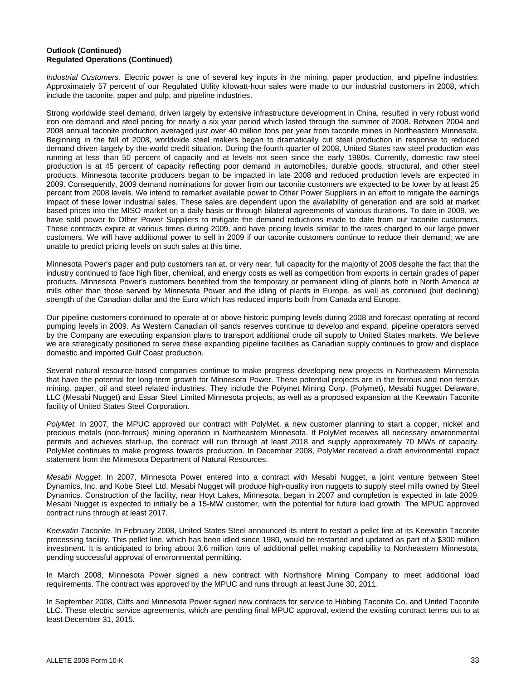#### **Outlook (Continued) Regulated Operations (Continued)**

*Industrial Customers.* Electric power is one of several key inputs in the mining, paper production, and pipeline industries. Approximately 57 percent of our Regulated Utility kilowatt-hour sales were made to our industrial customers in 2008, which include the taconite, paper and pulp, and pipeline industries.

Strong worldwide steel demand, driven largely by extensive infrastructure development in China, resulted in very robust world iron ore demand and steel pricing for nearly a six year period which lasted through the summer of 2008. Between 2004 and 2008 annual taconite production averaged just over 40 million tons per year from taconite mines in Northeastern Minnesota. Beginning in the fall of 2008, worldwide steel makers began to dramatically cut steel production in response to reduced demand driven largely by the world credit situation. During the fourth quarter of 2008, United States raw steel production was running at less than 50 percent of capacity and at levels not seen since the early 1980s. Currently, domestic raw steel production is at 45 percent of capacity reflecting poor demand in automobiles, durable goods, structural, and other steel products. Minnesota taconite producers began to be impacted in late 2008 and reduced production levels are expected in 2009. Consequently, 2009 demand nominations for power from our taconite customers are expected to be lower by at least 25 percent from 2008 levels. We intend to remarket available power to Other Power Suppliers in an effort to mitigate the earnings impact of these lower industrial sales. These sales are dependent upon the availability of generation and are sold at market based prices into the MISO market on a daily basis or through bilateral agreements of various durations. To date in 2009, we have sold power to Other Power Suppliers to mitigate the demand reductions made to date from our taconite customers. These contracts expire at various times during 2009, and have pricing levels similar to the rates charged to our large power customers. We will have additional power to sell in 2009 if our taconite customers continue to reduce their demand; we are unable to predict pricing levels on such sales at this time.

Minnesota Power's paper and pulp customers ran at, or very near, full capacity for the majority of 2008 despite the fact that the industry continued to face high fiber, chemical, and energy costs as well as competition from exports in certain grades of paper products. Minnesota Power's customers benefited from the temporary or permanent idling of plants both in North America at mills other than those served by Minnesota Power and the idling of plants in Europe, as well as continued (but declining) strength of the Canadian dollar and the Euro which has reduced imports both from Canada and Europe.

Our pipeline customers continued to operate at or above historic pumping levels during 2008 and forecast operating at record pumping levels in 2009. As Western Canadian oil sands reserves continue to develop and expand, pipeline operators served by the Company are executing expansion plans to transport additional crude oil supply to United States markets. We believe we are strategically positioned to serve these expanding pipeline facilities as Canadian supply continues to grow and displace domestic and imported Gulf Coast production.

Several natural resource-based companies continue to make progress developing new projects in Northeastern Minnesota that have the potential for long-term growth for Minnesota Power. These potential projects are in the ferrous and non-ferrous mining, paper, oil and steel related industries. They include the Polymet Mining Corp. (Polymet), Mesabi Nugget Delaware, LLC (Mesabi Nugget) and Essar Steel Limited Minnesota projects, as well as a proposed expansion at the Keewatin Taconite facility of United States Steel Corporation.

*PolyMet.* In 2007, the MPUC approved our contract with PolyMet, a new customer planning to start a copper, nickel and precious metals (non-ferrous) mining operation in Northeastern Minnesota. If PolyMet receives all necessary environmental permits and achieves start-up, the contract will run through at least 2018 and supply approximately 70 MWs of capacity. PolyMet continues to make progress towards production. In December 2008, PolyMet received a draft environmental impact statement from the Minnesota Department of Natural Resources.

*Mesabi Nugget.* In 2007, Minnesota Power entered into a contract with Mesabi Nugget, a joint venture between Steel Dynamics, Inc. and Kobe Steel Ltd. Mesabi Nugget will produce high-quality iron nuggets to supply steel mills owned by Steel Dynamics. Construction of the facility, near Hoyt Lakes, Minnesota, began in 2007 and completion is expected in late 2009. Mesabi Nugget is expected to initially be a 15-MW customer, with the potential for future load growth. The MPUC approved contract runs through at least 2017.

*Keewatin Taconite.* In February 2008, United States Steel announced its intent to restart a pellet line at its Keewatin Taconite processing facility. This pellet line, which has been idled since 1980, would be restarted and updated as part of a \$300 million investment. It is anticipated to bring about 3.6 million tons of additional pellet making capability to Northeastern Minnesota, pending successful approval of environmental permitting.

In March 2008, Minnesota Power signed a new contract with Northshore Mining Company to meet additional load requirements. The contract was approved by the MPUC and runs through at least June 30, 2011.

In September 2008, Cliffs and Minnesota Power signed new contracts for service to Hibbing Taconite Co. and United Taconite LLC. These electric service agreements, which are pending final MPUC approval, extend the existing contract terms out to at least December 31, 2015.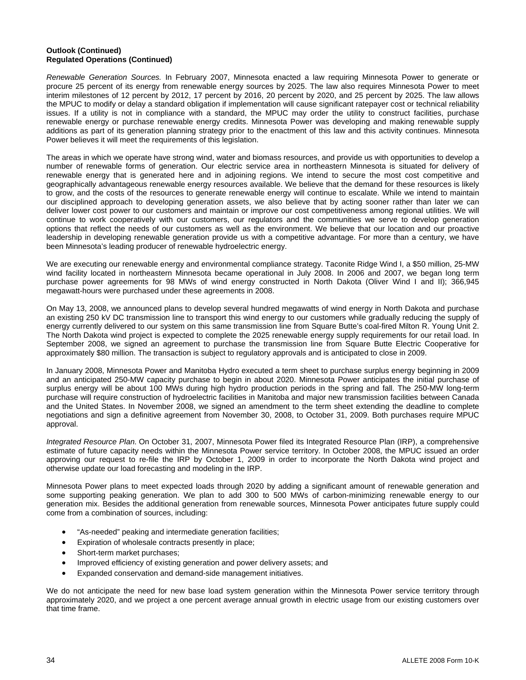## **Outlook (Continued) Regulated Operations (Continued)**

*Renewable Generation Sources.* In February 2007, Minnesota enacted a law requiring Minnesota Power to generate or procure 25 percent of its energy from renewable energy sources by 2025. The law also requires Minnesota Power to meet interim milestones of 12 percent by 2012, 17 percent by 2016, 20 percent by 2020, and 25 percent by 2025. The law allows the MPUC to modify or delay a standard obligation if implementation will cause significant ratepayer cost or technical reliability issues. If a utility is not in compliance with a standard, the MPUC may order the utility to construct facilities, purchase renewable energy or purchase renewable energy credits. Minnesota Power was developing and making renewable supply additions as part of its generation planning strategy prior to the enactment of this law and this activity continues. Minnesota Power believes it will meet the requirements of this legislation.

The areas in which we operate have strong wind, water and biomass resources, and provide us with opportunities to develop a number of renewable forms of generation. Our electric service area in northeastern Minnesota is situated for delivery of renewable energy that is generated here and in adjoining regions. We intend to secure the most cost competitive and geographically advantageous renewable energy resources available. We believe that the demand for these resources is likely to grow, and the costs of the resources to generate renewable energy will continue to escalate. While we intend to maintain our disciplined approach to developing generation assets, we also believe that by acting sooner rather than later we can deliver lower cost power to our customers and maintain or improve our cost competitiveness among regional utilities. We will continue to work cooperatively with our customers, our regulators and the communities we serve to develop generation options that reflect the needs of our customers as well as the environment. We believe that our location and our proactive leadership in developing renewable generation provide us with a competitive advantage. For more than a century, we have been Minnesota's leading producer of renewable hydroelectric energy.

We are executing our renewable energy and environmental compliance strategy. Taconite Ridge Wind I, a \$50 million, 25-MW wind facility located in northeastern Minnesota became operational in July 2008. In 2006 and 2007, we began long term purchase power agreements for 98 MWs of wind energy constructed in North Dakota (Oliver Wind I and II); 366,945 megawatt-hours were purchased under these agreements in 2008.

On May 13, 2008, we announced plans to develop several hundred megawatts of wind energy in North Dakota and purchase an existing 250 kV DC transmission line to transport this wind energy to our customers while gradually reducing the supply of energy currently delivered to our system on this same transmission line from Square Butte's coal-fired Milton R. Young Unit 2. The North Dakota wind project is expected to complete the 2025 renewable energy supply requirements for our retail load. In September 2008, we signed an agreement to purchase the transmission line from Square Butte Electric Cooperative for approximately \$80 million. The transaction is subject to regulatory approvals and is anticipated to close in 2009.

In January 2008, Minnesota Power and Manitoba Hydro executed a term sheet to purchase surplus energy beginning in 2009 and an anticipated 250-MW capacity purchase to begin in about 2020. Minnesota Power anticipates the initial purchase of surplus energy will be about 100 MWs during high hydro production periods in the spring and fall. The 250-MW long-term purchase will require construction of hydroelectric facilities in Manitoba and major new transmission facilities between Canada and the United States. In November 2008, we signed an amendment to the term sheet extending the deadline to complete negotiations and sign a definitive agreement from November 30, 2008, to October 31, 2009. Both purchases require MPUC approval.

*Integrated Resource Plan.* On October 31, 2007, Minnesota Power filed its Integrated Resource Plan (IRP), a comprehensive estimate of future capacity needs within the Minnesota Power service territory. In October 2008, the MPUC issued an order approving our request to re-file the IRP by October 1, 2009 in order to incorporate the North Dakota wind project and otherwise update our load forecasting and modeling in the IRP.

Minnesota Power plans to meet expected loads through 2020 by adding a significant amount of renewable generation and some supporting peaking generation. We plan to add 300 to 500 MWs of carbon-minimizing renewable energy to our generation mix. Besides the additional generation from renewable sources, Minnesota Power anticipates future supply could come from a combination of sources, including:

- "As-needed" peaking and intermediate generation facilities;
- Expiration of wholesale contracts presently in place;
- Short-term market purchases;
- Improved efficiency of existing generation and power delivery assets; and
- Expanded conservation and demand-side management initiatives.

We do not anticipate the need for new base load system generation within the Minnesota Power service territory through approximately 2020, and we project a one percent average annual growth in electric usage from our existing customers over that time frame.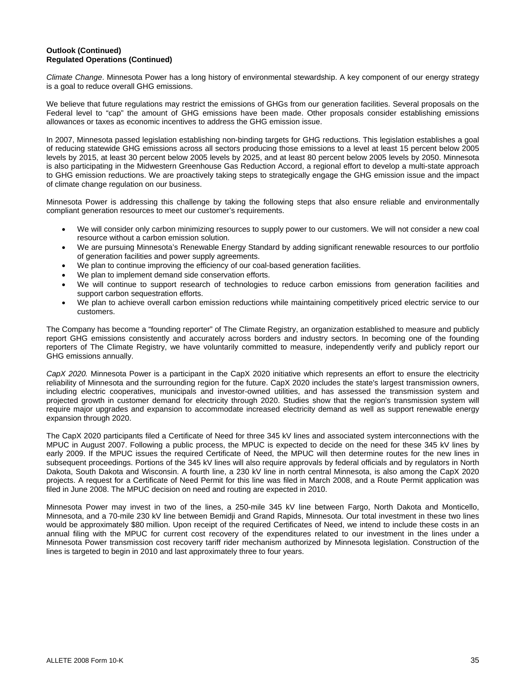## **Outlook (Continued) Regulated Operations (Continued)**

*Climate Change*. Minnesota Power has a long history of environmental stewardship. A key component of our energy strategy is a goal to reduce overall GHG emissions.

We believe that future regulations may restrict the emissions of GHGs from our generation facilities. Several proposals on the Federal level to "cap" the amount of GHG emissions have been made. Other proposals consider establishing emissions allowances or taxes as economic incentives to address the GHG emission issue.

In 2007, Minnesota passed legislation establishing non-binding targets for GHG reductions. This legislation establishes a goal of reducing statewide GHG emissions across all sectors producing those emissions to a level at least 15 percent below 2005 levels by 2015, at least 30 percent below 2005 levels by 2025, and at least 80 percent below 2005 levels by 2050. Minnesota is also participating in the Midwestern Greenhouse Gas Reduction Accord, a regional effort to develop a multi-state approach to GHG emission reductions. We are proactively taking steps to strategically engage the GHG emission issue and the impact of climate change regulation on our business.

Minnesota Power is addressing this challenge by taking the following steps that also ensure reliable and environmentally compliant generation resources to meet our customer's requirements.

- We will consider only carbon minimizing resources to supply power to our customers. We will not consider a new coal resource without a carbon emission solution.
- We are pursuing Minnesota's Renewable Energy Standard by adding significant renewable resources to our portfolio of generation facilities and power supply agreements.
- We plan to continue improving the efficiency of our coal-based generation facilities.
- We plan to implement demand side conservation efforts.
- We will continue to support research of technologies to reduce carbon emissions from generation facilities and support carbon sequestration efforts.
- We plan to achieve overall carbon emission reductions while maintaining competitively priced electric service to our customers.

The Company has become a "founding reporter" of The Climate Registry, an organization established to measure and publicly report GHG emissions consistently and accurately across borders and industry sectors. In becoming one of the founding reporters of The Climate Registry, we have voluntarily committed to measure, independently verify and publicly report our GHG emissions annually.

*CapX 2020.* Minnesota Power is a participant in the CapX 2020 initiative which represents an effort to ensure the electricity reliability of Minnesota and the surrounding region for the future. CapX 2020 includes the state's largest transmission owners, including electric cooperatives, municipals and investor-owned utilities, and has assessed the transmission system and projected growth in customer demand for electricity through 2020. Studies show that the region's transmission system will require major upgrades and expansion to accommodate increased electricity demand as well as support renewable energy expansion through 2020.

The CapX 2020 participants filed a Certificate of Need for three 345 kV lines and associated system interconnections with the MPUC in August 2007. Following a public process, the MPUC is expected to decide on the need for these 345 kV lines by early 2009. If the MPUC issues the required Certificate of Need, the MPUC will then determine routes for the new lines in subsequent proceedings. Portions of the 345 kV lines will also require approvals by federal officials and by regulators in North Dakota, South Dakota and Wisconsin. A fourth line, a 230 kV line in north central Minnesota, is also among the CapX 2020 projects. A request for a Certificate of Need Permit for this line was filed in March 2008, and a Route Permit application was filed in June 2008. The MPUC decision on need and routing are expected in 2010.

Minnesota Power may invest in two of the lines, a 250-mile 345 kV line between Fargo, North Dakota and Monticello, Minnesota, and a 70-mile 230 kV line between Bemidji and Grand Rapids, Minnesota. Our total investment in these two lines would be approximately \$80 million. Upon receipt of the required Certificates of Need, we intend to include these costs in an annual filing with the MPUC for current cost recovery of the expenditures related to our investment in the lines under a Minnesota Power transmission cost recovery tariff rider mechanism authorized by Minnesota legislation. Construction of the lines is targeted to begin in 2010 and last approximately three to four years.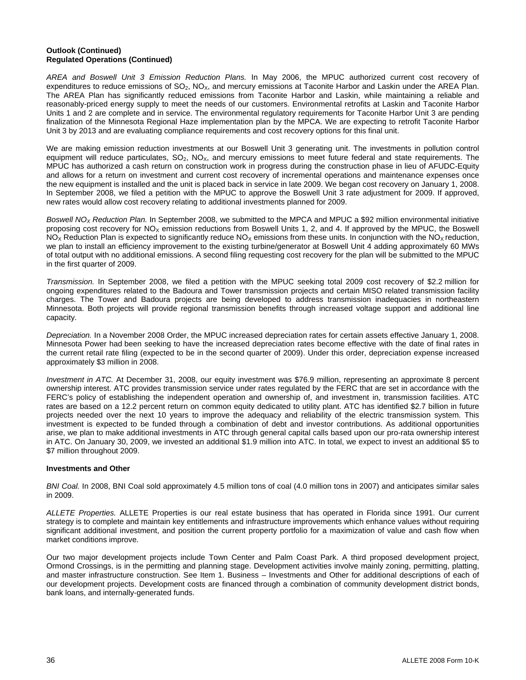## **Outlook (Continued) Regulated Operations (Continued)**

*AREA and Boswell Unit 3 Emission Reduction Plans.* In May 2006, the MPUC authorized current cost recovery of expenditures to reduce emissions of  $SO_2$ ,  $NO_X$ , and mercury emissions at Taconite Harbor and Laskin under the AREA Plan. The AREA Plan has significantly reduced emissions from Taconite Harbor and Laskin, while maintaining a reliable and reasonably-priced energy supply to meet the needs of our customers. Environmental retrofits at Laskin and Taconite Harbor Units 1 and 2 are complete and in service. The environmental regulatory requirements for Taconite Harbor Unit 3 are pending finalization of the Minnesota Regional Haze implementation plan by the MPCA. We are expecting to retrofit Taconite Harbor Unit 3 by 2013 and are evaluating compliance requirements and cost recovery options for this final unit.

We are making emission reduction investments at our Boswell Unit 3 generating unit. The investments in pollution control equipment will reduce particulates,  $SO_2$ ,  $NO_X$ , and mercury emissions to meet future federal and state requirements. The MPUC has authorized a cash return on construction work in progress during the construction phase in lieu of AFUDC-Equity and allows for a return on investment and current cost recovery of incremental operations and maintenance expenses once the new equipment is installed and the unit is placed back in service in late 2009. We began cost recovery on January 1, 2008. In September 2008, we filed a petition with the MPUC to approve the Boswell Unit 3 rate adjustment for 2009. If approved, new rates would allow cost recovery relating to additional investments planned for 2009.

*Boswell NOX Reduction Plan.* In September 2008, we submitted to the MPCA and MPUC a \$92 million environmental initiative proposing cost recovery for  $NO<sub>X</sub>$  emission reductions from Boswell Units 1, 2, and 4. If approved by the MPUC, the Boswell  $N_{\text{O}_X}$  Reduction Plan is expected to significantly reduce  $N_{\text{O}_X}$  emissions from these units. In conjunction with the  $N_{\text{O}_X}$  reduction, we plan to install an efficiency improvement to the existing turbine/generator at Boswell Unit 4 adding approximately 60 MWs of total output with no additional emissions. A second filing requesting cost recovery for the plan will be submitted to the MPUC in the first quarter of 2009.

*Transmission.* In September 2008, we filed a petition with the MPUC seeking total 2009 cost recovery of \$2.2 million for ongoing expenditures related to the Badoura and Tower transmission projects and certain MISO related transmission facility charges. The Tower and Badoura projects are being developed to address transmission inadequacies in northeastern Minnesota. Both projects will provide regional transmission benefits through increased voltage support and additional line capacity.

*Depreciation.* In a November 2008 Order, the MPUC increased depreciation rates for certain assets effective January 1, 2008. Minnesota Power had been seeking to have the increased depreciation rates become effective with the date of final rates in the current retail rate filing (expected to be in the second quarter of 2009). Under this order, depreciation expense increased approximately \$3 million in 2008.

*Investment in ATC.* At December 31, 2008, our equity investment was \$76.9 million, representing an approximate 8 percent ownership interest. ATC provides transmission service under rates regulated by the FERC that are set in accordance with the FERC's policy of establishing the independent operation and ownership of, and investment in, transmission facilities. ATC rates are based on a 12.2 percent return on common equity dedicated to utility plant. ATC has identified \$2.7 billion in future projects needed over the next 10 years to improve the adequacy and reliability of the electric transmission system. This investment is expected to be funded through a combination of debt and investor contributions. As additional opportunities arise, we plan to make additional investments in ATC through general capital calls based upon our pro-rata ownership interest in ATC. On January 30, 2009, we invested an additional \$1.9 million into ATC. In total, we expect to invest an additional \$5 to \$7 million throughout 2009.

#### **Investments and Other**

*BNI Coal.* In 2008, BNI Coal sold approximately 4.5 million tons of coal (4.0 million tons in 2007) and anticipates similar sales in 2009.

*ALLETE Properties.* ALLETE Properties is our real estate business that has operated in Florida since 1991. Our current strategy is to complete and maintain key entitlements and infrastructure improvements which enhance values without requiring significant additional investment, and position the current property portfolio for a maximization of value and cash flow when market conditions improve.

Our two major development projects include Town Center and Palm Coast Park. A third proposed development project, Ormond Crossings, is in the permitting and planning stage. Development activities involve mainly zoning, permitting, platting, and master infrastructure construction. See Item 1. Business – Investments and Other for additional descriptions of each of our development projects. Development costs are financed through a combination of community development district bonds, bank loans, and internally-generated funds.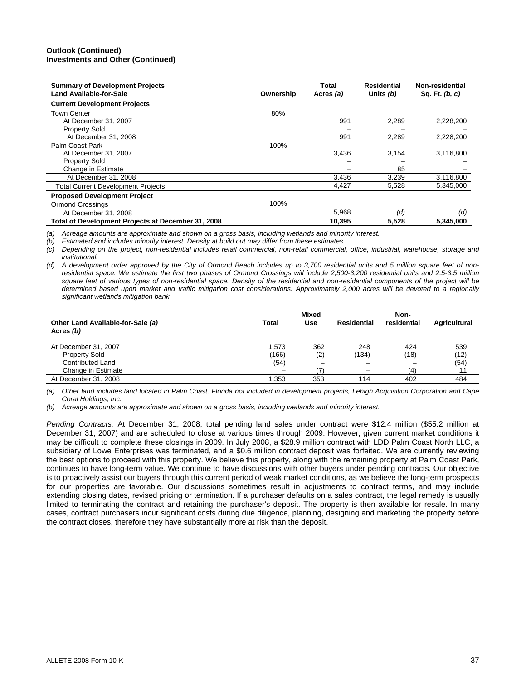## **Outlook (Continued) Investments and Other (Continued)**

| <b>Summary of Development Projects</b><br><b>Land Available-for-Sale</b> | Ownership | Total<br>Acres (a) | Residential<br>Units (b) | Non-residential<br>Sq. Ft. $(b, c)$ |
|--------------------------------------------------------------------------|-----------|--------------------|--------------------------|-------------------------------------|
| <b>Current Development Projects</b>                                      |           |                    |                          |                                     |
| <b>Town Center</b>                                                       | 80%       |                    |                          |                                     |
| At December 31, 2007                                                     |           | 991                | 2.289                    | 2,228,200                           |
| <b>Property Sold</b>                                                     |           |                    |                          |                                     |
| At December 31, 2008                                                     |           | 991                | 2,289                    | 2,228,200                           |
| Palm Coast Park                                                          | 100%      |                    |                          |                                     |
| At December 31, 2007                                                     |           | 3,436              | 3.154                    | 3,116,800                           |
| <b>Property Sold</b>                                                     |           |                    |                          |                                     |
| Change in Estimate                                                       |           |                    | 85                       |                                     |
| At December 31, 2008                                                     |           | 3.436              | 3,239                    | 3,116,800                           |
| <b>Total Current Development Projects</b>                                |           | 4,427              | 5,528                    | 5,345,000                           |
| <b>Proposed Development Project</b>                                      |           |                    |                          |                                     |
| <b>Ormond Crossings</b>                                                  | 100%      |                    |                          |                                     |
| At December 31, 2008                                                     |           | 5,968              | (d)                      | (d)                                 |
| Total of Development Projects at December 31, 2008                       |           | 10,395             | 5,528                    | 5,345,000                           |

*(a) Acreage amounts are approximate and shown on a gross basis, including wetlands and minority interest.* 

*(b) Estimated and includes minority interest. Density at build out may differ from these estimates.* 

*(c) Depending on the project, non-residential includes retail commercial, non-retail commercial, office, industrial, warehouse, storage and institutional.* 

*(d) A development order approved by the City of Ormond Beach includes up to 3,700 residential units and 5 million square feet of nonresidential space. We estimate the first two phases of Ormond Crossings will include 2,500-3,200 residential units and 2.5-3.5 million square feet of various types of non-residential space. Density of the residential and non-residential components of the project will be determined based upon market and traffic mitigation cost considerations. Approximately 2,000 acres will be devoted to a regionally significant wetlands mitigation bank.* 

|                                   |       | <b>Mixed</b> |                    | Non-        |              |
|-----------------------------------|-------|--------------|--------------------|-------------|--------------|
| Other Land Available-for-Sale (a) | Total | Use          | <b>Residential</b> | residential | Agricultural |
| Acres (b)                         |       |              |                    |             |              |
| At December 31, 2007              | 1.573 | 362          | 248                | 424         | 539          |
| <b>Property Sold</b>              | (166) | (2)          | (134)              | (18)        | (12)         |
| <b>Contributed Land</b>           | (54)  | -            | -                  | -           | (54)         |
| Change in Estimate                |       |              | -                  | (4)         |              |
| At December 31, 2008              | .353  | 353          | 114                | 402         | 484          |

*(a) Other land includes land located in Palm Coast, Florida not included in development projects, Lehigh Acquisition Corporation and Cape Coral Holdings, Inc.* 

*(b) Acreage amounts are approximate and shown on a gross basis, including wetlands and minority interest.* 

*Pending Contracts.* At December 31, 2008, total pending land sales under contract were \$12.4 million (\$55.2 million at December 31, 2007) and are scheduled to close at various times through 2009. However, given current market conditions it may be difficult to complete these closings in 2009. In July 2008, a \$28.9 million contract with LDD Palm Coast North LLC, a subsidiary of Lowe Enterprises was terminated, and a \$0.6 million contract deposit was forfeited. We are currently reviewing the best options to proceed with this property. We believe this property, along with the remaining property at Palm Coast Park, continues to have long-term value. We continue to have discussions with other buyers under pending contracts. Our objective is to proactively assist our buyers through this current period of weak market conditions, as we believe the long-term prospects for our properties are favorable. Our discussions sometimes result in adjustments to contract terms, and may include extending closing dates, revised pricing or termination. If a purchaser defaults on a sales contract, the legal remedy is usually limited to terminating the contract and retaining the purchaser's deposit. The property is then available for resale. In many cases, contract purchasers incur significant costs during due diligence, planning, designing and marketing the property before the contract closes, therefore they have substantially more at risk than the deposit.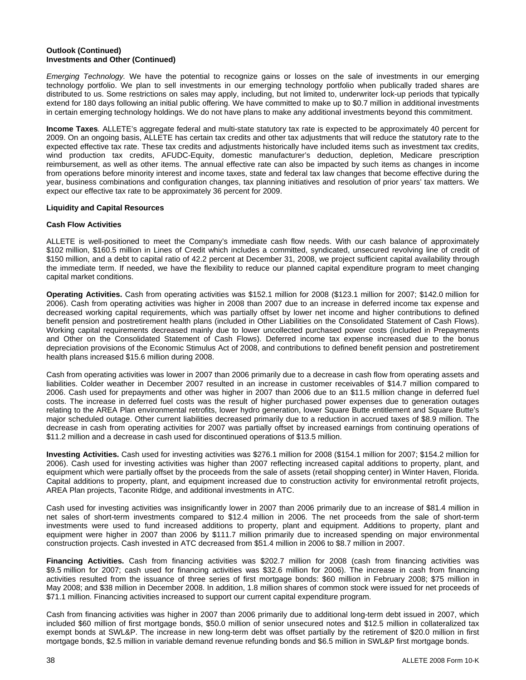## **Outlook (Continued) Investments and Other (Continued)**

*Emerging Technology.* We have the potential to recognize gains or losses on the sale of investments in our emerging technology portfolio. We plan to sell investments in our emerging technology portfolio when publically traded shares are distributed to us. Some restrictions on sales may apply, including, but not limited to, underwriter lock-up periods that typically extend for 180 days following an initial public offering. We have committed to make up to \$0.7 million in additional investments in certain emerging technology holdings. We do not have plans to make any additional investments beyond this commitment.

**Income Taxes***.* ALLETE's aggregate federal and multi-state statutory tax rate is expected to be approximately 40 percent for 2009. On an ongoing basis, ALLETE has certain tax credits and other tax adjustments that will reduce the statutory rate to the expected effective tax rate. These tax credits and adjustments historically have included items such as investment tax credits, wind production tax credits, AFUDC-Equity, domestic manufacturer's deduction, depletion, Medicare prescription reimbursement, as well as other items. The annual effective rate can also be impacted by such items as changes in income from operations before minority interest and income taxes, state and federal tax law changes that become effective during the year, business combinations and configuration changes, tax planning initiatives and resolution of prior years' tax matters. We expect our effective tax rate to be approximately 36 percent for 2009.

## **Liquidity and Capital Resources**

## **Cash Flow Activities**

ALLETE is well-positioned to meet the Company's immediate cash flow needs. With our cash balance of approximately \$102 million, \$160.5 million in Lines of Credit which includes a committed, syndicated, unsecured revolving line of credit of \$150 million, and a debt to capital ratio of 42.2 percent at December 31, 2008, we project sufficient capital availability through the immediate term. If needed, we have the flexibility to reduce our planned capital expenditure program to meet changing capital market conditions.

**Operating Activities.** Cash from operating activities was \$152.1 million for 2008 (\$123.1 million for 2007; \$142.0 million for 2006). Cash from operating activities was higher in 2008 than 2007 due to an increase in deferred income tax expense and decreased working capital requirements, which was partially offset by lower net income and higher contributions to defined benefit pension and postretirement health plans (included in Other Liabilities on the Consolidated Statement of Cash Flows). Working capital requirements decreased mainly due to lower uncollected purchased power costs (included in Prepayments and Other on the Consolidated Statement of Cash Flows). Deferred income tax expense increased due to the bonus depreciation provisions of the Economic Stimulus Act of 2008, and contributions to defined benefit pension and postretirement health plans increased \$15.6 million during 2008.

Cash from operating activities was lower in 2007 than 2006 primarily due to a decrease in cash flow from operating assets and liabilities. Colder weather in December 2007 resulted in an increase in customer receivables of \$14.7 million compared to 2006. Cash used for prepayments and other was higher in 2007 than 2006 due to an \$11.5 million change in deferred fuel costs. The increase in deferred fuel costs was the result of higher purchased power expenses due to generation outages relating to the AREA Plan environmental retrofits, lower hydro generation, lower Square Butte entitlement and Square Butte's major scheduled outage. Other current liabilities decreased primarily due to a reduction in accrued taxes of \$8.9 million. The decrease in cash from operating activities for 2007 was partially offset by increased earnings from continuing operations of \$11.2 million and a decrease in cash used for discontinued operations of \$13.5 million.

**Investing Activities.** Cash used for investing activities was \$276.1 million for 2008 (\$154.1 million for 2007; \$154.2 million for 2006). Cash used for investing activities was higher than 2007 reflecting increased capital additions to property, plant, and equipment which were partially offset by the proceeds from the sale of assets (retail shopping center) in Winter Haven, Florida. Capital additions to property, plant, and equipment increased due to construction activity for environmental retrofit projects, AREA Plan projects, Taconite Ridge, and additional investments in ATC.

Cash used for investing activities was insignificantly lower in 2007 than 2006 primarily due to an increase of \$81.4 million in net sales of short-term investments compared to \$12.4 million in 2006. The net proceeds from the sale of short-term investments were used to fund increased additions to property, plant and equipment. Additions to property, plant and equipment were higher in 2007 than 2006 by \$111.7 million primarily due to increased spending on major environmental construction projects. Cash invested in ATC decreased from \$51.4 million in 2006 to \$8.7 million in 2007.

**Financing Activities.** Cash from financing activities was \$202.7 million for 2008 (cash from financing activities was \$9.5 million for 2007; cash used for financing activities was \$32.6 million for 2006). The increase in cash from financing activities resulted from the issuance of three series of first mortgage bonds: \$60 million in February 2008; \$75 million in May 2008; and \$38 million in December 2008. In addition, 1.8 million shares of common stock were issued for net proceeds of \$71.1 million. Financing activities increased to support our current capital expenditure program.

Cash from financing activities was higher in 2007 than 2006 primarily due to additional long-term debt issued in 2007, which included \$60 million of first mortgage bonds, \$50.0 million of senior unsecured notes and \$12.5 million in collateralized tax exempt bonds at SWL&P. The increase in new long-term debt was offset partially by the retirement of \$20.0 million in first mortgage bonds, \$2.5 million in variable demand revenue refunding bonds and \$6.5 million in SWL&P first mortgage bonds.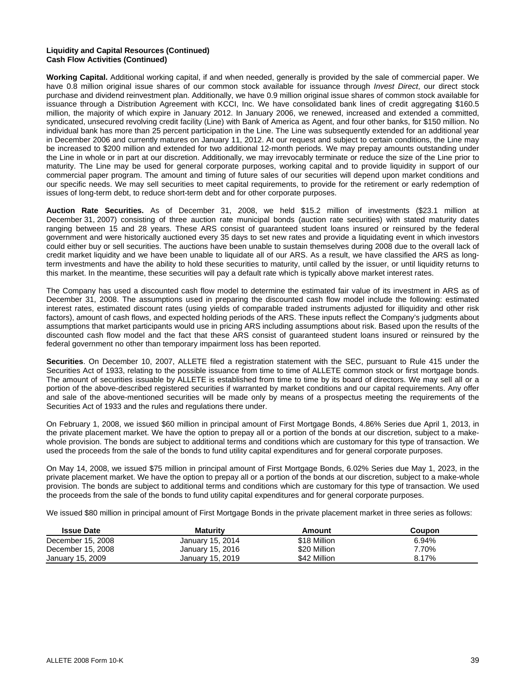## **Liquidity and Capital Resources (Continued) Cash Flow Activities (Continued)**

**Working Capital.** Additional working capital, if and when needed, generally is provided by the sale of commercial paper. We have 0.8 million original issue shares of our common stock available for issuance through *Invest Direct*, our direct stock purchase and dividend reinvestment plan. Additionally, we have 0.9 million original issue shares of common stock available for issuance through a Distribution Agreement with KCCI, Inc. We have consolidated bank lines of credit aggregating \$160.5 million, the majority of which expire in January 2012. In January 2006, we renewed, increased and extended a committed, syndicated, unsecured revolving credit facility (Line) with Bank of America as Agent, and four other banks, for \$150 million. No individual bank has more than 25 percent participation in the Line. The Line was subsequently extended for an additional year in December 2006 and currently matures on January 11, 2012. At our request and subject to certain conditions, the Line may be increased to \$200 million and extended for two additional 12-month periods. We may prepay amounts outstanding under the Line in whole or in part at our discretion. Additionally, we may irrevocably terminate or reduce the size of the Line prior to maturity. The Line may be used for general corporate purposes, working capital and to provide liquidity in support of our commercial paper program. The amount and timing of future sales of our securities will depend upon market conditions and our specific needs. We may sell securities to meet capital requirements, to provide for the retirement or early redemption of issues of long-term debt, to reduce short-term debt and for other corporate purposes.

**Auction Rate Securities.** As of December 31, 2008, we held \$15.2 million of investments (\$23.1 million at December 31, 2007) consisting of three auction rate municipal bonds (auction rate securities) with stated maturity dates ranging between 15 and 28 years. These ARS consist of guaranteed student loans insured or reinsured by the federal government and were historically auctioned every 35 days to set new rates and provide a liquidating event in which investors could either buy or sell securities. The auctions have been unable to sustain themselves during 2008 due to the overall lack of credit market liquidity and we have been unable to liquidate all of our ARS. As a result, we have classified the ARS as longterm investments and have the ability to hold these securities to maturity, until called by the issuer, or until liquidity returns to this market. In the meantime, these securities will pay a default rate which is typically above market interest rates.

The Company has used a discounted cash flow model to determine the estimated fair value of its investment in ARS as of December 31, 2008. The assumptions used in preparing the discounted cash flow model include the following: estimated interest rates, estimated discount rates (using yields of comparable traded instruments adjusted for illiquidity and other risk factors), amount of cash flows, and expected holding periods of the ARS. These inputs reflect the Company's judgments about assumptions that market participants would use in pricing ARS including assumptions about risk. Based upon the results of the discounted cash flow model and the fact that these ARS consist of guaranteed student loans insured or reinsured by the federal government no other than temporary impairment loss has been reported.

**Securities**. On December 10, 2007, ALLETE filed a registration statement with the SEC, pursuant to Rule 415 under the Securities Act of 1933, relating to the possible issuance from time to time of ALLETE common stock or first mortgage bonds. The amount of securities issuable by ALLETE is established from time to time by its board of directors. We may sell all or a portion of the above-described registered securities if warranted by market conditions and our capital requirements. Any offer and sale of the above-mentioned securities will be made only by means of a prospectus meeting the requirements of the Securities Act of 1933 and the rules and regulations there under.

On February 1, 2008, we issued \$60 million in principal amount of First Mortgage Bonds, 4.86% Series due April 1, 2013, in the private placement market. We have the option to prepay all or a portion of the bonds at our discretion, subject to a makewhole provision. The bonds are subject to additional terms and conditions which are customary for this type of transaction. We used the proceeds from the sale of the bonds to fund utility capital expenditures and for general corporate purposes.

On May 14, 2008, we issued \$75 million in principal amount of First Mortgage Bonds, 6.02% Series due May 1, 2023, in the private placement market. We have the option to prepay all or a portion of the bonds at our discretion, subject to a make-whole provision. The bonds are subject to additional terms and conditions which are customary for this type of transaction. We used the proceeds from the sale of the bonds to fund utility capital expenditures and for general corporate purposes.

We issued \$80 million in principal amount of First Mortgage Bonds in the private placement market in three series as follows:

| <b>Issue Date</b> | <b>Maturity</b>  | Amount       | Coupon |
|-------------------|------------------|--------------|--------|
| December 15, 2008 | January 15, 2014 | \$18 Million | 6.94%  |
| December 15, 2008 | January 15, 2016 | \$20 Million | 7.70%  |
| January 15, 2009  | January 15, 2019 | \$42 Million | 8.17%  |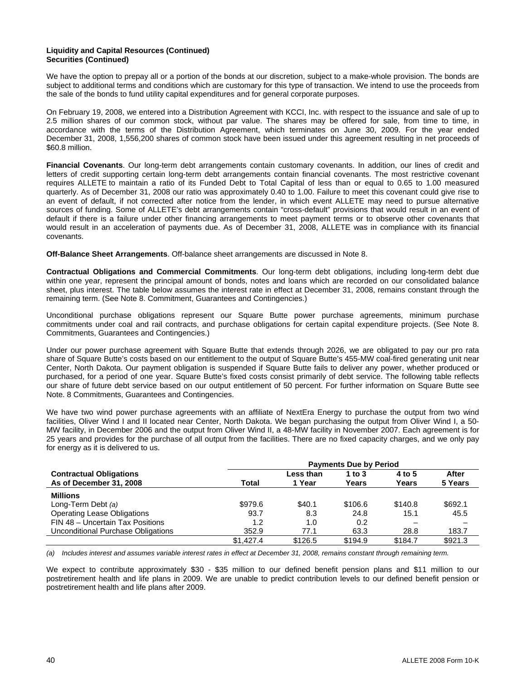## **Liquidity and Capital Resources (Continued) Securities (Continued)**

We have the option to prepay all or a portion of the bonds at our discretion, subject to a make-whole provision. The bonds are subject to additional terms and conditions which are customary for this type of transaction. We intend to use the proceeds from the sale of the bonds to fund utility capital expenditures and for general corporate purposes.

On February 19, 2008, we entered into a Distribution Agreement with KCCI, Inc. with respect to the issuance and sale of up to 2.5 million shares of our common stock, without par value. The shares may be offered for sale, from time to time, in accordance with the terms of the Distribution Agreement, which terminates on June 30, 2009. For the year ended December 31, 2008, 1,556,200 shares of common stock have been issued under this agreement resulting in net proceeds of \$60.8 million.

**Financial Covenants**. Our long-term debt arrangements contain customary covenants. In addition, our lines of credit and letters of credit supporting certain long-term debt arrangements contain financial covenants. The most restrictive covenant requires ALLETE to maintain a ratio of its Funded Debt to Total Capital of less than or equal to 0.65 to 1.00 measured quarterly. As of December 31, 2008 our ratio was approximately 0.40 to 1.00. Failure to meet this covenant could give rise to an event of default, if not corrected after notice from the lender, in which event ALLETE may need to pursue alternative sources of funding. Some of ALLETE's debt arrangements contain "cross-default" provisions that would result in an event of default if there is a failure under other financing arrangements to meet payment terms or to observe other covenants that would result in an acceleration of payments due. As of December 31, 2008, ALLETE was in compliance with its financial covenants.

**Off-Balance Sheet Arrangements**. Off-balance sheet arrangements are discussed in Note 8.

**Contractual Obligations and Commercial Commitments**. Our long-term debt obligations, including long-term debt due within one year, represent the principal amount of bonds, notes and loans which are recorded on our consolidated balance sheet, plus interest. The table below assumes the interest rate in effect at December 31, 2008, remains constant through the remaining term. (See Note 8. Commitment, Guarantees and Contingencies.)

Unconditional purchase obligations represent our Square Butte power purchase agreements, minimum purchase commitments under coal and rail contracts, and purchase obligations for certain capital expenditure projects. (See Note 8. Commitments, Guarantees and Contingencies.)

Under our power purchase agreement with Square Butte that extends through 2026, we are obligated to pay our pro rata share of Square Butte's costs based on our entitlement to the output of Square Butte's 455-MW coal-fired generating unit near Center, North Dakota. Our payment obligation is suspended if Square Butte fails to deliver any power, whether produced or purchased, for a period of one year. Square Butte's fixed costs consist primarily of debt service. The following table reflects our share of future debt service based on our output entitlement of 50 percent. For further information on Square Butte see Note. 8 Commitments, Guarantees and Contingencies.

We have two wind power purchase agreements with an affiliate of NextEra Energy to purchase the output from two wind facilities, Oliver Wind I and II located near Center, North Dakota. We began purchasing the output from Oliver Wind I, a 50- MW facility, in December 2006 and the output from Oliver Wind II, a 48-MW facility in November 2007. Each agreement is for 25 years and provides for the purchase of all output from the facilities. There are no fixed capacity charges, and we only pay for energy as it is delivered to us.

|                                    | <b>Payments Due by Period</b> |           |         |         |         |  |  |
|------------------------------------|-------------------------------|-----------|---------|---------|---------|--|--|
| <b>Contractual Obligations</b>     |                               | Less than | 1 to 3  | 4 to 5  | After   |  |  |
| As of December 31, 2008            | Total                         | 1 Year    | Years   | Years   | 5 Years |  |  |
| <b>Millions</b>                    |                               |           |         |         |         |  |  |
| Long-Term Debt $(a)$               | \$979.6                       | \$40.1    | \$106.6 | \$140.8 | \$692.1 |  |  |
| <b>Operating Lease Obligations</b> | 93.7                          | 8.3       | 24.8    | 15.1    | 45.5    |  |  |
| FIN 48 - Uncertain Tax Positions   | 1.2                           | 1.0       | 0.2     |         |         |  |  |
| Unconditional Purchase Obligations | 352.9                         | 77.1      | 63.3    | 28.8    | 183.7   |  |  |
|                                    | \$1,427.4                     | \$126.5   | \$194.9 | \$184.7 | \$921.3 |  |  |

*(a) Includes interest and assumes variable interest rates in effect at December 31, 2008, remains constant through remaining term.* 

We expect to contribute approximately \$30 - \$35 million to our defined benefit pension plans and \$11 million to our postretirement health and life plans in 2009. We are unable to predict contribution levels to our defined benefit pension or postretirement health and life plans after 2009.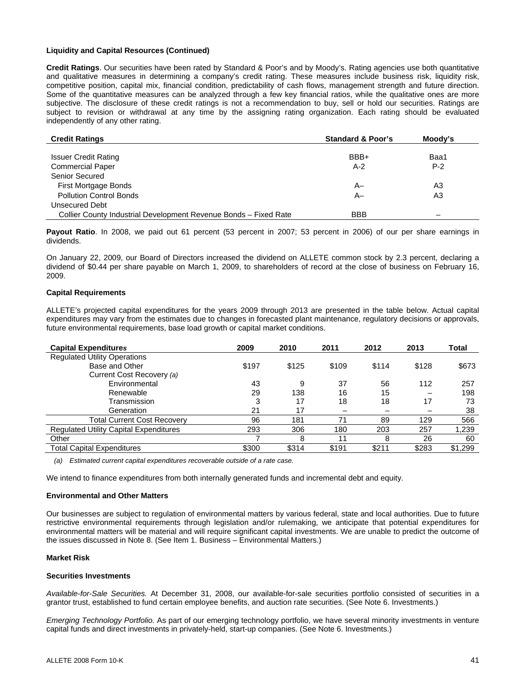## **Liquidity and Capital Resources (Continued)**

**Credit Ratings**. Our securities have been rated by Standard & Poor's and by Moody's. Rating agencies use both quantitative and qualitative measures in determining a company's credit rating. These measures include business risk, liquidity risk, competitive position, capital mix, financial condition, predictability of cash flows, management strength and future direction. Some of the quantitative measures can be analyzed through a few key financial ratios, while the qualitative ones are more subjective. The disclosure of these credit ratings is not a recommendation to buy, sell or hold our securities. Ratings are subject to revision or withdrawal at any time by the assigning rating organization. Each rating should be evaluated independently of any other rating.

| <b>Credit Ratings</b>                                            | <b>Standard &amp; Poor's</b> | Moody's |
|------------------------------------------------------------------|------------------------------|---------|
|                                                                  |                              |         |
| <b>Issuer Credit Rating</b>                                      | BBB+                         | Baa1    |
| <b>Commercial Paper</b>                                          | $A-2$                        | $P-2$   |
| <b>Senior Secured</b>                                            |                              |         |
| First Mortgage Bonds                                             | $A-$                         | A3      |
| <b>Pollution Control Bonds</b>                                   | $A-$                         | A3      |
| Unsecured Debt                                                   |                              |         |
| Collier County Industrial Development Revenue Bonds - Fixed Rate | <b>BBB</b>                   |         |

**Payout Ratio**. In 2008, we paid out 61 percent (53 percent in 2007; 53 percent in 2006) of our per share earnings in dividends.

On January 22, 2009, our Board of Directors increased the dividend on ALLETE common stock by 2.3 percent, declaring a dividend of \$0.44 per share payable on March 1, 2009, to shareholders of record at the close of business on February 16, 2009.

## **Capital Requirements**

ALLETE's projected capital expenditures for the years 2009 through 2013 are presented in the table below. Actual capital expenditures may vary from the estimates due to changes in forecasted plant maintenance, regulatory decisions or approvals, future environmental requirements, base load growth or capital market conditions.

| <b>Capital Expenditures</b>                   | 2009  | 2010  | 2011  | 2012  | 2013  | Total   |
|-----------------------------------------------|-------|-------|-------|-------|-------|---------|
| <b>Regulated Utility Operations</b>           |       |       |       |       |       |         |
| Base and Other                                | \$197 | \$125 | \$109 | \$114 | \$128 | \$673   |
| Current Cost Recovery (a)                     |       |       |       |       |       |         |
| Environmental                                 | 43    | 9     | 37    | 56    | 112   | 257     |
| Renewable                                     | 29    | 138   | 16    | 15    | -     | 198     |
| Transmission                                  | 3     | 17    | 18    | 18    | 17    | 73      |
| Generation                                    | 21    | 17    | -     |       |       | 38      |
| <b>Total Current Cost Recovery</b>            | 96    | 181   | 71    | 89    | 129   | 566     |
| <b>Regulated Utility Capital Expenditures</b> | 293   | 306   | 180   | 203   | 257   | 1,239   |
| Other                                         |       | 8     | 11    | 8     | 26    | 60      |
| <b>Total Capital Expenditures</b>             | \$300 | \$314 | \$191 | \$211 | \$283 | \$1,299 |

*(a) Estimated current capital expenditures recoverable outside of a rate case.*

We intend to finance expenditures from both internally generated funds and incremental debt and equity.

## **Environmental and Other Matters**

Our businesses are subject to regulation of environmental matters by various federal, state and local authorities. Due to future restrictive environmental requirements through legislation and/or rulemaking, we anticipate that potential expenditures for environmental matters will be material and will require significant capital investments. We are unable to predict the outcome of the issues discussed in Note 8. (See Item 1. Business – Environmental Matters.)

## **Market Risk**

## **Securities Investments**

*Available-for-Sale Securities.* At December 31, 2008, our available-for-sale securities portfolio consisted of securities in a grantor trust, established to fund certain employee benefits, and auction rate securities. (See Note 6. Investments.)

*Emerging Technology Portfolio.* As part of our emerging technology portfolio, we have several minority investments in venture capital funds and direct investments in privately-held, start-up companies. (See Note 6. Investments.)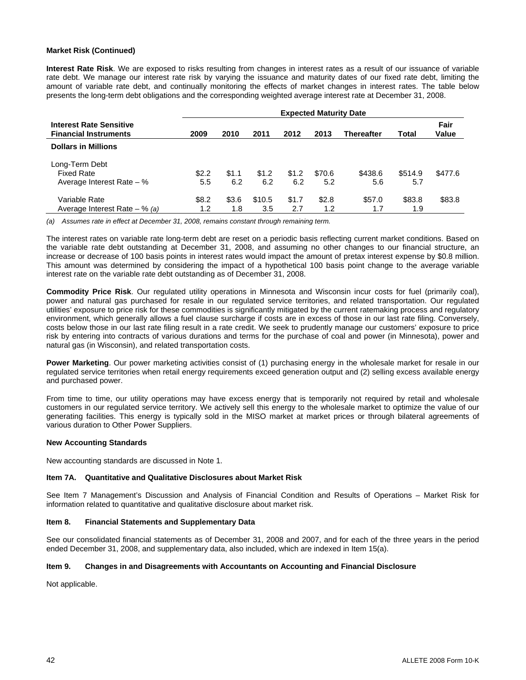## **Market Risk (Continued)**

**Interest Rate Risk**. We are exposed to risks resulting from changes in interest rates as a result of our issuance of variable rate debt. We manage our interest rate risk by varying the issuance and maturity dates of our fixed rate debt, limiting the amount of variable rate debt, and continually monitoring the effects of market changes in interest rates. The table below presents the long-term debt obligations and the corresponding weighted average interest rate at December 31, 2008.

|                                                                |       |       |        |       | <b>Expected Maturity Date</b> |                   |         |               |
|----------------------------------------------------------------|-------|-------|--------|-------|-------------------------------|-------------------|---------|---------------|
| <b>Interest Rate Sensitive</b><br><b>Financial Instruments</b> | 2009  | 2010  | 2011   | 2012  | 2013                          | <b>Thereafter</b> | Total   | Fair<br>Value |
| <b>Dollars in Millions</b>                                     |       |       |        |       |                               |                   |         |               |
| Long-Term Debt                                                 |       |       |        |       |                               |                   |         |               |
| <b>Fixed Rate</b>                                              | \$2.2 | \$1.1 | \$1.2  | \$1.2 | \$70.6                        | \$438.6           | \$514.9 | \$477.6       |
| Average Interest Rate $-$ %                                    | 5.5   | 6.2   | 6.2    | 6.2   | 5.2                           | 5.6               | 5.7     |               |
| Variable Rate                                                  | \$8.2 | \$3.6 | \$10.5 | \$1.7 | \$2.8                         | \$57.0            | \$83.8  | \$83.8        |
| Average Interest Rate $-$ % (a)                                | 1.2   | 1.8   | 3.5    | 2.7   | 1.2                           | 1.7               | 1.9     |               |

*(a) Assumes rate in effect at December 31, 2008, remains constant through remaining term.* 

The interest rates on variable rate long-term debt are reset on a periodic basis reflecting current market conditions. Based on the variable rate debt outstanding at December 31, 2008, and assuming no other changes to our financial structure, an increase or decrease of 100 basis points in interest rates would impact the amount of pretax interest expense by \$0.8 million. This amount was determined by considering the impact of a hypothetical 100 basis point change to the average variable interest rate on the variable rate debt outstanding as of December 31, 2008.

**Commodity Price Risk**. Our regulated utility operations in Minnesota and Wisconsin incur costs for fuel (primarily coal), power and natural gas purchased for resale in our regulated service territories, and related transportation. Our regulated utilities' exposure to price risk for these commodities is significantly mitigated by the current ratemaking process and regulatory environment, which generally allows a fuel clause surcharge if costs are in excess of those in our last rate filing. Conversely, costs below those in our last rate filing result in a rate credit. We seek to prudently manage our customers' exposure to price risk by entering into contracts of various durations and terms for the purchase of coal and power (in Minnesota), power and natural gas (in Wisconsin), and related transportation costs.

**Power Marketing**. Our power marketing activities consist of (1) purchasing energy in the wholesale market for resale in our regulated service territories when retail energy requirements exceed generation output and (2) selling excess available energy and purchased power.

From time to time, our utility operations may have excess energy that is temporarily not required by retail and wholesale customers in our regulated service territory. We actively sell this energy to the wholesale market to optimize the value of our generating facilities. This energy is typically sold in the MISO market at market prices or through bilateral agreements of various duration to Other Power Suppliers.

## **New Accounting Standards**

New accounting standards are discussed in Note 1.

## **Item 7A. Quantitative and Qualitative Disclosures about Market Risk**

See Item 7 Management's Discussion and Analysis of Financial Condition and Results of Operations – Market Risk for information related to quantitative and qualitative disclosure about market risk.

## **Item 8. Financial Statements and Supplementary Data**

See our consolidated financial statements as of December 31, 2008 and 2007, and for each of the three years in the period ended December 31, 2008, and supplementary data, also included, which are indexed in Item 15(a).

## **Item 9. Changes in and Disagreements with Accountants on Accounting and Financial Disclosure**

Not applicable.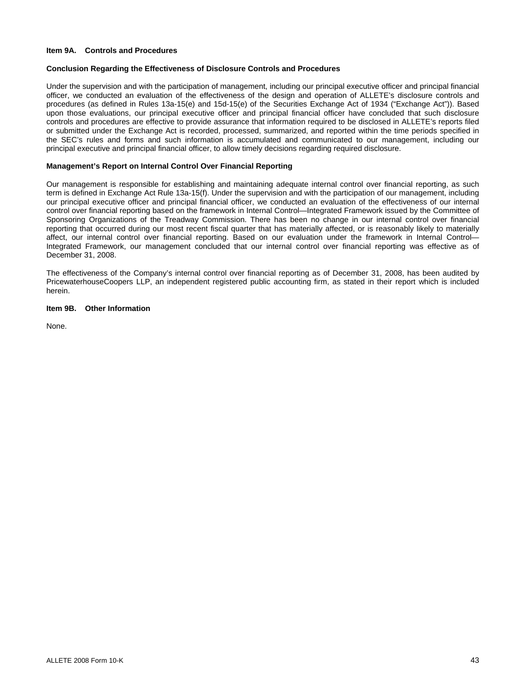## **Item 9A. Controls and Procedures**

## **Conclusion Regarding the Effectiveness of Disclosure Controls and Procedures**

Under the supervision and with the participation of management, including our principal executive officer and principal financial officer, we conducted an evaluation of the effectiveness of the design and operation of ALLETE's disclosure controls and procedures (as defined in Rules 13a-15(e) and 15d-15(e) of the Securities Exchange Act of 1934 ("Exchange Act")). Based upon those evaluations, our principal executive officer and principal financial officer have concluded that such disclosure controls and procedures are effective to provide assurance that information required to be disclosed in ALLETE's reports filed or submitted under the Exchange Act is recorded, processed, summarized, and reported within the time periods specified in the SEC's rules and forms and such information is accumulated and communicated to our management, including our principal executive and principal financial officer, to allow timely decisions regarding required disclosure.

## **Management's Report on Internal Control Over Financial Reporting**

Our management is responsible for establishing and maintaining adequate internal control over financial reporting, as such term is defined in Exchange Act Rule 13a-15(f). Under the supervision and with the participation of our management, including our principal executive officer and principal financial officer, we conducted an evaluation of the effectiveness of our internal control over financial reporting based on the framework in Internal Control—Integrated Framework issued by the Committee of Sponsoring Organizations of the Treadway Commission. There has been no change in our internal control over financial reporting that occurred during our most recent fiscal quarter that has materially affected, or is reasonably likely to materially affect, our internal control over financial reporting. Based on our evaluation under the framework in Internal Control— Integrated Framework, our management concluded that our internal control over financial reporting was effective as of December 31, 2008.

The effectiveness of the Company's internal control over financial reporting as of December 31, 2008, has been audited by PricewaterhouseCoopers LLP, an independent registered public accounting firm, as stated in their report which is included herein.

## **Item 9B. Other Information**

None.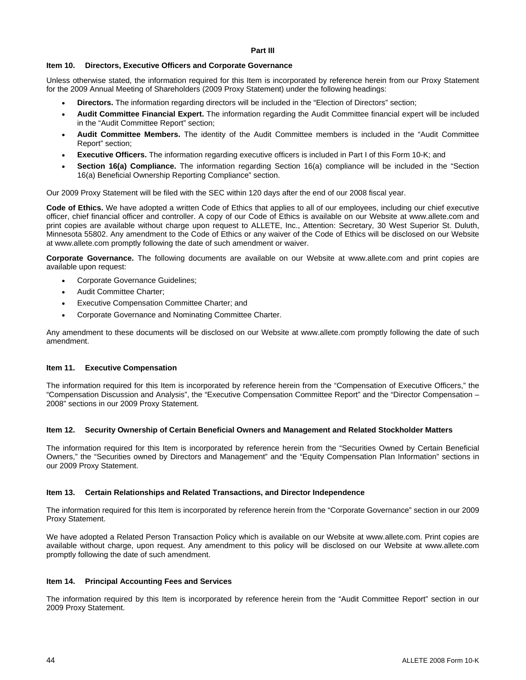## **Part III**

## **Item 10. Directors, Executive Officers and Corporate Governance**

Unless otherwise stated, the information required for this Item is incorporated by reference herein from our Proxy Statement for the 2009 Annual Meeting of Shareholders (2009 Proxy Statement) under the following headings:

- **Directors.** The information regarding directors will be included in the "Election of Directors" section;
- **Audit Committee Financial Expert.** The information regarding the Audit Committee financial expert will be included in the "Audit Committee Report" section;
- **Audit Committee Members.** The identity of the Audit Committee members is included in the "Audit Committee Report" section;
- **Executive Officers.** The information regarding executive officers is included in Part I of this Form 10-K; and
- **Section 16(a) Compliance.** The information regarding Section 16(a) compliance will be included in the "Section 16(a) Beneficial Ownership Reporting Compliance" section.

Our 2009 Proxy Statement will be filed with the SEC within 120 days after the end of our 2008 fiscal year.

**Code of Ethics.** We have adopted a written Code of Ethics that applies to all of our employees, including our chief executive officer, chief financial officer and controller. A copy of our Code of Ethics is available on our Website at www.allete.com and print copies are available without charge upon request to ALLETE, Inc., Attention: Secretary, 30 West Superior St. Duluth, Minnesota 55802. Any amendment to the Code of Ethics or any waiver of the Code of Ethics will be disclosed on our Website at www.allete.com promptly following the date of such amendment or waiver.

**Corporate Governance.** The following documents are available on our Website at www.allete.com and print copies are available upon request:

- Corporate Governance Guidelines;
- Audit Committee Charter;
- Executive Compensation Committee Charter; and
- Corporate Governance and Nominating Committee Charter.

Any amendment to these documents will be disclosed on our Website at www.allete.com promptly following the date of such amendment.

## **Item 11. Executive Compensation**

The information required for this Item is incorporated by reference herein from the "Compensation of Executive Officers," the "Compensation Discussion and Analysis", the "Executive Compensation Committee Report" and the "Director Compensation – 2008" sections in our 2009 Proxy Statement.

## **Item 12. Security Ownership of Certain Beneficial Owners and Management and Related Stockholder Matters**

The information required for this Item is incorporated by reference herein from the "Securities Owned by Certain Beneficial Owners," the "Securities owned by Directors and Management" and the "Equity Compensation Plan Information" sections in our 2009 Proxy Statement.

## **Item 13. Certain Relationships and Related Transactions, and Director Independence**

The information required for this Item is incorporated by reference herein from the "Corporate Governance" section in our 2009 Proxy Statement.

We have adopted a Related Person Transaction Policy which is available on our Website at www.allete.com. Print copies are available without charge, upon request. Any amendment to this policy will be disclosed on our Website at www.allete.com promptly following the date of such amendment.

## **Item 14. Principal Accounting Fees and Services**

The information required by this Item is incorporated by reference herein from the "Audit Committee Report" section in our 2009 Proxy Statement.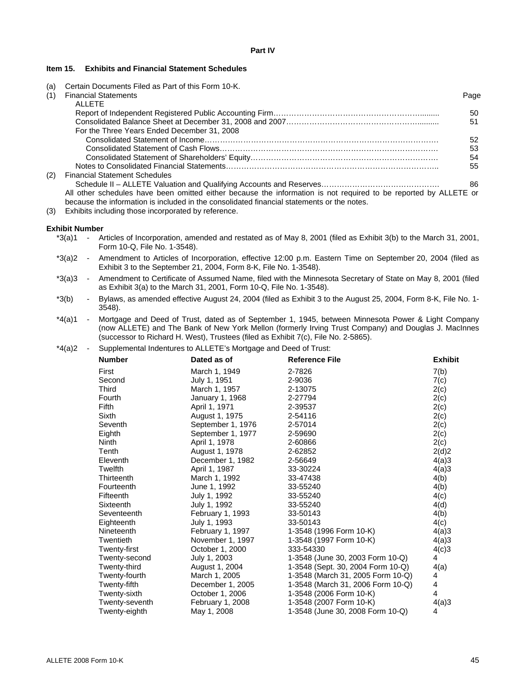## **Item 15. Exhibits and Financial Statement Schedules**

(a) Certain Documents Filed as Part of this Form 10-K.

| (1) | <b>Financial Statements</b>                                                                                                                                                                                    | Page |
|-----|----------------------------------------------------------------------------------------------------------------------------------------------------------------------------------------------------------------|------|
|     | ALLETE                                                                                                                                                                                                         |      |
|     |                                                                                                                                                                                                                | 50   |
|     |                                                                                                                                                                                                                | 51   |
|     | For the Three Years Ended December 31, 2008                                                                                                                                                                    |      |
|     |                                                                                                                                                                                                                | 52   |
|     |                                                                                                                                                                                                                | 53   |
|     |                                                                                                                                                                                                                | 54   |
|     |                                                                                                                                                                                                                | 55   |
| (2) | <b>Financial Statement Schedules</b>                                                                                                                                                                           |      |
|     |                                                                                                                                                                                                                | 86   |
|     | All other schedules have been omitted either because the information is not required to be reported by ALLETE or<br>because the information is included in the consolidated financial statements or the notes. |      |

(3) Exhibits including those incorporated by reference.

## **Exhibit Number**

- \*3(a)1 Articles of Incorporation, amended and restated as of May 8, 2001 (filed as Exhibit 3(b) to the March 31, 2001, Form 10-Q, File No. 1-3548).
- \*3(a)2 Amendment to Articles of Incorporation, effective 12:00 p.m. Eastern Time on September 20, 2004 (filed as Exhibit 3 to the September 21, 2004, Form 8-K, File No. 1-3548).
- \*3(a)3 Amendment to Certificate of Assumed Name, filed with the Minnesota Secretary of State on May 8, 2001 (filed as Exhibit 3(a) to the March 31, 2001, Form 10-Q, File No. 1-3548).
- \*3(b) Bylaws, as amended effective August 24, 2004 (filed as Exhibit 3 to the August 25, 2004, Form 8-K, File No. 1- 3548).
- \*4(a)1 Mortgage and Deed of Trust, dated as of September 1, 1945, between Minnesota Power & Light Company (now ALLETE) and The Bank of New York Mellon (formerly Irving Trust Company) and Douglas J. MacInnes (successor to Richard H. West), Trustees (filed as Exhibit 7(c), File No. 2-5865).
- \*4(a)2 Supplemental Indentures to ALLETE's Mortgage and Deed of Trust:

| <b>Number</b>  | Dated as of       | <b>Reference File</b>             | <b>Exhibit</b> |
|----------------|-------------------|-----------------------------------|----------------|
| First          | March 1, 1949     | 2-7826                            | 7(b)           |
| Second         | July 1, 1951      | 2-9036                            | 7(c)           |
| Third          | March 1, 1957     | 2-13075                           | 2(c)           |
| Fourth         | January 1, 1968   | 2-27794                           | 2(c)           |
| Fifth          | April 1, 1971     | 2-39537                           | 2(c)           |
| <b>Sixth</b>   | August 1, 1975    | 2-54116                           | 2(c)           |
| Seventh        | September 1, 1976 | 2-57014                           | 2(c)           |
| Eighth         | September 1, 1977 | 2-59690                           | 2(c)           |
| <b>Ninth</b>   | April 1, 1978     | 2-60866                           | 2(c)           |
| Tenth          | August 1, 1978    | 2-62852                           | 2(d)2          |
| Eleventh       | December 1, 1982  | 2-56649                           | 4(a)3          |
| Twelfth        | April 1, 1987     | 33-30224                          | 4(a)3          |
| Thirteenth     | March 1, 1992     | 33-47438                          | 4(b)           |
| Fourteenth     | June 1, 1992      | 33-55240                          | 4(b)           |
| Fifteenth      | July 1, 1992      | 33-55240                          | 4(c)           |
| Sixteenth      | July 1, 1992      | 33-55240                          | 4(d)           |
| Seventeenth    | February 1, 1993  | 33-50143                          | 4(b)           |
| Eighteenth     | July 1, 1993      | 33-50143                          | 4(c)           |
| Nineteenth     | February 1, 1997  | 1-3548 (1996 Form 10-K)           | 4(a)3          |
| Twentieth      | November 1, 1997  | 1-3548 (1997 Form 10-K)           | 4(a)3          |
| Twenty-first   | October 1, 2000   | 333-54330                         | 4(c)3          |
| Twenty-second  | July 1, 2003      | 1-3548 (June 30, 2003 Form 10-Q)  | 4              |
| Twenty-third   | August 1, 2004    | 1-3548 (Sept. 30, 2004 Form 10-Q) | 4(a)           |
| Twenty-fourth  | March 1, 2005     | 1-3548 (March 31, 2005 Form 10-Q) | 4              |
| Twenty-fifth   | December 1, 2005  | 1-3548 (March 31, 2006 Form 10-Q) | 4              |
| Twenty-sixth   | October 1, 2006   | 1-3548 (2006 Form 10-K)           | 4              |
| Twenty-seventh | February 1, 2008  | 1-3548 (2007 Form 10-K)           | 4(a)3          |
| Twenty-eighth  | May 1, 2008       | 1-3548 (June 30, 2008 Form 10-Q)  | 4              |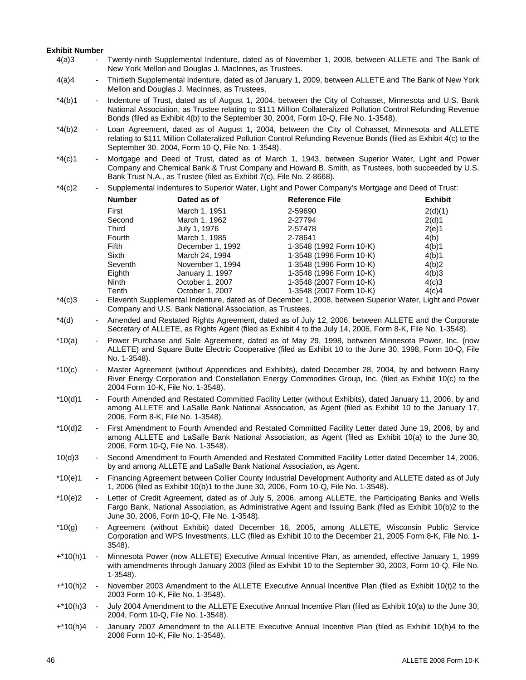## **Exhibit Number**

- 4(a)3 Twenty-ninth Supplemental Indenture, dated as of November 1, 2008, between ALLETE and The Bank of New York Mellon and Douglas J. MacInnes, as Trustees.
- 4(a)4 Thirtieth Supplemental Indenture, dated as of January 1, 2009, between ALLETE and The Bank of New York Mellon and Douglas J. MacInnes, as Trustees.
- \*4(b)1 Indenture of Trust, dated as of August 1, 2004, between the City of Cohasset, Minnesota and U.S. Bank National Association, as Trustee relating to \$111 Million Collateralized Pollution Control Refunding Revenue Bonds (filed as Exhibit 4(b) to the September 30, 2004, Form 10-Q, File No. 1-3548).
- \*4(b)2 Loan Agreement, dated as of August 1, 2004, between the City of Cohasset, Minnesota and ALLETE relating to \$111 Million Collateralized Pollution Control Refunding Revenue Bonds (filed as Exhibit 4(c) to the September 30, 2004, Form 10-Q, File No. 1-3548).
- \*4(c)1 Mortgage and Deed of Trust, dated as of March 1, 1943, between Superior Water, Light and Power Company and Chemical Bank & Trust Company and Howard B. Smith, as Trustees, both succeeded by U.S. Bank Trust N.A., as Trustee (filed as Exhibit 7(c), File No. 2-8668).
- \*4(c)2 Supplemental Indentures to Superior Water, Light and Power Company's Mortgage and Deed of Trust:

| <b>Number</b> | Dated as of      | <b>Reference File</b>   | <b>Exhibit</b> |
|---------------|------------------|-------------------------|----------------|
| First         | March 1, 1951    | 2-59690                 | 2(d)(1)        |
| Second        | March 1, 1962    | 2-27794                 | 2(d)1          |
| Third         | July 1, 1976     | 2-57478                 | 2(e)1          |
| Fourth        | March 1, 1985    | 2-78641                 | 4(b)           |
| Fifth         | December 1, 1992 | 1-3548 (1992 Form 10-K) | 4(b)1          |
| Sixth         | March 24, 1994   | 1-3548 (1996 Form 10-K) | 4(b)1          |
| Seventh       | November 1, 1994 | 1-3548 (1996 Form 10-K) | 4(b)2          |
| Eighth        | January 1, 1997  | 1-3548 (1996 Form 10-K) | 4(b)3          |
| Ninth         | October 1, 2007  | 1-3548 (2007 Form 10-K) | 4(c)3          |
| Tenth         | October 1, 2007  | 1-3548 (2007 Form 10-K) | 4(c)4          |
|               |                  |                         |                |

- \*4(c)3 Eleventh Supplemental Indenture, dated as of December 1, 2008, between Superior Water, Light and Power Company and U.S. Bank National Association, as Trustees.
- \*4(d) Amended and Restated Rights Agreement, dated as of July 12, 2006, between ALLETE and the Corporate Secretary of ALLETE, as Rights Agent (filed as Exhibit 4 to the July 14, 2006, Form 8-K, File No. 1-3548).
- \*10(a) Power Purchase and Sale Agreement, dated as of May 29, 1998, between Minnesota Power, Inc. (now ALLETE) and Square Butte Electric Cooperative (filed as Exhibit 10 to the June 30, 1998, Form 10-Q, File No. 1-3548).
- \*10(c) Master Agreement (without Appendices and Exhibits), dated December 28, 2004, by and between Rainy River Energy Corporation and Constellation Energy Commodities Group, Inc. (filed as Exhibit 10(c) to the 2004 Form 10-K, File No. 1-3548).
- \*10(d)1 Fourth Amended and Restated Committed Facility Letter (without Exhibits), dated January 11, 2006, by and among ALLETE and LaSalle Bank National Association, as Agent (filed as Exhibit 10 to the January 17, 2006, Form 8-K, File No. 1-3548).
- \*10(d)2 First Amendment to Fourth Amended and Restated Committed Facility Letter dated June 19, 2006, by and among ALLETE and LaSalle Bank National Association, as Agent (filed as Exhibit 10(a) to the June 30, 2006, Form 10-Q, File No. 1-3548).
- 10(d)3 Second Amendment to Fourth Amended and Restated Committed Facility Letter dated December 14, 2006, by and among ALLETE and LaSalle Bank National Association, as Agent.
- \*10(e)1 Financing Agreement between Collier County Industrial Development Authority and ALLETE dated as of July 1, 2006 (filed as Exhibit 10(b)1 to the June 30, 2006, Form 10-Q, File No. 1-3548).
- \*10(e)2 Letter of Credit Agreement, dated as of July 5, 2006, among ALLETE, the Participating Banks and Wells Fargo Bank, National Association, as Administrative Agent and Issuing Bank (filed as Exhibit 10(b)2 to the June 30, 2006, Form 10-Q, File No. 1-3548).
- \*10(g) Agreement (without Exhibit) dated December 16, 2005, among ALLETE, Wisconsin Public Service Corporation and WPS Investments, LLC (filed as Exhibit 10 to the December 21, 2005 Form 8-K, File No. 1- 3548).
- +\*10(h)1 Minnesota Power (now ALLETE) Executive Annual Incentive Plan, as amended, effective January 1, 1999 with amendments through January 2003 (filed as Exhibit 10 to the September 30, 2003, Form 10-Q, File No. 1-3548).
- +\*10(h)2 November 2003 Amendment to the ALLETE Executive Annual Incentive Plan (filed as Exhibit 10(t)2 to the 2003 Form 10-K, File No. 1-3548).
- +\*10(h)3 July 2004 Amendment to the ALLETE Executive Annual Incentive Plan (filed as Exhibit 10(a) to the June 30, 2004, Form 10-Q, File No. 1-3548).
- +\*10(h)4 January 2007 Amendment to the ALLETE Executive Annual Incentive Plan (filed as Exhibit 10(h)4 to the 2006 Form 10-K, File No. 1-3548).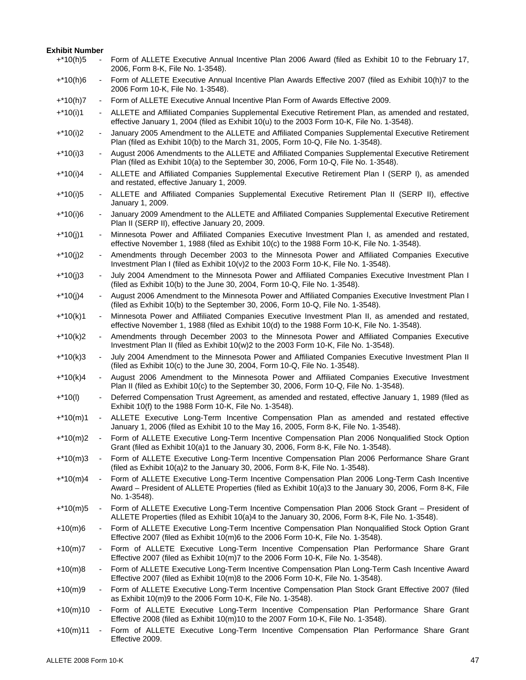## **Exhibit Number**

| $+*10(h)5$ |                          | Form of ALLETE Executive Annual Incentive Plan 2006 Award (filed as Exhibit 10 to the February 17,<br>2006, Form 8-K, File No. 1-3548).                                                                                 |
|------------|--------------------------|-------------------------------------------------------------------------------------------------------------------------------------------------------------------------------------------------------------------------|
| $+*10(h)6$ |                          | Form of ALLETE Executive Annual Incentive Plan Awards Effective 2007 (filed as Exhibit 10(h)7 to the<br>2006 Form 10-K, File No. 1-3548).                                                                               |
| $+*10(h)7$ |                          | Form of ALLETE Executive Annual Incentive Plan Form of Awards Effective 2009.                                                                                                                                           |
| $+*10(i)1$ |                          | ALLETE and Affiliated Companies Supplemental Executive Retirement Plan, as amended and restated,<br>effective January 1, 2004 (filed as Exhibit 10(u) to the 2003 Form 10-K, File No. 1-3548).                          |
| $+*10(i)2$ |                          | January 2005 Amendment to the ALLETE and Affiliated Companies Supplemental Executive Retirement<br>Plan (filed as Exhibit 10(b) to the March 31, 2005, Form 10-Q, File No. 1-3548).                                     |
| $+*10(i)3$ |                          | August 2006 Amendments to the ALLETE and Affiliated Companies Supplemental Executive Retirement<br>Plan (filed as Exhibit 10(a) to the September 30, 2006, Form 10-Q, File No. 1-3548).                                 |
| $+*10(i)4$ |                          | ALLETE and Affiliated Companies Supplemental Executive Retirement Plan I (SERP I), as amended<br>and restated, effective January 1, 2009.                                                                               |
| $+*10(i)5$ |                          | ALLETE and Affiliated Companies Supplemental Executive Retirement Plan II (SERP II), effective<br>January 1, 2009.                                                                                                      |
| $+*10(i)6$ |                          | January 2009 Amendment to the ALLETE and Affiliated Companies Supplemental Executive Retirement<br>Plan II (SERP II), effective January 20, 2009.                                                                       |
| $+*10(j)1$ |                          | Minnesota Power and Affiliated Companies Executive Investment Plan I, as amended and restated,<br>effective November 1, 1988 (filed as Exhibit 10(c) to the 1988 Form 10-K, File No. 1-3548).                           |
| $+*10(j)2$ |                          | Amendments through December 2003 to the Minnesota Power and Affiliated Companies Executive<br>Investment Plan I (filed as Exhibit 10(v)2 to the 2003 Form 10-K, File No. 1-3548).                                       |
| $+*10(j)3$ |                          | July 2004 Amendment to the Minnesota Power and Affiliated Companies Executive Investment Plan I<br>(filed as Exhibit 10(b) to the June 30, 2004, Form 10-Q, File No. 1-3548).                                           |
| $+*10(j)4$ |                          | August 2006 Amendment to the Minnesota Power and Affiliated Companies Executive Investment Plan I<br>(filed as Exhibit 10(b) to the September 30, 2006, Form 10-Q, File No. 1-3548).                                    |
| $+*10(k)1$ |                          | Minnesota Power and Affiliated Companies Executive Investment Plan II, as amended and restated,<br>effective November 1, 1988 (filed as Exhibit 10(d) to the 1988 Form 10-K, File No. 1-3548).                          |
| $+*10(k)2$ |                          | Amendments through December 2003 to the Minnesota Power and Affiliated Companies Executive<br>Investment Plan II (filed as Exhibit 10(w)2 to the 2003 Form 10-K, File No. 1-3548).                                      |
| $+*10(k)3$ |                          | July 2004 Amendment to the Minnesota Power and Affiliated Companies Executive Investment Plan II<br>(filed as Exhibit 10(c) to the June 30, 2004, Form 10-Q, File No. 1-3548).                                          |
| $+*10(k)4$ |                          | August 2006 Amendment to the Minnesota Power and Affiliated Companies Executive Investment<br>Plan II (filed as Exhibit 10(c) to the September 30, 2006, Form 10-Q, File No. 1-3548).                                   |
| $+*10(l)$  |                          | Deferred Compensation Trust Agreement, as amended and restated, effective January 1, 1989 (filed as<br>Exhibit 10(f) to the 1988 Form 10-K, File No. 1-3548).                                                           |
| $+*10(m)1$ |                          | ALLETE Executive Long-Term Incentive Compensation Plan as amended and restated effective<br>January 1, 2006 (filed as Exhibit 10 to the May 16, 2005, Form 8-K, File No. 1-3548).                                       |
| $+*10(m)2$ |                          | Form of ALLETE Executive Long-Term Incentive Compensation Plan 2006 Nonqualified Stock Option<br>Grant (filed as Exhibit 10(a)1 to the January 30, 2006, Form 8-K, File No. 1-3548).                                    |
| $+*10(m)3$ |                          | Form of ALLETE Executive Long-Term Incentive Compensation Plan 2006 Performance Share Grant<br>(filed as Exhibit 10(a)2 to the January 30, 2006, Form 8-K, File No. 1-3548).                                            |
| $+*10(m)4$ |                          | Form of ALLETE Executive Long-Term Incentive Compensation Plan 2006 Long-Term Cash Incentive<br>Award - President of ALLETE Properties (filed as Exhibit 10(a)3 to the January 30, 2006, Form 8-K, File<br>No. 1-3548). |
| $+*10(m)5$ |                          | Form of ALLETE Executive Long-Term Incentive Compensation Plan 2006 Stock Grant - President of<br>ALLETE Properties (filed as Exhibit 10(a)4 to the January 30, 2006, Form 8-K, File No. 1-3548).                       |
| $+10(m)6$  |                          | Form of ALLETE Executive Long-Term Incentive Compensation Plan Nonqualified Stock Option Grant<br>Effective 2007 (filed as Exhibit 10(m)6 to the 2006 Form 10-K, File No. 1-3548).                                      |
| $+10(m)7$  |                          | Form of ALLETE Executive Long-Term Incentive Compensation Plan Performance Share Grant<br>Effective 2007 (filed as Exhibit 10(m)7 to the 2006 Form 10-K, File No. 1-3548).                                              |
| $+10(m)8$  |                          | Form of ALLETE Executive Long-Term Incentive Compensation Plan Long-Term Cash Incentive Award<br>Effective 2007 (filed as Exhibit 10(m)8 to the 2006 Form 10-K, File No. 1-3548).                                       |
| $+10(m)9$  | $\overline{\phantom{a}}$ | Form of ALLETE Executive Long-Term Incentive Compensation Plan Stock Grant Effective 2007 (filed<br>as Exhibit 10(m)9 to the 2006 Form 10-K, File No. 1-3548).                                                          |
| $+10(m)10$ | $\blacksquare$           | Form of ALLETE Executive Long-Term Incentive Compensation Plan Performance Share Grant<br>Effective 2008 (filed as Exhibit 10(m)10 to the 2007 Form 10-K, File No. 1-3548).                                             |
| $+10(m)11$ | $\overline{\phantom{0}}$ | Form of ALLETE Executive Long-Term Incentive Compensation Plan Performance Share Grant<br>Effective 2009.                                                                                                               |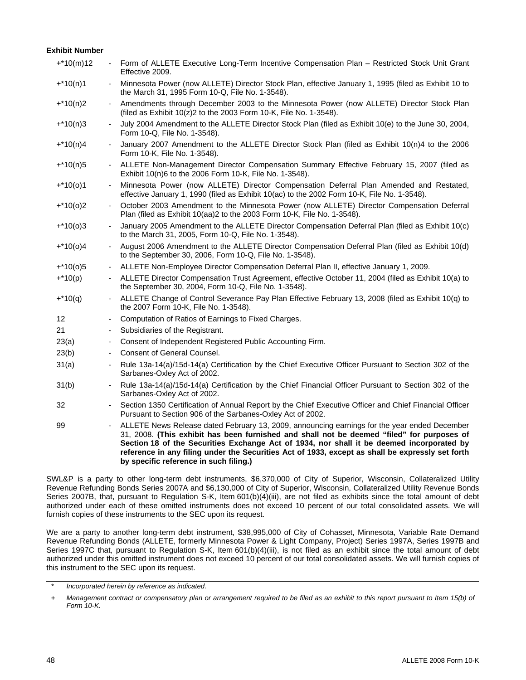## **Exhibit Number**

| $+*10(m)12$ |        | Form of ALLETE Executive Long-Term Incentive Compensation Plan - Restricted Stock Unit Grant<br>Effective 2009.                                                                                                                                                                                                                                                                                                                       |
|-------------|--------|---------------------------------------------------------------------------------------------------------------------------------------------------------------------------------------------------------------------------------------------------------------------------------------------------------------------------------------------------------------------------------------------------------------------------------------|
| $+*10(n)1$  |        | Minnesota Power (now ALLETE) Director Stock Plan, effective January 1, 1995 (filed as Exhibit 10 to<br>the March 31, 1995 Form 10-Q, File No. 1-3548).                                                                                                                                                                                                                                                                                |
| $+*10(n)2$  | $\sim$ | Amendments through December 2003 to the Minnesota Power (now ALLETE) Director Stock Plan<br>(filed as Exhibit 10(z)2 to the 2003 Form 10-K, File No. 1-3548).                                                                                                                                                                                                                                                                         |
| $+*10(n)3$  |        | July 2004 Amendment to the ALLETE Director Stock Plan (filed as Exhibit 10(e) to the June 30, 2004,<br>Form 10-Q, File No. 1-3548).                                                                                                                                                                                                                                                                                                   |
| $+*10(n)4$  |        | January 2007 Amendment to the ALLETE Director Stock Plan (filed as Exhibit 10(n)4 to the 2006<br>Form 10-K, File No. 1-3548).                                                                                                                                                                                                                                                                                                         |
| $+*10(n)5$  |        | ALLETE Non-Management Director Compensation Summary Effective February 15, 2007 (filed as<br>Exhibit 10(n)6 to the 2006 Form 10-K, File No. 1-3548).                                                                                                                                                                                                                                                                                  |
| $+*10(0)1$  |        | Minnesota Power (now ALLETE) Director Compensation Deferral Plan Amended and Restated,<br>effective January 1, 1990 (filed as Exhibit 10(ac) to the 2002 Form 10-K, File No. 1-3548).                                                                                                                                                                                                                                                 |
| $+*10(0)2$  |        | October 2003 Amendment to the Minnesota Power (now ALLETE) Director Compensation Deferral<br>Plan (filed as Exhibit 10(aa)2 to the 2003 Form 10-K, File No. 1-3548).                                                                                                                                                                                                                                                                  |
| $+*10(0)3$  |        | January 2005 Amendment to the ALLETE Director Compensation Deferral Plan (filed as Exhibit 10(c)<br>to the March 31, 2005, Form 10-Q, File No. 1-3548).                                                                                                                                                                                                                                                                               |
| $+*10(0)4$  |        | August 2006 Amendment to the ALLETE Director Compensation Deferral Plan (filed as Exhibit 10(d)<br>to the September 30, 2006, Form 10-Q, File No. 1-3548).                                                                                                                                                                                                                                                                            |
| $+*10(0)5$  |        | ALLETE Non-Employee Director Compensation Deferral Plan II, effective January 1, 2009.                                                                                                                                                                                                                                                                                                                                                |
| $+*10(p)$   |        | ALLETE Director Compensation Trust Agreement, effective October 11, 2004 (filed as Exhibit 10(a) to<br>the September 30, 2004, Form 10-Q, File No. 1-3548).                                                                                                                                                                                                                                                                           |
| $+*10(q)$   |        | ALLETE Change of Control Severance Pay Plan Effective February 13, 2008 (filed as Exhibit 10(q) to<br>the 2007 Form 10-K, File No. 1-3548).                                                                                                                                                                                                                                                                                           |
| 12          |        | Computation of Ratios of Earnings to Fixed Charges.                                                                                                                                                                                                                                                                                                                                                                                   |
| 21          |        | Subsidiaries of the Registrant.                                                                                                                                                                                                                                                                                                                                                                                                       |
| 23(a)       |        | Consent of Independent Registered Public Accounting Firm.                                                                                                                                                                                                                                                                                                                                                                             |
| 23(b)       |        | Consent of General Counsel.                                                                                                                                                                                                                                                                                                                                                                                                           |
| 31(a)       |        | Rule 13a-14(a)/15d-14(a) Certification by the Chief Executive Officer Pursuant to Section 302 of the<br>Sarbanes-Oxley Act of 2002.                                                                                                                                                                                                                                                                                                   |
| 31(b)       |        | Rule 13a-14(a)/15d-14(a) Certification by the Chief Financial Officer Pursuant to Section 302 of the<br>Sarbanes-Oxley Act of 2002.                                                                                                                                                                                                                                                                                                   |
| 32          |        | Section 1350 Certification of Annual Report by the Chief Executive Officer and Chief Financial Officer<br>Pursuant to Section 906 of the Sarbanes-Oxley Act of 2002.                                                                                                                                                                                                                                                                  |
| 99          |        | ALLETE News Release dated February 13, 2009, announcing earnings for the year ended December<br>31, 2008. (This exhibit has been furnished and shall not be deemed "filed" for purposes of<br>Section 18 of the Securities Exchange Act of 1934, nor shall it be deemed incorporated by<br>reference in any filing under the Securities Act of 1933, except as shall be expressly set forth<br>by specific reference in such filing.) |

SWL&P is a party to other long-term debt instruments, \$6,370,000 of City of Superior, Wisconsin, Collateralized Utility Revenue Refunding Bonds Series 2007A and \$6,130,000 of City of Superior, Wisconsin, Collateralized Utility Revenue Bonds Series 2007B, that, pursuant to Regulation S-K, Item 601(b)(4)(iii), are not filed as exhibits since the total amount of debt authorized under each of these omitted instruments does not exceed 10 percent of our total consolidated assets. We will furnish copies of these instruments to the SEC upon its request.

We are a party to another long-term debt instrument, \$38,995,000 of City of Cohasset, Minnesota, Variable Rate Demand Revenue Refunding Bonds (ALLETE, formerly Minnesota Power & Light Company, Project) Series 1997A, Series 1997B and Series 1997C that, pursuant to Regulation S-K, Item 601(b)(4)(iii), is not filed as an exhibit since the total amount of debt authorized under this omitted instrument does not exceed 10 percent of our total consolidated assets. We will furnish copies of this instrument to the SEC upon its request.

*<sup>\*</sup> Incorporated herein by reference as indicated.* 

*<sup>+</sup> Management contract or compensatory plan or arrangement required to be filed as an exhibit to this report pursuant to Item 15(b) of Form 10-K.*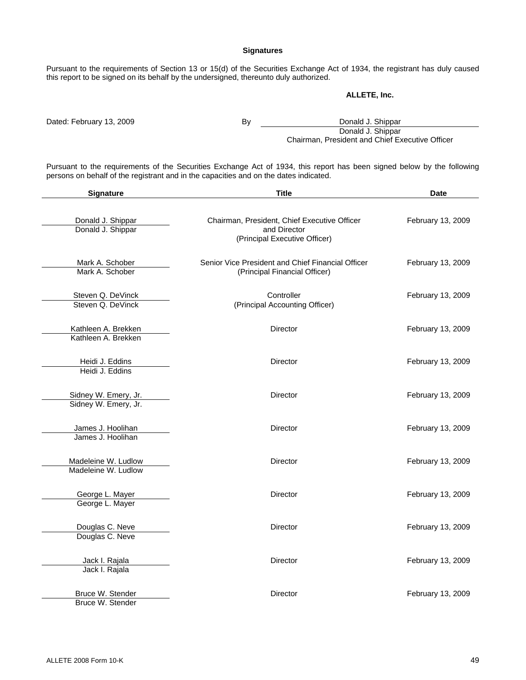## **Signatures**

Pursuant to the requirements of Section 13 or 15(d) of the Securities Exchange Act of 1934, the registrant has duly caused this report to be signed on its behalf by the undersigned, thereunto duly authorized.

## **ALLETE, Inc.**

Dated: February 13, 2009 By

Donald J. Shippar<br>Donald J. Shippar Chairman, President and Chief Executive Officer

Pursuant to the requirements of the Securities Exchange Act of 1934, this report has been signed below by the following persons on behalf of the registrant and in the capacities and on the dates indicated.

| <b>Signature</b>                             | Title                                                                                         | <b>Date</b>       |
|----------------------------------------------|-----------------------------------------------------------------------------------------------|-------------------|
| Donald J. Shippar<br>Donald J. Shippar       | Chairman, President, Chief Executive Officer<br>and Director<br>(Principal Executive Officer) | February 13, 2009 |
| Mark A. Schober<br>Mark A. Schober           | Senior Vice President and Chief Financial Officer<br>(Principal Financial Officer)            | February 13, 2009 |
| Steven Q. DeVinck<br>Steven Q. DeVinck       | Controller<br>(Principal Accounting Officer)                                                  | February 13, 2009 |
| Kathleen A. Brekken<br>Kathleen A. Brekken   | <b>Director</b>                                                                               | February 13, 2009 |
| Heidi J. Eddins<br>Heidi J. Eddins           | Director                                                                                      | February 13, 2009 |
| Sidney W. Emery, Jr.<br>Sidney W. Emery, Jr. | <b>Director</b>                                                                               | February 13, 2009 |
| James J. Hoolihan<br>James J. Hoolihan       | Director                                                                                      | February 13, 2009 |
| Madeleine W. Ludlow<br>Madeleine W. Ludlow   | <b>Director</b>                                                                               | February 13, 2009 |
| George L. Mayer<br>George L. Mayer           | Director                                                                                      | February 13, 2009 |
| Douglas C. Neve<br>Douglas C. Neve           | <b>Director</b>                                                                               | February 13, 2009 |
| Jack I. Rajala<br>Jack I. Rajala             | Director                                                                                      | February 13, 2009 |
| Bruce W. Stender<br>Bruce W. Stender         | Director                                                                                      | February 13, 2009 |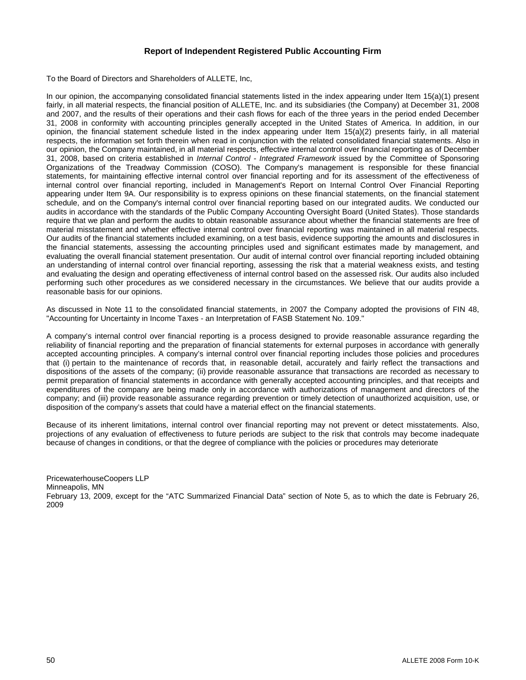## **Report of Independent Registered Public Accounting Firm**

To the Board of Directors and Shareholders of ALLETE, Inc,

In our opinion, the accompanying consolidated financial statements listed in the index appearing under Item 15(a)(1) present fairly, in all material respects, the financial position of ALLETE, Inc. and its subsidiaries (the Company) at December 31, 2008 and 2007, and the results of their operations and their cash flows for each of the three years in the period ended December 31, 2008 in conformity with accounting principles generally accepted in the United States of America. In addition, in our opinion, the financial statement schedule listed in the index appearing under Item  $15(a)(2)$  presents fairly, in all material respects, the information set forth therein when read in conjunction with the related consolidated financial statements. Also in our opinion, the Company maintained, in all material respects, effective internal control over financial reporting as of December 31, 2008, based on criteria established in *Internal Control - Integrated Framework* issued by the Committee of Sponsoring Organizations of the Treadway Commission (COSO). The Company's management is responsible for these financial statements, for maintaining effective internal control over financial reporting and for its assessment of the effectiveness of internal control over financial reporting, included in Management's Report on Internal Control Over Financial Reporting appearing under Item 9A. Our responsibility is to express opinions on these financial statements, on the financial statement schedule, and on the Company's internal control over financial reporting based on our integrated audits. We conducted our audits in accordance with the standards of the Public Company Accounting Oversight Board (United States). Those standards require that we plan and perform the audits to obtain reasonable assurance about whether the financial statements are free of material misstatement and whether effective internal control over financial reporting was maintained in all material respects. Our audits of the financial statements included examining, on a test basis, evidence supporting the amounts and disclosures in the financial statements, assessing the accounting principles used and significant estimates made by management, and evaluating the overall financial statement presentation. Our audit of internal control over financial reporting included obtaining an understanding of internal control over financial reporting, assessing the risk that a material weakness exists, and testing and evaluating the design and operating effectiveness of internal control based on the assessed risk. Our audits also included performing such other procedures as we considered necessary in the circumstances. We believe that our audits provide a reasonable basis for our opinions.

As discussed in Note 11 to the consolidated financial statements, in 2007 the Company adopted the provisions of FIN 48, "Accounting for Uncertainty in Income Taxes - an Interpretation of FASB Statement No. 109."

A company's internal control over financial reporting is a process designed to provide reasonable assurance regarding the reliability of financial reporting and the preparation of financial statements for external purposes in accordance with generally accepted accounting principles. A company's internal control over financial reporting includes those policies and procedures that (i) pertain to the maintenance of records that, in reasonable detail, accurately and fairly reflect the transactions and dispositions of the assets of the company; (ii) provide reasonable assurance that transactions are recorded as necessary to permit preparation of financial statements in accordance with generally accepted accounting principles, and that receipts and expenditures of the company are being made only in accordance with authorizations of management and directors of the company; and (iii) provide reasonable assurance regarding prevention or timely detection of unauthorized acquisition, use, or disposition of the company's assets that could have a material effect on the financial statements.

Because of its inherent limitations, internal control over financial reporting may not prevent or detect misstatements. Also, projections of any evaluation of effectiveness to future periods are subject to the risk that controls may become inadequate because of changes in conditions, or that the degree of compliance with the policies or procedures may deteriorate

PricewaterhouseCoopers LLP Minneapolis, MN February 13, 2009, except for the "ATC Summarized Financial Data" section of Note 5, as to which the date is February 26, 2009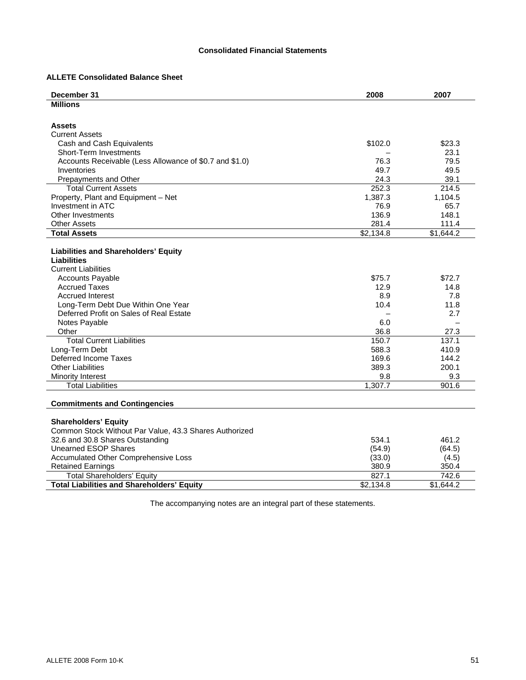## **Consolidated Financial Statements**

## **ALLETE Consolidated Balance Sheet**

| December 31                                             | 2008      | 2007      |
|---------------------------------------------------------|-----------|-----------|
| <b>Millions</b>                                         |           |           |
|                                                         |           |           |
| <b>Assets</b>                                           |           |           |
| <b>Current Assets</b>                                   |           |           |
| Cash and Cash Equivalents                               | \$102.0   | \$23.3    |
| <b>Short-Term Investments</b>                           |           | 23.1      |
| Accounts Receivable (Less Allowance of \$0.7 and \$1.0) | 76.3      | 79.5      |
| Inventories                                             | 49.7      | 49.5      |
| Prepayments and Other                                   | 24.3      | 39.1      |
| <b>Total Current Assets</b>                             | 252.3     | 214.5     |
| Property, Plant and Equipment - Net                     | 1,387.3   | 1,104.5   |
| Investment in ATC                                       | 76.9      | 65.7      |
| <b>Other Investments</b>                                | 136.9     | 148.1     |
| <b>Other Assets</b>                                     | 281.4     | 111.4     |
| <b>Total Assets</b>                                     | \$2,134.8 | \$1,644.2 |
|                                                         |           |           |
| <b>Liabilities and Shareholders' Equity</b>             |           |           |
| Liabilities                                             |           |           |
| <b>Current Liabilities</b>                              |           |           |
| <b>Accounts Payable</b>                                 | \$75.7    | \$72.7    |
| <b>Accrued Taxes</b>                                    | 12.9      | 14.8      |
| <b>Accrued Interest</b>                                 | 8.9       | 7.8       |
| Long-Term Debt Due Within One Year                      | 10.4      | 11.8      |
| Deferred Profit on Sales of Real Estate                 |           | 2.7       |
| Notes Payable                                           | 6.0       |           |
| Other                                                   | 36.8      | 27.3      |
| <b>Total Current Liabilities</b>                        | 150.7     | 137.1     |
| Long-Term Debt                                          | 588.3     | 410.9     |
| Deferred Income Taxes                                   | 169.6     | 144.2     |
| <b>Other Liabilities</b>                                | 389.3     | 200.1     |
| <b>Minority Interest</b>                                | 9.8       | 9.3       |
| <b>Total Liabilities</b>                                | 1,307.7   | 901.6     |
|                                                         |           |           |
| <b>Commitments and Contingencies</b>                    |           |           |
|                                                         |           |           |
| <b>Shareholders' Equity</b>                             |           |           |
| Common Stock Without Par Value, 43.3 Shares Authorized  |           |           |
| 32.6 and 30.8 Shares Outstanding                        | 534.1     | 461.2     |
| <b>Unearned ESOP Shares</b>                             | (54.9)    | (64.5)    |
| Accumulated Other Comprehensive Loss                    | (33.0)    | (4.5)     |
| <b>Retained Earnings</b>                                | 380.9     | 350.4     |
| <b>Total Shareholders' Equity</b>                       | 827.1     | 742.6     |
| <b>Total Liabilities and Shareholders' Equity</b>       | \$2,134.8 | \$1,644.2 |
|                                                         |           |           |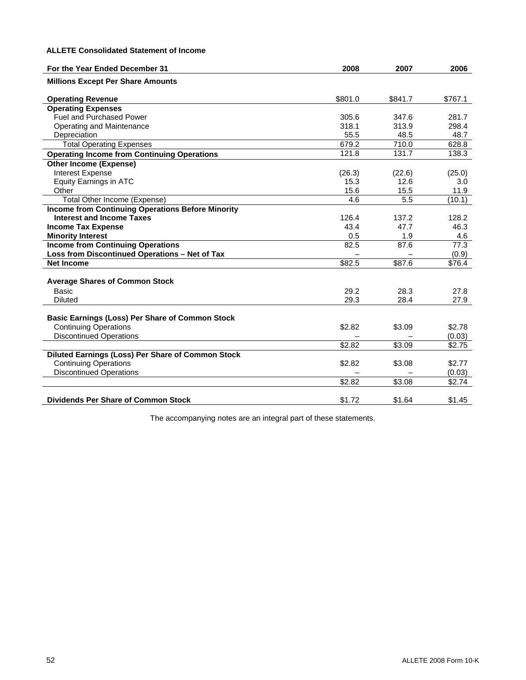## **ALLETE Consolidated Statement of Income**

| For the Year Ended December 31                           | 2008           | 2007    | 2006    |
|----------------------------------------------------------|----------------|---------|---------|
| <b>Millions Except Per Share Amounts</b>                 |                |         |         |
| <b>Operating Revenue</b>                                 | \$801.0        | \$841.7 | \$767.1 |
| <b>Operating Expenses</b>                                |                |         |         |
| <b>Fuel and Purchased Power</b>                          | 305.6          | 347.6   | 281.7   |
| Operating and Maintenance                                | 318.1          | 313.9   | 298.4   |
| Depreciation                                             | 55.5           | 48.5    | 48.7    |
| <b>Total Operating Expenses</b>                          | 679.2          | 710.0   | 628.8   |
| <b>Operating Income from Continuing Operations</b>       | 121.8          | 131.7   | 138.3   |
| <b>Other Income (Expense)</b>                            |                |         |         |
| <b>Interest Expense</b>                                  | (26.3)         | (22.6)  | (25.0)  |
| <b>Equity Earnings in ATC</b>                            | 15.3           | 12.6    | 3.0     |
| Other                                                    | 15.6           | 15.5    | 11.9    |
| Total Other Income (Expense)                             | 4.6            | 5.5     | (10.1)  |
| <b>Income from Continuing Operations Before Minority</b> |                |         |         |
| <b>Interest and Income Taxes</b>                         | 126.4          | 137.2   | 128.2   |
| <b>Income Tax Expense</b>                                | 43.4           | 47.7    | 46.3    |
| <b>Minority Interest</b>                                 | 0.5            | 1.9     | 4.6     |
| <b>Income from Continuing Operations</b>                 | 82.5           | 87.6    | 77.3    |
| Loss from Discontinued Operations - Net of Tax           |                |         | (0.9)   |
| <b>Net Income</b>                                        | \$82.5         | \$87.6  | \$76.4  |
|                                                          |                |         |         |
| <b>Average Shares of Common Stock</b>                    |                |         |         |
| <b>Basic</b>                                             | 29.2           | 28.3    | 27.8    |
| <b>Diluted</b>                                           | 29.3           | 28.4    | 27.9    |
| <b>Basic Earnings (Loss) Per Share of Common Stock</b>   |                |         |         |
| <b>Continuing Operations</b>                             | \$2.82         | \$3.09  | \$2.78  |
| <b>Discontinued Operations</b>                           |                |         | (0.03)  |
|                                                          | $\sqrt{$2.82}$ | \$3.09  | \$2.75  |
| Diluted Earnings (Loss) Per Share of Common Stock        |                |         |         |
| <b>Continuing Operations</b>                             | \$2.82         | \$3.08  | \$2.77  |
| <b>Discontinued Operations</b>                           |                |         | (0.03)  |
|                                                          | \$2.82         | \$3.08  | \$2.74  |
|                                                          |                |         |         |
| <b>Dividends Per Share of Common Stock</b>               | \$1.72         | \$1.64  | \$1.45  |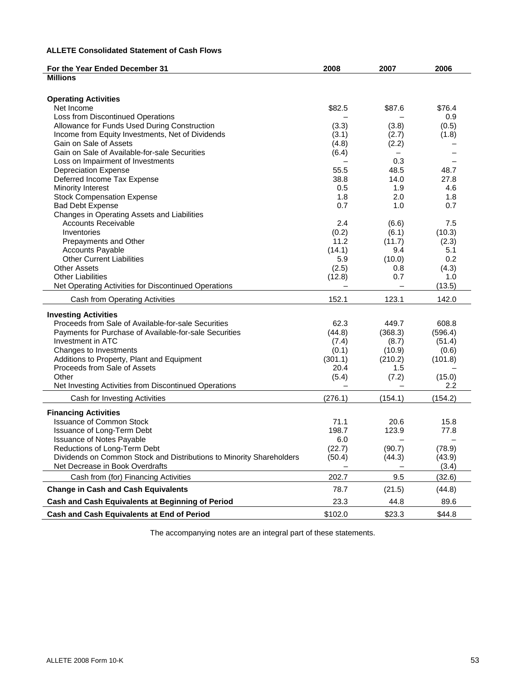## **ALLETE Consolidated Statement of Cash Flows**

| For the Year Ended December 31                                       | 2008                     | 2007                     | 2006    |
|----------------------------------------------------------------------|--------------------------|--------------------------|---------|
| <b>Millions</b>                                                      |                          |                          |         |
|                                                                      |                          |                          |         |
| <b>Operating Activities</b>                                          |                          |                          |         |
| Net Income                                                           | \$82.5                   | \$87.6                   | \$76.4  |
| Loss from Discontinued Operations                                    |                          |                          | 0.9     |
| Allowance for Funds Used During Construction                         | (3.3)                    | (3.8)                    | (0.5)   |
| Income from Equity Investments, Net of Dividends                     | (3.1)                    | (2.7)                    | (1.8)   |
| Gain on Sale of Assets                                               | (4.8)                    | (2.2)                    |         |
| Gain on Sale of Available-for-sale Securities                        | (6.4)                    |                          |         |
| Loss on Impairment of Investments                                    |                          | 0.3                      |         |
| <b>Depreciation Expense</b>                                          | 55.5                     | 48.5                     | 48.7    |
| Deferred Income Tax Expense                                          | 38.8                     | 14.0                     | 27.8    |
| Minority Interest                                                    | 0.5                      | 1.9                      | 4.6     |
| <b>Stock Compensation Expense</b>                                    | 1.8                      | 2.0                      | 1.8     |
| <b>Bad Debt Expense</b>                                              | 0.7                      | 1.0                      | 0.7     |
| Changes in Operating Assets and Liabilities                          |                          |                          |         |
| <b>Accounts Receivable</b>                                           | 2.4                      | (6.6)                    | 7.5     |
| Inventories                                                          | (0.2)                    | (6.1)                    | (10.3)  |
| Prepayments and Other                                                | 11.2                     | (11.7)                   | (2.3)   |
| <b>Accounts Payable</b>                                              | (14.1)                   | 9.4                      | 5.1     |
| <b>Other Current Liabilities</b>                                     | 5.9                      | (10.0)                   | 0.2     |
| <b>Other Assets</b>                                                  | (2.5)                    | 0.8                      | (4.3)   |
| <b>Other Liabilities</b>                                             | (12.8)                   | 0.7                      | 1.0     |
| Net Operating Activities for Discontinued Operations                 | $\overline{\phantom{0}}$ | $\overline{\phantom{0}}$ | (13.5)  |
| Cash from Operating Activities                                       | 152.1                    | 123.1                    | 142.0   |
|                                                                      |                          |                          |         |
| <b>Investing Activities</b>                                          |                          |                          |         |
| Proceeds from Sale of Available-for-sale Securities                  | 62.3                     | 449.7                    | 608.8   |
| Payments for Purchase of Available-for-sale Securities               | (44.8)                   | (368.3)                  | (596.4) |
| Investment in ATC                                                    | (7.4)                    | (8.7)                    | (51.4)  |
| Changes to Investments                                               | (0.1)                    | (10.9)                   | (0.6)   |
| Additions to Property, Plant and Equipment                           | (301.1)                  | (210.2)                  | (101.8) |
| Proceeds from Sale of Assets                                         | 20.4                     | 1.5                      |         |
| Other                                                                | (5.4)                    | (7.2)                    | (15.0)  |
| Net Investing Activities from Discontinued Operations                |                          |                          | 2.2     |
| Cash for Investing Activities                                        | (276.1)                  | (154.1)                  | (154.2) |
| <b>Financing Activities</b>                                          |                          |                          |         |
| <b>Issuance of Common Stock</b>                                      | 71.1                     | 20.6                     | 15.8    |
| Issuance of Long-Term Debt                                           | 198.7                    | 123.9                    | 77.8    |
| Issuance of Notes Payable                                            | 6.0                      |                          |         |
|                                                                      | (22.7)                   | (90.7)                   | (78.9)  |
| Reductions of Long-Term Debt                                         |                          |                          |         |
| Dividends on Common Stock and Distributions to Minority Shareholders | (50.4)                   | (44.3)                   | (43.9)  |
| Net Decrease in Book Overdrafts                                      |                          |                          | (3.4)   |
| Cash from (for) Financing Activities                                 | 202.7                    | 9.5                      | (32.6)  |
| <b>Change in Cash and Cash Equivalents</b>                           | 78.7                     | (21.5)                   | (44.8)  |
| Cash and Cash Equivalents at Beginning of Period                     | 23.3                     | 44.8                     | 89.6    |
| Cash and Cash Equivalents at End of Period                           | \$102.0                  | \$23.3                   | \$44.8  |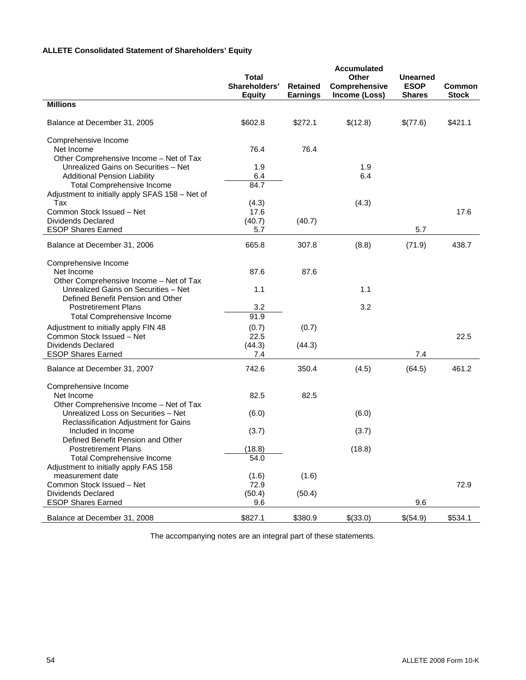## **ALLETE Consolidated Statement of Shareholders' Equity**

|                                                                                                                  | Total<br>Shareholders'<br><b>Equity</b> | <b>Retained</b><br><b>Earnings</b> | <b>Accumulated</b><br>Other<br>Comprehensive<br>Income (Loss) | <b>Unearned</b><br><b>ESOP</b><br><b>Shares</b> | <b>Common</b><br><b>Stock</b> |
|------------------------------------------------------------------------------------------------------------------|-----------------------------------------|------------------------------------|---------------------------------------------------------------|-------------------------------------------------|-------------------------------|
| <b>Millions</b>                                                                                                  |                                         |                                    |                                                               |                                                 |                               |
| Balance at December 31, 2005                                                                                     | \$602.8                                 | \$272.1                            | \$(12.8)                                                      | \$(77.6)                                        | \$421.1                       |
| Comprehensive Income<br>Net Income<br>Other Comprehensive Income - Net of Tax                                    | 76.4                                    | 76.4                               |                                                               |                                                 |                               |
| Unrealized Gains on Securities - Net<br><b>Additional Pension Liability</b><br><b>Total Comprehensive Income</b> | 1.9<br>6.4<br>84.7                      |                                    | 1.9<br>6.4                                                    |                                                 |                               |
| Adjustment to initially apply SFAS 158 - Net of<br>Tax<br>Common Stock Issued - Net<br>Dividends Declared        | (4.3)<br>17.6                           |                                    | (4.3)                                                         |                                                 | 17.6                          |
| <b>ESOP Shares Earned</b>                                                                                        | (40.7)<br>5.7                           | (40.7)                             |                                                               | 5.7                                             |                               |
| Balance at December 31, 2006                                                                                     | 665.8                                   | 307.8                              | (8.8)                                                         | (71.9)                                          | 438.7                         |
| Comprehensive Income<br>Net Income<br>Other Comprehensive Income - Net of Tax                                    | 87.6                                    | 87.6                               |                                                               |                                                 |                               |
| Unrealized Gains on Securities - Net<br>Defined Benefit Pension and Other                                        | 1.1                                     |                                    | 1.1                                                           |                                                 |                               |
| <b>Postretirement Plans</b>                                                                                      | 3.2                                     |                                    | 3.2                                                           |                                                 |                               |
| <b>Total Comprehensive Income</b>                                                                                | 91.9                                    |                                    |                                                               |                                                 |                               |
| Adjustment to initially apply FIN 48<br>Common Stock Issued - Net                                                | (0.7)<br>22.5                           | (0.7)                              |                                                               |                                                 | 22.5                          |
| <b>Dividends Declared</b><br><b>ESOP Shares Earned</b>                                                           | (44.3)<br>7.4                           | (44.3)                             |                                                               | 7.4                                             |                               |
| Balance at December 31, 2007                                                                                     | 742.6                                   | 350.4                              | (4.5)                                                         | (64.5)                                          | 461.2                         |
| Comprehensive Income<br>Net Income<br>Other Comprehensive Income - Net of Tax                                    | 82.5                                    | 82.5                               |                                                               |                                                 |                               |
| Unrealized Loss on Securities - Net<br>Reclassification Adjustment for Gains                                     | (6.0)                                   |                                    | (6.0)                                                         |                                                 |                               |
| Included in Income<br>Defined Benefit Pension and Other                                                          | (3.7)                                   |                                    | (3.7)                                                         |                                                 |                               |
| Postretirement Plans<br><b>Total Comprehensive Income</b><br>Adjustment to initially apply FAS 158               | (18.8)<br>54.0                          |                                    | (18.8)                                                        |                                                 |                               |
| measurement date<br>Common Stock Issued - Net                                                                    | (1.6)<br>72.9                           | (1.6)                              |                                                               |                                                 | 72.9                          |
| <b>Dividends Declared</b><br><b>ESOP Shares Earned</b>                                                           | (50.4)<br>9.6                           | (50.4)                             |                                                               | 9.6                                             |                               |
| Balance at December 31, 2008                                                                                     | \$827.1                                 | \$380.9                            | \$(33.0)                                                      | \$(54.9)                                        | \$534.1                       |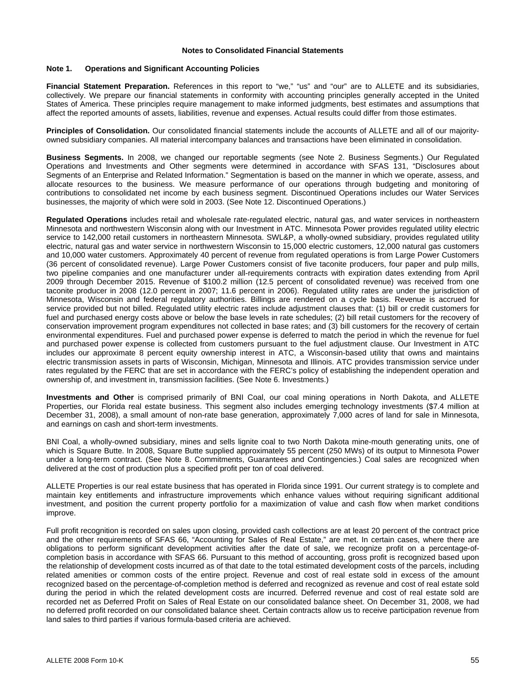## **Notes to Consolidated Financial Statements**

## **Note 1. Operations and Significant Accounting Policies**

**Financial Statement Preparation.** References in this report to "we," "us" and "our" are to ALLETE and its subsidiaries, collectively. We prepare our financial statements in conformity with accounting principles generally accepted in the United States of America. These principles require management to make informed judgments, best estimates and assumptions that affect the reported amounts of assets, liabilities, revenue and expenses. Actual results could differ from those estimates.

**Principles of Consolidation.** Our consolidated financial statements include the accounts of ALLETE and all of our majorityowned subsidiary companies. All material intercompany balances and transactions have been eliminated in consolidation.

**Business Segments.** In 2008, we changed our reportable segments (see Note 2. Business Segments.) Our Regulated Operations and Investments and Other segments were determined in accordance with SFAS 131, "Disclosures about Segments of an Enterprise and Related Information." Segmentation is based on the manner in which we operate, assess, and allocate resources to the business. We measure performance of our operations through budgeting and monitoring of contributions to consolidated net income by each business segment. Discontinued Operations includes our Water Services businesses, the majority of which were sold in 2003. (See Note 12. Discontinued Operations.)

**Regulated Operations** includes retail and wholesale rate-regulated electric, natural gas, and water services in northeastern Minnesota and northwestern Wisconsin along with our Investment in ATC. Minnesota Power provides regulated utility electric service to 142,000 retail customers in northeastern Minnesota. SWL&P, a wholly-owned subsidiary, provides regulated utility electric, natural gas and water service in northwestern Wisconsin to 15,000 electric customers, 12,000 natural gas customers and 10,000 water customers. Approximately 40 percent of revenue from regulated operations is from Large Power Customers (36 percent of consolidated revenue). Large Power Customers consist of five taconite producers, four paper and pulp mills, two pipeline companies and one manufacturer under all-requirements contracts with expiration dates extending from April 2009 through December 2015. Revenue of \$100.2 million (12.5 percent of consolidated revenue) was received from one taconite producer in 2008 (12.0 percent in 2007; 11.6 percent in 2006). Regulated utility rates are under the jurisdiction of Minnesota, Wisconsin and federal regulatory authorities. Billings are rendered on a cycle basis. Revenue is accrued for service provided but not billed. Regulated utility electric rates include adjustment clauses that: (1) bill or credit customers for fuel and purchased energy costs above or below the base levels in rate schedules; (2) bill retail customers for the recovery of conservation improvement program expenditures not collected in base rates; and (3) bill customers for the recovery of certain environmental expenditures. Fuel and purchased power expense is deferred to match the period in which the revenue for fuel and purchased power expense is collected from customers pursuant to the fuel adjustment clause. Our Investment in ATC includes our approximate 8 percent equity ownership interest in ATC, a Wisconsin-based utility that owns and maintains electric transmission assets in parts of Wisconsin, Michigan, Minnesota and Illinois. ATC provides transmission service under rates regulated by the FERC that are set in accordance with the FERC's policy of establishing the independent operation and ownership of, and investment in, transmission facilities. (See Note 6. Investments.)

**Investments and Other** is comprised primarily of BNI Coal, our coal mining operations in North Dakota, and ALLETE Properties, our Florida real estate business. This segment also includes emerging technology investments (\$7.4 million at December 31, 2008), a small amount of non-rate base generation, approximately 7,000 acres of land for sale in Minnesota, and earnings on cash and short-term investments.

BNI Coal, a wholly-owned subsidiary, mines and sells lignite coal to two North Dakota mine-mouth generating units, one of which is Square Butte. In 2008, Square Butte supplied approximately 55 percent (250 MWs) of its output to Minnesota Power under a long-term contract. (See Note 8. Commitments, Guarantees and Contingencies.) Coal sales are recognized when delivered at the cost of production plus a specified profit per ton of coal delivered.

ALLETE Properties is our real estate business that has operated in Florida since 1991. Our current strategy is to complete and maintain key entitlements and infrastructure improvements which enhance values without requiring significant additional investment, and position the current property portfolio for a maximization of value and cash flow when market conditions improve.

Full profit recognition is recorded on sales upon closing, provided cash collections are at least 20 percent of the contract price and the other requirements of SFAS 66, "Accounting for Sales of Real Estate," are met. In certain cases, where there are obligations to perform significant development activities after the date of sale, we recognize profit on a percentage-ofcompletion basis in accordance with SFAS 66. Pursuant to this method of accounting, gross profit is recognized based upon the relationship of development costs incurred as of that date to the total estimated development costs of the parcels, including related amenities or common costs of the entire project. Revenue and cost of real estate sold in excess of the amount recognized based on the percentage-of-completion method is deferred and recognized as revenue and cost of real estate sold during the period in which the related development costs are incurred. Deferred revenue and cost of real estate sold are recorded net as Deferred Profit on Sales of Real Estate on our consolidated balance sheet. On December 31, 2008, we had no deferred profit recorded on our consolidated balance sheet. Certain contracts allow us to receive participation revenue from land sales to third parties if various formula-based criteria are achieved.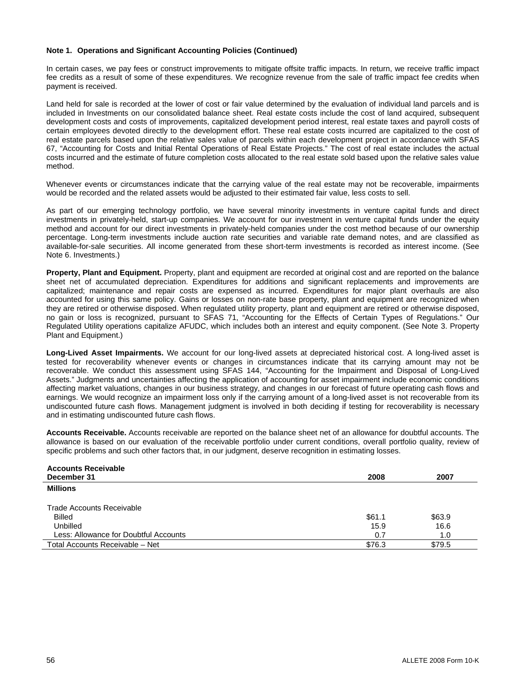In certain cases, we pay fees or construct improvements to mitigate offsite traffic impacts. In return, we receive traffic impact fee credits as a result of some of these expenditures. We recognize revenue from the sale of traffic impact fee credits when payment is received.

Land held for sale is recorded at the lower of cost or fair value determined by the evaluation of individual land parcels and is included in Investments on our consolidated balance sheet. Real estate costs include the cost of land acquired, subsequent development costs and costs of improvements, capitalized development period interest, real estate taxes and payroll costs of certain employees devoted directly to the development effort. These real estate costs incurred are capitalized to the cost of real estate parcels based upon the relative sales value of parcels within each development project in accordance with SFAS 67, "Accounting for Costs and Initial Rental Operations of Real Estate Projects." The cost of real estate includes the actual costs incurred and the estimate of future completion costs allocated to the real estate sold based upon the relative sales value method.

Whenever events or circumstances indicate that the carrying value of the real estate may not be recoverable, impairments would be recorded and the related assets would be adjusted to their estimated fair value, less costs to sell.

As part of our emerging technology portfolio, we have several minority investments in venture capital funds and direct investments in privately-held, start-up companies. We account for our investment in venture capital funds under the equity method and account for our direct investments in privately-held companies under the cost method because of our ownership percentage. Long-term investments include auction rate securities and variable rate demand notes, and are classified as available-for-sale securities. All income generated from these short-term investments is recorded as interest income. (See Note 6. Investments.)

**Property, Plant and Equipment.** Property, plant and equipment are recorded at original cost and are reported on the balance sheet net of accumulated depreciation. Expenditures for additions and significant replacements and improvements are capitalized; maintenance and repair costs are expensed as incurred. Expenditures for major plant overhauls are also accounted for using this same policy. Gains or losses on non-rate base property, plant and equipment are recognized when they are retired or otherwise disposed. When regulated utility property, plant and equipment are retired or otherwise disposed, no gain or loss is recognized, pursuant to SFAS 71, "Accounting for the Effects of Certain Types of Regulations." Our Regulated Utility operations capitalize AFUDC, which includes both an interest and equity component. (See Note 3. Property Plant and Equipment.)

**Long-Lived Asset Impairments.** We account for our long-lived assets at depreciated historical cost. A long-lived asset is tested for recoverability whenever events or changes in circumstances indicate that its carrying amount may not be recoverable. We conduct this assessment using SFAS 144, "Accounting for the Impairment and Disposal of Long-Lived Assets." Judgments and uncertainties affecting the application of accounting for asset impairment include economic conditions affecting market valuations, changes in our business strategy, and changes in our forecast of future operating cash flows and earnings. We would recognize an impairment loss only if the carrying amount of a long-lived asset is not recoverable from its undiscounted future cash flows. Management judgment is involved in both deciding if testing for recoverability is necessary and in estimating undiscounted future cash flows.

**Accounts Receivable.** Accounts receivable are reported on the balance sheet net of an allowance for doubtful accounts. The allowance is based on our evaluation of the receivable portfolio under current conditions, overall portfolio quality, review of specific problems and such other factors that, in our judgment, deserve recognition in estimating losses.

| <b>Accounts Receivable</b>            |        |        |
|---------------------------------------|--------|--------|
| December 31                           | 2008   | 2007   |
| <b>Millions</b>                       |        |        |
|                                       |        |        |
| Trade Accounts Receivable             |        |        |
| <b>Billed</b>                         | \$61.1 | \$63.9 |
| Unbilled                              | 15.9   | 16.6   |
| Less: Allowance for Doubtful Accounts | 0.7    | 1.0    |
| Total Accounts Receivable - Net       | \$76.3 | \$79.5 |
|                                       |        |        |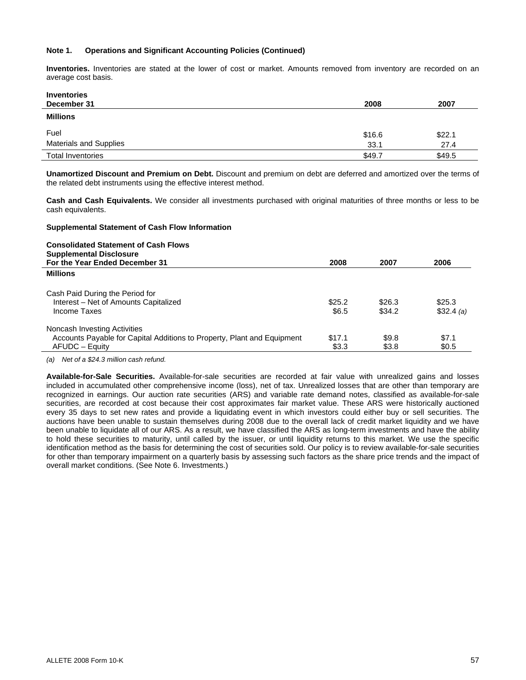**Inventories.** Inventories are stated at the lower of cost or market. Amounts removed from inventory are recorded on an average cost basis.

| <b>Inventories</b>            |        |        |
|-------------------------------|--------|--------|
| December 31                   | 2008   | 2007   |
| <b>Millions</b>               |        |        |
| Fuel                          | \$16.6 | \$22.1 |
| <b>Materials and Supplies</b> | 33.1   | 27.4   |
| <b>Total Inventories</b>      | \$49.7 | \$49.5 |

**Unamortized Discount and Premium on Debt.** Discount and premium on debt are deferred and amortized over the terms of the related debt instruments using the effective interest method.

**Cash and Cash Equivalents.** We consider all investments purchased with original maturities of three months or less to be cash equivalents.

## **Supplemental Statement of Cash Flow Information**

| <b>Consolidated Statement of Cash Flows</b><br><b>Supplemental Disclosure</b> |        |        |           |
|-------------------------------------------------------------------------------|--------|--------|-----------|
| For the Year Ended December 31                                                | 2008   | 2007   | 2006      |
| <b>Millions</b>                                                               |        |        |           |
| Cash Paid During the Period for                                               |        |        |           |
| Interest - Net of Amounts Capitalized                                         | \$25.2 | \$26.3 | \$25.3    |
| Income Taxes                                                                  | \$6.5  | \$34.2 | \$32.4(a) |
| Noncash Investing Activities                                                  |        |        |           |
| Accounts Payable for Capital Additions to Property, Plant and Equipment       | \$17.1 | \$9.8  | \$7.1     |
| AFUDC - Equity                                                                | \$3.3  | \$3.8  | \$0.5     |

*(a) Net of a \$24.3 million cash refund.* 

**Available-for-Sale Securities.** Available-for-sale securities are recorded at fair value with unrealized gains and losses included in accumulated other comprehensive income (loss), net of tax. Unrealized losses that are other than temporary are recognized in earnings. Our auction rate securities (ARS) and variable rate demand notes, classified as available-for-sale securities, are recorded at cost because their cost approximates fair market value. These ARS were historically auctioned every 35 days to set new rates and provide a liquidating event in which investors could either buy or sell securities. The auctions have been unable to sustain themselves during 2008 due to the overall lack of credit market liquidity and we have been unable to liquidate all of our ARS. As a result, we have classified the ARS as long-term investments and have the ability to hold these securities to maturity, until called by the issuer, or until liquidity returns to this market. We use the specific identification method as the basis for determining the cost of securities sold. Our policy is to review available-for-sale securities for other than temporary impairment on a quarterly basis by assessing such factors as the share price trends and the impact of overall market conditions. (See Note 6. Investments.)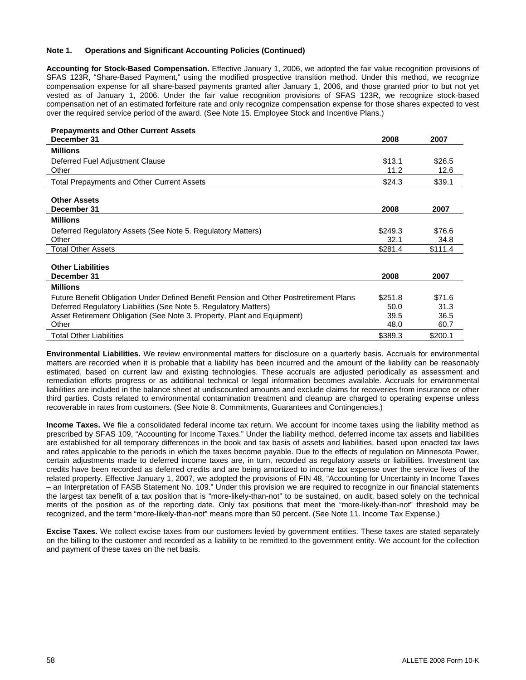**Accounting for Stock-Based Compensation.** Effective January 1, 2006, we adopted the fair value recognition provisions of SFAS 123R, "Share-Based Payment," using the modified prospective transition method. Under this method, we recognize compensation expense for all share-based payments granted after January 1, 2006, and those granted prior to but not yet vested as of January 1, 2006. Under the fair value recognition provisions of SFAS 123R, we recognize stock-based compensation net of an estimated forfeiture rate and only recognize compensation expense for those shares expected to vest over the required service period of the award. (See Note 15. Employee Stock and Incentive Plans.)

| <b>Prepayments and Other Current Assets</b>                                            |         |         |
|----------------------------------------------------------------------------------------|---------|---------|
| December 31                                                                            | 2008    | 2007    |
| <b>Millions</b>                                                                        |         |         |
| Deferred Fuel Adjustment Clause                                                        | \$13.1  | \$26.5  |
| Other                                                                                  | 11.2    | 12.6    |
| <b>Total Prepayments and Other Current Assets</b>                                      | \$24.3  | \$39.1  |
|                                                                                        |         |         |
| <b>Other Assets</b>                                                                    |         |         |
| December 31                                                                            | 2008    | 2007    |
| <b>Millions</b>                                                                        |         |         |
| Deferred Regulatory Assets (See Note 5. Regulatory Matters)                            | \$249.3 | \$76.6  |
| Other                                                                                  | 32.1    | 34.8    |
| <b>Total Other Assets</b>                                                              | \$281.4 | \$111.4 |
|                                                                                        |         |         |
| <b>Other Liabilities</b><br>December 31                                                | 2008    | 2007    |
| <b>Millions</b>                                                                        |         |         |
|                                                                                        |         |         |
| Future Benefit Obligation Under Defined Benefit Pension and Other Postretirement Plans | \$251.8 | \$71.6  |
| Deferred Regulatory Liabilities (See Note 5. Regulatory Matters)                       | 50.0    | 31.3    |
| Asset Retirement Obligation (See Note 3. Property, Plant and Equipment)                | 39.5    | 36.5    |
| Other                                                                                  | 48.0    | 60.7    |
| <b>Total Other Liabilities</b>                                                         | \$389.3 | \$200.1 |

**Environmental Liabilities.** We review environmental matters for disclosure on a quarterly basis. Accruals for environmental matters are recorded when it is probable that a liability has been incurred and the amount of the liability can be reasonably estimated, based on current law and existing technologies. These accruals are adjusted periodically as assessment and remediation efforts progress or as additional technical or legal information becomes available. Accruals for environmental liabilities are included in the balance sheet at undiscounted amounts and exclude claims for recoveries from insurance or other third parties. Costs related to environmental contamination treatment and cleanup are charged to operating expense unless recoverable in rates from customers. (See Note 8. Commitments, Guarantees and Contingencies.)

**Income Taxes.** We file a consolidated federal income tax return. We account for income taxes using the liability method as prescribed by SFAS 109, "Accounting for Income Taxes." Under the liability method, deferred income tax assets and liabilities are established for all temporary differences in the book and tax basis of assets and liabilities, based upon enacted tax laws and rates applicable to the periods in which the taxes become payable. Due to the effects of regulation on Minnesota Power, certain adjustments made to deferred income taxes are, in turn, recorded as regulatory assets or liabilities. Investment tax credits have been recorded as deferred credits and are being amortized to income tax expense over the service lives of the related property. Effective January 1, 2007, we adopted the provisions of FIN 48, "Accounting for Uncertainty in Income Taxes – an Interpretation of FASB Statement No. 109." Under this provision we are required to recognize in our financial statements the largest tax benefit of a tax position that is "more-likely-than-not" to be sustained, on audit, based solely on the technical merits of the position as of the reporting date. Only tax positions that meet the "more-likely-than-not" threshold may be recognized, and the term "more-likely-than-not" means more than 50 percent. (See Note 11. Income Tax Expense.)

**Excise Taxes.** We collect excise taxes from our customers levied by government entities. These taxes are stated separately on the billing to the customer and recorded as a liability to be remitted to the government entity. We account for the collection and payment of these taxes on the net basis.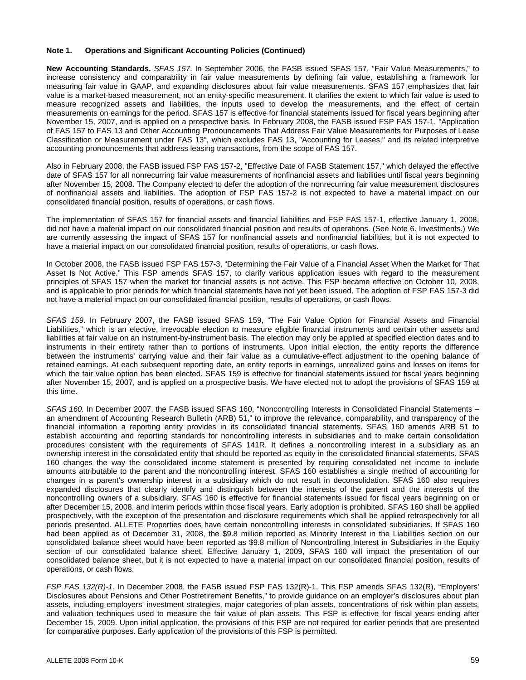**New Accounting Standards.** *SFAS 157*. In September 2006, the FASB issued SFAS 157, "Fair Value Measurements," to increase consistency and comparability in fair value measurements by defining fair value, establishing a framework for measuring fair value in GAAP, and expanding disclosures about fair value measurements. SFAS 157 emphasizes that fair value is a market-based measurement, not an entity-specific measurement. It clarifies the extent to which fair value is used to measure recognized assets and liabilities, the inputs used to develop the measurements, and the effect of certain measurements on earnings for the period. SFAS 157 is effective for financial statements issued for fiscal years beginning after November 15, 2007, and is applied on a prospective basis. In February 2008, the FASB issued FSP FAS 157-1, "Application of FAS 157 to FAS 13 and Other Accounting Pronouncements That Address Fair Value Measurements for Purposes of Lease Classification or Measurement under FAS 13", which excludes FAS 13, "Accounting for Leases," and its related interpretive accounting pronouncements that address leasing transactions, from the scope of FAS 157.

Also in February 2008, the FASB issued FSP FAS 157-2, "Effective Date of FASB Statement 157," which delayed the effective date of SFAS 157 for all nonrecurring fair value measurements of nonfinancial assets and liabilities until fiscal years beginning after November 15, 2008. The Company elected to defer the adoption of the nonrecurring fair value measurement disclosures of nonfinancial assets and liabilities. The adoption of FSP FAS 157-2 is not expected to have a material impact on our consolidated financial position, results of operations, or cash flows.

The implementation of SFAS 157 for financial assets and financial liabilities and FSP FAS 157-1, effective January 1, 2008, did not have a material impact on our consolidated financial position and results of operations. (See Note 6. Investments.) We are currently assessing the impact of SFAS 157 for nonfinancial assets and nonfinancial liabilities, but it is not expected to have a material impact on our consolidated financial position, results of operations, or cash flows.

In October 2008, the FASB issued FSP FAS 157-3, "Determining the Fair Value of a Financial Asset When the Market for That Asset Is Not Active." This FSP amends SFAS 157, to clarify various application issues with regard to the measurement principles of SFAS 157 when the market for financial assets is not active. This FSP became effective on October 10, 2008, and is applicable to prior periods for which financial statements have not yet been issued. The adoption of FSP FAS 157-3 did not have a material impact on our consolidated financial position, results of operations, or cash flows.

*SFAS 159*. In February 2007, the FASB issued SFAS 159, "The Fair Value Option for Financial Assets and Financial Liabilities," which is an elective, irrevocable election to measure eligible financial instruments and certain other assets and liabilities at fair value on an instrument-by-instrument basis. The election may only be applied at specified election dates and to instruments in their entirety rather than to portions of instruments. Upon initial election, the entity reports the difference between the instruments' carrying value and their fair value as a cumulative-effect adjustment to the opening balance of retained earnings. At each subsequent reporting date, an entity reports in earnings, unrealized gains and losses on items for which the fair value option has been elected. SFAS 159 is effective for financial statements issued for fiscal years beginning after November 15, 2007, and is applied on a prospective basis. We have elected not to adopt the provisions of SFAS 159 at this time.

*SFAS 160.* In December 2007, the FASB issued SFAS 160, "Noncontrolling Interests in Consolidated Financial Statements – an amendment of Accounting Research Bulletin (ARB) 51," to improve the relevance, comparability, and transparency of the financial information a reporting entity provides in its consolidated financial statements. SFAS 160 amends ARB 51 to establish accounting and reporting standards for noncontrolling interests in subsidiaries and to make certain consolidation procedures consistent with the requirements of SFAS 141R. It defines a noncontrolling interest in a subsidiary as an ownership interest in the consolidated entity that should be reported as equity in the consolidated financial statements. SFAS 160 changes the way the consolidated income statement is presented by requiring consolidated net income to include amounts attributable to the parent and the noncontrolling interest. SFAS 160 establishes a single method of accounting for changes in a parent's ownership interest in a subsidiary which do not result in deconsolidation. SFAS 160 also requires expanded disclosures that clearly identify and distinguish between the interests of the parent and the interests of the noncontrolling owners of a subsidiary. SFAS 160 is effective for financial statements issued for fiscal years beginning on or after December 15, 2008, and interim periods within those fiscal years. Early adoption is prohibited. SFAS 160 shall be applied prospectively, with the exception of the presentation and disclosure requirements which shall be applied retrospectively for all periods presented. ALLETE Properties does have certain noncontrolling interests in consolidated subsidiaries. If SFAS 160 had been applied as of December 31, 2008, the \$9.8 million reported as Minority Interest in the Liabilities section on our consolidated balance sheet would have been reported as \$9.8 million of Noncontrolling Interest in Subsidiaries in the Equity section of our consolidated balance sheet. Effective January 1, 2009, SFAS 160 will impact the presentation of our consolidated balance sheet, but it is not expected to have a material impact on our consolidated financial position, results of operations, or cash flows.

*FSP FAS 132(R)-1.* In December 2008, the FASB issued FSP FAS 132(R)-1. This FSP amends SFAS 132(R), "Employers' Disclosures about Pensions and Other Postretirement Benefits," to provide guidance on an employer's disclosures about plan assets, including employers' investment strategies, major categories of plan assets, concentrations of risk within plan assets, and valuation techniques used to measure the fair value of plan assets. This FSP is effective for fiscal years ending after December 15, 2009. Upon initial application, the provisions of this FSP are not required for earlier periods that are presented for comparative purposes. Early application of the provisions of this FSP is permitted.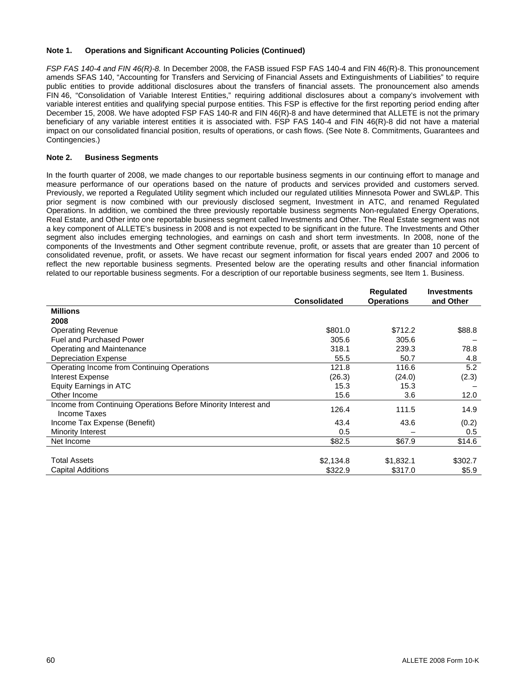*FSP FAS 140-4 and FIN 46(R)-8.* In December 2008, the FASB issued FSP FAS 140-4 and FIN 46(R)-8. This pronouncement amends SFAS 140, "Accounting for Transfers and Servicing of Financial Assets and Extinguishments of Liabilities" to require public entities to provide additional disclosures about the transfers of financial assets. The pronouncement also amends FIN 46, "Consolidation of Variable Interest Entities," requiring additional disclosures about a company's involvement with variable interest entities and qualifying special purpose entities. This FSP is effective for the first reporting period ending after December 15, 2008. We have adopted FSP FAS 140-R and FIN 46(R)-8 and have determined that ALLETE is not the primary beneficiary of any variable interest entities it is associated with. FSP FAS 140-4 and FIN 46(R)-8 did not have a material impact on our consolidated financial position, results of operations, or cash flows. (See Note 8. Commitments, Guarantees and Contingencies.)

## **Note 2. Business Segments**

In the fourth quarter of 2008, we made changes to our reportable business segments in our continuing effort to manage and measure performance of our operations based on the nature of products and services provided and customers served. Previously, we reported a Regulated Utility segment which included our regulated utilities Minnesota Power and SWL&P. This prior segment is now combined with our previously disclosed segment, Investment in ATC, and renamed Regulated Operations. In addition, we combined the three previously reportable business segments Non-regulated Energy Operations, Real Estate, and Other into one reportable business segment called Investments and Other. The Real Estate segment was not a key component of ALLETE's business in 2008 and is not expected to be significant in the future. The Investments and Other segment also includes emerging technologies, and earnings on cash and short term investments. In 2008, none of the components of the Investments and Other segment contribute revenue, profit, or assets that are greater than 10 percent of consolidated revenue, profit, or assets. We have recast our segment information for fiscal years ended 2007 and 2006 to reflect the new reportable business segments. Presented below are the operating results and other financial information related to our reportable business segments. For a description of our reportable business segments, see Item 1. Business.

|                                                                                |                     | Regulated         | <b>Investments</b> |
|--------------------------------------------------------------------------------|---------------------|-------------------|--------------------|
|                                                                                | <b>Consolidated</b> | <b>Operations</b> | and Other          |
| <b>Millions</b>                                                                |                     |                   |                    |
| 2008                                                                           |                     |                   |                    |
| <b>Operating Revenue</b>                                                       | \$801.0             | \$712.2           | \$88.8             |
| <b>Fuel and Purchased Power</b>                                                | 305.6               | 305.6             |                    |
| Operating and Maintenance                                                      | 318.1               | 239.3             | 78.8               |
| <b>Depreciation Expense</b>                                                    | 55.5                | 50.7              | 4.8                |
| Operating Income from Continuing Operations                                    | 121.8               | 116.6             | 5.2                |
| Interest Expense                                                               | (26.3)              | (24.0)            | (2.3)              |
| Equity Earnings in ATC                                                         | 15.3                | 15.3              |                    |
| Other Income                                                                   | 15.6                | 3.6               | 12.0               |
| Income from Continuing Operations Before Minority Interest and<br>Income Taxes | 126.4               | 111.5             | 14.9               |
| Income Tax Expense (Benefit)                                                   | 43.4                | 43.6              | (0.2)              |
| Minority Interest                                                              | 0.5                 |                   | 0.5                |
| Net Income                                                                     | \$82.5              | \$67.9            | \$14.6             |
|                                                                                |                     |                   |                    |
| <b>Total Assets</b>                                                            | \$2,134.8           | \$1,832.1         | \$302.7            |
| <b>Capital Additions</b>                                                       | \$322.9             | \$317.0           | \$5.9              |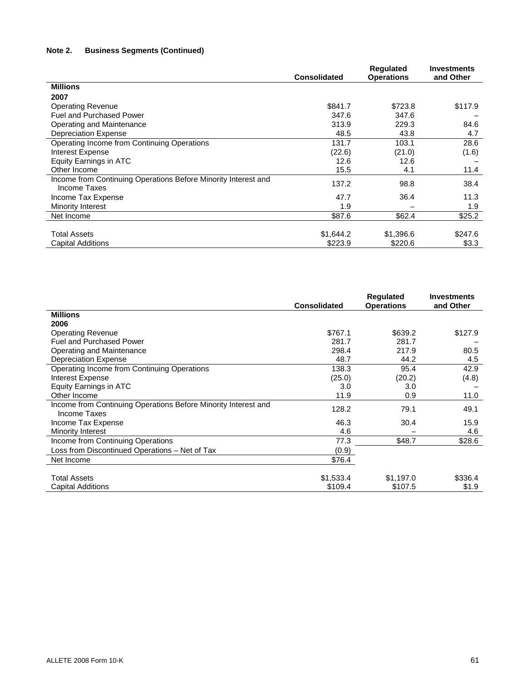## **Note 2. Business Segments (Continued)**

|                                                                | <b>Consolidated</b> | <b>Regulated</b><br><b>Operations</b> | <b>Investments</b><br>and Other |
|----------------------------------------------------------------|---------------------|---------------------------------------|---------------------------------|
| <b>Millions</b>                                                |                     |                                       |                                 |
| 2007                                                           |                     |                                       |                                 |
| <b>Operating Revenue</b>                                       | \$841.7             | \$723.8                               | \$117.9                         |
| <b>Fuel and Purchased Power</b>                                | 347.6               | 347.6                                 |                                 |
| Operating and Maintenance                                      | 313.9               | 229.3                                 | 84.6                            |
| <b>Depreciation Expense</b>                                    | 48.5                | 43.8                                  | 4.7                             |
| Operating Income from Continuing Operations                    | 131.7               | 103.1                                 | 28.6                            |
| Interest Expense                                               | (22.6)              | (21.0)                                | (1.6)                           |
| Equity Earnings in ATC                                         | 12.6                | 12.6                                  |                                 |
| Other Income                                                   | 15.5                | 4.1                                   | 11.4                            |
| Income from Continuing Operations Before Minority Interest and | 137.2               | 98.8                                  | 38.4                            |
| Income Taxes                                                   |                     |                                       |                                 |
| Income Tax Expense                                             | 47.7                | 36.4                                  | 11.3                            |
| Minority Interest                                              | 1.9                 |                                       | 1.9                             |
| Net Income                                                     | \$87.6              | \$62.4                                | \$25.2                          |
|                                                                |                     |                                       |                                 |
| <b>Total Assets</b>                                            | \$1,644.2           | \$1,396.6                             | \$247.6                         |
| <b>Capital Additions</b>                                       | \$223.9             | \$220.6                               | \$3.3                           |

|                                                                |                     | <b>Regulated</b>  | <b>Investments</b> |
|----------------------------------------------------------------|---------------------|-------------------|--------------------|
|                                                                | <b>Consolidated</b> | <b>Operations</b> | and Other          |
| <b>Millions</b>                                                |                     |                   |                    |
| 2006                                                           |                     |                   |                    |
| <b>Operating Revenue</b>                                       | \$767.1             | \$639.2           | \$127.9            |
| <b>Fuel and Purchased Power</b>                                | 281.7               | 281.7             |                    |
| Operating and Maintenance                                      | 298.4               | 217.9             | 80.5               |
| <b>Depreciation Expense</b>                                    | 48.7                | 44.2              | 4.5                |
| Operating Income from Continuing Operations                    | 138.3               | 95.4              | 42.9               |
| Interest Expense                                               | (25.0)              | (20.2)            | (4.8)              |
| Equity Earnings in ATC                                         | 3.0                 | 3.0               |                    |
| Other Income                                                   | 11.9                | 0.9               | 11.0               |
| Income from Continuing Operations Before Minority Interest and | 128.2               | 79.1              | 49.1               |
| Income Taxes                                                   |                     |                   |                    |
| Income Tax Expense                                             | 46.3                | 30.4              | 15.9               |
| Minority Interest                                              | 4.6                 |                   | 4.6                |
| Income from Continuing Operations                              | 77.3                | \$48.7            | \$28.6             |
| Loss from Discontinued Operations - Net of Tax                 | (0.9)               |                   |                    |
| Net Income                                                     | \$76.4              |                   |                    |
|                                                                |                     |                   |                    |
| Total Assets                                                   | \$1,533.4           | \$1,197.0         | \$336.4            |
| <b>Capital Additions</b>                                       | \$109.4             | \$107.5           | \$1.9              |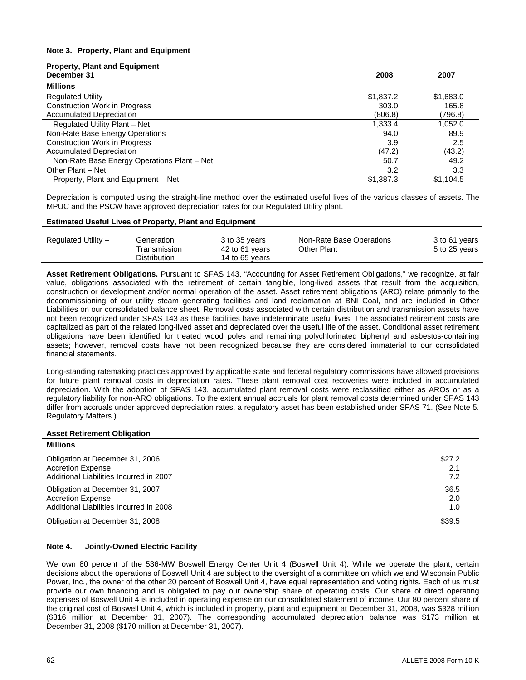## **Note 3. Property, Plant and Equipment**

# **Property, Plant and Equipment**

| December 31                                 | 2008      | 2007      |
|---------------------------------------------|-----------|-----------|
| <b>Millions</b>                             |           |           |
| <b>Regulated Utility</b>                    | \$1,837.2 | \$1,683.0 |
| <b>Construction Work in Progress</b>        | 303.0     | 165.8     |
| <b>Accumulated Depreciation</b>             | (806.8)   | (796.8)   |
| Regulated Utility Plant - Net               | 1,333.4   | 1,052.0   |
| Non-Rate Base Energy Operations             | 94.0      | 89.9      |
| <b>Construction Work in Progress</b>        | 3.9       | 2.5       |
| Accumulated Depreciation                    | (47.2)    | (43.2)    |
| Non-Rate Base Energy Operations Plant - Net | 50.7      | 49.2      |
| Other Plant - Net                           | 3.2       | 3.3       |
| Property, Plant and Equipment - Net         | \$1,387.3 | \$1,104.5 |

Depreciation is computed using the straight-line method over the estimated useful lives of the various classes of assets. The MPUC and the PSCW have approved depreciation rates for our Regulated Utility plant.

## **Estimated Useful Lives of Property, Plant and Equipment**

| Regulated Utility $-$ | Generation<br>Transmission<br><b>Distribution</b> | 3 to 35 years<br>42 to 61 years<br>14 to 65 years | Non-Rate Base Operations<br>Other Plant | 3 to 61 years<br>5 to 25 years |
|-----------------------|---------------------------------------------------|---------------------------------------------------|-----------------------------------------|--------------------------------|
|-----------------------|---------------------------------------------------|---------------------------------------------------|-----------------------------------------|--------------------------------|

**Asset Retirement Obligations.** Pursuant to SFAS 143, "Accounting for Asset Retirement Obligations," we recognize, at fair value, obligations associated with the retirement of certain tangible, long-lived assets that result from the acquisition, construction or development and/or normal operation of the asset. Asset retirement obligations (ARO) relate primarily to the decommissioning of our utility steam generating facilities and land reclamation at BNI Coal, and are included in Other Liabilities on our consolidated balance sheet. Removal costs associated with certain distribution and transmission assets have not been recognized under SFAS 143 as these facilities have indeterminate useful lives. The associated retirement costs are capitalized as part of the related long-lived asset and depreciated over the useful life of the asset. Conditional asset retirement obligations have been identified for treated wood poles and remaining polychlorinated biphenyl and asbestos-containing assets; however, removal costs have not been recognized because they are considered immaterial to our consolidated financial statements.

Long-standing ratemaking practices approved by applicable state and federal regulatory commissions have allowed provisions for future plant removal costs in depreciation rates. These plant removal cost recoveries were included in accumulated depreciation. With the adoption of SFAS 143, accumulated plant removal costs were reclassified either as AROs or as a regulatory liability for non-ARO obligations. To the extent annual accruals for plant removal costs determined under SFAS 143 differ from accruals under approved depreciation rates, a regulatory asset has been established under SFAS 71. (See Note 5. Regulatory Matters.)

## **Asset Retirement Obligation**

| <b>Millions</b>                         |        |
|-----------------------------------------|--------|
| Obligation at December 31, 2006         | \$27.2 |
| <b>Accretion Expense</b>                | 2.1    |
| Additional Liabilities Incurred in 2007 | 7.2    |
| Obligation at December 31, 2007         | 36.5   |
| <b>Accretion Expense</b>                | 2.0    |
| Additional Liabilities Incurred in 2008 | 1.0    |
| Obligation at December 31, 2008         | \$39.5 |

## **Note 4. Jointly-Owned Electric Facility**

We own 80 percent of the 536-MW Boswell Energy Center Unit 4 (Boswell Unit 4). While we operate the plant, certain decisions about the operations of Boswell Unit 4 are subject to the oversight of a committee on which we and Wisconsin Public Power, Inc., the owner of the other 20 percent of Boswell Unit 4, have equal representation and voting rights. Each of us must provide our own financing and is obligated to pay our ownership share of operating costs. Our share of direct operating expenses of Boswell Unit 4 is included in operating expense on our consolidated statement of income. Our 80 percent share of the original cost of Boswell Unit 4, which is included in property, plant and equipment at December 31, 2008, was \$328 million (\$316 million at December 31, 2007). The corresponding accumulated depreciation balance was \$173 million at December 31, 2008 (\$170 million at December 31, 2007).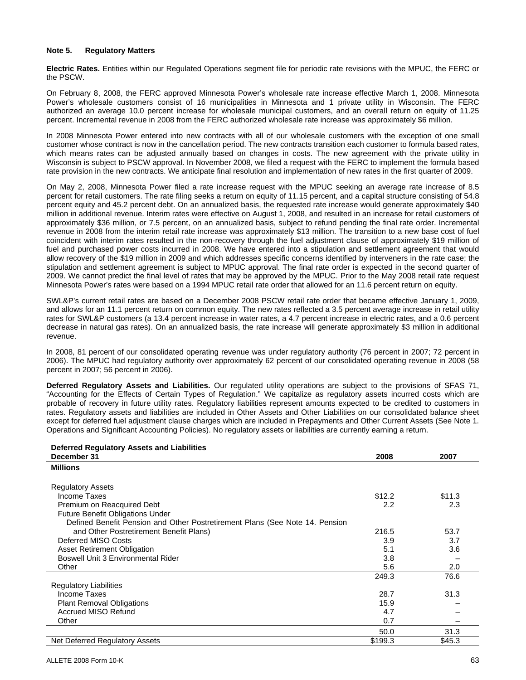## **Note 5. Regulatory Matters**

**Electric Rates.** Entities within our Regulated Operations segment file for periodic rate revisions with the MPUC, the FERC or the PSCW.

On February 8, 2008, the FERC approved Minnesota Power's wholesale rate increase effective March 1, 2008. Minnesota Power's wholesale customers consist of 16 municipalities in Minnesota and 1 private utility in Wisconsin. The FERC authorized an average 10.0 percent increase for wholesale municipal customers, and an overall return on equity of 11.25 percent. Incremental revenue in 2008 from the FERC authorized wholesale rate increase was approximately \$6 million.

In 2008 Minnesota Power entered into new contracts with all of our wholesale customers with the exception of one small customer whose contract is now in the cancellation period. The new contracts transition each customer to formula based rates, which means rates can be adjusted annually based on changes in costs. The new agreement with the private utility in Wisconsin is subject to PSCW approval. In November 2008, we filed a request with the FERC to implement the formula based rate provision in the new contracts. We anticipate final resolution and implementation of new rates in the first quarter of 2009.

On May 2, 2008, Minnesota Power filed a rate increase request with the MPUC seeking an average rate increase of 8.5 percent for retail customers. The rate filing seeks a return on equity of 11.15 percent, and a capital structure consisting of 54.8 percent equity and 45.2 percent debt. On an annualized basis, the requested rate increase would generate approximately \$40 million in additional revenue. Interim rates were effective on August 1, 2008, and resulted in an increase for retail customers of approximately \$36 million, or 7.5 percent, on an annualized basis, subject to refund pending the final rate order. Incremental revenue in 2008 from the interim retail rate increase was approximately \$13 million. The transition to a new base cost of fuel coincident with interim rates resulted in the non-recovery through the fuel adjustment clause of approximately \$19 million of fuel and purchased power costs incurred in 2008. We have entered into a stipulation and settlement agreement that would allow recovery of the \$19 million in 2009 and which addresses specific concerns identified by interveners in the rate case; the stipulation and settlement agreement is subject to MPUC approval. The final rate order is expected in the second quarter of 2009. We cannot predict the final level of rates that may be approved by the MPUC. Prior to the May 2008 retail rate request Minnesota Power's rates were based on a 1994 MPUC retail rate order that allowed for an 11.6 percent return on equity.

SWL&P's current retail rates are based on a December 2008 PSCW retail rate order that became effective January 1, 2009, and allows for an 11.1 percent return on common equity. The new rates reflected a 3.5 percent average increase in retail utility rates for SWL&P customers (a 13.4 percent increase in water rates, a 4.7 percent increase in electric rates, and a 0.6 percent decrease in natural gas rates). On an annualized basis, the rate increase will generate approximately \$3 million in additional revenue.

In 2008, 81 percent of our consolidated operating revenue was under regulatory authority (76 percent in 2007; 72 percent in 2006). The MPUC had regulatory authority over approximately 62 percent of our consolidated operating revenue in 2008 (58 percent in 2007; 56 percent in 2006).

**Deferred Regulatory Assets and Liabilities.** Our regulated utility operations are subject to the provisions of SFAS 71, "Accounting for the Effects of Certain Types of Regulation." We capitalize as regulatory assets incurred costs which are probable of recovery in future utility rates. Regulatory liabilities represent amounts expected to be credited to customers in rates. Regulatory assets and liabilities are included in Other Assets and Other Liabilities on our consolidated balance sheet except for deferred fuel adjustment clause charges which are included in Prepayments and Other Current Assets (See Note 1. Operations and Significant Accounting Policies). No regulatory assets or liabilities are currently earning a return.

| Deferred Regulatory Assets and Liabilities                                   |         |        |
|------------------------------------------------------------------------------|---------|--------|
| December 31                                                                  | 2008    | 2007   |
| <b>Millions</b>                                                              |         |        |
|                                                                              |         |        |
| <b>Regulatory Assets</b>                                                     |         |        |
| Income Taxes                                                                 | \$12.2  | \$11.3 |
| Premium on Reacquired Debt                                                   | 2.2     | 2.3    |
| <b>Future Benefit Obligations Under</b>                                      |         |        |
| Defined Benefit Pension and Other Postretirement Plans (See Note 14. Pension |         |        |
| and Other Postretirement Benefit Plans)                                      | 216.5   | 53.7   |
| Deferred MISO Costs                                                          | 3.9     | 3.7    |
| <b>Asset Retirement Obligation</b>                                           | 5.1     | 3.6    |
| Boswell Unit 3 Environmental Rider                                           | 3.8     |        |
| Other                                                                        | 5.6     | 2.0    |
|                                                                              | 249.3   | 76.6   |
| <b>Regulatory Liabilities</b>                                                |         |        |
| Income Taxes                                                                 | 28.7    | 31.3   |
| <b>Plant Removal Obligations</b>                                             | 15.9    |        |
| <b>Accrued MISO Refund</b>                                                   | 4.7     |        |
| Other                                                                        | 0.7     |        |
|                                                                              | 50.0    | 31.3   |
| Net Deferred Regulatory Assets                                               | \$199.3 | \$45.3 |

## ALLETE 2008 Form 10-K 63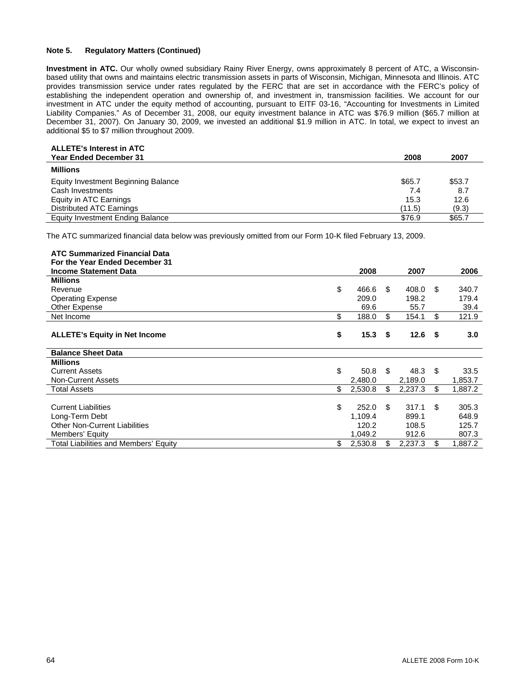## **Note 5. Regulatory Matters (Continued)**

**Investment in ATC.** Our wholly owned subsidiary Rainy River Energy, owns approximately 8 percent of ATC, a Wisconsinbased utility that owns and maintains electric transmission assets in parts of Wisconsin, Michigan, Minnesota and Illinois. ATC provides transmission service under rates regulated by the FERC that are set in accordance with the FERC's policy of establishing the independent operation and ownership of, and investment in, transmission facilities. We account for our investment in ATC under the equity method of accounting, pursuant to EITF 03-16, "Accounting for Investments in Limited Liability Companies." As of December 31, 2008, our equity investment balance in ATC was \$76.9 million (\$65.7 million at December 31, 2007). On January 30, 2009, we invested an additional \$1.9 million in ATC. In total, we expect to invest an additional \$5 to \$7 million throughout 2009.

## **ALLETE's Interest in ATC**

| <b>Year Ended December 31</b>       | 2008   | 2007   |
|-------------------------------------|--------|--------|
| <b>Millions</b>                     |        |        |
| Equity Investment Beginning Balance | \$65.7 | \$53.7 |
| Cash Investments                    | 7.4    | -8.7   |
| Equity in ATC Earnings              | 15.3   | 12.6   |
| Distributed ATC Earnings            | (11.5) | (9.3)  |
| Equity Investment Ending Balance    | \$76.9 | \$65.7 |

The ATC summarized financial data below was previously omitted from our Form 10-K filed February 13, 2009.

| <b>ATC Summarized Financial Data</b> |               |     |                   |      |         |
|--------------------------------------|---------------|-----|-------------------|------|---------|
| For the Year Ended December 31       |               |     |                   |      |         |
| <b>Income Statement Data</b>         | 2008          |     | 2007              |      | 2006    |
| <b>Millions</b>                      |               |     |                   |      |         |
| Revenue                              | \$<br>466.6   | \$. | 408.0             | S.   | 340.7   |
| <b>Operating Expense</b>             | 209.0         |     | 198.2             |      | 179.4   |
| Other Expense                        | 69.6          |     | 55.7              |      | 39.4    |
| Net Income                           | \$<br>188.0   | \$  | 154.1             | \$   | 121.9   |
|                                      |               |     |                   |      |         |
| <b>ALLETE's Equity in Net Income</b> | \$<br>15.3    | \$  | 12.6 <sup>5</sup> |      | 3.0     |
|                                      |               |     |                   |      |         |
|                                      |               |     |                   |      |         |
| <b>Balance Sheet Data</b>            |               |     |                   |      |         |
| <b>Millions</b>                      |               |     |                   |      |         |
| <b>Current Assets</b>                | \$<br>50.8    | \$  | 48.3              | - \$ | 33.5    |
| <b>Non-Current Assets</b>            | 2,480.0       |     | 2,189.0           |      | 1,853.7 |
| Total Assets                         | \$<br>2,530.8 | \$  | 2,237.3           | \$   | 1,887.2 |
|                                      |               |     |                   |      |         |
| <b>Current Liabilities</b>           | \$<br>252.0   | \$. | 317.1             | \$   | 305.3   |
| Long-Term Debt                       | 1,109.4       |     | 899.1             |      | 648.9   |
| <b>Other Non-Current Liabilities</b> | 120.2         |     | 108.5             |      | 125.7   |
| Members' Equity                      | 1.049.2       |     | 912.6             |      | 807.3   |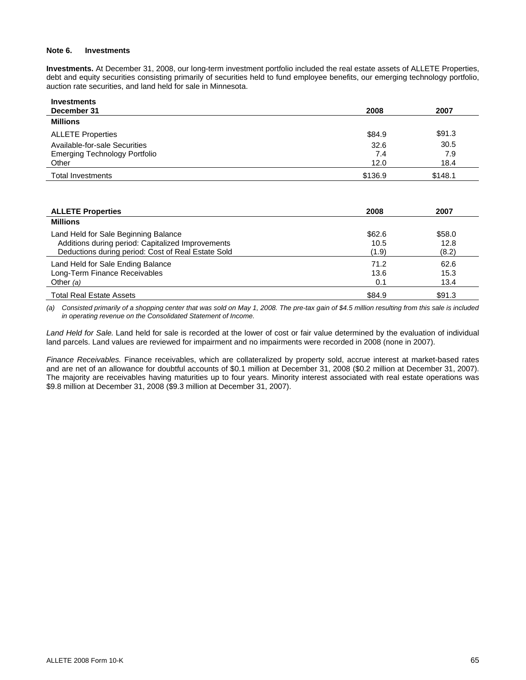## **Note 6. Investments**

**Investments.** At December 31, 2008, our long-term investment portfolio included the real estate assets of ALLETE Properties, debt and equity securities consisting primarily of securities held to fund employee benefits, our emerging technology portfolio, auction rate securities, and land held for sale in Minnesota.

| <b>Investments</b>                   |         |         |
|--------------------------------------|---------|---------|
| December 31                          | 2008    | 2007    |
| <b>Millions</b>                      |         |         |
| <b>ALLETE Properties</b>             | \$84.9  | \$91.3  |
| Available-for-sale Securities        | 32.6    | 30.5    |
| <b>Emerging Technology Portfolio</b> | 7.4     | 7.9     |
| Other                                | 12.0    | 18.4    |
| <b>Total Investments</b>             | \$136.9 | \$148.1 |

| <b>ALLETE Properties</b>                                                                                                                        | 2008                    | 2007                    |
|-------------------------------------------------------------------------------------------------------------------------------------------------|-------------------------|-------------------------|
| <b>Millions</b>                                                                                                                                 |                         |                         |
| Land Held for Sale Beginning Balance<br>Additions during period: Capitalized Improvements<br>Deductions during period: Cost of Real Estate Sold | \$62.6<br>10.5<br>(1.9) | \$58.0<br>12.8<br>(8.2) |
| Land Held for Sale Ending Balance<br>Long-Term Finance Receivables<br>Other $(a)$                                                               | 71.2<br>13.6<br>0.1     | 62.6<br>15.3<br>13.4    |
| <b>Total Real Estate Assets</b>                                                                                                                 | \$84.9                  | \$91.3                  |

*(a) Consisted primarily of a shopping center that was sold on May 1, 2008. The pre-tax gain of \$4.5 million resulting from this sale is included in operating revenue on the Consolidated Statement of Income.* 

*Land Held for Sale.* Land held for sale is recorded at the lower of cost or fair value determined by the evaluation of individual land parcels. Land values are reviewed for impairment and no impairments were recorded in 2008 (none in 2007).

*Finance Receivables.* Finance receivables, which are collateralized by property sold, accrue interest at market-based rates and are net of an allowance for doubtful accounts of \$0.1 million at December 31, 2008 (\$0.2 million at December 31, 2007). The majority are receivables having maturities up to four years. Minority interest associated with real estate operations was \$9.8 million at December 31, 2008 (\$9.3 million at December 31, 2007).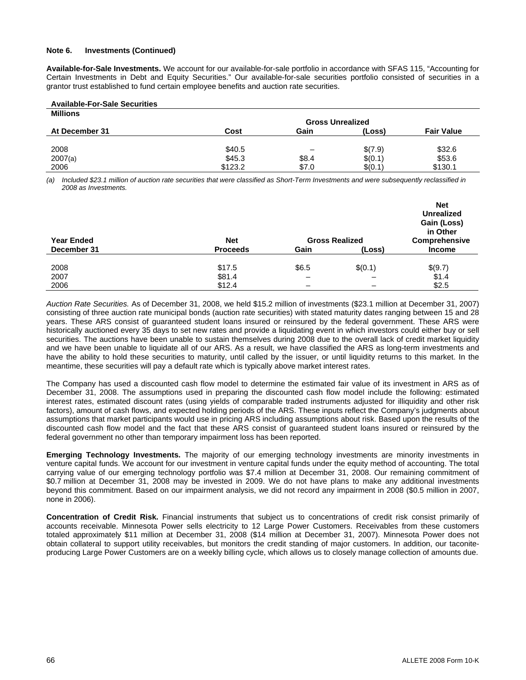## **Note 6. Investments (Continued)**

**Available-for-Sale Investments.** We account for our available-for-sale portfolio in accordance with SFAS 115, "Accounting for Certain Investments in Debt and Equity Securities." Our available-for-sale securities portfolio consisted of securities in a grantor trust established to fund certain employee benefits and auction rate securities.

| <b>Available-For-Sale Securities</b> |         |                         |         |                   |
|--------------------------------------|---------|-------------------------|---------|-------------------|
| <b>Millions</b>                      |         |                         |         |                   |
|                                      |         | <b>Gross Unrealized</b> |         |                   |
| At December 31                       | Cost    | Gain                    | (Loss)  | <b>Fair Value</b> |
|                                      |         |                         |         |                   |
| 2008                                 | \$40.5  |                         | \$(7.9) | \$32.6            |
| 2007(a)                              | \$45.3  | \$8.4                   | \$(0.1) | \$53.6            |
| 2006                                 | \$123.2 | \$7.0                   | \$(0.1) | \$130.1           |

*(a) Included \$23.1 million of auction rate securities that were classified as Short-Term Investments and were subsequently reclassified in 2008 as Investments.* 

| <b>Year Ended</b> | <b>Net</b>      |       | <b>Gross Realized</b> | <b>Net</b><br><b>Unrealized</b><br>Gain (Loss)<br>in Other<br><b>Comprehensive</b> |
|-------------------|-----------------|-------|-----------------------|------------------------------------------------------------------------------------|
| December 31       | <b>Proceeds</b> | Gain  | (Loss)                | <b>Income</b>                                                                      |
|                   |                 |       |                       |                                                                                    |
| 2008              | \$17.5          | \$6.5 | \$(0.1)               | \$(9.7)                                                                            |
| 2007              | \$81.4          | -     | -                     | \$1.4                                                                              |
| 2006              | \$12.4          |       |                       | \$2.5                                                                              |

*Auction Rate Securities.* As of December 31, 2008, we held \$15.2 million of investments (\$23.1 million at December 31, 2007) consisting of three auction rate municipal bonds (auction rate securities) with stated maturity dates ranging between 15 and 28 years. These ARS consist of guaranteed student loans insured or reinsured by the federal government. These ARS were historically auctioned every 35 days to set new rates and provide a liquidating event in which investors could either buy or sell securities. The auctions have been unable to sustain themselves during 2008 due to the overall lack of credit market liquidity and we have been unable to liquidate all of our ARS. As a result, we have classified the ARS as long-term investments and have the ability to hold these securities to maturity, until called by the issuer, or until liquidity returns to this market. In the meantime, these securities will pay a default rate which is typically above market interest rates.

The Company has used a discounted cash flow model to determine the estimated fair value of its investment in ARS as of December 31, 2008. The assumptions used in preparing the discounted cash flow model include the following: estimated interest rates, estimated discount rates (using yields of comparable traded instruments adjusted for illiquidity and other risk factors), amount of cash flows, and expected holding periods of the ARS. These inputs reflect the Company's judgments about assumptions that market participants would use in pricing ARS including assumptions about risk. Based upon the results of the discounted cash flow model and the fact that these ARS consist of guaranteed student loans insured or reinsured by the federal government no other than temporary impairment loss has been reported.

**Emerging Technology Investments.** The majority of our emerging technology investments are minority investments in venture capital funds. We account for our investment in venture capital funds under the equity method of accounting. The total carrying value of our emerging technology portfolio was \$7.4 million at December 31, 2008. Our remaining commitment of \$0.7 million at December 31, 2008 may be invested in 2009. We do not have plans to make any additional investments beyond this commitment. Based on our impairment analysis, we did not record any impairment in 2008 (\$0.5 million in 2007, none in 2006).

**Concentration of Credit Risk.** Financial instruments that subject us to concentrations of credit risk consist primarily of accounts receivable. Minnesota Power sells electricity to 12 Large Power Customers. Receivables from these customers totaled approximately \$11 million at December 31, 2008 (\$14 million at December 31, 2007). Minnesota Power does not obtain collateral to support utility receivables, but monitors the credit standing of major customers. In addition, our taconiteproducing Large Power Customers are on a weekly billing cycle, which allows us to closely manage collection of amounts due.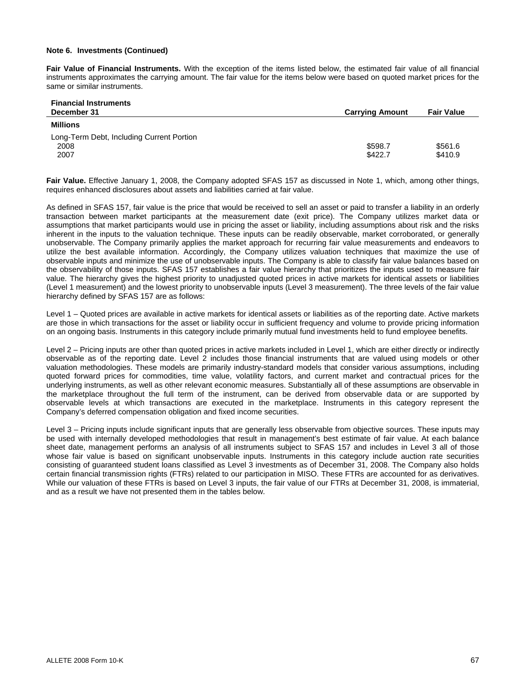## **Note 6. Investments (Continued)**

**Fair Value of Financial Instruments.** With the exception of the items listed below, the estimated fair value of all financial instruments approximates the carrying amount. The fair value for the items below were based on quoted market prices for the same or similar instruments.

| <b>Financial Instruments</b><br>December 31               | <b>Carrying Amount</b> | <b>Fair Value</b>  |
|-----------------------------------------------------------|------------------------|--------------------|
| <b>Millions</b>                                           |                        |                    |
| Long-Term Debt, Including Current Portion<br>2008<br>2007 | \$598.7<br>\$422.7     | \$561.6<br>\$410.9 |

**Fair Value.** Effective January 1, 2008, the Company adopted SFAS 157 as discussed in Note 1, which, among other things, requires enhanced disclosures about assets and liabilities carried at fair value.

As defined in SFAS 157, fair value is the price that would be received to sell an asset or paid to transfer a liability in an orderly transaction between market participants at the measurement date (exit price). The Company utilizes market data or assumptions that market participants would use in pricing the asset or liability, including assumptions about risk and the risks inherent in the inputs to the valuation technique. These inputs can be readily observable, market corroborated, or generally unobservable. The Company primarily applies the market approach for recurring fair value measurements and endeavors to utilize the best available information. Accordingly, the Company utilizes valuation techniques that maximize the use of observable inputs and minimize the use of unobservable inputs. The Company is able to classify fair value balances based on the observability of those inputs. SFAS 157 establishes a fair value hierarchy that prioritizes the inputs used to measure fair value. The hierarchy gives the highest priority to unadjusted quoted prices in active markets for identical assets or liabilities (Level 1 measurement) and the lowest priority to unobservable inputs (Level 3 measurement). The three levels of the fair value hierarchy defined by SFAS 157 are as follows:

Level 1 – Quoted prices are available in active markets for identical assets or liabilities as of the reporting date. Active markets are those in which transactions for the asset or liability occur in sufficient frequency and volume to provide pricing information on an ongoing basis. Instruments in this category include primarily mutual fund investments held to fund employee benefits.

Level 2 – Pricing inputs are other than quoted prices in active markets included in Level 1, which are either directly or indirectly observable as of the reporting date. Level 2 includes those financial instruments that are valued using models or other valuation methodologies. These models are primarily industry-standard models that consider various assumptions, including quoted forward prices for commodities, time value, volatility factors, and current market and contractual prices for the underlying instruments, as well as other relevant economic measures. Substantially all of these assumptions are observable in the marketplace throughout the full term of the instrument, can be derived from observable data or are supported by observable levels at which transactions are executed in the marketplace. Instruments in this category represent the Company's deferred compensation obligation and fixed income securities.

Level 3 – Pricing inputs include significant inputs that are generally less observable from objective sources. These inputs may be used with internally developed methodologies that result in management's best estimate of fair value. At each balance sheet date, management performs an analysis of all instruments subject to SFAS 157 and includes in Level 3 all of those whose fair value is based on significant unobservable inputs. Instruments in this category include auction rate securities consisting of guaranteed student loans classified as Level 3 investments as of December 31, 2008. The Company also holds certain financial transmission rights (FTRs) related to our participation in MISO. These FTRs are accounted for as derivatives. While our valuation of these FTRs is based on Level 3 inputs, the fair value of our FTRs at December 31, 2008, is immaterial, and as a result we have not presented them in the tables below.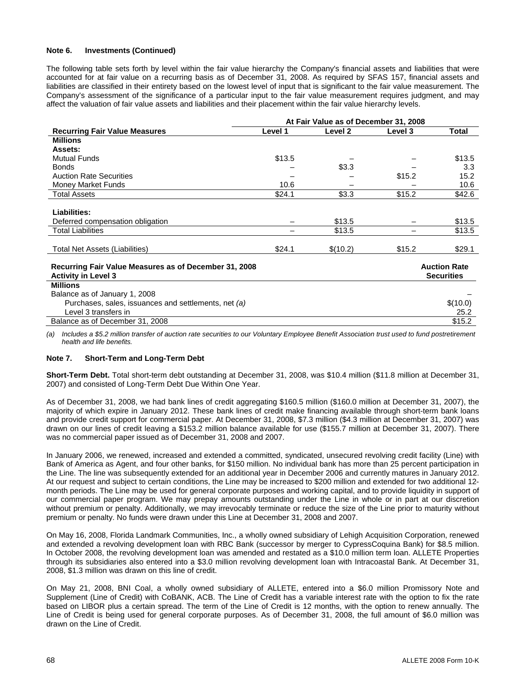## **Note 6. Investments (Continued)**

The following table sets forth by level within the fair value hierarchy the Company's financial assets and liabilities that were accounted for at fair value on a recurring basis as of December 31, 2008. As required by SFAS 157, financial assets and liabilities are classified in their entirety based on the lowest level of input that is significant to the fair value measurement. The Company's assessment of the significance of a particular input to the fair value measurement requires judgment, and may affect the valuation of fair value assets and liabilities and their placement within the fair value hierarchy levels.

|                                                       | At Fair Value as of December 31, 2008 |          |         |                     |  |
|-------------------------------------------------------|---------------------------------------|----------|---------|---------------------|--|
| <b>Recurring Fair Value Measures</b>                  | Level 1                               | Level 2  | Level 3 | Total               |  |
| <b>Millions</b>                                       |                                       |          |         |                     |  |
| Assets:                                               |                                       |          |         |                     |  |
| Mutual Funds                                          | \$13.5                                |          |         | \$13.5              |  |
| <b>Bonds</b>                                          |                                       | \$3.3    |         | 3.3                 |  |
| <b>Auction Rate Securities</b>                        |                                       |          | \$15.2  | 15.2                |  |
| Money Market Funds                                    | 10.6                                  |          |         | 10.6                |  |
| <b>Total Assets</b>                                   | \$24.1                                | \$3.3    | \$15.2  | \$42.6              |  |
|                                                       |                                       |          |         |                     |  |
| Liabilities:                                          |                                       |          |         |                     |  |
| Deferred compensation obligation                      |                                       | \$13.5   |         | \$13.5              |  |
| <b>Total Liabilities</b>                              |                                       | \$13.5   |         | \$13.5              |  |
|                                                       |                                       |          |         |                     |  |
| Total Net Assets (Liabilities)                        | \$24.1                                | \$(10.2) | \$15.2  | \$29.1              |  |
|                                                       |                                       |          |         |                     |  |
| Recurring Fair Value Measures as of December 31, 2008 |                                       |          |         | <b>Auction Rate</b> |  |
| <b>Activity in Level 3</b>                            |                                       |          |         | <b>Securities</b>   |  |
| <b>Millions</b>                                       |                                       |          |         |                     |  |
| Balance as of January 1, 2008                         |                                       |          |         |                     |  |
| Purchases, sales, issuances and settlements, net (a)  |                                       |          |         | \$(10.0)            |  |
| Level 3 transfers in                                  |                                       |          |         | 25.2                |  |
| Balance as of December 31, 2008                       |                                       |          |         | \$15.2              |  |

*(a) Includes a \$5.2 million transfer of auction rate securities to our Voluntary Employee Benefit Association trust used to fund postretirement health and life benefits.* 

## **Note 7. Short-Term and Long-Term Debt**

**Short-Term Debt.** Total short-term debt outstanding at December 31, 2008, was \$10.4 million (\$11.8 million at December 31, 2007) and consisted of Long-Term Debt Due Within One Year.

As of December 31, 2008, we had bank lines of credit aggregating \$160.5 million (\$160.0 million at December 31, 2007), the majority of which expire in January 2012. These bank lines of credit make financing available through short-term bank loans and provide credit support for commercial paper. At December 31, 2008, \$7.3 million (\$4.3 million at December 31, 2007) was drawn on our lines of credit leaving a \$153.2 million balance available for use (\$155.7 million at December 31, 2007). There was no commercial paper issued as of December 31, 2008 and 2007.

In January 2006, we renewed, increased and extended a committed, syndicated, unsecured revolving credit facility (Line) with Bank of America as Agent, and four other banks, for \$150 million. No individual bank has more than 25 percent participation in the Line. The line was subsequently extended for an additional year in December 2006 and currently matures in January 2012. At our request and subject to certain conditions, the Line may be increased to \$200 million and extended for two additional 12 month periods. The Line may be used for general corporate purposes and working capital, and to provide liquidity in support of our commercial paper program. We may prepay amounts outstanding under the Line in whole or in part at our discretion without premium or penalty. Additionally, we may irrevocably terminate or reduce the size of the Line prior to maturity without premium or penalty. No funds were drawn under this Line at December 31, 2008 and 2007.

On May 16, 2008, Florida Landmark Communities, Inc., a wholly owned subsidiary of Lehigh Acquisition Corporation, renewed and extended a revolving development loan with RBC Bank (successor by merger to CypressCoquina Bank) for \$8.5 million. In October 2008, the revolving development loan was amended and restated as a \$10.0 million term loan. ALLETE Properties through its subsidiaries also entered into a \$3.0 million revolving development loan with Intracoastal Bank. At December 31, 2008, \$1.3 million was drawn on this line of credit.

On May 21, 2008, BNI Coal, a wholly owned subsidiary of ALLETE, entered into a \$6.0 million Promissory Note and Supplement (Line of Credit) with CoBANK, ACB. The Line of Credit has a variable interest rate with the option to fix the rate based on LIBOR plus a certain spread. The term of the Line of Credit is 12 months, with the option to renew annually. The Line of Credit is being used for general corporate purposes. As of December 31, 2008, the full amount of \$6.0 million was drawn on the Line of Credit.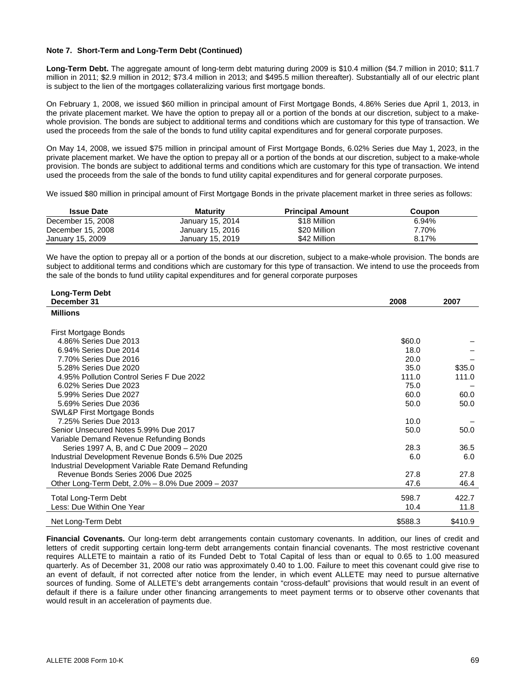## **Note 7. Short-Term and Long-Term Debt (Continued)**

**Long-Term Debt.** The aggregate amount of long-term debt maturing during 2009 is \$10.4 million (\$4.7 million in 2010; \$11.7 million in 2011; \$2.9 million in 2012; \$73.4 million in 2013; and \$495.5 million thereafter). Substantially all of our electric plant is subject to the lien of the mortgages collateralizing various first mortgage bonds.

On February 1, 2008, we issued \$60 million in principal amount of First Mortgage Bonds, 4.86% Series due April 1, 2013, in the private placement market. We have the option to prepay all or a portion of the bonds at our discretion, subject to a makewhole provision. The bonds are subject to additional terms and conditions which are customary for this type of transaction. We used the proceeds from the sale of the bonds to fund utility capital expenditures and for general corporate purposes.

On May 14, 2008, we issued \$75 million in principal amount of First Mortgage Bonds, 6.02% Series due May 1, 2023, in the private placement market. We have the option to prepay all or a portion of the bonds at our discretion, subject to a make-whole provision. The bonds are subject to additional terms and conditions which are customary for this type of transaction. We intend used the proceeds from the sale of the bonds to fund utility capital expenditures and for general corporate purposes.

We issued \$80 million in principal amount of First Mortgage Bonds in the private placement market in three series as follows:

| <b>Issue Date</b> | <b>Maturity</b>  | <b>Principal Amount</b> | Coupon |
|-------------------|------------------|-------------------------|--------|
| December 15, 2008 | January 15, 2014 | \$18 Million            | 6.94%  |
| December 15, 2008 | January 15, 2016 | \$20 Million            | 7.70%  |
| January 15, 2009  | January 15, 2019 | \$42 Million            | 8.17%  |

We have the option to prepay all or a portion of the bonds at our discretion, subject to a make-whole provision. The bonds are subject to additional terms and conditions which are customary for this type of transaction. We intend to use the proceeds from the sale of the bonds to fund utility capital expenditures and for general corporate purposes

| LUNG-TERM DEDI<br>December 31                         | 2008    | 2007    |
|-------------------------------------------------------|---------|---------|
| <b>Millions</b>                                       |         |         |
| First Mortgage Bonds                                  |         |         |
| 4.86% Series Due 2013                                 | \$60.0  |         |
| 6.94% Series Due 2014                                 |         |         |
|                                                       | 18.0    |         |
| 7.70% Series Due 2016                                 | 20.0    |         |
| 5.28% Series Due 2020                                 | 35.0    | \$35.0  |
| 4.95% Pollution Control Series F Due 2022             | 111.0   | 111.0   |
| 6.02% Series Due 2023                                 | 75.0    |         |
| 5.99% Series Due 2027                                 | 60.0    | 60.0    |
| 5.69% Series Due 2036                                 | 50.0    | 50.0    |
| SWL&P First Mortgage Bonds                            |         |         |
| 7.25% Series Due 2013                                 | 10.0    |         |
| Senior Unsecured Notes 5.99% Due 2017                 | 50.0    | 50.0    |
| Variable Demand Revenue Refunding Bonds               |         |         |
| Series 1997 A, B, and C Due 2009 - 2020               | 28.3    | 36.5    |
| Industrial Development Revenue Bonds 6.5% Due 2025    | 6.0     | 6.0     |
| Industrial Development Variable Rate Demand Refunding |         |         |
| Revenue Bonds Series 2006 Due 2025                    | 27.8    | 27.8    |
| Other Long-Term Debt, 2.0% - 8.0% Due 2009 - 2037     | 47.6    | 46.4    |
|                                                       |         |         |
| Total Long-Term Debt                                  | 598.7   | 422.7   |
| Less: Due Within One Year                             | 10.4    | 11.8    |
| Net Long-Term Debt                                    | \$588.3 | \$410.9 |

**Financial Covenants.** Our long-term debt arrangements contain customary covenants. In addition, our lines of credit and letters of credit supporting certain long-term debt arrangements contain financial covenants. The most restrictive covenant requires ALLETE to maintain a ratio of its Funded Debt to Total Capital of less than or equal to 0.65 to 1.00 measured quarterly. As of December 31, 2008 our ratio was approximately 0.40 to 1.00. Failure to meet this covenant could give rise to an event of default, if not corrected after notice from the lender, in which event ALLETE may need to pursue alternative sources of funding. Some of ALLETE's debt arrangements contain "cross-default" provisions that would result in an event of default if there is a failure under other financing arrangements to meet payment terms or to observe other covenants that would result in an acceleration of payments due.

**Long-Term Debt**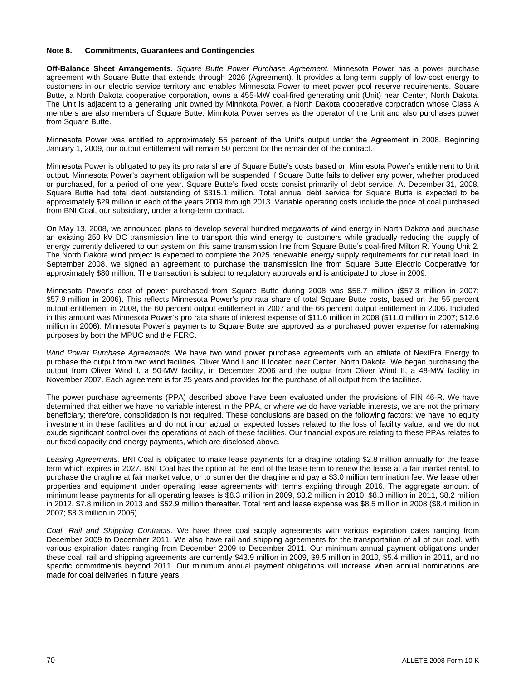## **Note 8. Commitments, Guarantees and Contingencies**

**Off-Balance Sheet Arrangements.** *Square Butte Power Purchase Agreement.* Minnesota Power has a power purchase agreement with Square Butte that extends through 2026 (Agreement). It provides a long-term supply of low-cost energy to customers in our electric service territory and enables Minnesota Power to meet power pool reserve requirements. Square Butte, a North Dakota cooperative corporation, owns a 455-MW coal-fired generating unit (Unit) near Center, North Dakota. The Unit is adjacent to a generating unit owned by Minnkota Power, a North Dakota cooperative corporation whose Class A members are also members of Square Butte. Minnkota Power serves as the operator of the Unit and also purchases power from Square Butte.

Minnesota Power was entitled to approximately 55 percent of the Unit's output under the Agreement in 2008. Beginning January 1, 2009, our output entitlement will remain 50 percent for the remainder of the contract.

Minnesota Power is obligated to pay its pro rata share of Square Butte's costs based on Minnesota Power's entitlement to Unit output. Minnesota Power's payment obligation will be suspended if Square Butte fails to deliver any power, whether produced or purchased, for a period of one year. Square Butte's fixed costs consist primarily of debt service. At December 31, 2008, Square Butte had total debt outstanding of \$315.1 million. Total annual debt service for Square Butte is expected to be approximately \$29 million in each of the years 2009 through 2013. Variable operating costs include the price of coal purchased from BNI Coal, our subsidiary, under a long-term contract.

On May 13, 2008, we announced plans to develop several hundred megawatts of wind energy in North Dakota and purchase an existing 250 kV DC transmission line to transport this wind energy to customers while gradually reducing the supply of energy currently delivered to our system on this same transmission line from Square Butte's coal-fired Milton R. Young Unit 2. The North Dakota wind project is expected to complete the 2025 renewable energy supply requirements for our retail load. In September 2008, we signed an agreement to purchase the transmission line from Square Butte Electric Cooperative for approximately \$80 million. The transaction is subject to regulatory approvals and is anticipated to close in 2009.

Minnesota Power's cost of power purchased from Square Butte during 2008 was \$56.7 million (\$57.3 million in 2007; \$57.9 million in 2006). This reflects Minnesota Power's pro rata share of total Square Butte costs, based on the 55 percent output entitlement in 2008, the 60 percent output entitlement in 2007 and the 66 percent output entitlement in 2006. Included in this amount was Minnesota Power's pro rata share of interest expense of \$11.6 million in 2008 (\$11.0 million in 2007; \$12.6 million in 2006). Minnesota Power's payments to Square Butte are approved as a purchased power expense for ratemaking purposes by both the MPUC and the FERC.

*Wind Power Purchase Agreements.* We have two wind power purchase agreements with an affiliate of NextEra Energy to purchase the output from two wind facilities, Oliver Wind I and II located near Center, North Dakota. We began purchasing the output from Oliver Wind I, a 50-MW facility, in December 2006 and the output from Oliver Wind II, a 48-MW facility in November 2007. Each agreement is for 25 years and provides for the purchase of all output from the facilities.

The power purchase agreements (PPA) described above have been evaluated under the provisions of FIN 46-R. We have determined that either we have no variable interest in the PPA, or where we do have variable interests, we are not the primary beneficiary; therefore, consolidation is not required. These conclusions are based on the following factors: we have no equity investment in these facilities and do not incur actual or expected losses related to the loss of facility value, and we do not exude significant control over the operations of each of these facilities. Our financial exposure relating to these PPAs relates to our fixed capacity and energy payments, which are disclosed above.

*Leasing Agreements.* BNI Coal is obligated to make lease payments for a dragline totaling \$2.8 million annually for the lease term which expires in 2027. BNI Coal has the option at the end of the lease term to renew the lease at a fair market rental, to purchase the dragline at fair market value, or to surrender the dragline and pay a \$3.0 million termination fee. We lease other properties and equipment under operating lease agreements with terms expiring through 2016. The aggregate amount of minimum lease payments for all operating leases is \$8.3 million in 2009, \$8.2 million in 2010, \$8.3 million in 2011, \$8.2 million in 2012, \$7.8 million in 2013 and \$52.9 million thereafter. Total rent and lease expense was \$8.5 million in 2008 (\$8.4 million in 2007; \$8.3 million in 2006).

*Coal, Rail and Shipping Contracts.* We have three coal supply agreements with various expiration dates ranging from December 2009 to December 2011. We also have rail and shipping agreements for the transportation of all of our coal, with various expiration dates ranging from December 2009 to December 2011. Our minimum annual payment obligations under these coal, rail and shipping agreements are currently \$43.9 million in 2009, \$9.5 million in 2010, \$5.4 million in 2011, and no specific commitments beyond 2011. Our minimum annual payment obligations will increase when annual nominations are made for coal deliveries in future years.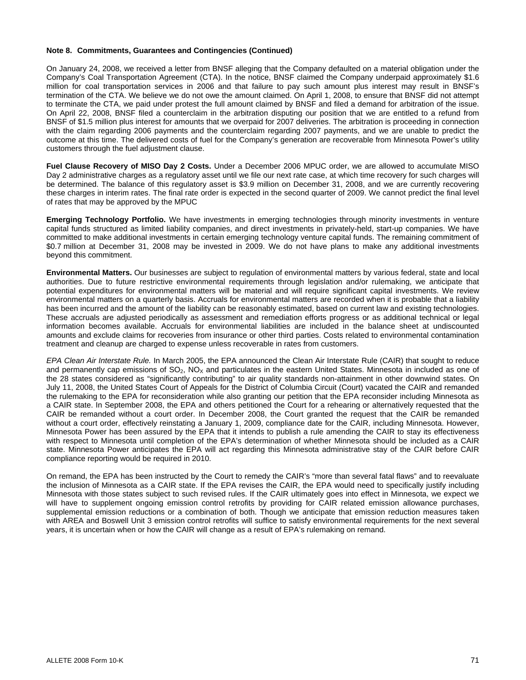## **Note 8. Commitments, Guarantees and Contingencies (Continued)**

On January 24, 2008, we received a letter from BNSF alleging that the Company defaulted on a material obligation under the Company's Coal Transportation Agreement (CTA). In the notice, BNSF claimed the Company underpaid approximately \$1.6 million for coal transportation services in 2006 and that failure to pay such amount plus interest may result in BNSF's termination of the CTA. We believe we do not owe the amount claimed. On April 1, 2008, to ensure that BNSF did not attempt to terminate the CTA, we paid under protest the full amount claimed by BNSF and filed a demand for arbitration of the issue. On April 22, 2008, BNSF filed a counterclaim in the arbitration disputing our position that we are entitled to a refund from BNSF of \$1.5 million plus interest for amounts that we overpaid for 2007 deliveries. The arbitration is proceeding in connection with the claim regarding 2006 payments and the counterclaim regarding 2007 payments, and we are unable to predict the outcome at this time. The delivered costs of fuel for the Company's generation are recoverable from Minnesota Power's utility customers through the fuel adjustment clause.

**Fuel Clause Recovery of MISO Day 2 Costs.** Under a December 2006 MPUC order, we are allowed to accumulate MISO Day 2 administrative charges as a regulatory asset until we file our next rate case, at which time recovery for such charges will be determined. The balance of this regulatory asset is \$3.9 million on December 31, 2008, and we are currently recovering these charges in interim rates. The final rate order is expected in the second quarter of 2009. We cannot predict the final level of rates that may be approved by the MPUC

**Emerging Technology Portfolio.** We have investments in emerging technologies through minority investments in venture capital funds structured as limited liability companies, and direct investments in privately-held, start-up companies. We have committed to make additional investments in certain emerging technology venture capital funds. The remaining commitment of \$0.7 million at December 31, 2008 may be invested in 2009. We do not have plans to make any additional investments beyond this commitment.

**Environmental Matters.** Our businesses are subject to regulation of environmental matters by various federal, state and local authorities. Due to future restrictive environmental requirements through legislation and/or rulemaking, we anticipate that potential expenditures for environmental matters will be material and will require significant capital investments. We review environmental matters on a quarterly basis. Accruals for environmental matters are recorded when it is probable that a liability has been incurred and the amount of the liability can be reasonably estimated, based on current law and existing technologies. These accruals are adjusted periodically as assessment and remediation efforts progress or as additional technical or legal information becomes available. Accruals for environmental liabilities are included in the balance sheet at undiscounted amounts and exclude claims for recoveries from insurance or other third parties. Costs related to environmental contamination treatment and cleanup are charged to expense unless recoverable in rates from customers.

*EPA Clean Air Interstate Rule.* In March 2005, the EPA announced the Clean Air Interstate Rule (CAIR) that sought to reduce and permanently cap emissions of  $SO_2$ ,  $NO<sub>X</sub>$  and particulates in the eastern United States. Minnesota in included as one of the 28 states considered as "significantly contributing" to air quality standards non-attainment in other downwind states. On July 11, 2008, the United States Court of Appeals for the District of Columbia Circuit (Court) vacated the CAIR and remanded the rulemaking to the EPA for reconsideration while also granting our petition that the EPA reconsider including Minnesota as a CAIR state. In September 2008, the EPA and others petitioned the Court for a rehearing or alternatively requested that the CAIR be remanded without a court order. In December 2008, the Court granted the request that the CAIR be remanded without a court order, effectively reinstating a January 1, 2009, compliance date for the CAIR, including Minnesota. However, Minnesota Power has been assured by the EPA that it intends to publish a rule amending the CAIR to stay its effectiveness with respect to Minnesota until completion of the EPA's determination of whether Minnesota should be included as a CAIR state. Minnesota Power anticipates the EPA will act regarding this Minnesota administrative stay of the CAIR before CAIR compliance reporting would be required in 2010.

On remand, the EPA has been instructed by the Court to remedy the CAIR's "more than several fatal flaws" and to reevaluate the inclusion of Minnesota as a CAIR state. If the EPA revises the CAIR, the EPA would need to specifically justify including Minnesota with those states subject to such revised rules. If the CAIR ultimately goes into effect in Minnesota, we expect we will have to supplement ongoing emission control retrofits by providing for CAIR related emission allowance purchases, supplemental emission reductions or a combination of both. Though we anticipate that emission reduction measures taken with AREA and Boswell Unit 3 emission control retrofits will suffice to satisfy environmental requirements for the next several years, it is uncertain when or how the CAIR will change as a result of EPA's rulemaking on remand.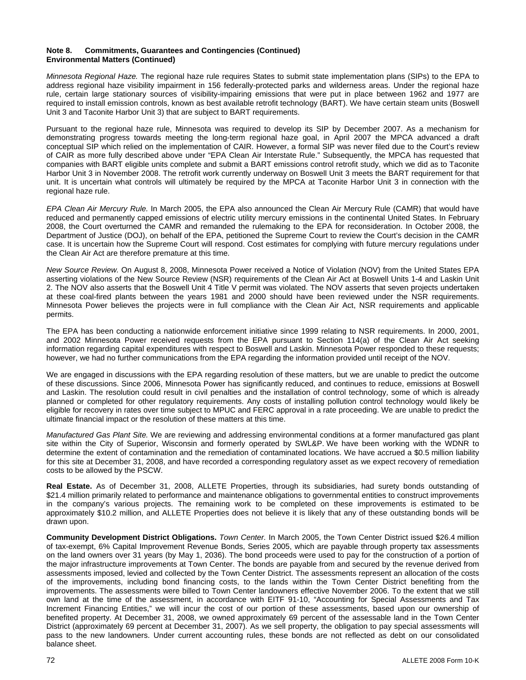## **Note 8. Commitments, Guarantees and Contingencies (Continued) Environmental Matters (Continued)**

*Minnesota Regional Haze.* The regional haze rule requires States to submit state implementation plans (SIPs) to the EPA to address regional haze visibility impairment in 156 federally-protected parks and wilderness areas. Under the regional haze rule, certain large stationary sources of visibility-impairing emissions that were put in place between 1962 and 1977 are required to install emission controls, known as best available retrofit technology (BART). We have certain steam units (Boswell Unit 3 and Taconite Harbor Unit 3) that are subject to BART requirements.

Pursuant to the regional haze rule, Minnesota was required to develop its SIP by December 2007. As a mechanism for demonstrating progress towards meeting the long-term regional haze goal, in April 2007 the MPCA advanced a draft conceptual SIP which relied on the implementation of CAIR. However, a formal SIP was never filed due to the Court's review of CAIR as more fully described above under "EPA Clean Air Interstate Rule." Subsequently, the MPCA has requested that companies with BART eligible units complete and submit a BART emissions control retrofit study, which we did as to Taconite Harbor Unit 3 in November 2008. The retrofit work currently underway on Boswell Unit 3 meets the BART requirement for that unit. It is uncertain what controls will ultimately be required by the MPCA at Taconite Harbor Unit 3 in connection with the regional haze rule.

*EPA Clean Air Mercury Rule.* In March 2005, the EPA also announced the Clean Air Mercury Rule (CAMR) that would have reduced and permanently capped emissions of electric utility mercury emissions in the continental United States. In February 2008, the Court overturned the CAMR and remanded the rulemaking to the EPA for reconsideration. In October 2008, the Department of Justice (DOJ), on behalf of the EPA, petitioned the Supreme Court to review the Court's decision in the CAMR case. It is uncertain how the Supreme Court will respond. Cost estimates for complying with future mercury regulations under the Clean Air Act are therefore premature at this time.

*New Source Review.* On August 8, 2008, Minnesota Power received a Notice of Violation (NOV) from the United States EPA asserting violations of the New Source Review (NSR) requirements of the Clean Air Act at Boswell Units 1-4 and Laskin Unit 2. The NOV also asserts that the Boswell Unit 4 Title V permit was violated. The NOV asserts that seven projects undertaken at these coal-fired plants between the years 1981 and 2000 should have been reviewed under the NSR requirements. Minnesota Power believes the projects were in full compliance with the Clean Air Act, NSR requirements and applicable permits.

The EPA has been conducting a nationwide enforcement initiative since 1999 relating to NSR requirements. In 2000, 2001, and 2002 Minnesota Power received requests from the EPA pursuant to Section 114(a) of the Clean Air Act seeking information regarding capital expenditures with respect to Boswell and Laskin. Minnesota Power responded to these requests; however, we had no further communications from the EPA regarding the information provided until receipt of the NOV.

We are engaged in discussions with the EPA regarding resolution of these matters, but we are unable to predict the outcome of these discussions. Since 2006, Minnesota Power has significantly reduced, and continues to reduce, emissions at Boswell and Laskin. The resolution could result in civil penalties and the installation of control technology, some of which is already planned or completed for other regulatory requirements. Any costs of installing pollution control technology would likely be eligible for recovery in rates over time subject to MPUC and FERC approval in a rate proceeding. We are unable to predict the ultimate financial impact or the resolution of these matters at this time.

*Manufactured Gas Plant Site.* We are reviewing and addressing environmental conditions at a former manufactured gas plant site within the City of Superior, Wisconsin and formerly operated by SWL&P. We have been working with the WDNR to determine the extent of contamination and the remediation of contaminated locations. We have accrued a \$0.5 million liability for this site at December 31, 2008, and have recorded a corresponding regulatory asset as we expect recovery of remediation costs to be allowed by the PSCW.

**Real Estate.** As of December 31, 2008, ALLETE Properties, through its subsidiaries, had surety bonds outstanding of \$21.4 million primarily related to performance and maintenance obligations to governmental entities to construct improvements in the company's various projects. The remaining work to be completed on these improvements is estimated to be approximately \$10.2 million, and ALLETE Properties does not believe it is likely that any of these outstanding bonds will be drawn upon.

**Community Development District Obligations.** *Town Center.* In March 2005, the Town Center District issued \$26.4 million of tax-exempt, 6% Capital Improvement Revenue Bonds, Series 2005, which are payable through property tax assessments on the land owners over 31 years (by May 1, 2036). The bond proceeds were used to pay for the construction of a portion of the major infrastructure improvements at Town Center. The bonds are payable from and secured by the revenue derived from assessments imposed, levied and collected by the Town Center District. The assessments represent an allocation of the costs of the improvements, including bond financing costs, to the lands within the Town Center District benefiting from the improvements. The assessments were billed to Town Center landowners effective November 2006. To the extent that we still own land at the time of the assessment, in accordance with EITF 91-10, "Accounting for Special Assessments and Tax Increment Financing Entities," we will incur the cost of our portion of these assessments, based upon our ownership of benefited property. At December 31, 2008, we owned approximately 69 percent of the assessable land in the Town Center District (approximately 69 percent at December 31, 2007). As we sell property, the obligation to pay special assessments will pass to the new landowners. Under current accounting rules, these bonds are not reflected as debt on our consolidated balance sheet.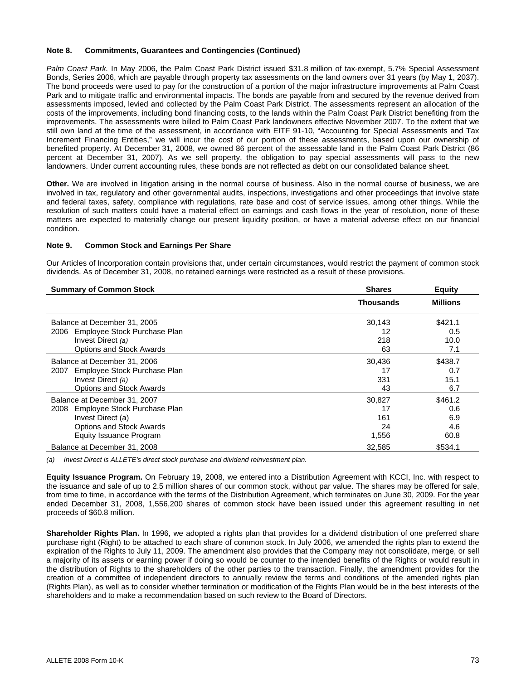## **Note 8. Commitments, Guarantees and Contingencies (Continued)**

*Palm Coast Park.* In May 2006, the Palm Coast Park District issued \$31.8 million of tax-exempt, 5.7% Special Assessment Bonds, Series 2006, which are payable through property tax assessments on the land owners over 31 years (by May 1, 2037). The bond proceeds were used to pay for the construction of a portion of the major infrastructure improvements at Palm Coast Park and to mitigate traffic and environmental impacts. The bonds are payable from and secured by the revenue derived from assessments imposed, levied and collected by the Palm Coast Park District. The assessments represent an allocation of the costs of the improvements, including bond financing costs, to the lands within the Palm Coast Park District benefiting from the improvements. The assessments were billed to Palm Coast Park landowners effective November 2007. To the extent that we still own land at the time of the assessment, in accordance with EITF 91-10, "Accounting for Special Assessments and Tax Increment Financing Entities," we will incur the cost of our portion of these assessments, based upon our ownership of benefited property. At December 31, 2008, we owned 86 percent of the assessable land in the Palm Coast Park District (86 percent at December 31, 2007). As we sell property, the obligation to pay special assessments will pass to the new landowners. Under current accounting rules, these bonds are not reflected as debt on our consolidated balance sheet.

**Other.** We are involved in litigation arising in the normal course of business. Also in the normal course of business, we are involved in tax, regulatory and other governmental audits, inspections, investigations and other proceedings that involve state and federal taxes, safety, compliance with regulations, rate base and cost of service issues, among other things. While the resolution of such matters could have a material effect on earnings and cash flows in the year of resolution, none of these matters are expected to materially change our present liquidity position, or have a material adverse effect on our financial condition.

#### **Note 9. Common Stock and Earnings Per Share**

Our Articles of Incorporation contain provisions that, under certain circumstances, would restrict the payment of common stock dividends. As of December 31, 2008, no retained earnings were restricted as a result of these provisions.

| <b>Summary of Common Stock</b>                                                                                                                          | <b>Shares</b>                      | <b>Equity</b>                        |
|---------------------------------------------------------------------------------------------------------------------------------------------------------|------------------------------------|--------------------------------------|
|                                                                                                                                                         | Thousands                          | <b>Millions</b>                      |
| Balance at December 31, 2005<br>Employee Stock Purchase Plan<br>2006<br>Invest Direct (a)<br>Options and Stock Awards                                   | 30.143<br>12<br>218<br>63          | \$421.1<br>0.5<br>10.0<br>7.1        |
| Balance at December 31, 2006<br>Employee Stock Purchase Plan<br>2007<br>Invest Direct (a)<br><b>Options and Stock Awards</b>                            | 30,436<br>17<br>331<br>43          | \$438.7<br>0.7<br>15.1<br>6.7        |
| Balance at December 31, 2007<br>Employee Stock Purchase Plan<br>2008<br>Invest Direct (a)<br><b>Options and Stock Awards</b><br>Equity Issuance Program | 30,827<br>17<br>161<br>24<br>1,556 | \$461.2<br>0.6<br>6.9<br>4.6<br>60.8 |
| Balance at December 31, 2008                                                                                                                            | 32,585                             | \$534.1                              |

*(a) Invest Direct is ALLETE's direct stock purchase and dividend reinvestment plan.* 

**Equity Issuance Program.** On February 19, 2008, we entered into a Distribution Agreement with KCCI, Inc. with respect to the issuance and sale of up to 2.5 million shares of our common stock, without par value. The shares may be offered for sale, from time to time, in accordance with the terms of the Distribution Agreement, which terminates on June 30, 2009. For the year ended December 31, 2008, 1,556,200 shares of common stock have been issued under this agreement resulting in net proceeds of \$60.8 million.

**Shareholder Rights Plan.** In 1996, we adopted a rights plan that provides for a dividend distribution of one preferred share purchase right (Right) to be attached to each share of common stock. In July 2006, we amended the rights plan to extend the expiration of the Rights to July 11, 2009. The amendment also provides that the Company may not consolidate, merge, or sell a majority of its assets or earning power if doing so would be counter to the intended benefits of the Rights or would result in the distribution of Rights to the shareholders of the other parties to the transaction. Finally, the amendment provides for the creation of a committee of independent directors to annually review the terms and conditions of the amended rights plan (Rights Plan), as well as to consider whether termination or modification of the Rights Plan would be in the best interests of the shareholders and to make a recommendation based on such review to the Board of Directors.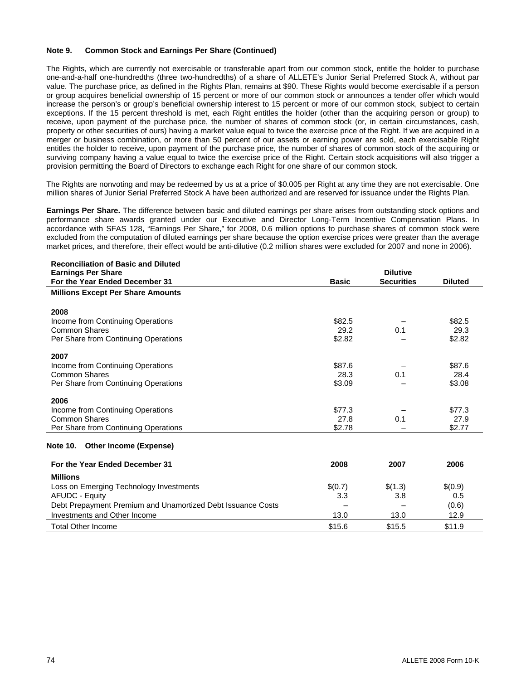## **Note 9. Common Stock and Earnings Per Share (Continued)**

The Rights, which are currently not exercisable or transferable apart from our common stock, entitle the holder to purchase one-and-a-half one-hundredths (three two-hundredths) of a share of ALLETE's Junior Serial Preferred Stock A, without par value. The purchase price, as defined in the Rights Plan, remains at \$90. These Rights would become exercisable if a person or group acquires beneficial ownership of 15 percent or more of our common stock or announces a tender offer which would increase the person's or group's beneficial ownership interest to 15 percent or more of our common stock, subject to certain exceptions. If the 15 percent threshold is met, each Right entitles the holder (other than the acquiring person or group) to receive, upon payment of the purchase price, the number of shares of common stock (or, in certain circumstances, cash, property or other securities of ours) having a market value equal to twice the exercise price of the Right. If we are acquired in a merger or business combination, or more than 50 percent of our assets or earning power are sold, each exercisable Right entitles the holder to receive, upon payment of the purchase price, the number of shares of common stock of the acquiring or surviving company having a value equal to twice the exercise price of the Right. Certain stock acquisitions will also trigger a provision permitting the Board of Directors to exchange each Right for one share of our common stock.

The Rights are nonvoting and may be redeemed by us at a price of \$0.005 per Right at any time they are not exercisable. One million shares of Junior Serial Preferred Stock A have been authorized and are reserved for issuance under the Rights Plan.

**Earnings Per Share.** The difference between basic and diluted earnings per share arises from outstanding stock options and performance share awards granted under our Executive and Director Long-Term Incentive Compensation Plans. In accordance with SFAS 128, "Earnings Per Share," for 2008, 0.6 million options to purchase shares of common stock were excluded from the computation of diluted earnings per share because the option exercise prices were greater than the average market prices, and therefore, their effect would be anti-dilutive (0.2 million shares were excluded for 2007 and none in 2006).

| <b>Reconciliation of Basic and Diluted</b> |              |                   |                |
|--------------------------------------------|--------------|-------------------|----------------|
| <b>Earnings Per Share</b>                  |              | <b>Dilutive</b>   |                |
| For the Year Ended December 31             | <b>Basic</b> | <b>Securities</b> | <b>Diluted</b> |
| <b>Millions Except Per Share Amounts</b>   |              |                   |                |
| 2008                                       |              |                   |                |
| Income from Continuing Operations          | \$82.5       |                   | \$82.5         |
| <b>Common Shares</b>                       | 29.2         | 0.1               | 29.3           |
| Per Share from Continuing Operations       | \$2.82       |                   | \$2.82         |
| 2007                                       |              |                   |                |
| Income from Continuing Operations          | \$87.6       |                   | \$87.6         |
| <b>Common Shares</b>                       | 28.3         | 0.1               | 28.4           |
| Per Share from Continuing Operations       | \$3.09       |                   | \$3.08         |
| 2006                                       |              |                   |                |
| Income from Continuing Operations          | \$77.3       |                   | \$77.3         |
| <b>Common Shares</b>                       | 27.8         | 0.1               | 27.9           |
| Per Share from Continuing Operations       | \$2.78       |                   | \$2.77         |

#### **Note 10. Other Income (Expense)**

| For the Year Ended December 31                              | 2008    | 2007    | 2006    |
|-------------------------------------------------------------|---------|---------|---------|
| <b>Millions</b>                                             |         |         |         |
| Loss on Emerging Technology Investments                     | \$(0.7) | \$(1.3) | \$(0.9) |
| AFUDC - Equity                                              | 3.3     | 3.8     | 0.5     |
| Debt Prepayment Premium and Unamortized Debt Issuance Costs |         |         | (0.6)   |
| Investments and Other Income                                | 13.0    | 13.0    | 12.9    |
| <b>Total Other Income</b>                                   | \$15.6  | \$15.5  | \$11.9  |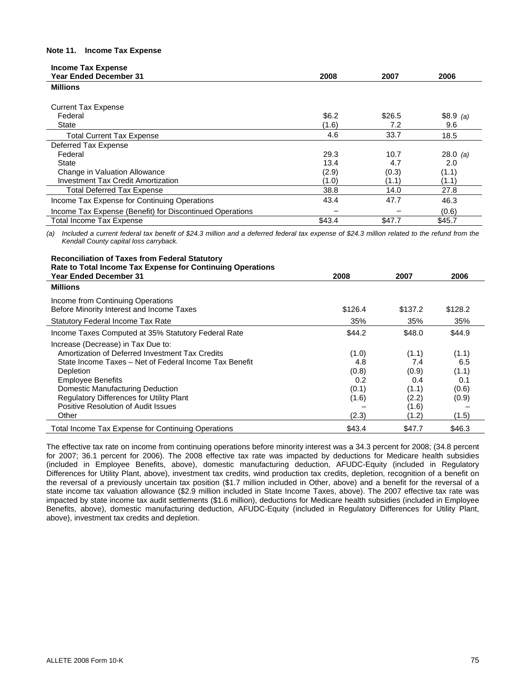## **Note 11. Income Tax Expense**

| <b>Income Tax Expense</b><br><b>Year Ended December 31</b>                                                                                                                                    | 2008     | 2007                 | 2006     |
|-----------------------------------------------------------------------------------------------------------------------------------------------------------------------------------------------|----------|----------------------|----------|
| <b>Millions</b>                                                                                                                                                                               |          |                      |          |
| <b>Current Tax Expense</b>                                                                                                                                                                    |          |                      |          |
| Federal                                                                                                                                                                                       | \$6.2    | \$26.5               | \$8.9(a) |
| <b>State</b>                                                                                                                                                                                  | (1.6)    | 7.2                  | 9.6      |
| <b>Total Current Tax Expense</b>                                                                                                                                                              | 4.6      | 33.7                 | 18.5     |
| Deferred Tax Expense                                                                                                                                                                          |          |                      |          |
| Federal                                                                                                                                                                                       | 29.3     | 10.7                 | 28.0 (a) |
| <b>State</b>                                                                                                                                                                                  | 13.4     | 4.7                  | 2.0      |
| Change in Valuation Allowance                                                                                                                                                                 | (2.9)    | (0.3)                | (1.1)    |
| <b>Investment Tax Credit Amortization</b>                                                                                                                                                     | (1.0)    | (1.1)                | (1.1)    |
| Total Deferred Tax Expense                                                                                                                                                                    | 38.8     | 14.0                 | 27.8     |
| Income Tax Expense for Continuing Operations                                                                                                                                                  | 43.4     | 47.7                 | 46.3     |
| Income Tax Expense (Benefit) for Discontinued Operations                                                                                                                                      |          |                      | (0.6)    |
| <b>Total Income Tax Expense</b>                                                                                                                                                               | \$43.4   | \$47.7               | \$45.7   |
| Included a current federal tax benefit of \$24.3 million and a deferred federal tax expense of \$24.3 million related to the refund from the<br>(a)<br>Kendall County capital loss carryback. |          |                      |          |
|                                                                                                                                                                                               |          |                      |          |
| <b>Reconciliation of Taxes from Federal Statutory</b>                                                                                                                                         |          |                      |          |
| Rate to Total Income Tax Expense for Continuing Operations                                                                                                                                    | $\cdots$ | $\sim$ $\sim$ $\sim$ | $\cdots$ |

| <b>Year Ended December 31</b>                                                                                                                                                                                                                                                                                                   | 2008                                                    | 2007                                                             | 2006                                                    |
|---------------------------------------------------------------------------------------------------------------------------------------------------------------------------------------------------------------------------------------------------------------------------------------------------------------------------------|---------------------------------------------------------|------------------------------------------------------------------|---------------------------------------------------------|
| <b>Millions</b>                                                                                                                                                                                                                                                                                                                 |                                                         |                                                                  |                                                         |
| Income from Continuing Operations<br>Before Minority Interest and Income Taxes                                                                                                                                                                                                                                                  | \$126.4                                                 | \$137.2                                                          | \$128.2                                                 |
| <b>Statutory Federal Income Tax Rate</b>                                                                                                                                                                                                                                                                                        | 35%                                                     | 35%                                                              | 35%                                                     |
| Income Taxes Computed at 35% Statutory Federal Rate                                                                                                                                                                                                                                                                             | \$44.2                                                  | \$48.0                                                           | \$44.9                                                  |
| Increase (Decrease) in Tax Due to:<br>Amortization of Deferred Investment Tax Credits<br>State Income Taxes – Net of Federal Income Tax Benefit<br>Depletion<br><b>Employee Benefits</b><br>Domestic Manufacturing Deduction<br><b>Regulatory Differences for Utility Plant</b><br>Positive Resolution of Audit Issues<br>Other | (1.0)<br>4.8<br>(0.8)<br>0.2<br>(0.1)<br>(1.6)<br>(2.3) | (1.1)<br>7.4<br>(0.9)<br>0.4<br>(1.1)<br>(2.2)<br>(1.6)<br>(1.2) | (1.1)<br>6.5<br>(1.1)<br>0.1<br>(0.6)<br>(0.9)<br>(1.5) |
| Total Income Tax Expense for Continuing Operations                                                                                                                                                                                                                                                                              | \$43.4                                                  | \$47.7                                                           | \$46.3                                                  |

The effective tax rate on income from continuing operations before minority interest was a 34.3 percent for 2008; (34.8 percent for 2007; 36.1 percent for 2006). The 2008 effective tax rate was impacted by deductions for Medicare health subsidies (included in Employee Benefits, above), domestic manufacturing deduction, AFUDC-Equity (included in Regulatory Differences for Utility Plant, above), investment tax credits, wind production tax credits, depletion, recognition of a benefit on the reversal of a previously uncertain tax position (\$1.7 million included in Other, above) and a benefit for the reversal of a state income tax valuation allowance (\$2.9 million included in State Income Taxes, above). The 2007 effective tax rate was impacted by state income tax audit settlements (\$1.6 million), deductions for Medicare health subsidies (included in Employee Benefits, above), domestic manufacturing deduction, AFUDC-Equity (included in Regulatory Differences for Utility Plant, above), investment tax credits and depletion.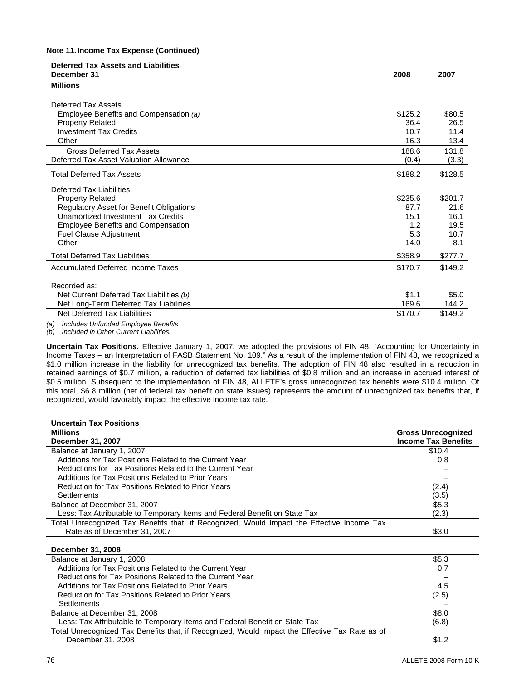# **Note 11. Income Tax Expense (Continued)**

# **Deferred Tax Assets and Liabilities**

| December 31                                     | 2008    | 2007    |
|-------------------------------------------------|---------|---------|
| <b>Millions</b>                                 |         |         |
|                                                 |         |         |
| Deferred Tax Assets                             |         |         |
| Employee Benefits and Compensation (a)          | \$125.2 | \$80.5  |
| <b>Property Related</b>                         | 36.4    | 26.5    |
| <b>Investment Tax Credits</b>                   | 10.7    | 11.4    |
| Other                                           | 16.3    | 13.4    |
| <b>Gross Deferred Tax Assets</b>                | 188.6   | 131.8   |
| Deferred Tax Asset Valuation Allowance          | (0.4)   | (3.3)   |
| Total Deferred Tax Assets                       | \$188.2 | \$128.5 |
| Deferred Tax Liabilities                        |         |         |
| <b>Property Related</b>                         | \$235.6 | \$201.7 |
| <b>Regulatory Asset for Benefit Obligations</b> | 87.7    | 21.6    |
| Unamortized Investment Tax Credits              | 15.1    | 16.1    |
| <b>Employee Benefits and Compensation</b>       | 1.2     | 19.5    |
| <b>Fuel Clause Adjustment</b>                   | 5.3     | 10.7    |
| Other                                           | 14.0    | 8.1     |
| <b>Total Deferred Tax Liabilities</b>           | \$358.9 | \$277.7 |
| Accumulated Deferred Income Taxes               | \$170.7 | \$149.2 |
| Recorded as:                                    |         |         |
| Net Current Deferred Tax Liabilities (b)        | \$1.1   | \$5.0   |
| Net Long-Term Deferred Tax Liabilities          | 169.6   | 144.2   |
| Net Deferred Tax Liabilities                    | \$170.7 | \$149.2 |
|                                                 |         |         |

*(a) Includes Unfunded Employee Benefits* 

*(b) Included in Other Current Liabilities.* 

**Uncertain Tax Positions.** Effective January 1, 2007, we adopted the provisions of FIN 48, "Accounting for Uncertainty in Income Taxes – an Interpretation of FASB Statement No. 109." As a result of the implementation of FIN 48, we recognized a \$1.0 million increase in the liability for unrecognized tax benefits. The adoption of FIN 48 also resulted in a reduction in retained earnings of \$0.7 million, a reduction of deferred tax liabilities of \$0.8 million and an increase in accrued interest of \$0.5 million. Subsequent to the implementation of FIN 48, ALLETE's gross unrecognized tax benefits were \$10.4 million. Of this total, \$6.8 million (net of federal tax benefit on state issues) represents the amount of unrecognized tax benefits that, if recognized, would favorably impact the effective income tax rate.

| <b>Uncertain Tax Positions</b>                                                                 |                            |
|------------------------------------------------------------------------------------------------|----------------------------|
| <b>Millions</b>                                                                                | <b>Gross Unrecognized</b>  |
| December 31, 2007                                                                              | <b>Income Tax Benefits</b> |
| Balance at January 1, 2007                                                                     | \$10.4                     |
| Additions for Tax Positions Related to the Current Year                                        | 0.8                        |
| Reductions for Tax Positions Related to the Current Year                                       |                            |
| Additions for Tax Positions Related to Prior Years                                             |                            |
| Reduction for Tax Positions Related to Prior Years                                             | (2.4)                      |
| <b>Settlements</b>                                                                             | (3.5)                      |
| Balance at December 31, 2007                                                                   | \$5.3                      |
| Less: Tax Attributable to Temporary Items and Federal Benefit on State Tax                     | (2.3)                      |
| Total Unrecognized Tax Benefits that, if Recognized, Would Impact the Effective Income Tax     |                            |
| Rate as of December 31, 2007                                                                   | \$3.0                      |
| <b>December 31, 2008</b>                                                                       |                            |
| Balance at January 1, 2008                                                                     | \$5.3                      |
| Additions for Tax Positions Related to the Current Year                                        | 0.7                        |
| Reductions for Tax Positions Related to the Current Year                                       |                            |
| Additions for Tax Positions Related to Prior Years                                             | 4.5                        |
| Reduction for Tax Positions Related to Prior Years                                             | (2.5)                      |
| <b>Settlements</b>                                                                             |                            |
| Balance at December 31, 2008                                                                   | \$8.0                      |
| Less: Tax Attributable to Temporary Items and Federal Benefit on State Tax                     | (6.8)                      |
| Total Unrecognized Tax Benefits that, if Recognized, Would Impact the Effective Tax Rate as of |                            |
| December 31, 2008                                                                              | \$1.2                      |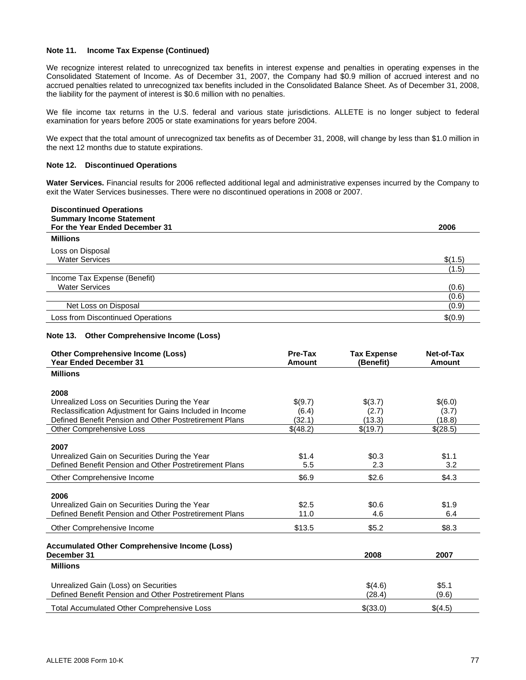## **Note 11. Income Tax Expense (Continued)**

We recognize interest related to unrecognized tax benefits in interest expense and penalties in operating expenses in the Consolidated Statement of Income. As of December 31, 2007, the Company had \$0.9 million of accrued interest and no accrued penalties related to unrecognized tax benefits included in the Consolidated Balance Sheet. As of December 31, 2008, the liability for the payment of interest is \$0.6 million with no penalties.

We file income tax returns in the U.S. federal and various state jurisdictions. ALLETE is no longer subject to federal examination for years before 2005 or state examinations for years before 2004.

We expect that the total amount of unrecognized tax benefits as of December 31, 2008, will change by less than \$1.0 million in the next 12 months due to statute expirations.

# **Note 12. Discontinued Operations**

**Water Services.** Financial results for 2006 reflected additional legal and administrative expenses incurred by the Company to exit the Water Services businesses. There were no discontinued operations in 2008 or 2007.

| <b>Discontinued Operations</b><br><b>Summary Income Statement</b> |         |
|-------------------------------------------------------------------|---------|
| For the Year Ended December 31                                    | 2006    |
| <b>Millions</b>                                                   |         |
| Loss on Disposal                                                  |         |
| <b>Water Services</b>                                             | \$(1.5) |
|                                                                   | (1.5)   |
| Income Tax Expense (Benefit)                                      |         |
| <b>Water Services</b>                                             | (0.6)   |
|                                                                   | (0.6)   |
| Net Loss on Disposal                                              | (0.9)   |
| Loss from Discontinued Operations                                 | \$(0.9) |
|                                                                   |         |

# **Note 13. Other Comprehensive Income (Loss)**

| <b>Other Comprehensive Income (Loss)</b><br><b>Year Ended December 31</b>                                          | Pre-Tax<br>Amount | <b>Tax Expense</b><br>(Benefit) | Net-of-Tax<br>Amount |
|--------------------------------------------------------------------------------------------------------------------|-------------------|---------------------------------|----------------------|
| <b>Millions</b>                                                                                                    |                   |                                 |                      |
|                                                                                                                    |                   |                                 |                      |
| 2008                                                                                                               |                   |                                 |                      |
| Unrealized Loss on Securities During the Year                                                                      | \$(9.7)           | \$(3.7)                         | \$(6.0)              |
| Reclassification Adjustment for Gains Included in Income<br>Defined Benefit Pension and Other Postretirement Plans | (6.4)<br>(32.1)   | (2.7)<br>(13.3)                 | (3.7)<br>(18.8)      |
| <b>Other Comprehensive Loss</b>                                                                                    | \$(48.2)          | \$(19.7)                        | \$(28.5)             |
|                                                                                                                    |                   |                                 |                      |
| 2007                                                                                                               |                   |                                 |                      |
| Unrealized Gain on Securities During the Year                                                                      | \$1.4             | \$0.3                           | \$1.1                |
| Defined Benefit Pension and Other Postretirement Plans                                                             | 5.5               | 2.3                             | 3.2                  |
| Other Comprehensive Income                                                                                         | \$6.9             | \$2.6                           | \$4.3                |
|                                                                                                                    |                   |                                 |                      |
| 2006<br>Unrealized Gain on Securities During the Year                                                              | \$2.5             | \$0.6                           | \$1.9                |
| Defined Benefit Pension and Other Postretirement Plans                                                             | 11.0              | 4.6                             | 6.4                  |
|                                                                                                                    |                   |                                 |                      |
| Other Comprehensive Income                                                                                         | \$13.5            | \$5.2                           | \$8.3                |
|                                                                                                                    |                   |                                 |                      |
| <b>Accumulated Other Comprehensive Income (Loss)</b>                                                               |                   |                                 |                      |
| December 31                                                                                                        |                   | 2008                            | 2007                 |
| <b>Millions</b>                                                                                                    |                   |                                 |                      |
| Unrealized Gain (Loss) on Securities                                                                               |                   | \$(4.6)                         | \$5.1                |
| Defined Benefit Pension and Other Postretirement Plans                                                             |                   | (28.4)                          | (9.6)                |
| <b>Total Accumulated Other Comprehensive Loss</b>                                                                  |                   | \$(33.0)                        | \$(4.5)              |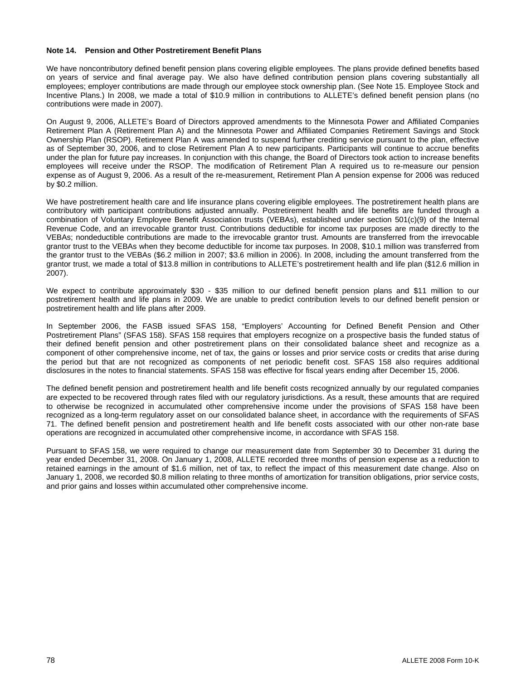We have noncontributory defined benefit pension plans covering eligible employees. The plans provide defined benefits based on years of service and final average pay. We also have defined contribution pension plans covering substantially all employees; employer contributions are made through our employee stock ownership plan. (See Note 15. Employee Stock and Incentive Plans.) In 2008, we made a total of \$10.9 million in contributions to ALLETE's defined benefit pension plans (no contributions were made in 2007).

On August 9, 2006, ALLETE's Board of Directors approved amendments to the Minnesota Power and Affiliated Companies Retirement Plan A (Retirement Plan A) and the Minnesota Power and Affiliated Companies Retirement Savings and Stock Ownership Plan (RSOP). Retirement Plan A was amended to suspend further crediting service pursuant to the plan, effective as of September 30, 2006, and to close Retirement Plan A to new participants. Participants will continue to accrue benefits under the plan for future pay increases. In conjunction with this change, the Board of Directors took action to increase benefits employees will receive under the RSOP. The modification of Retirement Plan A required us to re-measure our pension expense as of August 9, 2006. As a result of the re-measurement, Retirement Plan A pension expense for 2006 was reduced by \$0.2 million.

We have postretirement health care and life insurance plans covering eligible employees. The postretirement health plans are contributory with participant contributions adjusted annually. Postretirement health and life benefits are funded through a combination of Voluntary Employee Benefit Association trusts (VEBAs), established under section 501(c)(9) of the Internal Revenue Code, and an irrevocable grantor trust. Contributions deductible for income tax purposes are made directly to the VEBAs; nondeductible contributions are made to the irrevocable grantor trust. Amounts are transferred from the irrevocable grantor trust to the VEBAs when they become deductible for income tax purposes. In 2008, \$10.1 million was transferred from the grantor trust to the VEBAs (\$6.2 million in 2007; \$3.6 million in 2006). In 2008, including the amount transferred from the grantor trust, we made a total of \$13.8 million in contributions to ALLETE's postretirement health and life plan (\$12.6 million in 2007).

We expect to contribute approximately \$30 - \$35 million to our defined benefit pension plans and \$11 million to our postretirement health and life plans in 2009. We are unable to predict contribution levels to our defined benefit pension or postretirement health and life plans after 2009.

In September 2006, the FASB issued SFAS 158, "Employers' Accounting for Defined Benefit Pension and Other Postretirement Plans" (SFAS 158). SFAS 158 requires that employers recognize on a prospective basis the funded status of their defined benefit pension and other postretirement plans on their consolidated balance sheet and recognize as a component of other comprehensive income, net of tax, the gains or losses and prior service costs or credits that arise during the period but that are not recognized as components of net periodic benefit cost. SFAS 158 also requires additional disclosures in the notes to financial statements. SFAS 158 was effective for fiscal years ending after December 15, 2006.

The defined benefit pension and postretirement health and life benefit costs recognized annually by our regulated companies are expected to be recovered through rates filed with our regulatory jurisdictions. As a result, these amounts that are required to otherwise be recognized in accumulated other comprehensive income under the provisions of SFAS 158 have been recognized as a long-term regulatory asset on our consolidated balance sheet, in accordance with the requirements of SFAS 71. The defined benefit pension and postretirement health and life benefit costs associated with our other non-rate base operations are recognized in accumulated other comprehensive income, in accordance with SFAS 158.

Pursuant to SFAS 158, we were required to change our measurement date from September 30 to December 31 during the year ended December 31, 2008. On January 1, 2008, ALLETE recorded three months of pension expense as a reduction to retained earnings in the amount of \$1.6 million, net of tax, to reflect the impact of this measurement date change. Also on January 1, 2008, we recorded \$0.8 million relating to three months of amortization for transition obligations, prior service costs, and prior gains and losses within accumulated other comprehensive income.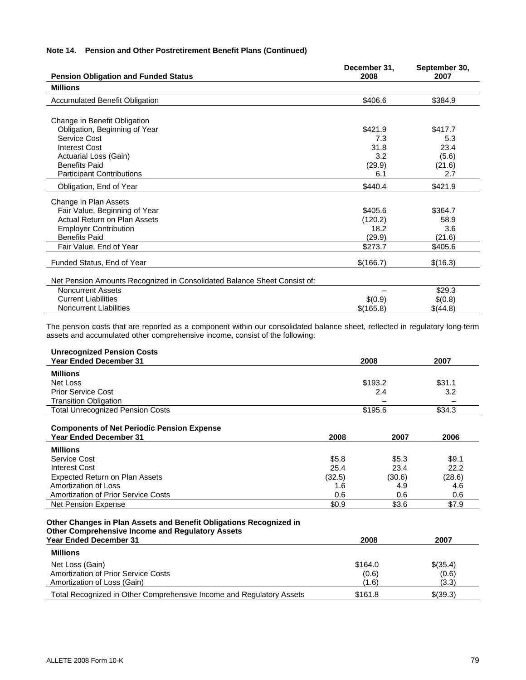| <b>Pension Obligation and Funded Status</b>                                                                                                                                                | December 31.<br>2008                            | September 30,<br>2007                            |
|--------------------------------------------------------------------------------------------------------------------------------------------------------------------------------------------|-------------------------------------------------|--------------------------------------------------|
| <b>Millions</b>                                                                                                                                                                            |                                                 |                                                  |
| <b>Accumulated Benefit Obligation</b>                                                                                                                                                      | \$406.6                                         | \$384.9                                          |
| Change in Benefit Obligation<br>Obligation, Beginning of Year<br>Service Cost<br><b>Interest Cost</b><br>Actuarial Loss (Gain)<br><b>Benefits Paid</b><br><b>Participant Contributions</b> | \$421.9<br>7.3<br>31.8<br>3.2<br>(29.9)<br>6.1  | \$417.7<br>5.3<br>23.4<br>(5.6)<br>(21.6)<br>2.7 |
| Obligation, End of Year                                                                                                                                                                    | \$440.4                                         | \$421.9                                          |
| Change in Plan Assets<br>Fair Value, Beginning of Year<br>Actual Return on Plan Assets<br><b>Employer Contribution</b><br><b>Benefits Paid</b><br>Fair Value, End of Year                  | \$405.6<br>(120.2)<br>18.2<br>(29.9)<br>\$273.7 | \$364.7<br>58.9<br>3.6<br>(21.6)<br>\$405.6      |
| Funded Status, End of Year                                                                                                                                                                 | \$(166.7)                                       | \$(16.3)                                         |
| Net Pension Amounts Recognized in Consolidated Balance Sheet Consist of:                                                                                                                   |                                                 |                                                  |
| <b>Noncurrent Assets</b><br><b>Current Liabilities</b><br><b>Noncurrent Liabilities</b>                                                                                                    | \$(0.9)<br>\$(165.8)                            | \$29.3<br>\$(0.8)<br>\$(44.8)                    |

The pension costs that are reported as a component within our consolidated balance sheet, reflected in regulatory long-term assets and accumulated other comprehensive income, consist of the following:

| <b>Unrecognized Pension Costs</b>                                                  |        |         |        |
|------------------------------------------------------------------------------------|--------|---------|--------|
| <b>Year Ended December 31</b>                                                      |        | 2008    | 2007   |
| <b>Millions</b>                                                                    |        |         |        |
| Net Loss                                                                           |        | \$193.2 | \$31.1 |
| <b>Prior Service Cost</b>                                                          |        | 2.4     | 3.2    |
| <b>Transition Obligation</b>                                                       |        |         |        |
| <b>Total Unrecognized Pension Costs</b>                                            |        | \$195.6 | \$34.3 |
| <b>Components of Net Periodic Pension Expense</b><br><b>Year Ended December 31</b> | 2008   | 2007    | 2006   |
| <b>Millions</b>                                                                    |        |         |        |
| Service Cost                                                                       | \$5.8  | \$5.3   | \$9.1  |
| <b>Interest Cost</b>                                                               | 25.4   | 23.4    | 22.2   |
| <b>Expected Return on Plan Assets</b>                                              | (32.5) | (30.6)  | (28.6) |
| Amortization of Loss                                                               | 1.6    | 4.9     | 4.6    |
| <b>Amortization of Prior Service Costs</b>                                         | 0.6    | 0.6     | 0.6    |
| Net Pension Expense                                                                | \$0.9  | \$3.6   | \$7.9  |

**Other Changes in Plan Assets and Benefit Obligations Recognized in Other Comprehensive Income and Regulatory Assets** 

| <b>Year Ended December 31</b>                                        | 2008    | 2007     |
|----------------------------------------------------------------------|---------|----------|
| <b>Millions</b>                                                      |         |          |
| Net Loss (Gain)                                                      | \$164.0 | \$(35.4) |
| Amortization of Prior Service Costs                                  | (0.6)   | (0.6)    |
| Amortization of Loss (Gain)                                          | (1.6)   | (3.3)    |
| Total Recognized in Other Comprehensive Income and Regulatory Assets | \$161.8 | \$(39.3) |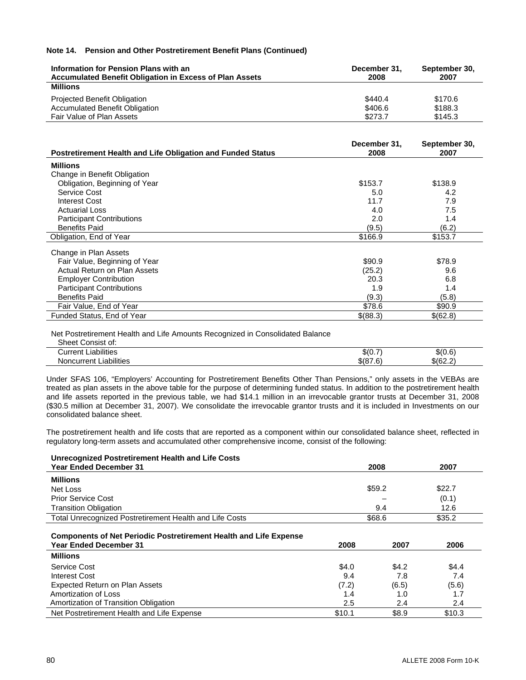| Information for Pension Plans with an                          | December 31. | September 30, |
|----------------------------------------------------------------|--------------|---------------|
| <b>Accumulated Benefit Obligation in Excess of Plan Assets</b> | 2008         | 2007          |
| <b>Millions</b>                                                |              |               |
| <b>Projected Benefit Obligation</b>                            | \$440.4      | \$170.6       |
| <b>Accumulated Benefit Obligation</b>                          | \$406.6      | \$188.3       |
| Fair Value of Plan Assets                                      | \$273.7      | \$145.3       |

|                                                                    | December 31, | September 30, |
|--------------------------------------------------------------------|--------------|---------------|
| <b>Postretirement Health and Life Obligation and Funded Status</b> | 2008         | 2007          |
| <b>Millions</b>                                                    |              |               |
| Change in Benefit Obligation                                       |              |               |
| Obligation, Beginning of Year                                      | \$153.7      | \$138.9       |
| Service Cost                                                       | 5.0          | 4.2           |
| Interest Cost                                                      | 11.7         | 7.9           |
| <b>Actuarial Loss</b>                                              | 4.0          | 7.5           |
| <b>Participant Contributions</b>                                   | 2.0          | 1.4           |
| <b>Benefits Paid</b>                                               | (9.5)        | (6.2)         |
| Obligation, End of Year                                            | \$166.9      | \$153.7       |
| Change in Plan Assets                                              |              |               |
| Fair Value, Beginning of Year                                      | \$90.9       | \$78.9        |
| Actual Return on Plan Assets                                       | (25.2)       | 9.6           |
| <b>Employer Contribution</b>                                       | 20.3         | 6.8           |
| <b>Participant Contributions</b>                                   | 1.9          | 1.4           |
| <b>Benefits Paid</b>                                               | (9.3)        | (5.8)         |
| Fair Value, End of Year                                            | \$78.6       | \$90.9        |
| Funded Status, End of Year                                         | \$ (88.3)    | \$(62.8)      |

Net Postretirement Health and Life Amounts Recognized in Consolidated Balance

| Sheet Consist of:                |           |          |
|----------------------------------|-----------|----------|
| <b>Current Liabilities</b>       | \$0.7     | \$(0.6)  |
| Liabilities<br><b>Noncurrent</b> | \$ (87.6) | \$(62.2) |
|                                  |           |          |

Under SFAS 106, "Employers' Accounting for Postretirement Benefits Other Than Pensions," only assets in the VEBAs are treated as plan assets in the above table for the purpose of determining funded status. In addition to the postretirement health and life assets reported in the previous table, we had \$14.1 million in an irrevocable grantor trusts at December 31, 2008 (\$30.5 million at December 31, 2007). We consolidate the irrevocable grantor trusts and it is included in Investments on our consolidated balance sheet.

The postretirement health and life costs that are reported as a component within our consolidated balance sheet, reflected in regulatory long-term assets and accumulated other comprehensive income, consist of the following:

| 2008   | 2007   |
|--------|--------|
|        |        |
| \$59.2 | \$22.7 |
|        | (0.1)  |
| 9.4    | 12.6   |
| \$68.6 | \$35.2 |
|        |        |

#### **Components of Net Periodic Postretirement Health and Life Expense**

| <b>Year Ended December 31</b>              | 2008   | 2007  | 2006   |
|--------------------------------------------|--------|-------|--------|
| <b>Millions</b>                            |        |       |        |
| Service Cost                               | \$4.0  | \$4.2 | \$4.4  |
| Interest Cost                              | 9.4    | 7.8   | 7.4    |
| <b>Expected Return on Plan Assets</b>      | (7.2)  | (6.5) | (5.6)  |
| Amortization of Loss                       | 1.4    | 1.0   | 1.7    |
| Amortization of Transition Obligation      | 2.5    | 2.4   | 2.4    |
| Net Postretirement Health and Life Expense | \$10.1 | \$8.9 | \$10.3 |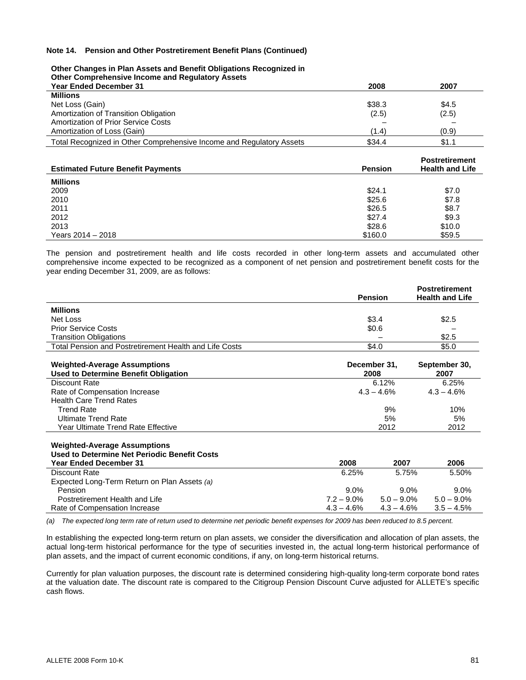# **Other Changes in Plan Assets and Benefit Obligations Recognized in**

| <b>Other Comprehensive Income and Regulatory Assets</b>              |        |       |
|----------------------------------------------------------------------|--------|-------|
| <b>Year Ended December 31</b>                                        | 2008   | 2007  |
| <b>Millions</b>                                                      |        |       |
| Net Loss (Gain)                                                      | \$38.3 | \$4.5 |
| Amortization of Transition Obligation                                | (2.5)  | (2.5) |
| <b>Amortization of Prior Service Costs</b>                           |        |       |
| Amortization of Loss (Gain)                                          | (1.4)  | (0.9) |
| Total Recognized in Other Comprehensive Income and Regulatory Assets | \$34.4 | \$1.1 |

|                                          |                | <b>Postretirement</b>  |
|------------------------------------------|----------------|------------------------|
| <b>Estimated Future Benefit Payments</b> | <b>Pension</b> | <b>Health and Life</b> |
| <b>Millions</b>                          |                |                        |
| 2009                                     | \$24.1         | \$7.0                  |
| 2010                                     | \$25.6         | \$7.8                  |
| 2011                                     | \$26.5         | \$8.7                  |
| 2012                                     | \$27.4         | \$9.3                  |
| 2013                                     | \$28.6         | \$10.0                 |
| Years 2014 - 2018                        | \$160.0        | \$59.5                 |

The pension and postretirement health and life costs recorded in other long-term assets and accumulated other comprehensive income expected to be recognized as a component of net pension and postretirement benefit costs for the year ending December 31, 2009, are as follows:

|                                                        | <b>Pension</b> |       | <b>Postretirement</b><br><b>Health and Life</b> |  |
|--------------------------------------------------------|----------------|-------|-------------------------------------------------|--|
| <b>Millions</b>                                        |                |       |                                                 |  |
| Net Loss                                               | \$3.4          |       | \$2.5                                           |  |
| <b>Prior Service Costs</b>                             | \$0.6          |       |                                                 |  |
|                                                        |                |       |                                                 |  |
| <b>Transition Obligations</b>                          |                |       | \$2.5                                           |  |
| Total Pension and Postretirement Health and Life Costs | \$4.0          |       | \$5.0                                           |  |
| <b>Weighted-Average Assumptions</b>                    | December 31,   |       | September 30,                                   |  |
| <b>Used to Determine Benefit Obligation</b>            | 2008           |       | 2007                                            |  |
| Discount Rate                                          | 6.12%          |       | 6.25%                                           |  |
| Rate of Compensation Increase                          | $4.3 - 4.6%$   |       | $4.3 - 4.6%$                                    |  |
|                                                        |                |       |                                                 |  |
| <b>Health Care Trend Rates</b>                         |                |       |                                                 |  |
| <b>Trend Rate</b>                                      |                | 9%    | 10%                                             |  |
| Ultimate Trend Rate                                    |                | 5%    | 5%                                              |  |
| Year Ultimate Trend Rate Effective                     |                | 2012  | 2012                                            |  |
| <b>Weighted-Average Assumptions</b>                    |                |       |                                                 |  |
| <b>Used to Determine Net Periodic Benefit Costs</b>    |                |       |                                                 |  |
| <b>Year Ended December 31</b>                          | 2008           | 2007  | 2006                                            |  |
| Discount Rate                                          | 6.25%          | 5.75% | 5.50%                                           |  |
| Expected Long-Term Return on Plan Assets (a)           |                |       |                                                 |  |

*(a) The expected long term rate of return used to determine net periodic benefit expenses for 2009 has been reduced to 8.5 percent.* 

In establishing the expected long-term return on plan assets, we consider the diversification and allocation of plan assets, the actual long-term historical performance for the type of securities invested in, the actual long-term historical performance of plan assets, and the impact of current economic conditions, if any, on long-term historical returns.

Pension 9.0% 9.0% 9.0% Postretirement Health and Life 7.2 – 9.0% 5.0 – 9.0% 5.0 – 9.0% Rate of Compensation Increase 4.3 – 4.6% 4.3 – 4.6% 3.5 – 4.5%

Currently for plan valuation purposes, the discount rate is determined considering high-quality long-term corporate bond rates at the valuation date. The discount rate is compared to the Citigroup Pension Discount Curve adjusted for ALLETE's specific cash flows.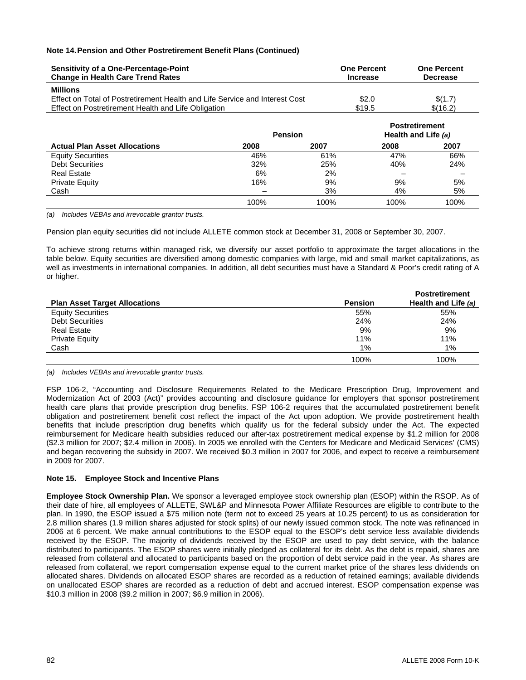| <b>Sensitivity of a One-Percentage-Point</b><br><b>Change in Health Care Trend Rates</b> |                |      | <b>One Percent</b><br><b>Increase</b> | <b>One Percent</b><br><b>Decrease</b>        |
|------------------------------------------------------------------------------------------|----------------|------|---------------------------------------|----------------------------------------------|
| <b>Millions</b>                                                                          |                |      |                                       |                                              |
| Effect on Total of Postretirement Health and Life Service and Interest Cost              |                |      | \$2.0                                 | \$(1.7)                                      |
| Effect on Postretirement Health and Life Obligation                                      |                |      | \$19.5                                | \$(16.2)                                     |
|                                                                                          | <b>Pension</b> |      |                                       | <b>Postretirement</b><br>Health and Life (a) |
| <b>Actual Plan Asset Allocations</b>                                                     | 2008           | 2007 | 2008                                  | 2007                                         |
| <b>Equity Securities</b>                                                                 | 46%            | 61%  | 47%                                   | 66%                                          |
| <b>Debt Securities</b>                                                                   | 32%            | 25%  | 40%                                   | 24%                                          |
| <b>Real Estate</b>                                                                       | 6%             | 2%   |                                       |                                              |

Private Equity **16% 16% 9% 9% 9% 5%** 9% 5% 9% 9% 9% 5% Cash – 3% 4% 5% 100% 100% 100% 100%

*(a) Includes VEBAs and irrevocable grantor trusts.* 

Pension plan equity securities did not include ALLETE common stock at December 31, 2008 or September 30, 2007.

To achieve strong returns within managed risk, we diversify our asset portfolio to approximate the target allocations in the table below. Equity securities are diversified among domestic companies with large, mid and small market capitalizations, as well as investments in international companies. In addition, all debt securities must have a Standard & Poor's credit rating of A or higher.

|                                      |                | <b>Postretirement</b> |
|--------------------------------------|----------------|-----------------------|
| <b>Plan Asset Target Allocations</b> | <b>Pension</b> | Health and Life (a)   |
| <b>Equity Securities</b>             | 55%            | 55%                   |
| <b>Debt Securities</b>               | 24%            | 24%                   |
| <b>Real Estate</b>                   | 9%             | 9%                    |
| <b>Private Equity</b>                | 11%            | 11%                   |
| Cash                                 | $1\%$          | $1\%$                 |
|                                      | 100%           | 100%                  |

*(a) Includes VEBAs and irrevocable grantor trusts.* 

FSP 106-2, "Accounting and Disclosure Requirements Related to the Medicare Prescription Drug, Improvement and Modernization Act of 2003 (Act)" provides accounting and disclosure guidance for employers that sponsor postretirement health care plans that provide prescription drug benefits. FSP 106-2 requires that the accumulated postretirement benefit obligation and postretirement benefit cost reflect the impact of the Act upon adoption. We provide postretirement health benefits that include prescription drug benefits which qualify us for the federal subsidy under the Act. The expected reimbursement for Medicare health subsidies reduced our after-tax postretirement medical expense by \$1.2 million for 2008 (\$2.3 million for 2007; \$2.4 million in 2006). In 2005 we enrolled with the Centers for Medicare and Medicaid Services' (CMS) and began recovering the subsidy in 2007. We received \$0.3 million in 2007 for 2006, and expect to receive a reimbursement in 2009 for 2007.

#### **Note 15. Employee Stock and Incentive Plans**

**Employee Stock Ownership Plan.** We sponsor a leveraged employee stock ownership plan (ESOP) within the RSOP. As of their date of hire, all employees of ALLETE, SWL&P and Minnesota Power Affiliate Resources are eligible to contribute to the plan. In 1990, the ESOP issued a \$75 million note (term not to exceed 25 years at 10.25 percent) to us as consideration for 2.8 million shares (1.9 million shares adjusted for stock splits) of our newly issued common stock. The note was refinanced in 2006 at 6 percent. We make annual contributions to the ESOP equal to the ESOP's debt service less available dividends received by the ESOP. The majority of dividends received by the ESOP are used to pay debt service, with the balance distributed to participants. The ESOP shares were initially pledged as collateral for its debt. As the debt is repaid, shares are released from collateral and allocated to participants based on the proportion of debt service paid in the year. As shares are released from collateral, we report compensation expense equal to the current market price of the shares less dividends on allocated shares. Dividends on allocated ESOP shares are recorded as a reduction of retained earnings; available dividends on unallocated ESOP shares are recorded as a reduction of debt and accrued interest. ESOP compensation expense was \$10.3 million in 2008 (\$9.2 million in 2007; \$6.9 million in 2006).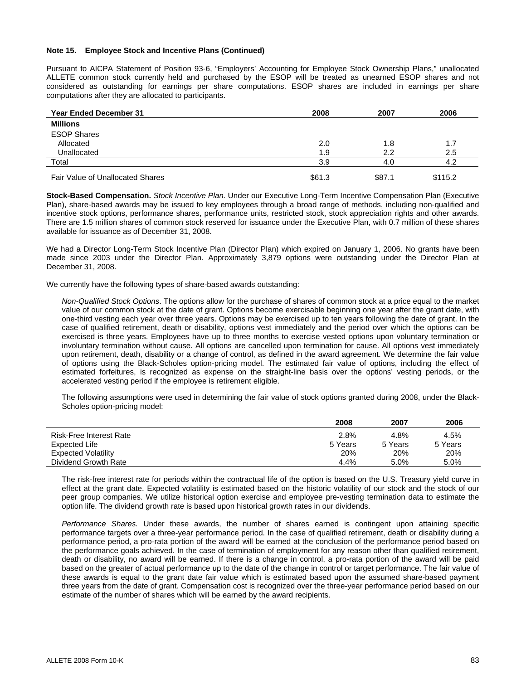#### **Note 15. Employee Stock and Incentive Plans (Continued)**

Pursuant to AICPA Statement of Position 93-6, "Employers' Accounting for Employee Stock Ownership Plans," unallocated ALLETE common stock currently held and purchased by the ESOP will be treated as unearned ESOP shares and not considered as outstanding for earnings per share computations. ESOP shares are included in earnings per share computations after they are allocated to participants.

| <b>Year Ended December 31</b>    | 2008   | 2007   | 2006    |
|----------------------------------|--------|--------|---------|
| <b>Millions</b>                  |        |        |         |
| <b>ESOP Shares</b>               |        |        |         |
| Allocated                        | 2.0    | 1.8    | 1.7     |
| Unallocated                      | 1.9    | 2.2    | 2.5     |
| Total                            | 3.9    | 4.0    | 4.2     |
| Fair Value of Unallocated Shares | \$61.3 | \$87.1 | \$115.2 |

**Stock-Based Compensation.** *Stock Incentive Plan.* Under our Executive Long-Term Incentive Compensation Plan (Executive Plan), share-based awards may be issued to key employees through a broad range of methods, including non-qualified and incentive stock options, performance shares, performance units, restricted stock, stock appreciation rights and other awards. There are 1.5 million shares of common stock reserved for issuance under the Executive Plan, with 0.7 million of these shares available for issuance as of December 31, 2008.

We had a Director Long-Term Stock Incentive Plan (Director Plan) which expired on January 1, 2006. No grants have been made since 2003 under the Director Plan. Approximately 3,879 options were outstanding under the Director Plan at December 31, 2008.

We currently have the following types of share-based awards outstanding:

*Non-Qualified Stock Options*. The options allow for the purchase of shares of common stock at a price equal to the market value of our common stock at the date of grant. Options become exercisable beginning one year after the grant date, with one-third vesting each year over three years. Options may be exercised up to ten years following the date of grant. In the case of qualified retirement, death or disability, options vest immediately and the period over which the options can be exercised is three years. Employees have up to three months to exercise vested options upon voluntary termination or involuntary termination without cause. All options are cancelled upon termination for cause. All options vest immediately upon retirement, death, disability or a change of control, as defined in the award agreement. We determine the fair value of options using the Black-Scholes option-pricing model. The estimated fair value of options, including the effect of estimated forfeitures, is recognized as expense on the straight-line basis over the options' vesting periods, or the accelerated vesting period if the employee is retirement eligible.

The following assumptions were used in determining the fair value of stock options granted during 2008, under the Black-Scholes option-pricing model:

|                            | 2008    | 2007    | 2006    |
|----------------------------|---------|---------|---------|
| Risk-Free Interest Rate    | 2.8%    | 4.8%    | 4.5%    |
| Expected Life              | 5 Years | 5 Years | 5 Years |
| <b>Expected Volatility</b> | 20%     | 20%     | 20%     |
| Dividend Growth Rate       | 4.4%    | 5.0%    | 5.0%    |

The risk-free interest rate for periods within the contractual life of the option is based on the U.S. Treasury yield curve in effect at the grant date. Expected volatility is estimated based on the historic volatility of our stock and the stock of our peer group companies. We utilize historical option exercise and employee pre-vesting termination data to estimate the option life. The dividend growth rate is based upon historical growth rates in our dividends.

*Performance Shares.* Under these awards, the number of shares earned is contingent upon attaining specific performance targets over a three-year performance period. In the case of qualified retirement, death or disability during a performance period, a pro-rata portion of the award will be earned at the conclusion of the performance period based on the performance goals achieved. In the case of termination of employment for any reason other than qualified retirement, death or disability, no award will be earned. If there is a change in control, a pro-rata portion of the award will be paid based on the greater of actual performance up to the date of the change in control or target performance. The fair value of these awards is equal to the grant date fair value which is estimated based upon the assumed share-based payment three years from the date of grant. Compensation cost is recognized over the three-year performance period based on our estimate of the number of shares which will be earned by the award recipients.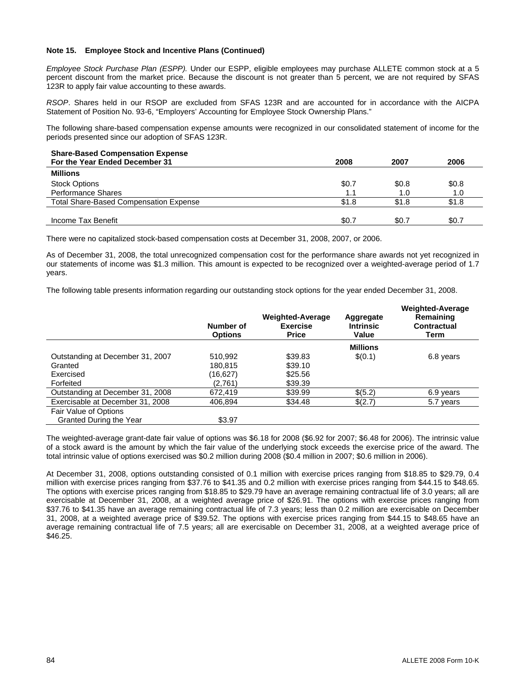## **Note 15. Employee Stock and Incentive Plans (Continued)**

*Employee Stock Purchase Plan (ESPP).* Under our ESPP, eligible employees may purchase ALLETE common stock at a 5 percent discount from the market price. Because the discount is not greater than 5 percent, we are not required by SFAS 123R to apply fair value accounting to these awards.

*RSOP*. Shares held in our RSOP are excluded from SFAS 123R and are accounted for in accordance with the AICPA Statement of Position No. 93-6, "Employers' Accounting for Employee Stock Ownership Plans."

The following share-based compensation expense amounts were recognized in our consolidated statement of income for the periods presented since our adoption of SFAS 123R.

| <b>Share-Based Compensation Expense</b><br>For the Year Ended December 31 | 2008  | 2007  | 2006  |
|---------------------------------------------------------------------------|-------|-------|-------|
| <b>Millions</b>                                                           |       |       |       |
| Stock Options                                                             | \$0.7 | \$0.8 | \$0.8 |
| Performance Shares                                                        | 1.1   | 1.0   | 1.0   |
| <b>Total Share-Based Compensation Expense</b>                             | \$1.8 | \$1.8 | \$1.8 |
| Income Tax Benefit                                                        | \$0.7 | \$0.7 | \$0.7 |

There were no capitalized stock-based compensation costs at December 31, 2008, 2007, or 2006.

As of December 31, 2008, the total unrecognized compensation cost for the performance share awards not yet recognized in our statements of income was \$1.3 million. This amount is expected to be recognized over a weighted-average period of 1.7 years.

The following table presents information regarding our outstanding stock options for the year ended December 31, 2008.

|                                  | Number of<br><b>Options</b> | <b>Weighted-Average</b><br><b>Exercise</b><br><b>Price</b> | Aggregate<br><b>Intrinsic</b><br>Value | <b>Weighted-Average</b><br>Remaining<br>Contractual<br>Term |
|----------------------------------|-----------------------------|------------------------------------------------------------|----------------------------------------|-------------------------------------------------------------|
|                                  |                             |                                                            | <b>Millions</b>                        |                                                             |
| Outstanding at December 31, 2007 | 510.992                     | \$39.83                                                    | \$(0.1)                                | 6.8 years                                                   |
| Granted                          | 180.815                     | \$39.10                                                    |                                        |                                                             |
| Exercised                        | (16,627)                    | \$25.56                                                    |                                        |                                                             |
| Forfeited                        | (2,761)                     | \$39.39                                                    |                                        |                                                             |
| Outstanding at December 31, 2008 | 672,419                     | \$39.99                                                    | \$(5.2)                                | 6.9 years                                                   |
| Exercisable at December 31, 2008 | 406.894                     | \$34.48                                                    | \$(2.7)                                | 5.7 years                                                   |
| Fair Value of Options            |                             |                                                            |                                        |                                                             |
| Granted During the Year          | \$3.97                      |                                                            |                                        |                                                             |

The weighted-average grant-date fair value of options was \$6.18 for 2008 (\$6.92 for 2007; \$6.48 for 2006). The intrinsic value of a stock award is the amount by which the fair value of the underlying stock exceeds the exercise price of the award. The total intrinsic value of options exercised was \$0.2 million during 2008 (\$0.4 million in 2007; \$0.6 million in 2006).

At December 31, 2008, options outstanding consisted of 0.1 million with exercise prices ranging from \$18.85 to \$29.79, 0.4 million with exercise prices ranging from \$37.76 to \$41.35 and 0.2 million with exercise prices ranging from \$44.15 to \$48.65. The options with exercise prices ranging from \$18.85 to \$29.79 have an average remaining contractual life of 3.0 years; all are exercisable at December 31, 2008, at a weighted average price of \$26.91. The options with exercise prices ranging from \$37.76 to \$41.35 have an average remaining contractual life of 7.3 years; less than 0.2 million are exercisable on December 31, 2008, at a weighted average price of \$39.52. The options with exercise prices ranging from \$44.15 to \$48.65 have an average remaining contractual life of 7.5 years; all are exercisable on December 31, 2008, at a weighted average price of \$46.25.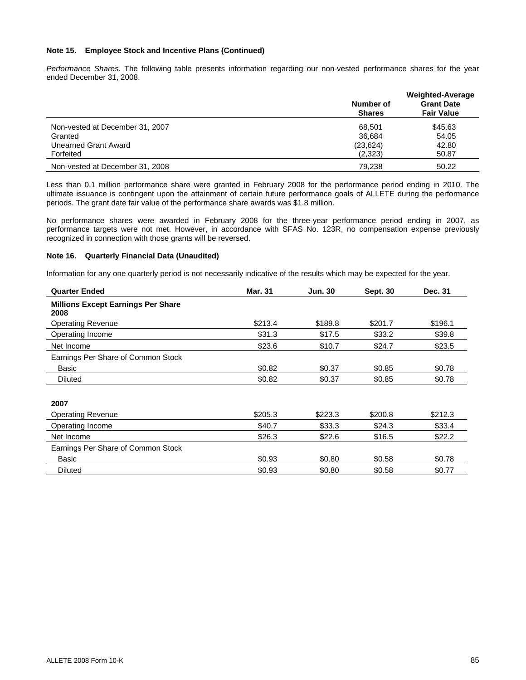#### **Note 15. Employee Stock and Incentive Plans (Continued)**

*Performance Shares.* The following table presents information regarding our non-vested performance shares for the year ended December 31, 2008.

|                                                                    | Number of<br><b>Shares</b>    | <b>Weighted-Average</b><br><b>Grant Date</b><br><b>Fair Value</b> |
|--------------------------------------------------------------------|-------------------------------|-------------------------------------------------------------------|
| Non-vested at December 31, 2007<br>Granted<br>Unearned Grant Award | 68.501<br>36.684<br>(23, 624) | \$45.63<br>54.05<br>42.80                                         |
| Forfeited                                                          | (2,323)                       | 50.87                                                             |
| Non-vested at December 31, 2008                                    | 79.238                        | 50.22                                                             |

Less than 0.1 million performance share were granted in February 2008 for the performance period ending in 2010. The ultimate issuance is contingent upon the attainment of certain future performance goals of ALLETE during the performance periods. The grant date fair value of the performance share awards was \$1.8 million.

No performance shares were awarded in February 2008 for the three-year performance period ending in 2007, as performance targets were not met. However, in accordance with SFAS No. 123R, no compensation expense previously recognized in connection with those grants will be reversed.

#### **Note 16. Quarterly Financial Data (Unaudited)**

Information for any one quarterly period is not necessarily indicative of the results which may be expected for the year.

| <b>Mar. 31</b> | <b>Jun. 30</b> | <b>Sept. 30</b> | Dec. 31 |
|----------------|----------------|-----------------|---------|
|                |                |                 |         |
| \$213.4        | \$189.8        | \$201.7         | \$196.1 |
| \$31.3         | \$17.5         | \$33.2          | \$39.8  |
| \$23.6         | \$10.7         | \$24.7          | \$23.5  |
|                |                |                 |         |
| \$0.82         | \$0.37         | \$0.85          | \$0.78  |
| \$0.82         | \$0.37         | \$0.85          | \$0.78  |
|                |                |                 |         |
|                |                |                 |         |
| \$205.3        | \$223.3        | \$200.8         | \$212.3 |
| \$40.7         | \$33.3         | \$24.3          | \$33.4  |
| \$26.3         | \$22.6         | \$16.5          | \$22.2  |
|                |                |                 |         |
| \$0.93         | \$0.80         | \$0.58          | \$0.78  |
| \$0.93         | \$0.80         | \$0.58          | \$0.77  |
|                |                |                 |         |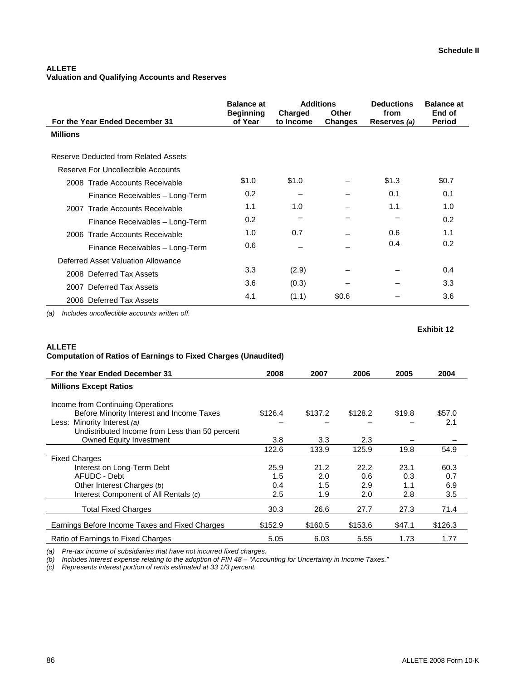# **ALLETE Valuation and Qualifying Accounts and Reserves**

| For the Year Ended December 31       | <b>Balance at</b><br><b>Beginning</b><br>of Year | <b>Additions</b><br>Charged<br>to Income | Other<br><b>Changes</b> | <b>Deductions</b><br>from<br>Reserves (a) | <b>Balance at</b><br>End of<br><b>Period</b> |
|--------------------------------------|--------------------------------------------------|------------------------------------------|-------------------------|-------------------------------------------|----------------------------------------------|
| <b>Millions</b>                      |                                                  |                                          |                         |                                           |                                              |
| Reserve Deducted from Related Assets |                                                  |                                          |                         |                                           |                                              |
| Reserve For Uncollectible Accounts   |                                                  |                                          |                         |                                           |                                              |
| 2008 Trade Accounts Receivable       | \$1.0                                            | \$1.0                                    |                         | \$1.3                                     | \$0.7                                        |
| Finance Receivables - Long-Term      | 0.2                                              |                                          |                         | 0.1                                       | 0.1                                          |
| Trade Accounts Receivable<br>2007    | 1.1                                              | 1.0                                      |                         | 1.1                                       | 1.0                                          |
| Finance Receivables - Long-Term      | 0.2                                              |                                          |                         |                                           | 0.2                                          |
| 2006 Trade Accounts Receivable       | 1.0                                              | 0.7                                      |                         | 0.6                                       | 1.1                                          |
| Finance Receivables - Long-Term      | 0.6                                              |                                          |                         | 0.4                                       | 0.2                                          |
| Deferred Asset Valuation Allowance   |                                                  |                                          |                         |                                           |                                              |
| 2008 Deferred Tax Assets             | 3.3                                              | (2.9)                                    |                         |                                           | 0.4                                          |
| 2007 Deferred Tax Assets             | 3.6                                              | (0.3)                                    |                         |                                           | 3.3                                          |
| 2006 Deferred Tax Assets             | 4.1                                              | (1.1)                                    | \$0.6                   |                                           | 3.6                                          |

*(a) Includes uncollectible accounts written off.* 

# **ALLETE**

# **Computation of Ratios of Earnings to Fixed Charges (Unaudited)**

| For the Year Ended December 31                 | 2008    | 2007    | 2006    | 2005   | 2004    |
|------------------------------------------------|---------|---------|---------|--------|---------|
| <b>Millions Except Ratios</b>                  |         |         |         |        |         |
| Income from Continuing Operations              |         |         |         |        |         |
| Before Minority Interest and Income Taxes      | \$126.4 | \$137.2 | \$128.2 | \$19.8 | \$57.0  |
| Less: Minority Interest (a)                    |         |         |         |        | 2.1     |
| Undistributed Income from Less than 50 percent |         |         |         |        |         |
| <b>Owned Equity Investment</b>                 | 3.8     | 3.3     | 2.3     |        |         |
|                                                | 122.6   | 133.9   | 125.9   | 19.8   | 54.9    |
| <b>Fixed Charges</b>                           |         |         |         |        |         |
| Interest on Long-Term Debt                     | 25.9    | 21.2    | 22.2    | 23.1   | 60.3    |
| AFUDC - Debt                                   | 1.5     | 2.0     | 0.6     | 0.3    | 0.7     |
| Other Interest Charges (b)                     | 0.4     | 1.5     | 2.9     | 1.1    | 6.9     |
| Interest Component of All Rentals (c)          | $2.5\,$ | 1.9     | 2.0     | 2.8    | 3.5     |
| <b>Total Fixed Charges</b>                     | 30.3    | 26.6    | 27.7    | 27.3   | 71.4    |
| Earnings Before Income Taxes and Fixed Charges | \$152.9 | \$160.5 | \$153.6 | \$47.1 | \$126.3 |
| Ratio of Earnings to Fixed Charges             | 5.05    | 6.03    | 5.55    | 1.73   | 1.77    |

**Exhibit 12** 

*(a) Pre-tax income of subsidiaries that have not incurred fixed charges.* 

*(b) Includes interest expense relating to the adoption of FIN 48 – "Accounting for Uncertainty in Income Taxes."* 

*(c) Represents interest portion of rents estimated at 33 1/3 percent.*